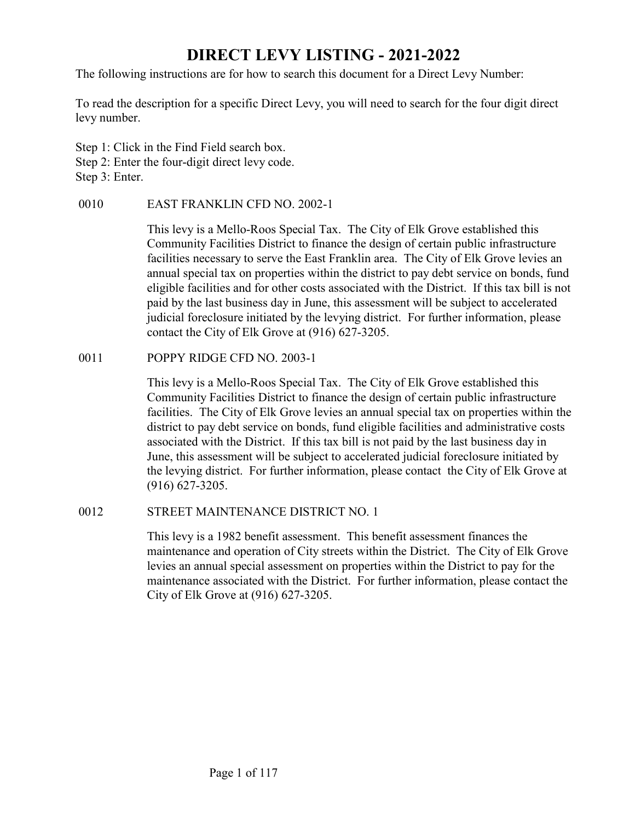# DIRECT LEVY LISTING - 2021-2022

The following instructions are for how to search this document for a Direct Levy Number:

To read the description for a specific Direct Levy, you will need to search for the four digit direct levy number.

Step 1: Click in the Find Field search box. Step 2: Enter the four-digit direct levy code. Step 3: Enter.

**DIRECT LEVY LISTING - 2021-2022**<br>
The following instructions are for how to search this document for a Direct Levy Num<br>
To read the description for a specific Direct Levy, you will need to search for the fou-<br>
evy number. This levy is a Mello-Roos Special Tax. The City of Elk Grove established this Community Facilities District to finance the design of certain public infrastructure facilities necessary to serve the East Franklin area. The City of Elk Grove levies an annual special tax on properties within the district to pay debt service on bonds, fund eligible facilities and for other costs associated with the District. If this tax bill is not paid by the last business day in June, this assessment will be subject to accelerated judicial foreclosure initiated by the levying district. For further information, please contact the City of Elk Grove at (916) 627-3205. To read the description for a specific Direct Levy, you will need to search for the fe<br>
evy number.<br>
Step 1: Click in the Find Field search box.<br>
Step 2: Enter the four-digit direct levy code.<br>
Step 2: Enter the four-digit

This levy is a Mello-Roos Special Tax. The City of Elk Grove established this Community Facilities District to finance the design of certain public infrastructure facilities. The City of Elk Grove levies an annual special tax on properties within the district to pay debt service on bonds, fund eligible facilities and administrative costs associated with the District. If this tax bill is not paid by the last business day in June, this assessment will be subject to accelerated judicial foreclosure initiated by the levying district. For further information, please contact the City of Elk Grove at (916) 627-3205. Community racilities District to finance the design of certain publical<br>facilities necessary to serve the East Franklin area. The City of Elk<br>annual special tax on properties within the district to pay debt servic<br>eligible

This levy is a 1982 benefit assessment. This benefit assessment finances the maintenance and operation of City streets within the District. The City of Elk Grove levies an annual special assessment on properties within the District to pay for the maintenance associated with the District. For further information, please contact the City of Elk Grove at (916) 627-3205.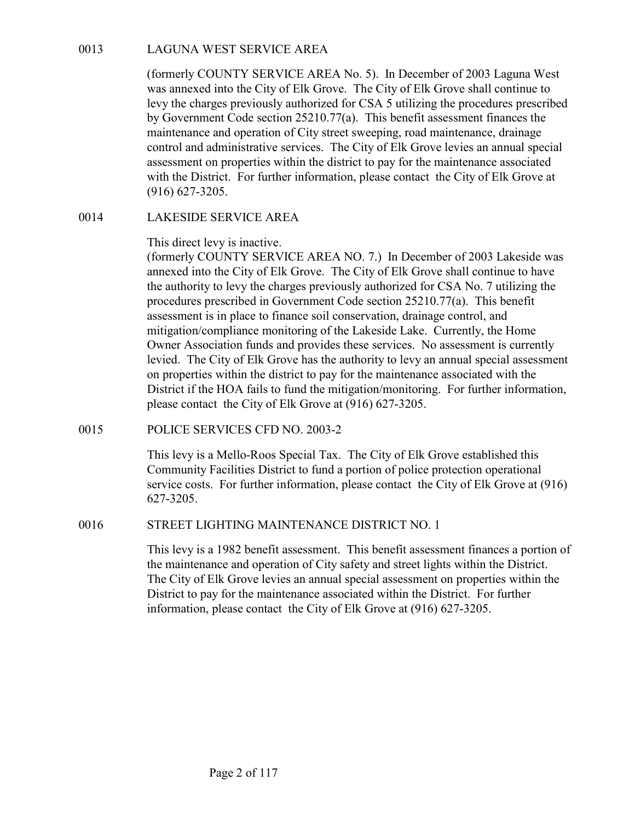0013 LAGUNA WEST SERVICE AREA<br>
(formerly COUNTY SERVICE AREA No. 5). In December of 2003<br>
was annexed into the City of Elk Grove. The City of Elk Grove shal<br>
levy the charges previously authorized for CSA 5 utilizing the p (formerly COUNTY SERVICE AREA No. 5). In December of 2003 Laguna West was annexed into the City of Elk Grove. The City of Elk Grove shall continue to levy the charges previously authorized for CSA 5 utilizing the procedures prescribed by Government Code section 25210.77(a). This benefit assessment finances the maintenance and operation of City street sweeping, road maintenance, drainage control and administrative services. The City of Elk Grove levies an annual special assessment on properties within the district to pay for the maintenance associated with the District. For further information, please contact the City of Elk Grove at (916) 627-3205. LAGUNA WEST SERVICE AREA<br>
(formerly COUNTY SERVICE AREA No. 5). In December of 200:<br>
was annexed into the City of Elk Grove. The City of Elk Grove shall<br>
levy the charges previously authorized for CSA 5 utilizing the proce

This direct levy is inactive.

(formerly COUNTY SERVICE AREA NO. 7.) In December of 2003 Lakeside was annexed into the City of Elk Grove. The City of Elk Grove shall continue to have the authority to levy the charges previously authorized for CSA No. 7 utilizing the procedures prescribed in Government Code section 25210.77(a). This benefit assessment is in place to finance soil conservation, drainage control, and mitigation/compliance monitoring of the Lakeside Lake. Currently, the Home Owner Association funds and provides these services. No assessment is currently levied. The City of Elk Grove has the authority to levy an annual special assessment on properties within the district to pay for the maintenance associated with the District if the HOA fails to fund the mitigation/monitoring. For further information, please contact the City of Elk Grove at (916) 627-3205. assessment on properties within the district to pay for the maintenance a<br>with the District. For further information, please contact the City of Ell<br>(916) 627-3205.<br>LAKESIDE SERVICE AREA<br>This direct levy is matrixe.<br>(forme (former) COUNT Y EXPUCE AREA NO. 7.) In December of 2005 Laxes<br>amecded into the City of Elk Grove. The City of Elk Grove shall continue to have<br>the authority to levy the charges previously authorized for CSA No. 7 utilizin

This levy is a Mello-Roos Special Tax. The City of Elk Grove established this Community Facilities District to fund a portion of police protection operational service costs. For further information, please contact the City of Elk Grove at (916) 627-3205.

This levy is a 1982 benefit assessment. This benefit assessment finances a portion of the maintenance and operation of City safety and street lights within the District. The City of Elk Grove levies an annual special assessment on properties within the District to pay for the maintenance associated within the District. For further information, please contact the City of Elk Grove at (916) 627-3205.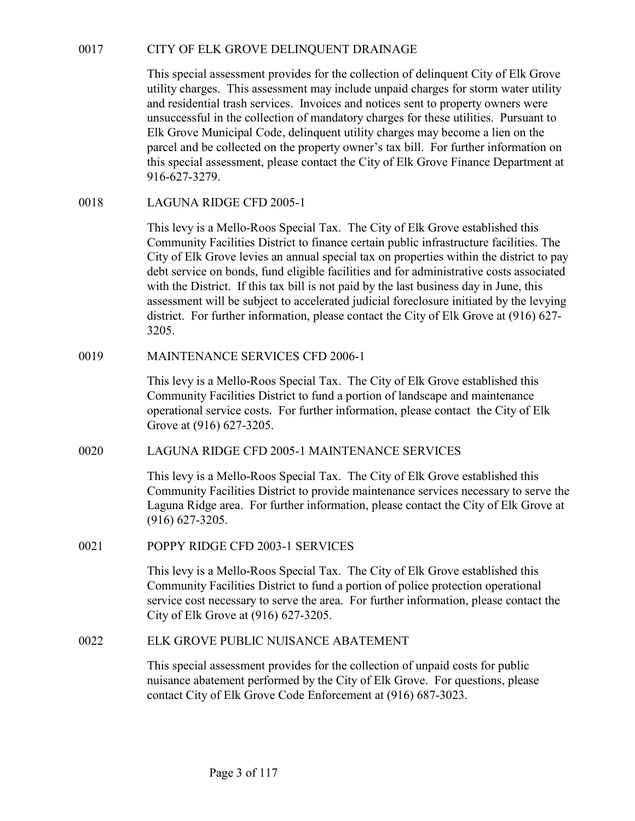OCHETT OF ELK GROVE DELINQUENT DRAINAGE<br>
This special assessment provides for the collection of delinquent City of Elk Grove<br>
utility charges. This assessment may include unpaid charges for storm water utility<br>
and residen This special assessment provides for the collection of delinquent City of Elk Grove utility charges. This assessment may include unpaid charges for storm water utility and residential trash services. Invoices and notices sent to property owners were unsuccessful in the collection of mandatory charges for these utilities. Pursuant to Elk Grove Municipal Code, delinquent utility charges may become a lien on the parcel and be collected on the property owner's tax bill. For further information on this special assessment, please contact the City of Elk Grove Finance Department at 916-627-3279. CITY OF ELK GROVE DELINQUENT DRAINAGE<br>
This special assessment provides for the collection of delinquent Cit<br>
utility charges. This assessment may include unpaid charges for stor<br>
unities and residential trash services. In

This levy is a Mello-Roos Special Tax. The City of Elk Grove established this Community Facilities District to finance certain public infrastructure facilities. The City of Elk Grove levies an annual special tax on properties within the district to pay debt service on bonds, fund eligible facilities and for administrative costs associated with the District. If this tax bill is not paid by the last business day in June, this assessment will be subject to accelerated judicial foreclosure initiated by the levying district. For further information, please contact the City of Elk Grove at (916) 627- 3205. Unity energes. This assessment may mether way method window the protocol and residential trash services. Invoices and notices sent to property owners unsuccessful in the collection of mandatory charges may become a lien on 0018<br>
LAGUNA RIDGE CFD 2005-1<br>
This levy is a Mello-Roos Special Tax. The City of Elk Grove established this<br>
Community Facilities District to finance certain public infrastructure facilities. The<br>
City of Elk Grove levie with the District. If this tax bill is not paid by the last business day in June, this assessment will be subject to accelerated judicial forcelosure initiated by the left district. For further information, please contact

This levy is a Mello-Roos Special Tax. The City of Elk Grove established this Community Facilities District to fund a portion of landscape and maintenance operational service costs. For further information, please contact the City of Elk Grove at (916) 627-3205.

This levy is a Mello-Roos Special Tax. The City of Elk Grove established this Community Facilities District to provide maintenance services necessary to serve the Laguna Ridge area. For further information, please contact the City of Elk Grove at (916) 627-3205. This levy is a Mello-Roos Special Tax. The City of Elk Grove established this<br>
Community Facilities District to fund a portion of landscape and maintenance<br>
operational service costs. For further information, please contac

This levy is a Mello-Roos Special Tax. The City of Elk Grove established this Community Facilities District to fund a portion of police protection operational service cost necessary to serve the area. For further information, please contact the City of Elk Grove at (916) 627-3205.

This special assessment provides for the collection of unpaid costs for public nuisance abatement performed by the City of Elk Grove. For questions, please contact City of Elk Grove Code Enforcement at (916) 687-3023.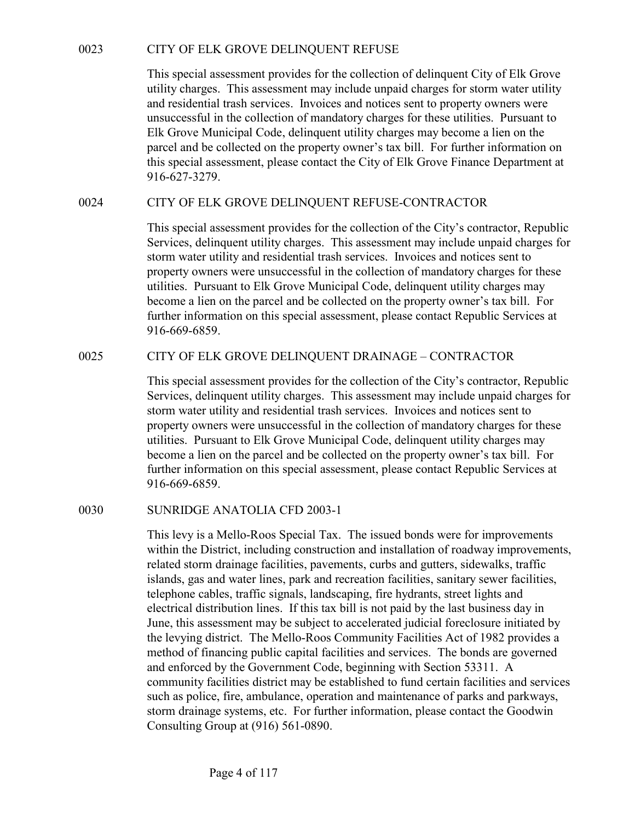CITY OF ELK GROVE DELINQUENT REFUSE<br>This special assessment provides for the collection of delinquent City of Elk Grove<br>utility charges. This assessment may include unpaid charges for storm water utility<br>and residential tr This special assessment provides for the collection of delinquent City of Elk Grove utility charges. This assessment may include unpaid charges for storm water utility and residential trash services. Invoices and notices sent to property owners were unsuccessful in the collection of mandatory charges for these utilities. Pursuant to Elk Grove Municipal Code, delinquent utility charges may become a lien on the parcel and be collected on the property owner's tax bill. For further information on this special assessment, please contact the City of Elk Grove Finance Department at 916-627-3279. CITY OF ELK GROVE DELINQUENT REFUSE<br>
This special assessment provides for the collection of delinquent City of Elk Grove<br>
utility charges. This assessment may include unpaid charges for storm water utility<br>
and residential

This special assessment provides for the collection of the City's contractor, Republic Services, delinquent utility charges. This assessment may include unpaid charges for storm water utility and residential trash services. Invoices and notices sent to property owners were unsuccessful in the collection of mandatory charges for these utilities. Pursuant to Elk Grove Municipal Code, delinquent utility charges may become a lien on the parcel and be collected on the property owner's tax bill. For further information on this special assessment, please contact Republic Services at 916-669-6859. utiny charges. Insi assessment may include unpaid charges for storm water utility and residential trash services. Invoices and notices sent to property owners were<br>unsuccessful in the collection of mandatory charges for th

This special assessment provides for the collection of the City's contractor, Republic Services, delinquent utility charges. This assessment may include unpaid charges for storm water utility and residential trash services. Invoices and notices sent to property owners were unsuccessful in the collection of mandatory charges for these utilities. Pursuant to Elk Grove Municipal Code, delinquent utility charges may become a lien on the parcel and be collected on the property owner's tax bill. For further information on this special assessment, please contact Republic Services at 916-669-6859. Services, delinquent utility charges. Instasses met may mente to<br>storm water utility and residential trash services. Invoices and notice<br>property owners were unsuccessful in the collection of mandatory eb<br>utilities. Pursua

This levy is a Mello-Roos Special Tax. The issued bonds were for improvements within the District, including construction and installation of roadway improvements, related storm drainage facilities, pavements, curbs and gutters, sidewalks, traffic islands, gas and water lines, park and recreation facilities, sanitary sewer facilities, telephone cables, traffic signals, landscaping, fire hydrants, street lights and electrical distribution lines. If this tax bill is not paid by the last business day in June, this assessment may be subject to accelerated judicial foreclosure initiated by the levying district. The Mello-Roos Community Facilities Act of 1982 provides a method of financing public capital facilities and services. The bonds are governed and enforced by the Government Code, beginning with Section 53311. A community facilities district may be established to fund certain facilities and services such as police, fire, ambulance, operation and maintenance of parks and parkways, storm drainage systems, etc. For further information, please contact the Goodwin Consulting Group at (916) 561-0890.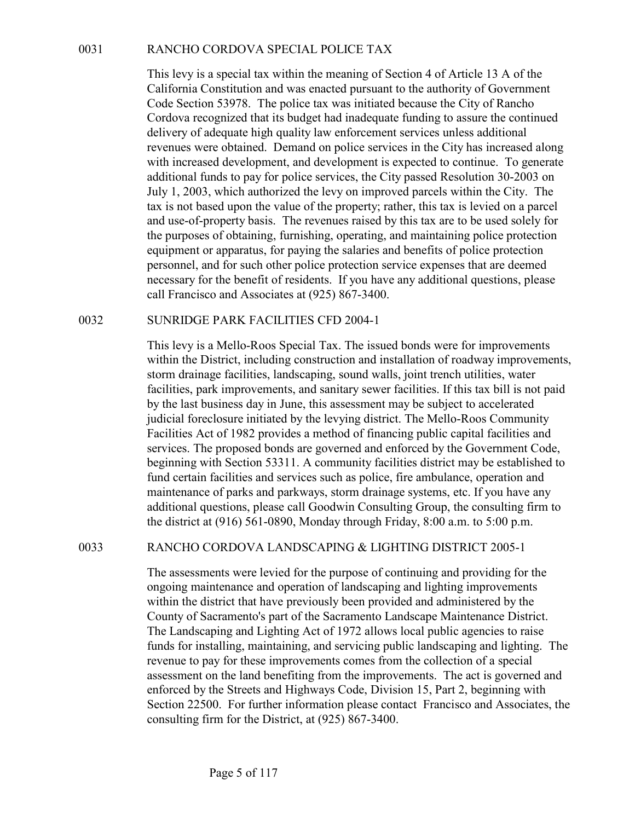RANCHO CORDOVA SPECIAL POLICE TAX<br>This levy is a special tax within the meaning of Section 4 of Article<br>California Constitution and was enacted pursuant to the authority of<br>Code Section 53978. The police tax was initiated This levy is a special tax within the meaning of Section 4 of Article 13 A of the California Constitution and was enacted pursuant to the authority of Government Code Section 53978. The police tax was initiated because the City of Rancho Cordova recognized that its budget had inadequate funding to assure the continued delivery of adequate high quality law enforcement services unless additional revenues were obtained. Demand on police services in the City has increased along with increased development, and development is expected to continue. To generate additional funds to pay for police services, the City passed Resolution 30-2003 on July 1, 2003, which authorized the levy on improved parcels within the City. The tax is not based upon the value of the property; rather, this tax is levied on a parcel and use-of-property basis. The revenues raised by this tax are to be used solely for the purposes of obtaining, furnishing, operating, and maintaining police protection equipment or apparatus, for paying the salaries and benefits of police protection personnel, and for such other police protection service expenses that are deemed necessary for the benefit of residents. If you have any additional questions, please call Francisco and Associates at (925) 867-3400. Extract the solution of the meaning of Section 4 of Article 13 A of the California Constitution and was enacted pursuant to the authority of Governmer Code Section 53978. The police tax was initiated because the City of Ra

This levy is a Mello-Roos Special Tax. The issued bonds were for improvements within the District, including construction and installation of roadway improvements, storm drainage facilities, landscaping, sound walls, joint trench utilities, water facilities, park improvements, and sanitary sewer facilities. If this tax bill is not paid by the last business day in June, this assessment may be subject to accelerated judicial foreclosure initiated by the levying district. The Mello-Roos Community Facilities Act of 1982 provides a method of financing public capital facilities and services. The proposed bonds are governed and enforced by the Government Code, beginning with Section 53311. A community facilities district may be established to fund certain facilities and services such as police, fire ambulance, operation and maintenance of parks and parkways, storm drainage systems, etc. If you have any additional questions, please call Goodwin Consulting Group, the consulting firm to the district at (916) 561-0890, Monday through Friday, 8:00 a.m. to 5:00 p.m. necessary for the enerth or residents. If you have any additional questions, piese<br>call Francisco and Associates at (925) 867-3400.<br>TIMRIDGE PARK FACILITIES CFD 2004-1<br>This levy is a Mello-Roos Special Tax. The issued bond

The assessments were levied for the purpose of continuing and providing for the ongoing maintenance and operation of landscaping and lighting improvements within the district that have previously been provided and administered by the County of Sacramento's part of the Sacramento Landscape Maintenance District. The Landscaping and Lighting Act of 1972 allows local public agencies to raise funds for installing, maintaining, and servicing public landscaping and lighting. The revenue to pay for these improvements comes from the collection of a special assessment on the land benefiting from the improvements. The act is governed and enforced by the Streets and Highways Code, Division 15, Part 2, beginning with Section 22500. For further information please contact Francisco and Associates, the consulting firm for the District, at (925) 867-3400.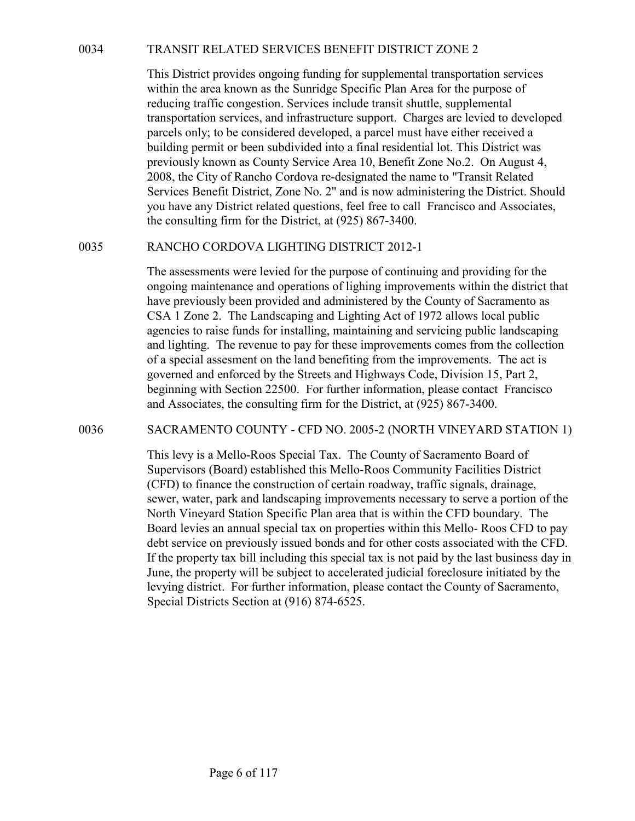TRANSIT RELATED SERVICES BENEFIT DISTRICT ZONE 2<br>This District provides ongoing funding for supplemental transportation services<br>within the area known as the Sunridge Specific Plan Area for the purpose of<br>reducing traffic This District provides ongoing funding for supplemental transportation services within the area known as the Sunridge Specific Plan Area for the purpose of reducing traffic congestion. Services include transit shuttle, supplemental transportation services, and infrastructure support. Charges are levied to developed parcels only; to be considered developed, a parcel must have either received a building permit or been subdivided into a final residential lot. This District was previously known as County Service Area 10, Benefit Zone No.2. On August 4, 2008, the City of Rancho Cordova re-designated the name to "Transit Related Services Benefit District, Zone No. 2" and is now administering the District. Should you have any District related questions, feel free to call Francisco and Associates, the consulting firm for the District, at (925) 867-3400. TRANSIT RELATED SERVICES BENEFIT DISTRICT ZONE 2<br>
This District provides ongoing funding for supplemental transportation services<br>
within the area known as the Sunridge Specific Plan Area for the purpose of<br>
reducing traf

The assessments were levied for the purpose of continuing and providing for the ongoing maintenance and operations of lighing improvements within the district that have previously been provided and administered by the County of Sacramento as CSA 1 Zone 2. The Landscaping and Lighting Act of 1972 allows local public agencies to raise funds for installing, maintaining and servicing public landscaping and lighting. The revenue to pay for these improvements comes from the collection of a special assesment on the land benefiting from the improvements. The act is governed and enforced by the Streets and Highways Code, Division 15, Part 2, beginning with Section 22500. For further information, please contact Francisco and Associates, the consulting firm for the District, at (925) 867-3400. previously known as County Service Area 10, Benefit Zone No.2. On August 4,<br>2008, the City of Rancho Cordova re-designated the name to "Transit Related<br>Services Benefit District, Zone No. 2" and is now administering the Di

This levy is a Mello-Roos Special Tax. The County of Sacramento Board of Supervisors (Board) established this Mello-Roos Community Facilities District (CFD) to finance the construction of certain roadway, traffic signals, drainage, sewer, water, park and landscaping improvements necessary to serve a portion of the North Vineyard Station Specific Plan area that is within the CFD boundary. The Board levies an annual special tax on properties within this Mello- Roos CFD to pay debt service on previously issued bonds and for other costs associated with the CFD. If the property tax bill including this special tax is not paid by the last business day in June, the property will be subject to accelerated judicial foreclosure initiated by the levying district. For further information, please contact the County of Sacramento, Special Districts Section at (916) 874-6525.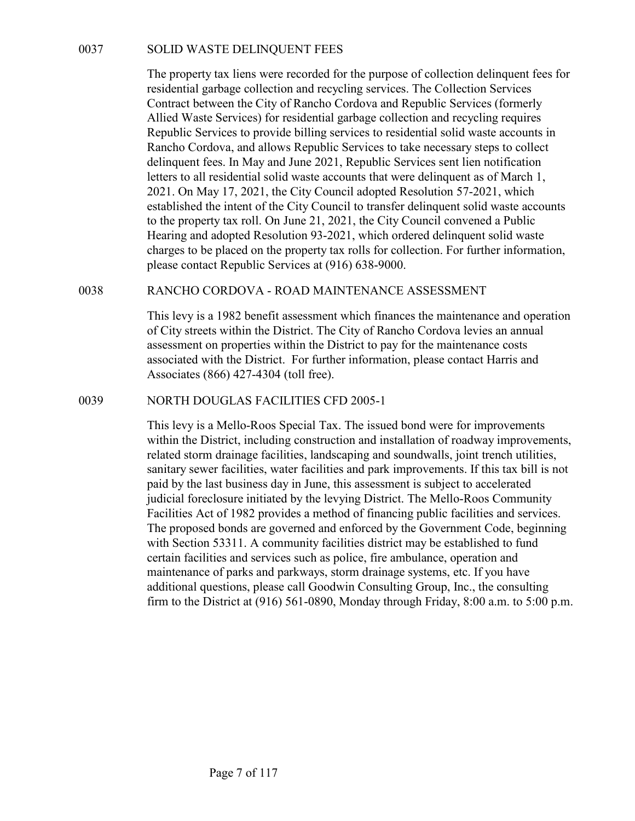SOLID WASTE DELINQUENT FEES<br>The property tax liens were recorded for the purpose of collection delinquen<br>residential garbage collection and recycling services. The Collection Service<br>Contract between the City of Rancho Cor The property tax liens were recorded for the purpose of collection delinquent fees for residential garbage collection and recycling services. The Collection Services Contract between the City of Rancho Cordova and Republic Services (formerly Allied Waste Services) for residential garbage collection and recycling requires Republic Services to provide billing services to residential solid waste accounts in Rancho Cordova, and allows Republic Services to take necessary steps to collect delinquent fees. In May and June 2021, Republic Services sent lien notification letters to all residential solid waste accounts that were delinquent as of March 1, 2021. On May 17, 2021, the City Council adopted Resolution 57-2021, which established the intent of the City Council to transfer delinquent solid waste accounts to the property tax roll. On June 21, 2021, the City Council convened a Public Hearing and adopted Resolution 93-2021, which ordered delinquent solid waste charges to be placed on the property tax rolls for collection. For further information, please contact Republic Services at (916) 638-9000. 0037<br>
SOLID WASTE DELINQUENT FEES<br>
The property tax liens were recorded for the purpose of collection delinquent fees for<br>
residential garbage collection and recycling servicess. The Collection Services (formerly<br>
Cluical Republic Services to provide billing services to residential solutions<br>
Rancho Cordova, and allows Republic Services to take necessary steps to collect<br>
delinquent fees. In May and June 2021, Republic Services sent lien no

This levy is a 1982 benefit assessment which finances the maintenance and operation of City streets within the District. The City of Rancho Cordova levies an annual assessment on properties within the District to pay for the maintenance costs associated with the District. For further information, please contact Harris and Associates (866) 427-4304 (toll free).

This levy is a Mello-Roos Special Tax. The issued bond were for improvements within the District, including construction and installation of roadway improvements, related storm drainage facilities, landscaping and soundwalls, joint trench utilities, sanitary sewer facilities, water facilities and park improvements. If this tax bill is not paid by the last business day in June, this assessment is subject to accelerated judicial foreclosure initiated by the levying District. The Mello-Roos Community Facilities Act of 1982 provides a method of financing public facilities and services. The proposed bonds are governed and enforced by the Government Code, beginning with Section 53311. A community facilities district may be established to fund certain facilities and services such as police, fire ambulance, operation and maintenance of parks and parkways, storm drainage systems, etc. If you have additional questions, please call Goodwin Consulting Group, Inc., the consulting firm to the District at (916) 561-0890, Monday through Friday, 8:00 a.m. to 5:00 p.m.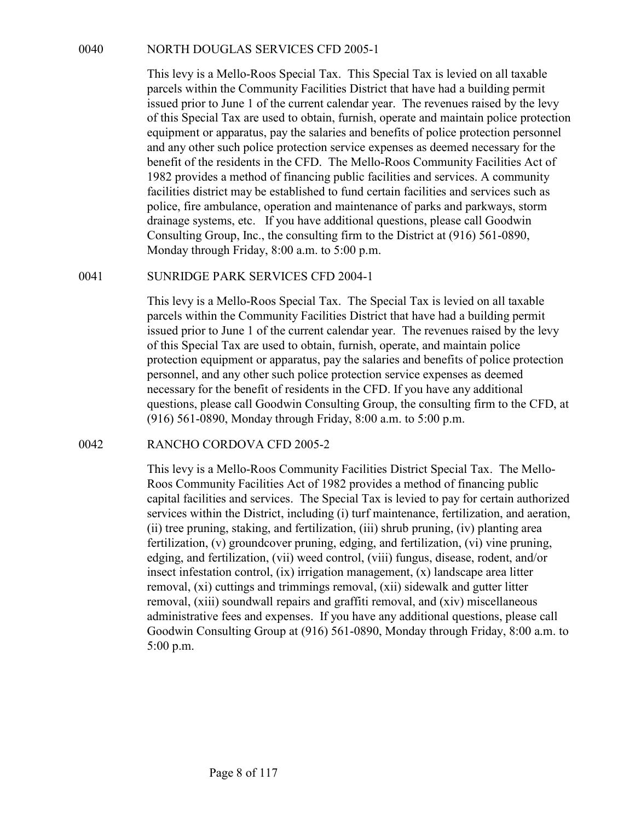NORTH DOUGLAS SERVICES CFD 2005-1<br>This levy is a Mello-Roos Special Tax. This Special Tax is levied on all taxable<br>parcels within the Community Facilities District that have had a building permit<br>issued prior to June 1 of This levy is a Mello-Roos Special Tax. This Special Tax is levied on all taxable parcels within the Community Facilities District that have had a building permit issued prior to June 1 of the current calendar year. The revenues raised by the levy of this Special Tax are used to obtain, furnish, operate and maintain police protection equipment or apparatus, pay the salaries and benefits of police protection personnel and any other such police protection service expenses as deemed necessary for the benefit of the residents in the CFD. The Mello-Roos Community Facilities Act of 1982 provides a method of financing public facilities and services. A community facilities district may be established to fund certain facilities and services such as police, fire ambulance, operation and maintenance of parks and parkways, storm drainage systems, etc. If you have additional questions, please call Goodwin Consulting Group, Inc., the consulting firm to the District at (916) 561-0890, Monday through Friday, 8:00 a.m. to 5:00 p.m. 0040<br>
NORTH DOUGLAS SERVICES CFD 2005-1<br>
This levy is a Mello-Roos Special Tax. This Special Tax is levied on all taxa<br>
pareels within the Community Facilities District that have had a building perm<br>
issued prior to June 1

This levy is a Mello-Roos Special Tax. The Special Tax is levied on all taxable parcels within the Community Facilities District that have had a building permit issued prior to June 1 of the current calendar year. The revenues raised by the levy of this Special Tax are used to obtain, furnish, operate, and maintain police protection equipment or apparatus, pay the salaries and benefits of police protection personnel, and any other such police protection service expenses as deemed necessary for the benefit of residents in the CFD. If you have any additional questions, please call Goodwin Consulting Group, the consulting firm to the CFD, at (916) 561-0890, Monday through Friday, 8:00 a.m. to 5:00 p.m. 1982 provides a method of inmaining public facilities and services. A<br>facilities district may be established to fund certain facilities and service<br>police, fire ambulance, operation and maintenance of parks and park<br>drain

This levy is a Mello-Roos Community Facilities District Special Tax. The Mello-Roos Community Facilities Act of 1982 provides a method of financing public capital facilities and services. The Special Tax is levied to pay for certain authorized services within the District, including (i) turf maintenance, fertilization, and aeration, (ii) tree pruning, staking, and fertilization, (iii) shrub pruning, (iv) planting area fertilization, (v) groundcover pruning, edging, and fertilization, (vi) vine pruning, edging, and fertilization, (vii) weed control, (viii) fungus, disease, rodent, and/or insect infestation control, (ix) irrigation management, (x) landscape area litter removal, (xi) cuttings and trimmings removal, (xii) sidewalk and gutter litter removal, (xiii) soundwall repairs and graffiti removal, and (xiv) miscellaneous administrative fees and expenses. If you have any additional questions, please call Goodwin Consulting Group at (916) 561-0890, Monday through Friday, 8:00 a.m. to 5:00 p.m.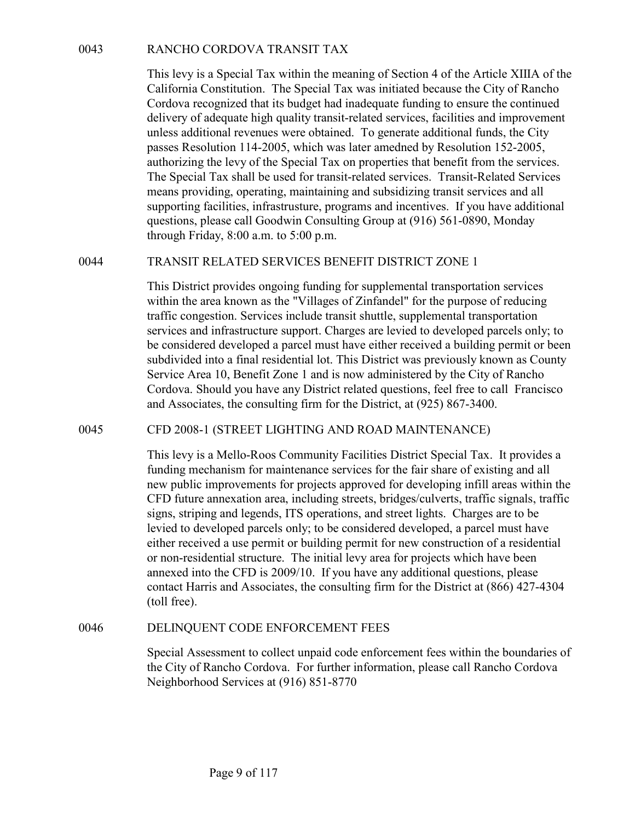RANCHO CORDOVA TRANSIT TAX<br>This levy is a Special Tax within the meaning of Section 4 of the Article XIIIA of the<br>California Constitution. The Special Tax was initiated because the City of Rancho<br>Cordova recognized that it This levy is a Special Tax within the meaning of Section 4 of the Article XIIIA of the California Constitution. The Special Tax was initiated because the City of Rancho Cordova recognized that its budget had inadequate funding to ensure the continued delivery of adequate high quality transit-related services, facilities and improvement unless additional revenues were obtained. To generate additional funds, the City passes Resolution 114-2005, which was later amedned by Resolution 152-2005, authorizing the levy of the Special Tax on properties that benefit from the services. The Special Tax shall be used for transit-related services. Transit-Related Services means providing, operating, maintaining and subsidizing transit services and all supporting facilities, infrastrusture, programs and incentives. If you have additional questions, please call Goodwin Consulting Group at (916) 561-0890, Monday through Friday, 8:00 a.m. to 5:00 p.m. RANCHO CORDOVA TRANSIT TAX<br>
This levy is a Special Tax within the meaning of Section 4 of the Article XIIIA of the<br>
Corlova reconstration. The Special Tax was initiated because the City of Rancho<br>
Cordova reconsized that i

This District provides ongoing funding for supplemental transportation services within the area known as the "Villages of Zinfandel" for the purpose of reducing traffic congestion. Services include transit shuttle, supplemental transportation services and infrastructure support. Charges are levied to developed parcels only; to be considered developed a parcel must have either received a building permit or been subdivided into a final residential lot. This District was previously known as County Service Area 10, Benefit Zone 1 and is now administered by the City of Rancho Cordova. Should you have any District related questions, feel free to call Francisco and Associates, the consulting firm for the District, at (925) 867-3400. atmorizing me levy of the Special Tax on properties trate then the new restricted<br>The Special Tax shall be used for transit-related services. Transit-Related Services<br>means providing, operating, maintaining and subsidizing

This levy is a Mello-Roos Community Facilities District Special Tax. It provides a funding mechanism for maintenance services for the fair share of existing and all new public improvements for projects approved for developing infill areas within the CFD future annexation area, including streets, bridges/culverts, traffic signals, traffic signs, striping and legends, ITS operations, and street lights. Charges are to be levied to developed parcels only; to be considered developed, a parcel must have either received a use permit or building permit for new construction of a residential or non-residential structure. The initial levy area for projects which have been annexed into the CFD is 2009/10. If you have any additional questions, please contact Harris and Associates, the consulting firm for the District at (866) 427-4304 (toll free). supervice Area a mail residential to This District was previously whown as County<br>Service Area 10, Benefit Zone 1 and is now administered by the City of Rancho<br>Cordova. Should you have any District related questions, feel

Special Assessment to collect unpaid code enforcement fees within the boundaries of the City of Rancho Cordova. For further information, please call Rancho Cordova Neighborhood Services at (916) 851-8770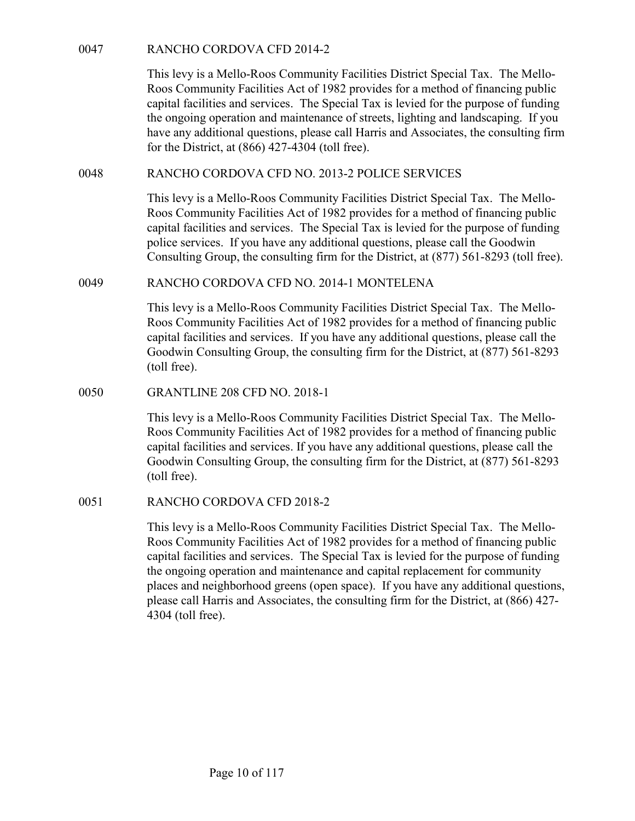RANCHO CORDOVA CFD 2014-2<br>This levy is a Mello-Roos Community Facilities District Special Tax.<br>Roos Community Facilities Act of 1982 provides for a method of fina<br>capital facilities and services. The Special Tax is levied This levy is a Mello-Roos Community Facilities District Special Tax. The Mello-Roos Community Facilities Act of 1982 provides for a method of financing public capital facilities and services. The Special Tax is levied for the purpose of funding the ongoing operation and maintenance of streets, lighting and landscaping. If you have any additional questions, please call Harris and Associates, the consulting firm for the District, at (866) 427-4304 (toll free). RANCHO CORDOVA CFD 2014-2<br>
This levy is a Mello-Roos Community Facilities District Special Tax. The Mello-Roos Community Facilities Act of 1982 provides for a method of financing public<br>
capital facilities and services. Th RANCHO CORDOVA CFD 2014-2<br>
This levy is a Mello-Roos Community Facilities District Special Tax. The Mello-Roos Community Facilities Act of 1982 provides for a mcthod of financing public<br>
capital facilities and services. Th

This levy is a Mello-Roos Community Facilities District Special Tax. The Mello-Roos Community Facilities Act of 1982 provides for a method of financing public capital facilities and services. The Special Tax is levied for the purpose of funding police services. If you have any additional questions, please call the Goodwin Consulting Group, the consulting firm for the District, at (877) 561-8293 (toll free). have any additional questions, please call Harris and Associates, the c<br>for the District, at (866) 427-4304 (toll free).<br>
RANCHO CORDOVA CFD NO. 2013-2 POLICE SERVICES<br>
This levy is a Mello-Roos Community Facilities Distri

This levy is a Mello-Roos Community Facilities District Special Tax. The Mello-Roos Community Facilities Act of 1982 provides for a method of financing public capital facilities and services. If you have any additional questions, please call the Goodwin Consulting Group, the consulting firm for the District, at (877) 561-8293 (toll free).

This levy is a Mello-Roos Community Facilities District Special Tax. The Mello-Roos Community Facilities Act of 1982 provides for a method of financing public capital facilities and services. If you have any additional questions, please call the Goodwin Consulting Group, the consulting firm for the District, at (877) 561-8293 (toll free). police services. If you have any additional questions, please call the Consulting Group, the consulting firm for the District, at (877) 561-87.<br>
RANCHO CORDOVA CFD NO. 2014-1 MONTELENA<br>
This levy is a Mello-Roos Community

This levy is a Mello-Roos Community Facilities District Special Tax. The Mello-Roos Community Facilities Act of 1982 provides for a method of financing public capital facilities and services. The Special Tax is levied for the purpose of funding the ongoing operation and maintenance and capital replacement for community places and neighborhood greens (open space). If you have any additional questions, please call Harris and Associates, the consulting firm for the District, at (866) 427- 4304 (toll free).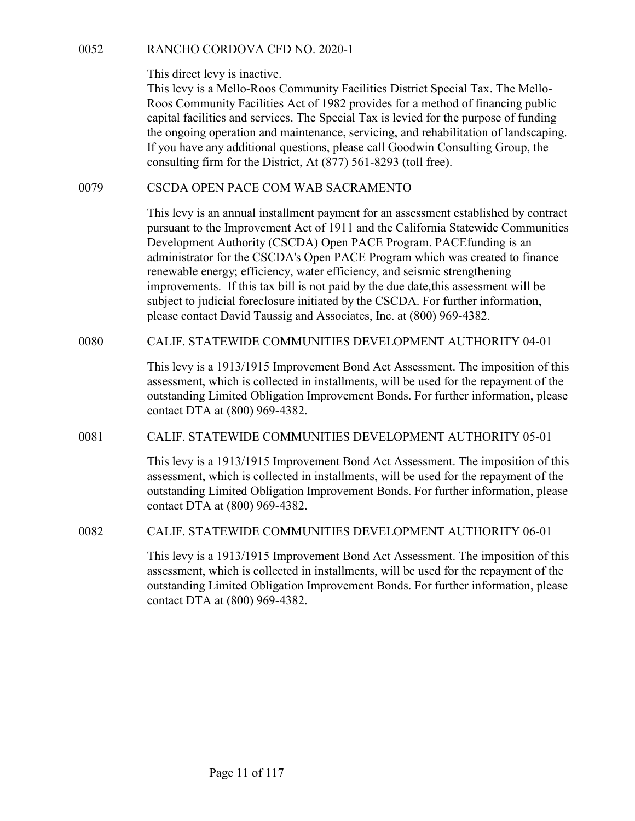This direct levy is inactive.

RANCHO CORDOVA CFD NO. 2020-1<br>This direct levy is inactive.<br>This levy is a Mello-Roos Community Facilities District Special Tax. The<br>Roos Community Facilities Act of 1982 provides for a method of financing<br>canital faciliti This levy is a Mello-Roos Community Facilities District Special Tax. The Mello-Roos Community Facilities Act of 1982 provides for a method of financing public capital facilities and services. The Special Tax is levied for the purpose of funding the ongoing operation and maintenance, servicing, and rehabilitation of landscaping. If you have any additional questions, please call Goodwin Consulting Group, the consulting firm for the District, At (877) 561-8293 (toll free). RANCHO CORDOVA CFD NO. 2020-1<br>
This direct levy is inactive.<br>
This levy is a Mello-Roos Community Facilities District Special Tax. The Mello-Roos Community Facilities Act of 1982 provides for a method of financing public<br>

This levy is an annual installment payment for an assessment established by contract pursuant to the Improvement Act of 1911 and the California Statewide Communities Development Authority (CSCDA) Open PACE Program. PACEfunding is an administrator for the CSCDA's Open PACE Program which was created to finance renewable energy; efficiency, water efficiency, and seismic strengthening improvements. If this tax bill is not paid by the due date,this assessment will be subject to judicial foreclosure initiated by the CSCDA. For further information, please contact David Taussig and Associates, Inc. at (800) 969-4382. Ins ore retwy is inactive.<br>This levy is a Mello-Roos Community Facilities District Special Tax. The Mello-Roos Community Facilities Act of 1982 provides for a method of financing public expiral facilities and services. The 0079<br>
CSCDA OPEN PACE COM WAB SACRAMENTO<br>
This levy is an annual installment payment for an assessment established by contract<br>
pursuant to the Improvement Act of 1911 and the California Statewide Communities<br>
Development renewable energy; efficiency, water efficiency, and seismic strengthening<br>
improvements. If this tax bill is not paid by the due date,this assessment will be<br>
subject to judicial forcelosure initiated by the CSCDA. For fur

This levy is a 1913/1915 Improvement Bond Act Assessment. The imposition of this assessment, which is collected in installments, will be used for the repayment of the outstanding Limited Obligation Improvement Bonds. For further information, please contact DTA at (800) 969-4382.

This levy is a 1913/1915 Improvement Bond Act Assessment. The imposition of this assessment, which is collected in installments, will be used for the repayment of the outstanding Limited Obligation Improvement Bonds. For further information, please contact DTA at (800) 969-4382.

This levy is a 1913/1915 Improvement Bond Act Assessment. The imposition of this assessment, which is collected in installments, will be used for the repayment of the outstanding Limited Obligation Improvement Bonds. For further information, please contact DTA at (800) 969-4382.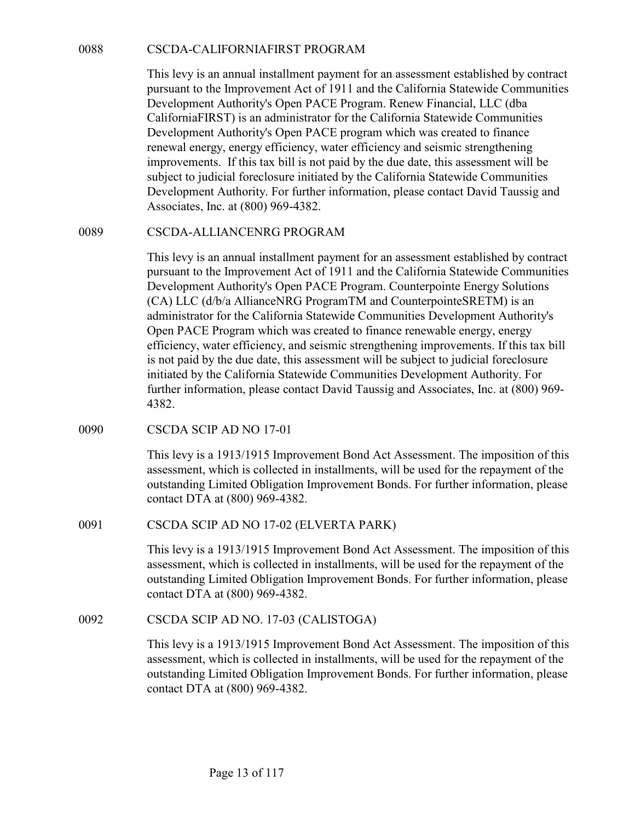CSCDA-CALIFORNIAFIRST PROGRAM<br>
This levy is an annual installment payment for an assessment established by contract<br>
pursuant to the Improvement Act of 1911 and the California Statewide Communities<br>
Development Authority's This levy is an annual installment payment for an assessment established by contract pursuant to the Improvement Act of 1911 and the California Statewide Communities Development Authority's Open PACE Program. Renew Financial, LLC (dba CaliforniaFIRST) is an administrator for the California Statewide Communities Development Authority's Open PACE program which was created to finance renewal energy, energy efficiency, water efficiency and seismic strengthening improvements. If this tax bill is not paid by the due date, this assessment will be subject to judicial foreclosure initiated by the California Statewide Communities Development Authority. For further information, please contact David Taussig and Associates, Inc. at (800) 969-4382. CSCDA-CALIFORNIAFIRST PROGRAM<br>
This levy is an annual installment payment for an assessment established by contract<br>
pursuant to the improvement Actor 1911 and the California Statewide Communities<br>
Development Authority's

This levy is an annual installment payment for an assessment established by contract pursuant to the Improvement Act of 1911 and the California Statewide Communities Development Authority's Open PACE Program. Counterpointe Energy Solutions (CA) LLC (d/b/a AllianceNRG ProgramTM and CounterpointeSRETM) is an administrator for the California Statewide Communities Development Authority's Open PACE Program which was created to finance renewable energy, energy efficiency, water efficiency, and seismic strengthening improvements. If this tax bill is not paid by the due date, this assessment will be subject to judicial foreclosure initiated by the California Statewide Communities Development Authority. For further information, please contact David Taussig and Associates, Inc. at (800) 969- 4382. mprovements. It mis tax buil is not paid by the duct date, this<br>subject to judicial foreclosure initiated by the California Statewide C<br>Development Authority. For further information, please contact Dav<br>Associates, Inc. at Inis tevy is an annua installmenti payment for an assessment established<br>pursuant to the Improvement Act of 1911 and the California Statewide<br>Development Authority's Open PACE Program. Counterpointe Energy 5<br>(CA) LLC (d/b/ is not paid by the due date, this assessment will be subject to judicial<br>initiated by the California Statewide Communities Development Aut<br>further information, please contact David Taussig and Associates, In<br>4382.<br>CSCDA SC

This levy is a 1913/1915 Improvement Bond Act Assessment. The imposition of this assessment, which is collected in installments, will be used for the repayment of the outstanding Limited Obligation Improvement Bonds. For further information, please contact DTA at (800) 969-4382.

This levy is a 1913/1915 Improvement Bond Act Assessment. The imposition of this assessment, which is collected in installments, will be used for the repayment of the outstanding Limited Obligation Improvement Bonds. For further information, please contact DTA at (800) 969-4382.

This levy is a 1913/1915 Improvement Bond Act Assessment. The imposition of this assessment, which is collected in installments, will be used for the repayment of the outstanding Limited Obligation Improvement Bonds. For further information, please contact DTA at (800) 969-4382.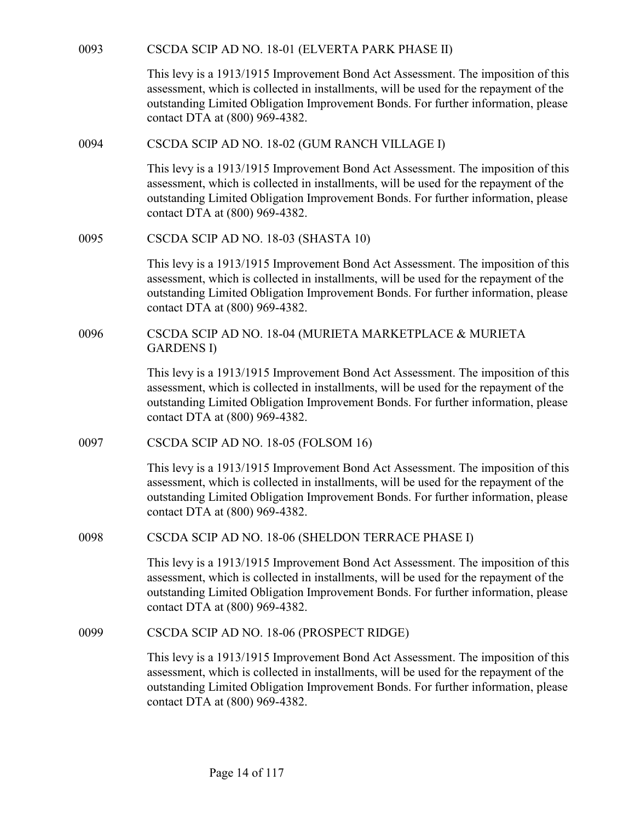| 0093 | CSCDA SCIP AD NO. 18-01 (ELVERTA PARK PHASE II)                                                                                                                                                                                                                                                  |
|------|--------------------------------------------------------------------------------------------------------------------------------------------------------------------------------------------------------------------------------------------------------------------------------------------------|
|      | This levy is a 1913/1915 Improvement Bond Act Assessment. The imposition of this<br>assessment, which is collected in installments, will be used for the repayment of the<br>outstanding Limited Obligation Improvement Bonds. For further information, please<br>contact DTA at (800) 969-4382. |
| 0094 | CSCDA SCIP AD NO. 18-02 (GUM RANCH VILLAGE I)                                                                                                                                                                                                                                                    |
|      | This levy is a 1913/1915 Improvement Bond Act Assessment. The imposition of this<br>assessment, which is collected in installments, will be used for the repayment of the<br>outstanding Limited Obligation Improvement Bonds. For further information, please<br>contact DTA at (800) 969-4382. |
| 0095 | CSCDA SCIP AD NO. 18-03 (SHASTA 10)                                                                                                                                                                                                                                                              |
|      | This levy is a 1913/1915 Improvement Bond Act Assessment. The imposition of this<br>assessment, which is collected in installments, will be used for the repayment of the<br>outstanding Limited Obligation Improvement Bonds. For further information, please<br>contact DTA at (800) 969-4382. |
| 0096 | CSCDA SCIP AD NO. 18-04 (MURIETA MARKETPLACE & MURIETA<br><b>GARDENS I)</b>                                                                                                                                                                                                                      |
|      | This levy is a 1913/1915 Improvement Bond Act Assessment. The imposition of this<br>assessment, which is collected in installments, will be used for the repayment of the<br>outstanding Limited Obligation Improvement Bonds. For further information, please<br>contact DTA at (800) 969-4382. |
| 0097 | CSCDA SCIP AD NO. 18-05 (FOLSOM 16)                                                                                                                                                                                                                                                              |
|      | This levy is a 1913/1915 Improvement Bond Act Assessment. The imposition of this<br>assessment, which is collected in installments, will be used for the repayment of the<br>outstanding Limited Obligation Improvement Bonds. For further information, please<br>contact DTA at (800) 969-4382. |
| 0098 | CSCDA SCIP AD NO. 18-06 (SHELDON TERRACE PHASE I)                                                                                                                                                                                                                                                |
|      | This levy is a 1913/1915 Improvement Bond Act Assessment. The imposition of this<br>assessment, which is collected in installments, will be used for the repayment of the<br>outstanding Limited Obligation Improvement Bonds. For further information, please<br>contact DTA at (800) 969-4382. |
| 0099 | CSCDA SCIP AD NO. 18-06 (PROSPECT RIDGE)                                                                                                                                                                                                                                                         |
|      | This levy is a 1913/1915 Improvement Bond Act Assessment. The imposition of this<br>assessment, which is collected in installments, will be used for the repayment of the<br>outstanding Limited Obligation Improvement Bonds. For further information, please<br>contact DTA at (800) 969-4382. |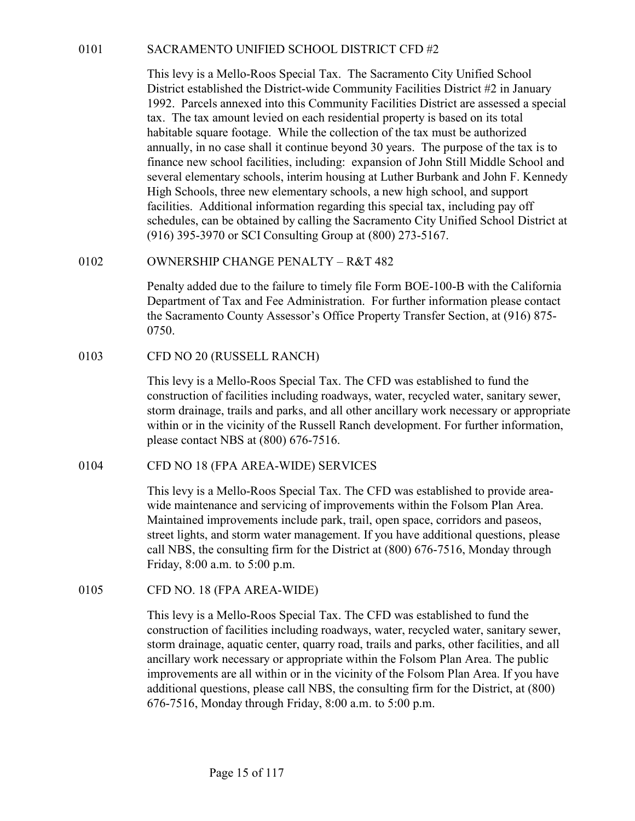SACRAMENTO UNIFIED SCHOOL DISTRICT CFD #2<br>This levy is a Mello-Roos Special Tax. The Sacramento City Unified School<br>District established the District-wide Community Facilities District #2 in January<br>1992. Parcels annexed i This levy is a Mello-Roos Special Tax. The Sacramento City Unified School District established the District-wide Community Facilities District #2 in January 1992. Parcels annexed into this Community Facilities District are assessed a special tax. The tax amount levied on each residential property is based on its total habitable square footage. While the collection of the tax must be authorized annually, in no case shall it continue beyond 30 years. The purpose of the tax is to finance new school facilities, including: expansion of John Still Middle School and several elementary schools, interim housing at Luther Burbank and John F. Kennedy High Schools, three new elementary schools, a new high school, and support facilities. Additional information regarding this special tax, including pay off schedules, can be obtained by calling the Sacramento City Unified School District at (916) 395-3970 or SCI Consulting Group at (800) 273-5167. 0101 SACRAMENTO UNIFIED SCHOOL DISTRICT CFD #2<br>
This levy is a Mello-Roos Special Tax. The Sacramento City Unified School<br>
District established the District-wide Community Facilities District #2 in January<br>
1992. Pareas a District established the District-Wide Community Facilities District are<br>1992. Parcels annexed into this Community Facilities District are<br>18. The tax amount levied on each residential property is based on<br>habitable square

Penalty added due to the failure to timely file Form BOE-100-B with the California Department of Tax and Fee Administration. For further information please contact the Sacramento County Assessor's Office Property Transfer Section, at (916) 875- 0750.

This levy is a Mello-Roos Special Tax. The CFD was established to fund the construction of facilities including roadways, water, recycled water, sanitary sewer, storm drainage, trails and parks, and all other ancillary work necessary or appropriate within or in the vicinity of the Russell Ranch development. For further information, please contact NBS at (800) 676-7516. facilities. Additional information regarding this special tax, including pay off<br>selectilities, can be obtained by calling the Sacramento City Unified School District<br>(916) 395-3970 or SCI Consulting Group at (800) 273-516

This levy is a Mello-Roos Special Tax. The CFD was established to provide areawide maintenance and servicing of improvements within the Folsom Plan Area. Maintained improvements include park, trail, open space, corridors and paseos, street lights, and storm water management. If you have additional questions, please call NBS, the consulting firm for the District at (800) 676-7516, Monday through Friday, 8:00 a.m. to 5:00 p.m. 0750.<br>
OFD NO 20 (RUSSELL RANCH)<br>
This levy is a Mello-Roos Special Tax. The CFD was established to<br>
construction of facilities including roadways, water, recycled water,<br>
storm drainage, trails and parks, and all other an

This levy is a Mello-Roos Special Tax. The CFD was established to fund the construction of facilities including roadways, water, recycled water, sanitary sewer, storm drainage, aquatic center, quarry road, trails and parks, other facilities, and all ancillary work necessary or appropriate within the Folsom Plan Area. The public improvements are all within or in the vicinity of the Folsom Plan Area. If you have additional questions, please call NBS, the consulting firm for the District, at (800) 676-7516, Monday through Friday, 8:00 a.m. to 5:00 p.m.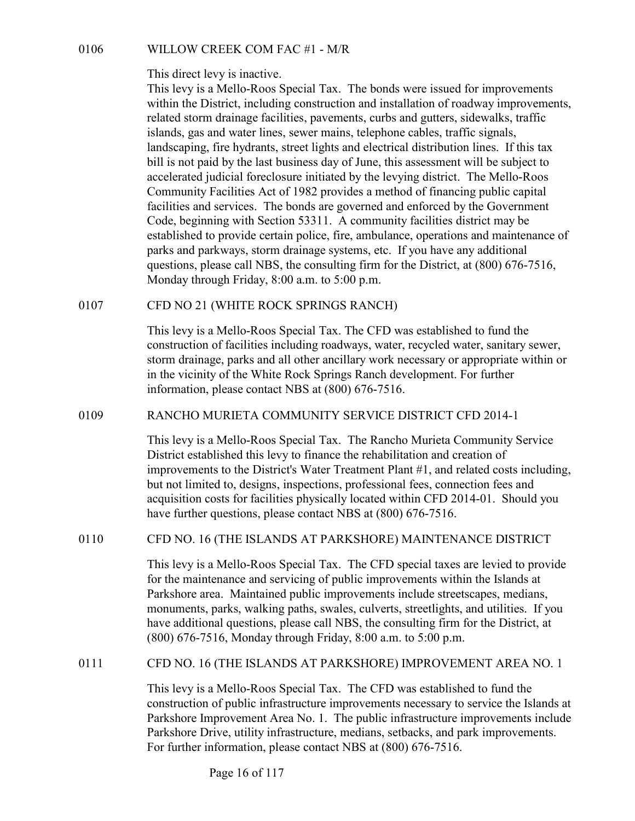This direct levy is inactive.

0106 WILLOW CREEK COM FAC #1 - M/R<br>This direct levy is inactive.<br>This levy is a Mello-Roos Special Tax. The bonds were issued for improvements<br>within the District, including construction and installation of roadway improv This levy is a Mello-Roos Special Tax. The bonds were issued for improvements within the District, including construction and installation of roadway improvements, related storm drainage facilities, pavements, curbs and gutters, sidewalks, traffic islands, gas and water lines, sewer mains, telephone cables, traffic signals, landscaping, fire hydrants, street lights and electrical distribution lines. If this tax bill is not paid by the last business day of June, this assessment will be subject to accelerated judicial foreclosure initiated by the levying district. The Mello-Roos Community Facilities Act of 1982 provides a method of financing public capital facilities and services. The bonds are governed and enforced by the Government Code, beginning with Section 53311. A community facilities district may be established to provide certain police, fire, ambulance, operations and maintenance of parks and parkways, storm drainage systems, etc. If you have any additional questions, please call NBS, the consulting firm for the District, at (800) 676-7516, Monday through Friday, 8:00 a.m. to 5:00 p.m. 0106 WILLOW CREEK COM FAC #1 - M/R<br>
This direct levy is inactive.<br>
This levy is a Mello-Roos Special Tax. The bonds were issued for impreviding the District, including construction and installation of roadway in related s anascaping, the nyarrans, street lights and electrical distribution lines. It mis tax<br>in is not paid by the last business day of June, this assessment will be subject to<br>accelerated judicial forcelosure initiated by the le

This levy is a Mello-Roos Special Tax. The CFD was established to fund the construction of facilities including roadways, water, recycled water, sanitary sewer, storm drainage, parks and all other ancillary work necessary or appropriate within or in the vicinity of the White Rock Springs Ranch development. For further information, please contact NBS at (800) 676-7516.

This levy is a Mello-Roos Special Tax. The Rancho Murieta Community Service District established this levy to finance the rehabilitation and creation of improvements to the District's Water Treatment Plant #1, and related costs including, but not limited to, designs, inspections, professional fees, connection fees and acquisition costs for facilities physically located within CFD 2014-01. Should you have further questions, please contact NBS at (800) 676-7516. Monday through Friday, 8:00 a.m. to 5:00 p.m.<br>
CFD NO 21 (WHITE ROCK SPRINGS RANCH)<br>
This levy is a Mello-Roos Special Tax. The CFD was established to fund the<br>
construction of facilities including roadways, water, recycle 0109 RANCHO MURIETA COMMUNITY SERVICE DISTRICT CFD 2014-1<br>
This levy is a Mello-Roos Special Tax. The Rancho Murieta Community Service<br>
District established this levy to finance the rehabilitation and creation of<br>
improve

This levy is a Mello-Roos Special Tax. The CFD special taxes are levied to provide for the maintenance and servicing of public improvements within the Islands at Parkshore area. Maintained public improvements include streetscapes, medians, monuments, parks, walking paths, swales, culverts, streetlights, and utilities. If you have additional questions, please call NBS, the consulting firm for the District, at (800) 676-7516, Monday through Friday, 8:00 a.m. to 5:00 p.m.

This levy is a Mello-Roos Special Tax. The CFD was established to fund the construction of public infrastructure improvements necessary to service the Islands at Parkshore Improvement Area No. 1. The public infrastructure improvements include Parkshore Drive, utility infrastructure, medians, setbacks, and park improvements. For further information, please contact NBS at (800) 676-7516.

Page 16 of 117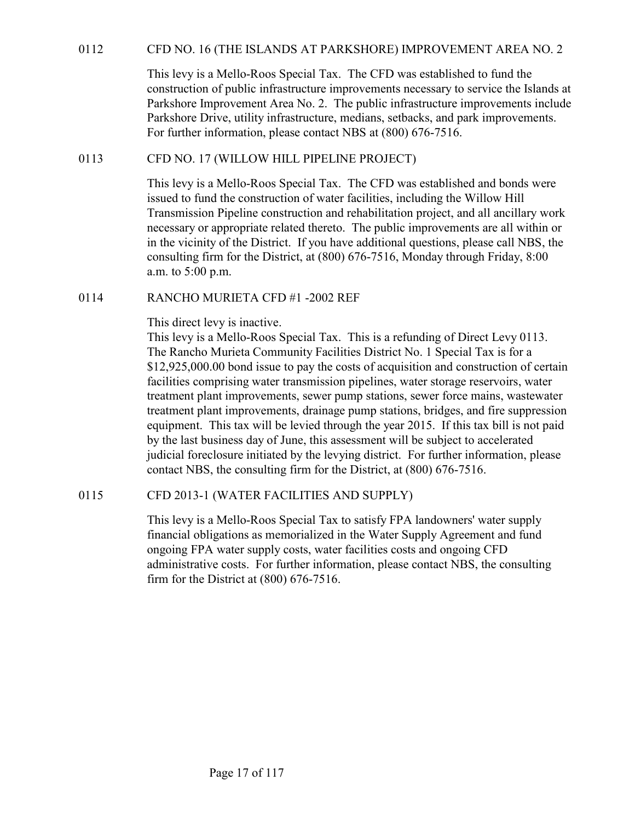OF ONO. 16 (THE ISLANDS AT PARKSHORE) IMPROVEMENT AREA NO. 2<br>This levy is a Mello-Roos Special Tax. The CFD was established to fund the<br>construction of public infrastructure improvements necessary to service the Islands at This levy is a Mello-Roos Special Tax. The CFD was established to fund the construction of public infrastructure improvements necessary to service the Islands at Parkshore Improvement Area No. 2. The public infrastructure improvements include Parkshore Drive, utility infrastructure, medians, setbacks, and park improvements. For further information, please contact NBS at (800) 676-7516. CFD NO. 16 (THE ISLANDS AT PARKSHORE) IMPROVEMENT AREA<br>
This levy is a Mello-Roos Special Tax. The CFD was established to fund the<br>
construction of public infrastructure improvements necessary to service the<br>
Parkshore Imp

This levy is a Mello-Roos Special Tax. The CFD was established and bonds were issued to fund the construction of water facilities, including the Willow Hill Transmission Pipeline construction and rehabilitation project, and all ancillary work necessary or appropriate related thereto. The public improvements are all within or in the vicinity of the District. If you have additional questions, please call NBS, the consulting firm for the District, at (800) 676-7516, Monday through Friday, 8:00 a.m. to 5:00 p.m. OF SUCTIVE ISLANDS AT PARKSHORE) IMPROVEMENT This levy is a Mello-Roos Special Tax. The CFD was established to construction of public infrastructure improvements necessary to server Parkshore Improvement Area No. 2. The p

This direct levy is inactive.

This levy is a Mello-Roos Special Tax. This is a refunding of Direct Levy 0113. The Rancho Murieta Community Facilities District No. 1 Special Tax is for a \$12,925,000.00 bond issue to pay the costs of acquisition and construction of certain facilities comprising water transmission pipelines, water storage reservoirs, water treatment plant improvements, sewer pump stations, sewer force mains, wastewater treatment plant improvements, drainage pump stations, bridges, and fire suppression equipment. This tax will be levied through the year 2015. If this tax bill is not paid by the last business day of June, this assessment will be subject to accelerated judicial foreclosure initiated by the levying district. For further information, please contact NBS, the consulting firm for the District, at (800) 676-7516. necessary or appropriate related thereto. The public improvements are all ventiling firm for the District, at (800) 676-7516, Monday through Friday, a.m. to 5:00 p.m.<br>
RANCHO MURIETA CFD #1 -2002 REF<br>
This direct levy is i

This levy is a Mello-Roos Special Tax to satisfy FPA landowners' water supply financial obligations as memorialized in the Water Supply Agreement and fund ongoing FPA water supply costs, water facilities costs and ongoing CFD administrative costs. For further information, please contact NBS, the consulting firm for the District at (800) 676-7516.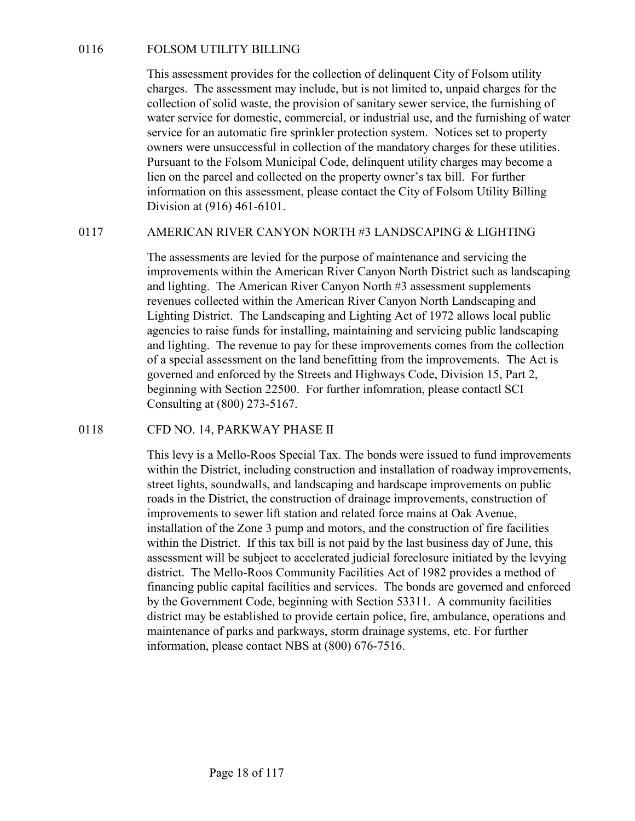0116 FOLSOM UTILITY BILLING<br>This assessment provides for the collection of delinquent City of Folsom utilit<br>charges. The assessment may include, but is not limited to, unpaid charges for<br>collection of solid waste, the prov This assessment provides for the collection of delinquent City of Folsom utility charges. The assessment may include, but is not limited to, unpaid charges for the collection of solid waste, the provision of sanitary sewer service, the furnishing of water service for domestic, commercial, or industrial use, and the furnishing of water service for an automatic fire sprinkler protection system. Notices set to property owners were unsuccessful in collection of the mandatory charges for these utilities. Pursuant to the Folsom Municipal Code, delinquent utility charges may become a lien on the parcel and collected on the property owner's tax bill. For further information on this assessment, please contact the City of Folsom Utility Billing Division at (916) 461-6101. 0116 FOLSOM UTILITY BILLING<br>
This assessment provides for the collection of delinquent City of Folsom utility<br>
charges. The assessment may include, but is not limited to, unpaid charges for the<br>
collection of solid waste,

The assessments are levied for the purpose of maintenance and servicing the improvements within the American River Canyon North District such as landscaping and lighting. The American River Canyon North #3 assessment supplements revenues collected within the American River Canyon North Landscaping and Lighting District. The Landscaping and Lighting Act of 1972 allows local public agencies to raise funds for installing, maintaining and servicing public landscaping and lighting. The revenue to pay for these improvements comes from the collection of a special assessment on the land benefitting from the improvements. The Act is governed and enforced by the Streets and Highways Code, Division 15, Part 2, beginning with Section 22500. For further infomration, please contactl SCI Consulting at (800) 273-5167. Fursuant to the Poison Municipal Coole, delinquent thinly charges in<br>the non the parel and collected on the property owner's tax bill. For<br>information on this assessment, please contact the City of Folsom Un<br>Division at (

This levy is a Mello-Roos Special Tax. The bonds were issued to fund improvements within the District, including construction and installation of roadway improvements, street lights, soundwalls, and landscaping and hardscape improvements on public roads in the District, the construction of drainage improvements, construction of improvements to sewer lift station and related force mains at Oak Avenue, installation of the Zone 3 pump and motors, and the construction of fire facilities within the District. If this tax bill is not paid by the last business day of June, this assessment will be subject to accelerated judicial foreclosure initiated by the levying district. The Mello-Roos Community Facilities Act of 1982 provides a method of financing public capital facilities and services. The bonds are governed and enforced by the Government Code, beginning with Section 53311. A community facilities district may be established to provide certain police, fire, ambulance, operations and maintenance of parks and parkways, storm drainage systems, etc. For further information, please contact NBS at (800) 676-7516.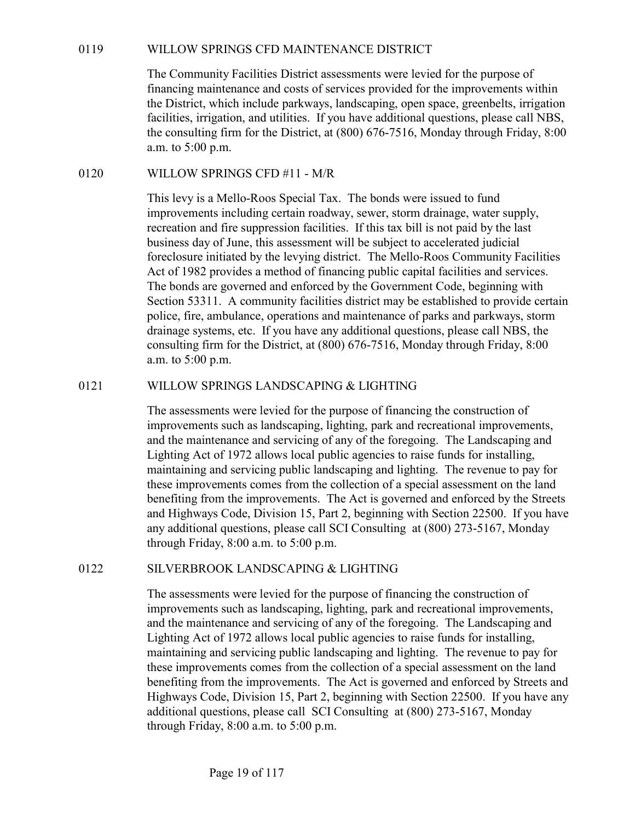WILLOW SPRINGS CFD MAINTENANCE DISTRICT<br>The Community Facilities District assessments were levied for the purpose of<br>financing maintenance and costs of services provided for the improvements within<br>the District, which incl The Community Facilities District assessments were levied for the purpose of financing maintenance and costs of services provided for the improvements within the District, which include parkways, landscaping, open space, greenbelts, irrigation facilities, irrigation, and utilities. If you have additional questions, please call NBS, the consulting firm for the District, at (800) 676-7516, Monday through Friday, 8:00 a.m. to 5:00 p.m. WILLOW SPRINGS CFD MAINTENANCE DISTRICT<br>
The Community Facilities District assessments were levied for the purpose of<br>
financing maintenance and costs of services provided for the improvements with<br>
the District, which in

This levy is a Mello-Roos Special Tax. The bonds were issued to fund improvements including certain roadway, sewer, storm drainage, water supply, recreation and fire suppression facilities. If this tax bill is not paid by the last business day of June, this assessment will be subject to accelerated judicial foreclosure initiated by the levying district. The Mello-Roos Community Facilities Act of 1982 provides a method of financing public capital facilities and services. The bonds are governed and enforced by the Government Code, beginning with Section 53311. A community facilities district may be established to provide certain police, fire, ambulance, operations and maintenance of parks and parkways, storm drainage systems, etc. If you have any additional questions, please call NBS, the consulting firm for the District, at (800) 676-7516, Monday through Friday, 8:00 a.m. to 5:00 p.m. neutries, irragaton, and unitries. It you have additional questions, piesse can NBS,<br>the consulting firm for the District, at (800) 676-7516, Monday through Friday, 8:00<br>a.m. to 5:00 p.m.<br>WILLOW SPRINGS CFD #11 - M/R<br>This

The assessments were levied for the purpose of financing the construction of improvements such as landscaping, lighting, park and recreational improvements, and the maintenance and servicing of any of the foregoing. The Landscaping and Lighting Act of 1972 allows local public agencies to raise funds for installing, maintaining and servicing public landscaping and lighting. The revenue to pay for these improvements comes from the collection of a special assessment on the land benefiting from the improvements. The Act is governed and enforced by the Streets and Highways Code, Division 15, Part 2, beginning with Section 22500. If you have any additional questions, please call SCI Consulting at (800) 273-5167, Monday through Friday, 8:00 a.m. to 5:00 p.m. bection 25311. A community racitities atistre may be established to<br>police, fire, ambulance, operations and maintenance of parks and pa<br>drainage systems, etc. If you have any additional questions, please consulting firm f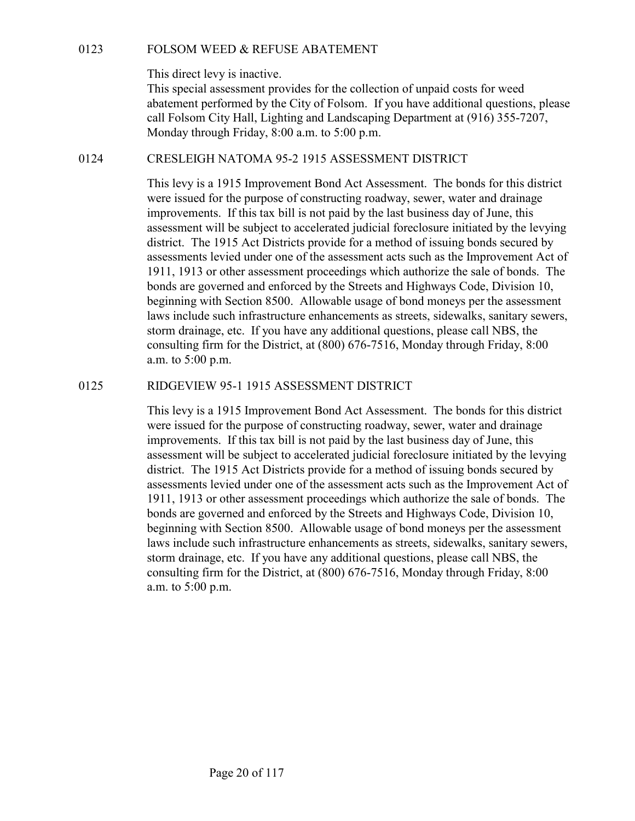This direct levy is inactive.

FOLSOM WEED & REFUSE ABATEMENT<br>This direct levy is inactive.<br>This special assessment provides for the collection of unpaid costs for weed<br>abatement performed by the City of Folsom. If you have additional questions, please This special assessment provides for the collection of unpaid costs for weed abatement performed by the City of Folsom. If you have additional questions, please call Folsom City Hall, Lighting and Landscaping Department at (916) 355-7207, Monday through Friday, 8:00 a.m. to 5:00 p.m. FOLSOM WEED & REFUSE ABATEMENT<br>
This direct levy is inactive.<br>
This special assessment provides for the collection of unpaid costs for weed<br>
abatement performed by the City of Folsom. If you have additional questions, plea

This levy is a 1915 Improvement Bond Act Assessment. The bonds for this district were issued for the purpose of constructing roadway, sewer, water and drainage improvements. If this tax bill is not paid by the last business day of June, this assessment will be subject to accelerated judicial foreclosure initiated by the levying district. The 1915 Act Districts provide for a method of issuing bonds secured by assessments levied under one of the assessment acts such as the Improvement Act of 1911, 1913 or other assessment proceedings which authorize the sale of bonds. The bonds are governed and enforced by the Streets and Highways Code, Division 10, beginning with Section 8500. Allowable usage of bond moneys per the assessment laws include such infrastructure enhancements as streets, sidewalks, sanitary sewers, storm drainage, etc. If you have any additional questions, please call NBS, the consulting firm for the District, at (800) 676-7516, Monday through Friday, 8:00 a.m. to 5:00 p.m. call rolsom City Hall, Lighting and Lankscaping Department at (916) 353-7/207,<br>Monday through Friday, 8:00 a.m. to 5:00 p.m.<br>CRESLEIGH NATOMA 95-2 1915 ASSESSMENT DISTRICT<br>This levy is a 1915 Improvement Bond Act Assessmen

This levy is a 1915 Improvement Bond Act Assessment. The bonds for this district were issued for the purpose of constructing roadway, sewer, water and drainage improvements. If this tax bill is not paid by the last business day of June, this assessment will be subject to accelerated judicial foreclosure initiated by the levying district. The 1915 Act Districts provide for a method of issuing bonds secured by assessments levied under one of the assessment acts such as the Improvement Act of 1911, 1913 or other assessment proceedings which authorize the sale of bonds. The bonds are governed and enforced by the Streets and Highways Code, Division 10, beginning with Section 8500. Allowable usage of bond moneys per the assessment laws include such infrastructure enhancements as streets, sidewalks, sanitary sewers, storm drainage, etc. If you have any additional questions, please call NBS, the consulting firm for the District, at (800) 676-7516, Monday through Friday, 8:00 a.m. to 5:00 p.m.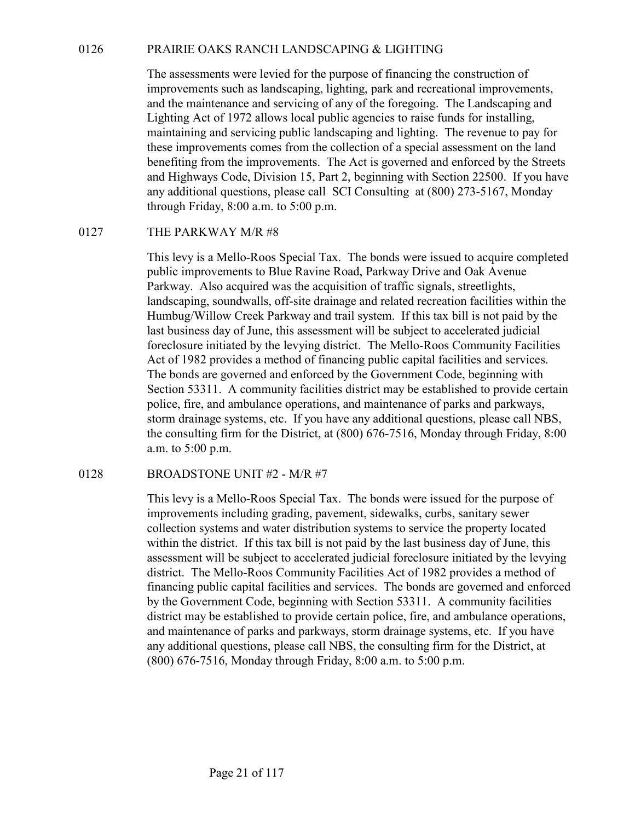0126 PRAIRIE OAKS RANCH LANDSCAPING & LIGHTING<br>The assessments were levied for the purpose of financing the construction of<br>improvements such as landscaping, lighting, park and recreational improvements,<br>and the maintenanc The assessments were levied for the purpose of financing the construction of improvements such as landscaping, lighting, park and recreational improvements, and the maintenance and servicing of any of the foregoing. The Landscaping and Lighting Act of 1972 allows local public agencies to raise funds for installing, maintaining and servicing public landscaping and lighting. The revenue to pay for these improvements comes from the collection of a special assessment on the land benefiting from the improvements. The Act is governed and enforced by the Streets and Highways Code, Division 15, Part 2, beginning with Section 22500. If you have any additional questions, please call SCI Consulting at (800) 273-5167, Monday through Friday, 8:00 a.m. to 5:00 p.m. 9126 PRAIRIE OAKS RANCH LANDSCAPING & LIGHTING<br>
The assessments were levied for the purpose of financing the construmptovements such as landscaping, lighting, park and recreational in<br>
and the maintenance and servicing of

This levy is a Mello-Roos Special Tax. The bonds were issued to acquire completed public improvements to Blue Ravine Road, Parkway Drive and Oak Avenue Parkway. Also acquired was the acquisition of traffic signals, streetlights, landscaping, soundwalls, off-site drainage and related recreation facilities within the Humbug/Willow Creek Parkway and trail system. If this tax bill is not paid by the last business day of June, this assessment will be subject to accelerated judicial foreclosure initiated by the levying district. The Mello-Roos Community Facilities Act of 1982 provides a method of financing public capital facilities and services. The bonds are governed and enforced by the Government Code, beginning with Section 53311. A community facilities district may be established to provide certain police, fire, and ambulance operations, and maintenance of parks and parkways, storm drainage systems, etc. If you have any additional questions, please call NBS, the consulting firm for the District, at (800) 676-7516, Monday through Friday, 8:00 a.m. to 5:00 p.m. 0127 THE PARKWAY M/R #8<br>
This levy is a Mello-Roos Special Tax. The bonds were issued to ac<br>
public improvements to Blue Ravine Road, Parkway Drive and Oak<br>
Parkway. Also acquired was the acquisition of traffic signals, st

This levy is a Mello-Roos Special Tax. The bonds were issued for the purpose of improvements including grading, pavement, sidewalks, curbs, sanitary sewer collection systems and water distribution systems to service the property located within the district. If this tax bill is not paid by the last business day of June, this assessment will be subject to accelerated judicial foreclosure initiated by the levying district. The Mello-Roos Community Facilities Act of 1982 provides a method of financing public capital facilities and services. The bonds are governed and enforced by the Government Code, beginning with Section 53311. A community facilities district may be established to provide certain police, fire, and ambulance operations, and maintenance of parks and parkways, storm drainage systems, etc. If you have any additional questions, please call NBS, the consulting firm for the District, at (800) 676-7516, Monday through Friday, 8:00 a.m. to 5:00 p.m.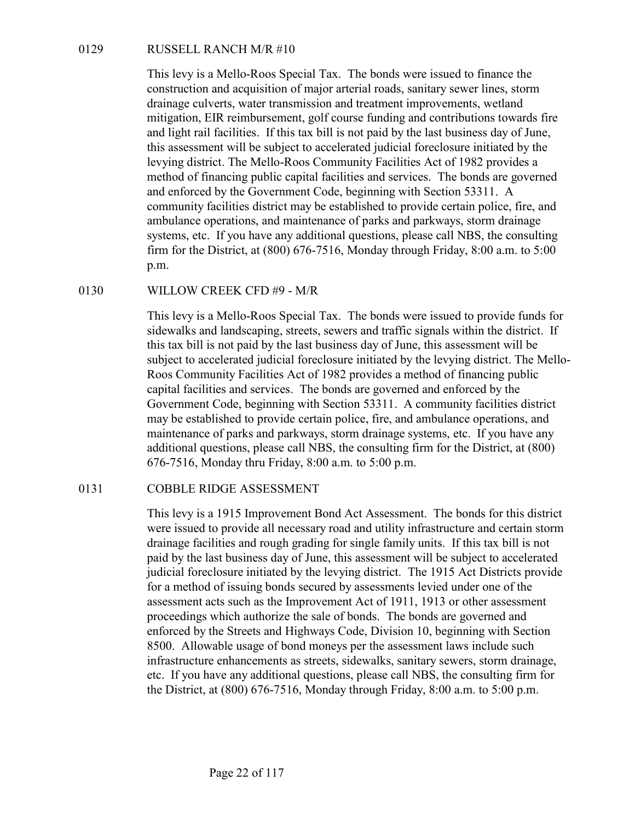RUSSELL RANCH M/R #10<br>
This levy is a Mello-Roos Special Tax. The bonds were issued to fin<br>
construction and acquisition of major arterial roads, sanitary sewer li<br>
drainage culverts, water transmission and treatment impro This levy is a Mello-Roos Special Tax. The bonds were issued to finance the construction and acquisition of major arterial roads, sanitary sewer lines, storm drainage culverts, water transmission and treatment improvements, wetland mitigation, EIR reimbursement, golf course funding and contributions towards fire and light rail facilities. If this tax bill is not paid by the last business day of June, this assessment will be subject to accelerated judicial foreclosure initiated by the levying district. The Mello-Roos Community Facilities Act of 1982 provides a method of financing public capital facilities and services. The bonds are governed and enforced by the Government Code, beginning with Section 53311. A community facilities district may be established to provide certain police, fire, and ambulance operations, and maintenance of parks and parkways, storm drainage systems, etc. If you have any additional questions, please call NBS, the consulting firm for the District, at (800) 676-7516, Monday through Friday, 8:00 a.m. to 5:00 p.m. RUSSELL RANCH M/R #10<br>
This levy is a Mello-Roos Special Tax. The bonds were issued to fir<br>
construction and acquisition of major arterial roads, sanitary sewer li<br>
drainage culverts, water transmission and treatment impr

This levy is a Mello-Roos Special Tax. The bonds were issued to provide funds for sidewalks and landscaping, streets, sewers and traffic signals within the district. If this tax bill is not paid by the last business day of June, this assessment will be subject to accelerated judicial foreclosure initiated by the levying district. The Mello-Roos Community Facilities Act of 1982 provides a method of financing public capital facilities and services. The bonds are governed and enforced by the Government Code, beginning with Section 53311. A community facilities district may be established to provide certain police, fire, and ambulance operations, and maintenance of parks and parkways, storm drainage systems, etc. If you have any additional questions, please call NBS, the consulting firm for the District, at (800) 676-7516, Monday thru Friday, 8:00 a.m. to 5:00 p.m. ambutance operations, and maintenance of parks and parkways, stores<br>
systems, etc. If you have any additional questions, please call NBS,<br>
firm for the District, at (800) 676-7516, Monday through Friday, 8:0<br>
p.m.<br>
WILLOW

This levy is a 1915 Improvement Bond Act Assessment. The bonds for this district were issued to provide all necessary road and utility infrastructure and certain storm drainage facilities and rough grading for single family units. If this tax bill is not paid by the last business day of June, this assessment will be subject to accelerated judicial foreclosure initiated by the levying district. The 1915 Act Districts provide for a method of issuing bonds secured by assessments levied under one of the assessment acts such as the Improvement Act of 1911, 1913 or other assessment proceedings which authorize the sale of bonds. The bonds are governed and enforced by the Streets and Highways Code, Division 10, beginning with Section 8500. Allowable usage of bond moneys per the assessment laws include such infrastructure enhancements as streets, sidewalks, sanitary sewers, storm drainage, etc. If you have any additional questions, please call NBS, the consulting firm for the District, at (800) 676-7516, Monday through Friday, 8:00 a.m. to 5:00 p.m.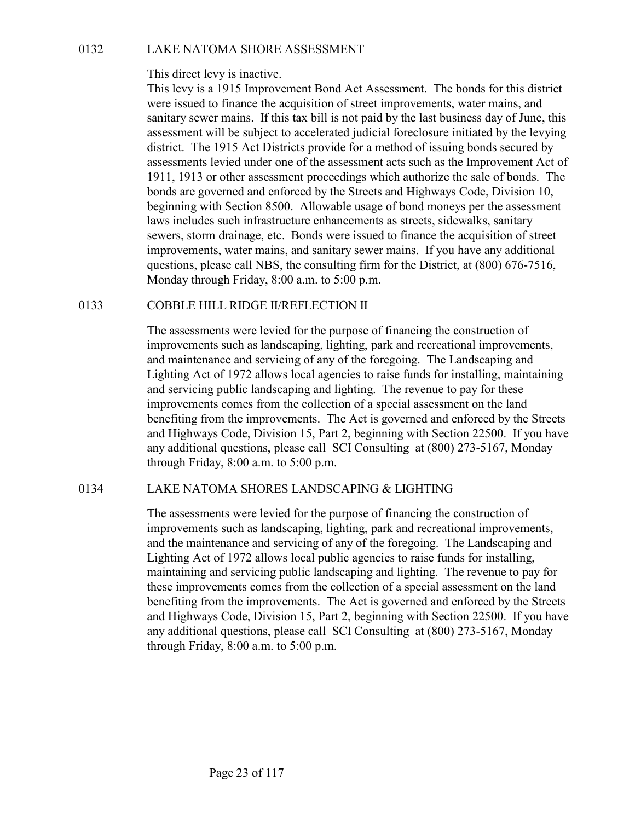This direct levy is inactive.

Decision of the NATOMA SHORE ASSESSMENT<br>
This direct levy is inactive.<br>
This levy is a 1915 Improvement Bond Act Assessment. The bonds<br>
were issued to finance the acquisition of street improvements, water<br>
sanitary sever m This levy is a 1915 Improvement Bond Act Assessment. The bonds for this district were issued to finance the acquisition of street improvements, water mains, and sanitary sewer mains. If this tax bill is not paid by the last business day of June, this assessment will be subject to accelerated judicial foreclosure initiated by the levying district. The 1915 Act Districts provide for a method of issuing bonds secured by assessments levied under one of the assessment acts such as the Improvement Act of 1911, 1913 or other assessment proceedings which authorize the sale of bonds. The bonds are governed and enforced by the Streets and Highways Code, Division 10, beginning with Section 8500. Allowable usage of bond moneys per the assessment laws includes such infrastructure enhancements as streets, sidewalks, sanitary sewers, storm drainage, etc. Bonds were issued to finance the acquisition of street improvements, water mains, and sanitary sewer mains. If you have any additional questions, please call NBS, the consulting firm for the District, at (800) 676-7516, Monday through Friday, 8:00 a.m. to 5:00 p.m. 0132 LAKE NATOMA SHORE ASSESSMENT<br>This direct levy is inactive.<br>This direct levy is inactive.<br>This levy is a 1915 Improvement Bond Act Assessment. The bonds<br>were issued to finance the acquisition of street improvements, w

The assessments were levied for the purpose of financing the construction of improvements such as landscaping, lighting, park and recreational improvements, and maintenance and servicing of any of the foregoing. The Landscaping and Lighting Act of 1972 allows local agencies to raise funds for installing, maintaining and servicing public landscaping and lighting. The revenue to pay for these improvements comes from the collection of a special assessment on the land benefiting from the improvements. The Act is governed and enforced by the Streets and Highways Code, Division 15, Part 2, beginning with Section 22500. If you have any additional questions, please call SCI Consulting at (800) 273-5167, Monday through Friday, 8:00 a.m. to 5:00 p.m. any includes such inritistrative ennancements as streets, sidewates, salarity<br>severs, storm drainage, etc. Bonds were issued to finance the acquisition of street<br>improvements, water mains, and samitary sever mains. If you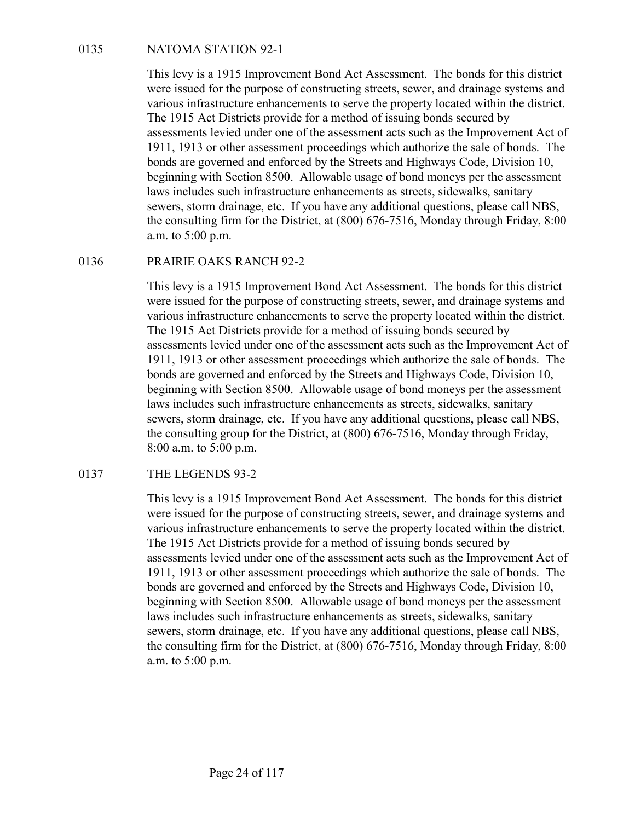NATOMA STATION 92-1<br>This levy is a 1915 Improvement Bond Act Assessment. The bonds<br>were issued for the purpose of constructing streets, sewer, and draina<br>various infrastructure enhancements to serve the property located wi This levy is a 1915 Improvement Bond Act Assessment. The bonds for this district were issued for the purpose of constructing streets, sewer, and drainage systems and various infrastructure enhancements to serve the property located within the district. The 1915 Act Districts provide for a method of issuing bonds secured by assessments levied under one of the assessment acts such as the Improvement Act of 1911, 1913 or other assessment proceedings which authorize the sale of bonds. The bonds are governed and enforced by the Streets and Highways Code, Division 10, beginning with Section 8500. Allowable usage of bond moneys per the assessment laws includes such infrastructure enhancements as streets, sidewalks, sanitary sewers, storm drainage, etc. If you have any additional questions, please call NBS, the consulting firm for the District, at (800) 676-7516, Monday through Friday, 8:00 a.m. to 5:00 p.m. NATOMA STATION 92-1<br>
This levy is a 1915 Improvement Bond Act Assessment. The bonds<br>
were issued for the purpose of constructing streets, sewer, and draina<br>
various infrastructure enhancements to serve the property located

This levy is a 1915 Improvement Bond Act Assessment. The bonds for this district were issued for the purpose of constructing streets, sewer, and drainage systems and various infrastructure enhancements to serve the property located within the district. The 1915 Act Districts provide for a method of issuing bonds secured by assessments levied under one of the assessment acts such as the Improvement Act of 1911, 1913 or other assessment proceedings which authorize the sale of bonds. The bonds are governed and enforced by the Streets and Highways Code, Division 10, beginning with Section 8500. Allowable usage of bond moneys per the assessment laws includes such infrastructure enhancements as streets, sidewalks, sanitary sewers, storm drainage, etc. If you have any additional questions, please call NBS, the consulting group for the District, at (800) 676-7516, Monday through Friday, 8:00 a.m. to 5:00 p.m. severs, storm ariange, etc. IT you have any additional questions, pi<br>the consulting firm for the District, at (800) 676-7516, Monday throu<br>a.m. to 5:00 p.m.<br>This levy is a 1915 Improvement Bond Act Assessment. The bonds<br>we

This levy is a 1915 Improvement Bond Act Assessment. The bonds for this district were issued for the purpose of constructing streets, sewer, and drainage systems and various infrastructure enhancements to serve the property located within the district. The 1915 Act Districts provide for a method of issuing bonds secured by assessments levied under one of the assessment acts such as the Improvement Act of 1911, 1913 or other assessment proceedings which authorize the sale of bonds. The bonds are governed and enforced by the Streets and Highways Code, Division 10, beginning with Section 8500. Allowable usage of bond moneys per the assessment laws includes such infrastructure enhancements as streets, sidewalks, sanitary sewers, storm drainage, etc. If you have any additional questions, please call NBS, the consulting firm for the District, at (800) 676-7516, Monday through Friday, 8:00 a.m. to 5:00 p.m.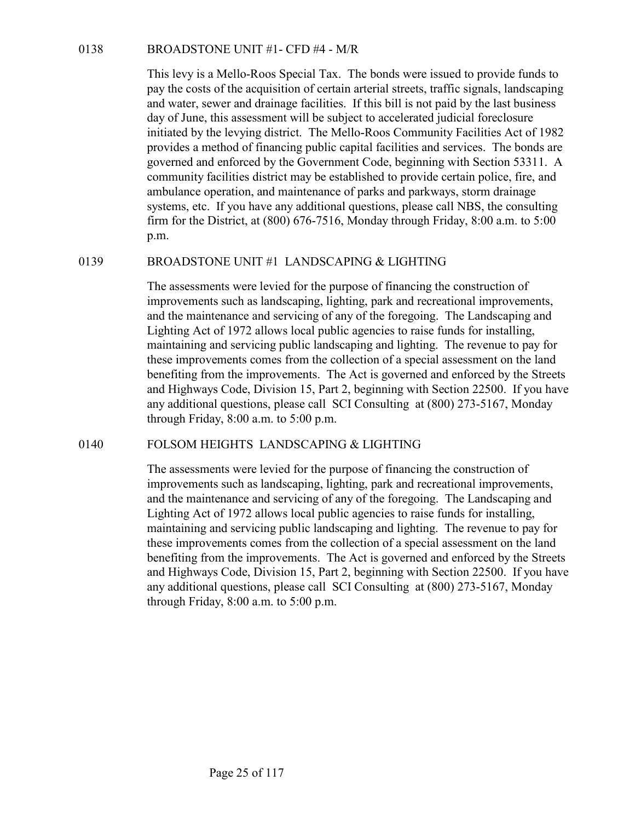BROADSTONE UNIT #1- CFD #4 - M/R<br>This levy is a Mello-Roos Special Tax. The bonds were issued to pr<br>pay the costs of the acquisition of certain arterial streets, traffic signs<br>and water, sewer and drainage facilities. If t This levy is a Mello-Roos Special Tax. The bonds were issued to provide funds to pay the costs of the acquisition of certain arterial streets, traffic signals, landscaping and water, sewer and drainage facilities. If this bill is not paid by the last business day of June, this assessment will be subject to accelerated judicial foreclosure initiated by the levying district. The Mello-Roos Community Facilities Act of 1982 provides a method of financing public capital facilities and services. The bonds are governed and enforced by the Government Code, beginning with Section 53311. A community facilities district may be established to provide certain police, fire, and ambulance operation, and maintenance of parks and parkways, storm drainage systems, etc. If you have any additional questions, please call NBS, the consulting firm for the District, at (800) 676-7516, Monday through Friday, 8:00 a.m. to 5:00 p.m. **BROADSTONE UNIT #1** - CFD #4 - M/R<br>
This levy is a Mello-Roos Special Tax. The bonds were issued to provide funds to<br>
pay the costs of the acquisition of certain arterial streets, traffic signals, landscaping<br>
and water,

The assessments were levied for the purpose of financing the construction of improvements such as landscaping, lighting, park and recreational improvements, and the maintenance and servicing of any of the foregoing. The Landscaping and Lighting Act of 1972 allows local public agencies to raise funds for installing, maintaining and servicing public landscaping and lighting. The revenue to pay for these improvements comes from the collection of a special assessment on the land benefiting from the improvements. The Act is governed and enforced by the Streets and Highways Code, Division 15, Part 2, beginning with Section 22500. If you have any additional questions, please call SCI Consulting at (800) 273-5167, Monday through Friday, 8:00 a.m. to 5:00 p.m. community taculities district may be established to provide earth poince, the, and<br>ambulance operation, and maintenance of parks and parkways, storm drainage<br>systems, etc. If you have any additional questions, please call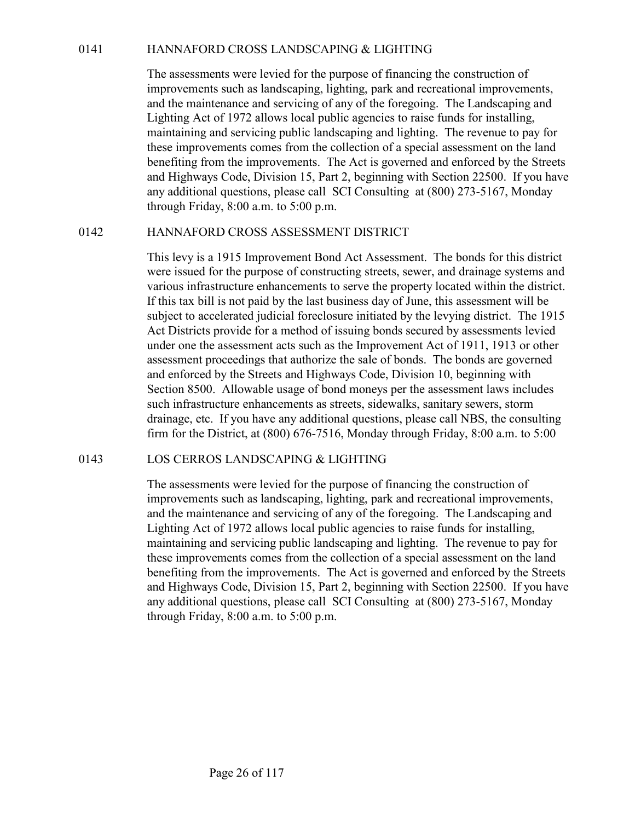0141 HANNAFORD CROSS LANDSCAPING & LIGHTING<br>The assessments were levied for the purpose of financing the construction of<br>improvements such as landscaping, lighting, park and recreational improvements,<br>and the maintenance a The assessments were levied for the purpose of financing the construction of improvements such as landscaping, lighting, park and recreational improvements, and the maintenance and servicing of any of the foregoing. The Landscaping and Lighting Act of 1972 allows local public agencies to raise funds for installing, maintaining and servicing public landscaping and lighting. The revenue to pay for these improvements comes from the collection of a special assessment on the land benefiting from the improvements. The Act is governed and enforced by the Streets and Highways Code, Division 15, Part 2, beginning with Section 22500. If you have any additional questions, please call SCI Consulting at (800) 273-5167, Monday through Friday, 8:00 a.m. to 5:00 p.m. 0141 HANNAFORD CROSS LANDSCAPING & LIGHTING<br>
The assessments were levied for the purpose of financing the construction of<br>
improvements such as landscaping, lighting park and recreational improvements,<br>
and the maintenanc

This levy is a 1915 Improvement Bond Act Assessment. The bonds for this district were issued for the purpose of constructing streets, sewer, and drainage systems and various infrastructure enhancements to serve the property located within the district. If this tax bill is not paid by the last business day of June, this assessment will be subject to accelerated judicial foreclosure initiated by the levying district. The 1915 Act Districts provide for a method of issuing bonds secured by assessments levied under one the assessment acts such as the Improvement Act of 1911, 1913 or other assessment proceedings that authorize the sale of bonds. The bonds are governed and enforced by the Streets and Highways Code, Division 10, beginning with Section 8500. Allowable usage of bond moneys per the assessment laws includes such infrastructure enhancements as streets, sidewalks, sanitary sewers, storm drainage, etc. If you have any additional questions, please call NBS, the consulting firm for the District, at (800) 676-7516, Monday through Friday, 8:00 a.m. to 5:00 any additional questions, piease call SCI Consulting at (800)  $2/3-5$ <br>through Friday, 8:00 a.m. to 5:00 p.m.<br>HANNAFORD CROSS ASSESSMENT DISTRICT<br>This levy is a 1915 Improvement Bond Act Assessment. The bonds<br>were issued f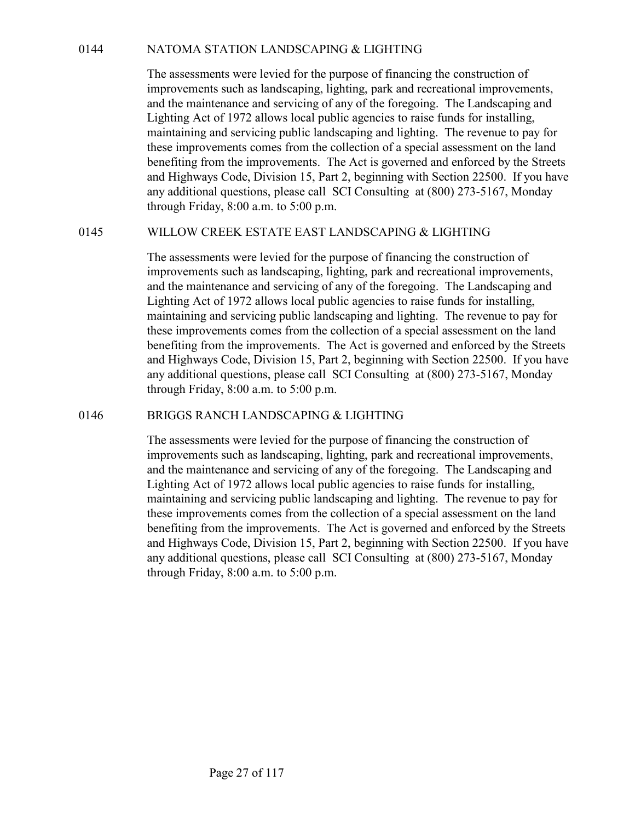0144 NATOMA STATION LANDSCAPING & LIGHTING<br>The assessments were levied for the purpose of financing the construction of<br>improvements such as landscaping, lighting, park and recreational improvements,<br>and the maintenance a The assessments were levied for the purpose of financing the construction of improvements such as landscaping, lighting, park and recreational improvements, and the maintenance and servicing of any of the foregoing. The Landscaping and Lighting Act of 1972 allows local public agencies to raise funds for installing, maintaining and servicing public landscaping and lighting. The revenue to pay for these improvements comes from the collection of a special assessment on the land benefiting from the improvements. The Act is governed and enforced by the Streets and Highways Code, Division 15, Part 2, beginning with Section 22500. If you have any additional questions, please call SCI Consulting at (800) 273-5167, Monday through Friday, 8:00 a.m. to 5:00 p.m. 0144 MATOMA STATION LANDSCAPING & LIGHTING<br>
The assessments were levied for the purpose of financing the construction of<br>
improvements such as landscaping, lighting, park and recreational improvements,<br>
and the maintenanc

The assessments were levied for the purpose of financing the construction of improvements such as landscaping, lighting, park and recreational improvements, and the maintenance and servicing of any of the foregoing. The Landscaping and Lighting Act of 1972 allows local public agencies to raise funds for installing, maintaining and servicing public landscaping and lighting. The revenue to pay for these improvements comes from the collection of a special assessment on the land benefiting from the improvements. The Act is governed and enforced by the Streets and Highways Code, Division 15, Part 2, beginning with Section 22500. If you have any additional questions, please call SCI Consulting at (800) 273-5167, Monday through Friday, 8:00 a.m. to 5:00 p.m. these improvements comes from the contection of a special assessment on the and<br>benefiting from the improvements. The Act is governed and enforced by the Streets<br>and Highways Code, Division 15, Part 2, beginning with Secti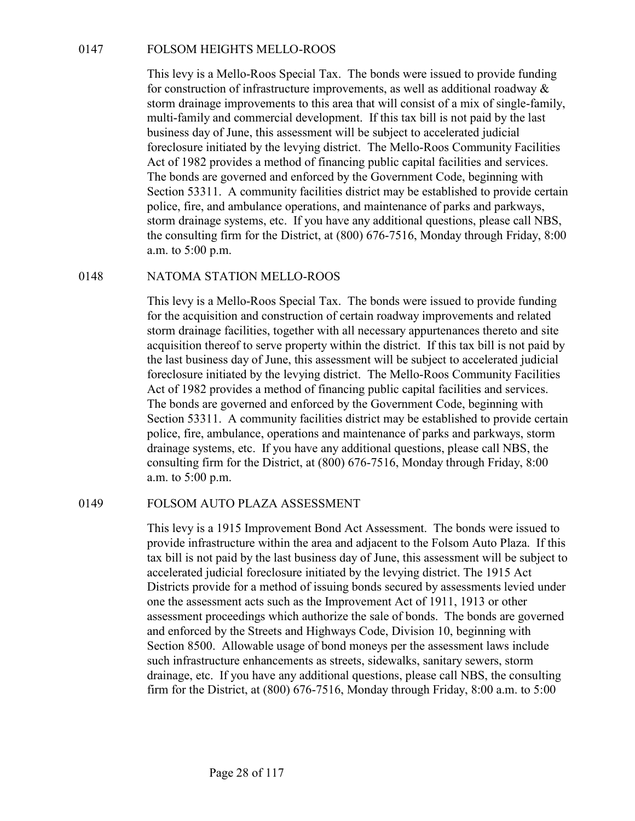0147 FOLSOM HEIGHTS MELLO-ROOS<br>This levy is a Mello-Roos Special Tax. The bonds were issued to pr<br>for construction of infrastructure improvements, as well as additiona<br>storm drainage improvements to this area that will con This levy is a Mello-Roos Special Tax. The bonds were issued to provide funding for construction of infrastructure improvements, as well as additional roadway & storm drainage improvements to this area that will consist of a mix of single-family, multi-family and commercial development. If this tax bill is not paid by the last business day of June, this assessment will be subject to accelerated judicial foreclosure initiated by the levying district. The Mello-Roos Community Facilities Act of 1982 provides a method of financing public capital facilities and services. The bonds are governed and enforced by the Government Code, beginning with Section 53311. A community facilities district may be established to provide certain police, fire, and ambulance operations, and maintenance of parks and parkways, storm drainage systems, etc. If you have any additional questions, please call NBS, the consulting firm for the District, at (800) 676-7516, Monday through Friday, 8:00 a.m. to 5:00 p.m. 0147 FOLSOM HEIGHTS MELLO-ROOS<br>
This levy is a Mello-Roos Special Tax. The bonds were issued to proform for construction of infrastructure improvements, as well as additionate storm drainage improvements to this area that

This levy is a Mello-Roos Special Tax. The bonds were issued to provide funding for the acquisition and construction of certain roadway improvements and related storm drainage facilities, together with all necessary appurtenances thereto and site acquisition thereof to serve property within the district. If this tax bill is not paid by the last business day of June, this assessment will be subject to accelerated judicial foreclosure initiated by the levying district. The Mello-Roos Community Facilities Act of 1982 provides a method of financing public capital facilities and services. The bonds are governed and enforced by the Government Code, beginning with Section 53311. A community facilities district may be established to provide certain police, fire, ambulance, operations and maintenance of parks and parkways, storm drainage systems, etc. If you have any additional questions, please call NBS, the consulting firm for the District, at (800) 676-7516, Monday through Friday, 8:00 a.m. to 5:00 p.m. the consulting tim for the District, at (800) 676-7516, Monday through Priday, 8:0<br>
a.m. to 5:00 p.m.<br>
MATOMA STATION MELLO-ROOS<br>
This levy is a Mello-Roos Special Tax. The bonds were issued to provide funding<br>
for the acq

This levy is a 1915 Improvement Bond Act Assessment. The bonds were issued to provide infrastructure within the area and adjacent to the Folsom Auto Plaza. If this tax bill is not paid by the last business day of June, this assessment will be subject to accelerated judicial foreclosure initiated by the levying district. The 1915 Act Districts provide for a method of issuing bonds secured by assessments levied under one the assessment acts such as the Improvement Act of 1911, 1913 or other assessment proceedings which authorize the sale of bonds. The bonds are governed and enforced by the Streets and Highways Code, Division 10, beginning with Section 8500. Allowable usage of bond moneys per the assessment laws include such infrastructure enhancements as streets, sidewalks, sanitary sewers, storm drainage, etc. If you have any additional questions, please call NBS, the consulting firm for the District, at (800) 676-7516, Monday through Friday, 8:00 a.m. to 5:00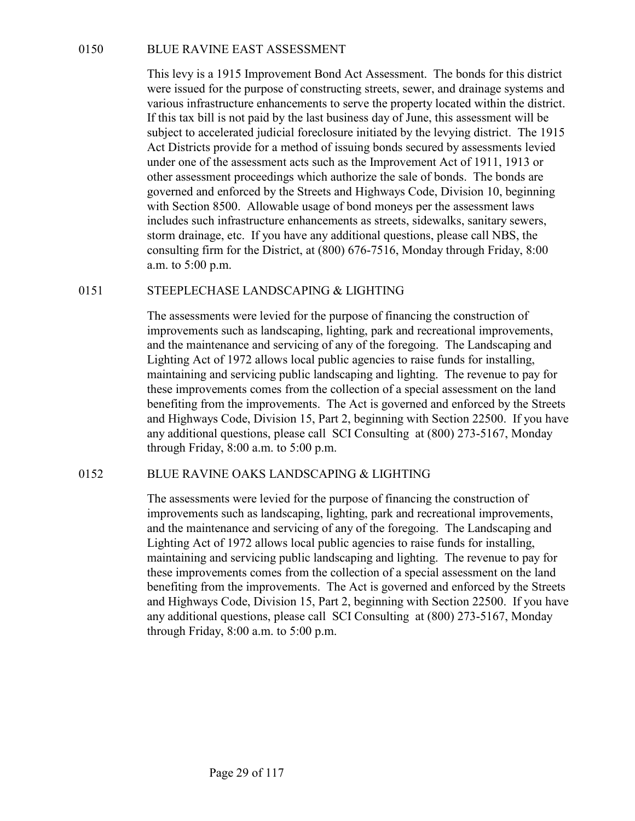0150 BLUE RAVINE EAST ASSESSMENT<br>This levy is a 1915 Improvement Bond Act Assessment. The bonds<br>were issued for the purpose of constructing streets, sewer, and draina<br>various infrastructure enhancements to serve the proper This levy is a 1915 Improvement Bond Act Assessment. The bonds for this district were issued for the purpose of constructing streets, sewer, and drainage systems and various infrastructure enhancements to serve the property located within the district. If this tax bill is not paid by the last business day of June, this assessment will be subject to accelerated judicial foreclosure initiated by the levying district. The 1915 Act Districts provide for a method of issuing bonds secured by assessments levied under one of the assessment acts such as the Improvement Act of 1911, 1913 or other assessment proceedings which authorize the sale of bonds. The bonds are governed and enforced by the Streets and Highways Code, Division 10, beginning with Section 8500. Allowable usage of bond moneys per the assessment laws includes such infrastructure enhancements as streets, sidewalks, sanitary sewers, storm drainage, etc. If you have any additional questions, please call NBS, the consulting firm for the District, at (800) 676-7516, Monday through Friday, 8:00 a.m. to 5:00 p.m. 0150 BLUE RAVINE EAST ASSESSMENT<br>
This levy is a 1915 Improvement Bond Act Assessment. The bonds for this district<br>
were issued for the purpose of constructing streets, sewer, and drainage systems and<br>
various infrastruct

The assessments were levied for the purpose of financing the construction of improvements such as landscaping, lighting, park and recreational improvements, and the maintenance and servicing of any of the foregoing. The Landscaping and Lighting Act of 1972 allows local public agencies to raise funds for installing, maintaining and servicing public landscaping and lighting. The revenue to pay for these improvements comes from the collection of a special assessment on the land benefiting from the improvements. The Act is governed and enforced by the Streets and Highways Code, Division 15, Part 2, beginning with Section 22500. If you have any additional questions, please call SCI Consulting at (800) 273-5167, Monday through Friday, 8:00 a.m. to 5:00 p.m. with Section 8500. Allowable usage of tool monesy sper the assessment laws<br>
includes such infrastructure enhancements as streets, sidewalks, sanitary severs,<br>
storm drainage, etc. If you have any additional questions, ple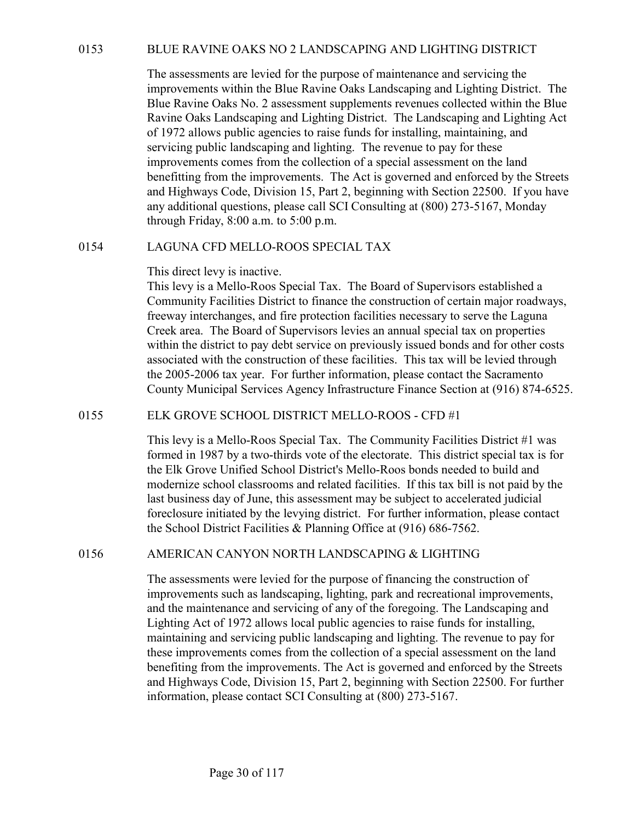BLUE RAVINE OAKS NO 2 LANDSCAPING AND LIGHTING DISTRICT<br>The assessments are levied for the purpose of maintenance and servicing the<br>improvements within the Blue Ravine Oaks Landscaping and Lighting District. The<br>Blue Ravin The assessments are levied for the purpose of maintenance and servicing the improvements within the Blue Ravine Oaks Landscaping and Lighting District. The Blue Ravine Oaks No. 2 assessment supplements revenues collected within the Blue Ravine Oaks Landscaping and Lighting District. The Landscaping and Lighting Act of 1972 allows public agencies to raise funds for installing, maintaining, and servicing public landscaping and lighting. The revenue to pay for these improvements comes from the collection of a special assessment on the land benefitting from the improvements. The Act is governed and enforced by the Streets and Highways Code, Division 15, Part 2, beginning with Section 22500. If you have any additional questions, please call SCI Consulting at (800) 273-5167, Monday through Friday, 8:00 a.m. to 5:00 p.m. BLUE RAVINE OAKS NO 2 LANDSCAPING AND LIGHTING I<br>The assessments are levied for the purpose of maintenance and servi<br>improvements within the Blue Ravine Oaks Landscaping and Lightin<br>Blue Ravine Oaks No. 2 assessment supple

## This direct levy is inactive.

This levy is a Mello-Roos Special Tax. The Board of Supervisors established a Community Facilities District to finance the construction of certain major roadways, freeway interchanges, and fire protection facilities necessary to serve the Laguna Creek area. The Board of Supervisors levies an annual special tax on properties within the district to pay debt service on previously issued bonds and for other costs associated with the construction of these facilities. This tax will be levied through the 2005-2006 tax year. For further information, please contact the Sacramento County Municipal Services Agency Infrastructure Finance Section at (916) 874-6525. serveiting public landscaping and inguling. The revemies to pay for these the expections improvements comes from the collection of a special assessment on the land benefitting from the improvements. The Act is governed an This levy is a Mello-Roos Special Tax. The Board of supervisors established a<br>Community Facilities District to finance the construction of certain major roadways,<br>freeway interchanges, and fire protection facilities neces

This levy is a Mello-Roos Special Tax. The Community Facilities District #1 was formed in 1987 by a two-thirds vote of the electorate. This district special tax is for the Elk Grove Unified School District's Mello-Roos bonds needed to build and modernize school classrooms and related facilities. If this tax bill is not paid by the last business day of June, this assessment may be subject to accelerated judicial foreclosure initiated by the levying district. For further information, please contact the School District Facilities & Planning Office at (916) 686-7562.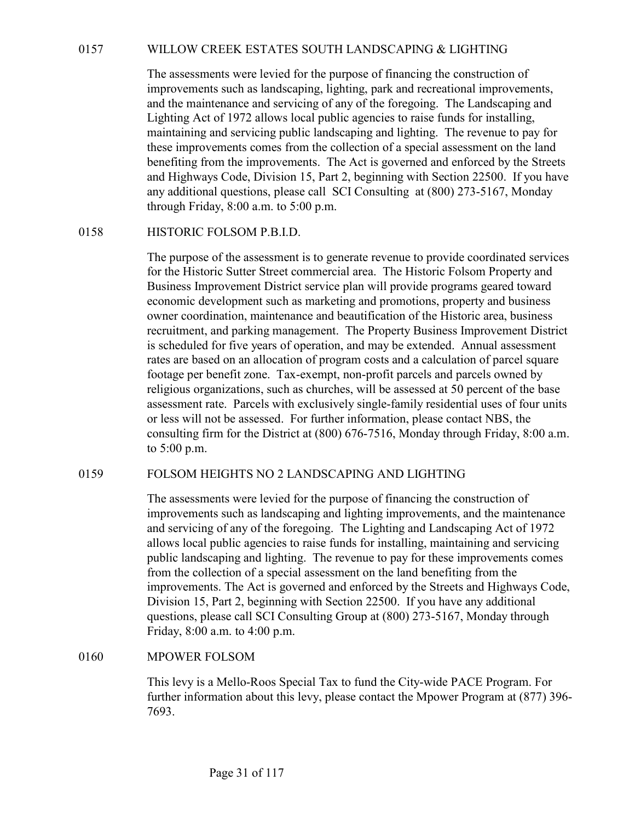0157 WILLOW CREEK ESTATES SOUTH LANDSCAPING & LIGHTING<br>The assessments were levied for the purpose of financing the construction of<br>improvements such as landscaping, lighting, park and recreational improvements,<br>and the ma The assessments were levied for the purpose of financing the construction of improvements such as landscaping, lighting, park and recreational improvements, and the maintenance and servicing of any of the foregoing. The Landscaping and Lighting Act of 1972 allows local public agencies to raise funds for installing, maintaining and servicing public landscaping and lighting. The revenue to pay for these improvements comes from the collection of a special assessment on the land benefiting from the improvements. The Act is governed and enforced by the Streets and Highways Code, Division 15, Part 2, beginning with Section 22500. If you have any additional questions, please call SCI Consulting at (800) 273-5167, Monday through Friday, 8:00 a.m. to 5:00 p.m. WILLOW CREEK ESTATES SOUTH LANDSCAPING & LIGHT<br>The assessments were levied for the purpose of financing the constri<br>improvements such as landscaping, lighting, park and recreational in<br>and the maintenance and servicing of

The purpose of the assessment is to generate revenue to provide coordinated services for the Historic Sutter Street commercial area. The Historic Folsom Property and Business Improvement District service plan will provide programs geared toward economic development such as marketing and promotions, property and business owner coordination, maintenance and beautification of the Historic area, business recruitment, and parking management. The Property Business Improvement District is scheduled for five years of operation, and may be extended. Annual assessment rates are based on an allocation of program costs and a calculation of parcel square footage per benefit zone. Tax-exempt, non-profit parcels and parcels owned by religious organizations, such as churches, will be assessed at 50 percent of the base assessment rate. Parcels with exclusively single-family residential uses of four units or less will not be assessed. For further information, please contact NBS, the consulting firm for the District at (800) 676-7516, Monday through Friday, 8:00 a.m. to 5:00 p.m. 0158 HISTORIC FOLSOM P.B.I.D.<br>
The pupose of the assessment is to generate revenue to provide coordinated services<br>
for the Historic Sutter Street commercial area. The Historic Folsom Property and<br>
Business Improvement Di

The assessments were levied for the purpose of financing the construction of improvements such as landscaping and lighting improvements, and the maintenance and servicing of any of the foregoing. The Lighting and Landscaping Act of 1972 allows local public agencies to raise funds for installing, maintaining and servicing public landscaping and lighting. The revenue to pay for these improvements comes from the collection of a special assessment on the land benefiting from the improvements. The Act is governed and enforced by the Streets and Highways Code, Division 15, Part 2, beginning with Section 22500. If you have any additional questions, please call SCI Consulting Group at (800) 273-5167, Monday through Friday, 8:00 a.m. to 4:00 p.m. religious organizations, such as contrens, will be assessed at 20 percent of the businessessment rate. Parcels with exclusively single-family residential uses of four or less will not be assessed. For further information,

This levy is a Mello-Roos Special Tax to fund the City-wide PACE Program. For further information about this levy, please contact the Mpower Program at (877) 396- 7693.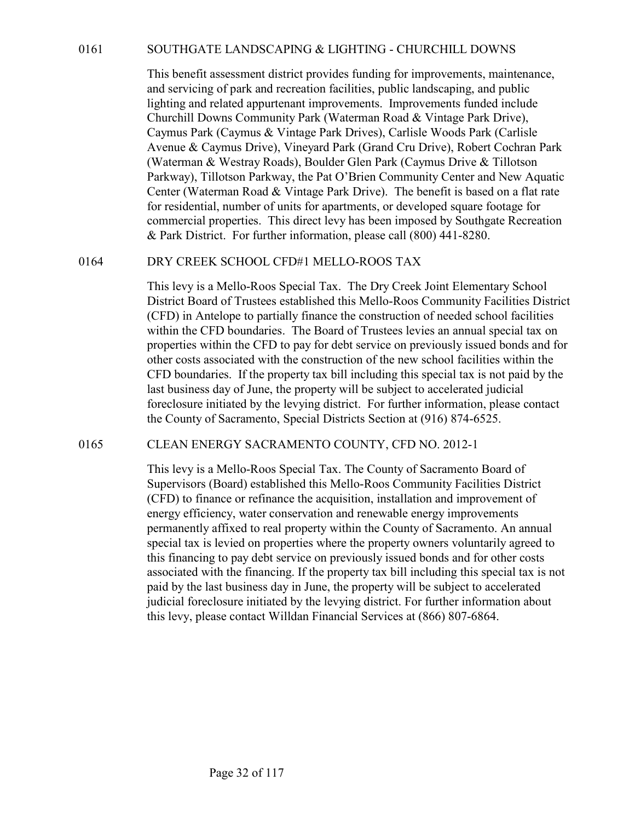0161 SOUTHGATE LANDSCAPING & LIGHTING - CHURCHILL DOWNS<br>This benefit assessment district provides funding for improvements, maintenance,<br>and servicing of park and recreation facilities, public landscaping, and public<br>ligh This benefit assessment district provides funding for improvements, maintenance, and servicing of park and recreation facilities, public landscaping, and public lighting and related appurtenant improvements. Improvements funded include Churchill Downs Community Park (Waterman Road & Vintage Park Drive), Caymus Park (Caymus & Vintage Park Drives), Carlisle Woods Park (Carlisle Avenue & Caymus Drive), Vineyard Park (Grand Cru Drive), Robert Cochran Park (Waterman & Westray Roads), Boulder Glen Park (Caymus Drive & Tillotson Parkway), Tillotson Parkway, the Pat O'Brien Community Center and New Aquatic Center (Waterman Road & Vintage Park Drive). The benefit is based on a flat rate for residential, number of units for apartments, or developed square footage for commercial properties. This direct levy has been imposed by Southgate Recreation & Park District. For further information, please call (800) 441-8280. 80017HGATE LANDSCAPING & LIGHTING - CHURCHILL DOWNS<br>
This benefit assessment district provides funding for improvements, maintenance,<br>
and servicing of park and recreation facilieis, public landscaping, and public<br>
lighti

This levy is a Mello-Roos Special Tax. The Dry Creek Joint Elementary School District Board of Trustees established this Mello-Roos Community Facilities District (CFD) in Antelope to partially finance the construction of needed school facilities within the CFD boundaries. The Board of Trustees levies an annual special tax on properties within the CFD to pay for debt service on previously issued bonds and for other costs associated with the construction of the new school facilities within the CFD boundaries. If the property tax bill including this special tax is not paid by the last business day of June, the property will be subject to accelerated judicial foreclosure initiated by the levying district. For further information, please contact the County of Sacramento, Special Districts Section at (916) 874-6525. Farxway, Illotson Parkway, the Pat O Brien Community Center and New Aquate<br>Center (Waterman Road & Vintage Park Drive). The benefit is based on a flat rate<br>for residential, number of units for apartments, or developed squa

This levy is a Mello-Roos Special Tax. The County of Sacramento Board of Supervisors (Board) established this Mello-Roos Community Facilities District (CFD) to finance or refinance the acquisition, installation and improvement of energy efficiency, water conservation and renewable energy improvements permanently affixed to real property within the County of Sacramento. An annual special tax is levied on properties where the property owners voluntarily agreed to this financing to pay debt service on previously issued bonds and for other costs associated with the financing. If the property tax bill including this special tax is not paid by the last business day in June, the property will be subject to accelerated judicial foreclosure initiated by the levying district. For further information about this levy, please contact Willdan Financial Services at (866) 807-6864.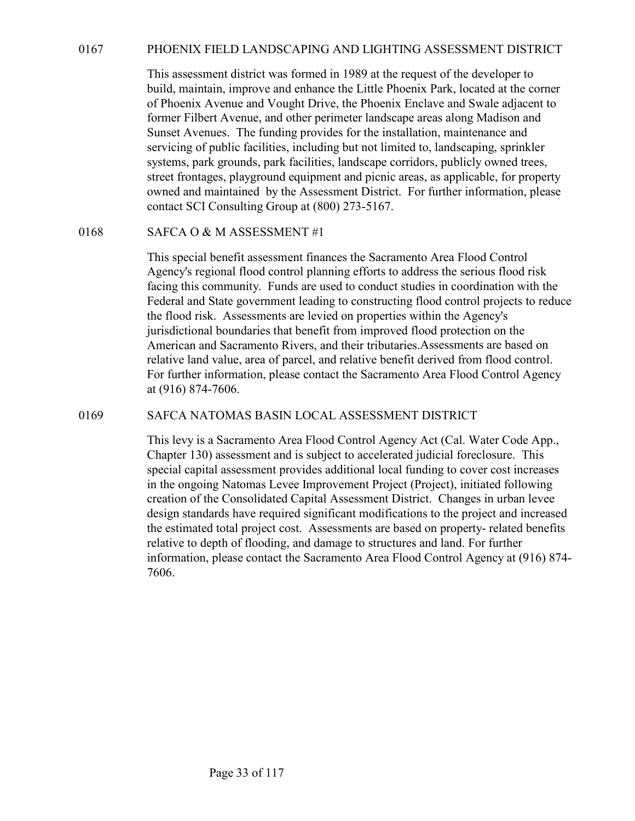0167 PHOENIX FIELD LANDSCAPING AND LIGHTING ASSESSMENT DISTRICT<br>This assessment district was formed in 1989 at the request of the developer to<br>build, maintain, improve and enhance the Little Phoenix Park, located at the co This assessment district was formed in 1989 at the request of the developer to build, maintain, improve and enhance the Little Phoenix Park, located at the corner of Phoenix Avenue and Vought Drive, the Phoenix Enclave and Swale adjacent to former Filbert Avenue, and other perimeter landscape areas along Madison and Sunset Avenues. The funding provides for the installation, maintenance and servicing of public facilities, including but not limited to, landscaping, sprinkler systems, park grounds, park facilities, landscape corridors, publicly owned trees, street frontages, playground equipment and picnic areas, as applicable, for property owned and maintained by the Assessment District. For further information, please contact SCI Consulting Group at (800) 273-5167. 9167 PHOENIX FIELD LANDSCAPING AND LIGHTING ASSESSME<br>
This assessment district was formed in 1989 at the request of the dev<br>
build, maintain, improve and enhance the Little Phoenix Park, locate<br>
of Phoenix Avenue and Vough

This special benefit assessment finances the Sacramento Area Flood Control Agency's regional flood control planning efforts to address the serious flood risk facing this community. Funds are used to conduct studies in coordination with the Federal and State government leading to constructing flood control projects to reduce the flood risk. Assessments are levied on properties within the Agency's jurisdictional boundaries that benefit from improved flood protection on the American and Sacramento Rivers, and their tributaries.Assessments are based on relative land value, area of parcel, and relative benefit derived from flood control. For further information, please contact the Sacramento Area Flood Control Agency at (916) 874-7606. severing of plouit ractitutes, Including but not imitted to, landscaping, sprinchers, systems, park grounds, park facilities, landscape corridors, publicly owned trees, street frontages, playground equipment and pienie are

This levy is a Sacramento Area Flood Control Agency Act (Cal. Water Code App., Chapter 130) assessment and is subject to accelerated judicial foreclosure. This special capital assessment provides additional local funding to cover cost increases in the ongoing Natomas Levee Improvement Project (Project), initiated following creation of the Consolidated Capital Assessment District. Changes in urban levee design standards have required significant modifications to the project and increased the estimated total project cost. Assessments are based on property- related benefits relative to depth of flooding, and damage to structures and land. For further information, please contact the Sacramento Area Flood Control Agency at (916) 874- 7606.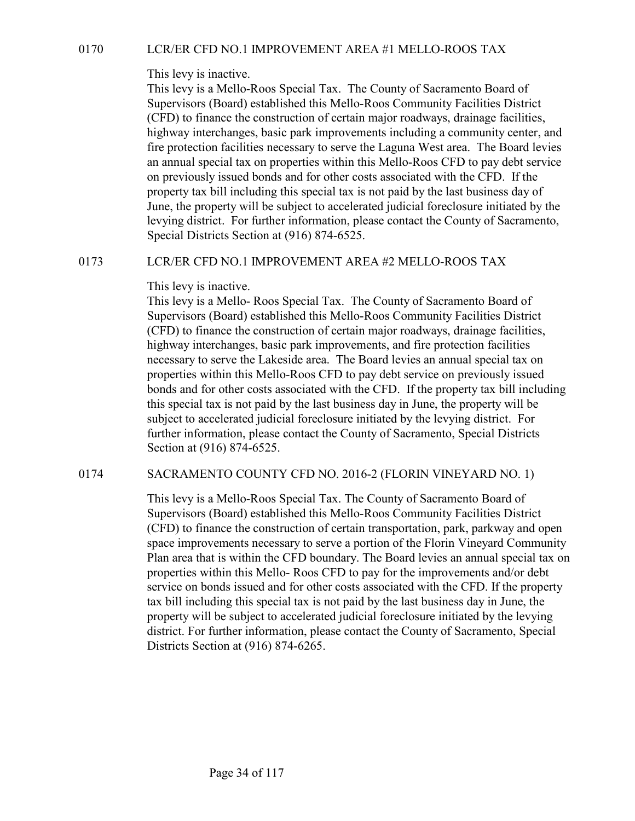This levy is inactive.

0170 LCR/ER CFD NO.1 IMPROVEMENT AREA #1 MELLO-ROOS TAX<br>This levy is inactive.<br>This levy is a Mello-Roos Special Tax. The County of Sacramento Board of<br>Supervisors (Board) established this Mello-Roos Community Facilities D This levy is a Mello-Roos Special Tax. The County of Sacramento Board of Supervisors (Board) established this Mello-Roos Community Facilities District (CFD) to finance the construction of certain major roadways, drainage facilities, highway interchanges, basic park improvements including a community center, and fire protection facilities necessary to serve the Laguna West area. The Board levies an annual special tax on properties within this Mello-Roos CFD to pay debt service on previously issued bonds and for other costs associated with the CFD. If the property tax bill including this special tax is not paid by the last business day of June, the property will be subject to accelerated judicial foreclosure initiated by the levying district. For further information, please contact the County of Sacramento, Special Districts Section at (916) 874-6525. 0170 LCR/ER CFD NO.1 IMPROVEMENT AREA #1 MELLO-ROOS TAX<br>
This levy is a Mello-Roos Special Tax. The Country of Sacramento Board of<br>
Supervisors (Board) established this Mello-Roos Community Facilities District<br>
(CFD) to f

This levy is inactive.

This levy is a Mello- Roos Special Tax. The County of Sacramento Board of Supervisors (Board) established this Mello-Roos Community Facilities District (CFD) to finance the construction of certain major roadways, drainage facilities, highway interchanges, basic park improvements, and fire protection facilities necessary to serve the Lakeside area. The Board levies an annual special tax on properties within this Mello-Roos CFD to pay debt service on previously issued bonds and for other costs associated with the CFD. If the property tax bill including this special tax is not paid by the last business day in June, the property will be subject to accelerated judicial foreclosure initiated by the levying district. For further information, please contact the County of Sacramento, Special Districts Section at (916) 874-6525. The property will be subject to accelerated judical foreclosure intitated pythe<br>
levying district. For further information, please contact the County of Sacramento,<br>
Special Districts Section at (916) 874-6525.<br>
LCR/ER CF

This levy is a Mello-Roos Special Tax. The County of Sacramento Board of Supervisors (Board) established this Mello-Roos Community Facilities District (CFD) to finance the construction of certain transportation, park, parkway and open space improvements necessary to serve a portion of the Florin Vineyard Community Plan area that is within the CFD boundary. The Board levies an annual special tax on properties within this Mello- Roos CFD to pay for the improvements and/or debt service on bonds issued and for other costs associated with the CFD. If the property tax bill including this special tax is not paid by the last business day in June, the property will be subject to accelerated judicial foreclosure initiated by the levying district. For further information, please contact the County of Sacramento, Special Districts Section at (916) 874-6265.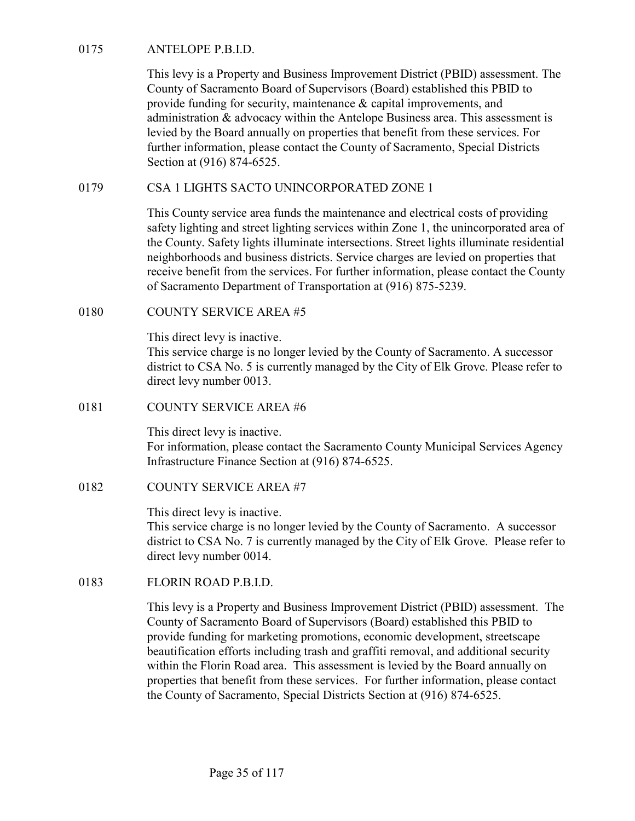ANTELOPE P.B.I.D.<br>
This levy is a Property and Business Improvement District (PBID) as<br>
County of Sacramento Board of Supervisors (Board) established this<br>
provide funding for security, maintenance & capital improvements, This levy is a Property and Business Improvement District (PBID) assessment. The County of Sacramento Board of Supervisors (Board) established this PBID to provide funding for security, maintenance & capital improvements, and administration & advocacy within the Antelope Business area. This assessment is levied by the Board annually on properties that benefit from these services. For further information, please contact the County of Sacramento, Special Districts Section at (916) 874-6525. 0175 ANTELOPE P.B.I.D.<br>
This levy is a Property and Business Improvement District (PBID) assessment. The<br>
County of Sacramento Board of Supervisors (Board) established this PBID to<br>
provide funding for security, maintenanc 0175 ANTELOPE P.B.I.D.<br>
This levy is a Property and Business Improvement District (PBID) a:<br>
County of Sacramento Board of Supervisors (Board) established this<br>
provide funding for security, maintenance & capital improvem

This County service area funds the maintenance and electrical costs of providing safety lighting and street lighting services within Zone 1, the unincorporated area of the County. Safety lights illuminate intersections. Street lights illuminate residential neighborhoods and business districts. Service charges are levied on properties that receive benefit from the services. For further information, please contact the County of Sacramento Department of Transportation at (916) 875-5239. further information, please contact the County of Sacramento, Speci<br>Section at (916) 874-6525.<br>CSA 1 LIGHTS SACTO UNINCORPORATED ZONE 1<br>This County service area funds the maintenance and electrical costs<br>safety lighting a safety lighting and street lighting services within Zone 1, the uninco<br>
the County. Safety lights illuminate intersections. Street lights illumi<br>
neighborhoods and business districts. Service charges are levied on<br>
receiv

This direct levy is inactive.

This service charge is no longer levied by the County of Sacramento. A successor district to CSA No. 5 is currently managed by the City of Elk Grove. Please refer to direct levy number 0013.

This direct levy is inactive. For information, please contact the Sacramento County Municipal Services Agency Infrastructure Finance Section at (916) 874-6525.

This direct levy is inactive.

This service charge is no longer levied by the County of Sacramento. A successor district to CSA No. 7 is currently managed by the City of Elk Grove. Please refer to direct levy number 0014.

COUNTT SENVICE AREA #5<br>
This direct levy is inactive.<br>
This service charge is no longer levied by the County of Sacramento<br>
district to CSA No. 5 is currently managed by the City of Elk Grove.<br>
direct levy umber 0013.<br>
COU This levy is a Property and Business Improvement District (PBID) assessment. The County of Sacramento Board of Supervisors (Board) established this PBID to provide funding for marketing promotions, economic development, streetscape beautification efforts including trash and graffiti removal, and additional security within the Florin Road area. This assessment is levied by the Board annually on properties that benefit from these services. For further information, please contact the County of Sacramento, Special Districts Section at (916) 874-6525.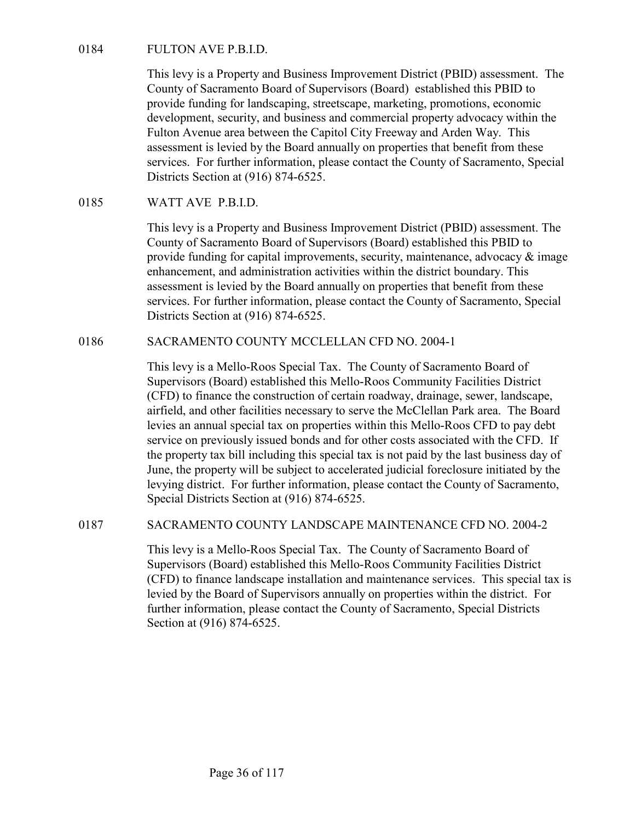FULTON AVE P.B.I.D.<br>This levy is a Property and Business Improvement District (PBID) as<br>County of Sacramento Board of Supervisors (Board) established thi<br>provide funding for landscaping, streetscape, marketing, promotions<br> This levy is a Property and Business Improvement District (PBID) assessment. The County of Sacramento Board of Supervisors (Board) established this PBID to provide funding for landscaping, streetscape, marketing, promotions, economic development, security, and business and commercial property advocacy within the Fulton Avenue area between the Capitol City Freeway and Arden Way. This assessment is levied by the Board annually on properties that benefit from these services. For further information, please contact the County of Sacramento, Special Districts Section at (916) 874-6525. FULTON AVE P.B.I.D.<br>
This levy is a Property and Business Improvement District (PBID) at<br>
County of Sacramento Board of Supervisors (Board) established thi<br>
provide funding for landscaping, streetscape, marketing, promotio Inst levy is a Property and Business improvement District (PBID) assessment. In<br>County of Sacramento Board of Supervisors (Board) established this PBID to<br>provide funding for landscaping, streetscape, marketing, promotions

This levy is a Property and Business Improvement District (PBID) assessment. The County of Sacramento Board of Supervisors (Board) established this PBID to provide funding for capital improvements, security, maintenance, advocacy  $\&$  image enhancement, and administration activities within the district boundary. This assessment is levied by the Board annually on properties that benefit from these services. For further information, please contact the County of Sacramento, Special Districts Section at (916) 874-6525.

This levy is a Mello-Roos Special Tax. The County of Sacramento Board of Supervisors (Board) established this Mello-Roos Community Facilities District (CFD) to finance the construction of certain roadway, drainage, sewer, landscape, airfield, and other facilities necessary to serve the McClellan Park area. The Board levies an annual special tax on properties within this Mello-Roos CFD to pay debt service on previously issued bonds and for other costs associated with the CFD. If the property tax bill including this special tax is not paid by the last business day of June, the property will be subject to accelerated judicial foreclosure initiated by the levying district. For further information, please contact the County of Sacramento, Special Districts Section at (916) 874-6525. provate unitmg to responsive mperovements, security, manuemente, and administration activities within the district boundary. This<br>
assessment is levied by the Board amnually on properties that benefit from these<br>
services.

This levy is a Mello-Roos Special Tax. The County of Sacramento Board of Supervisors (Board) established this Mello-Roos Community Facilities District (CFD) to finance landscape installation and maintenance services. This special tax is levied by the Board of Supervisors annually on properties within the district. For further information, please contact the County of Sacramento, Special Districts Section at (916) 874-6525.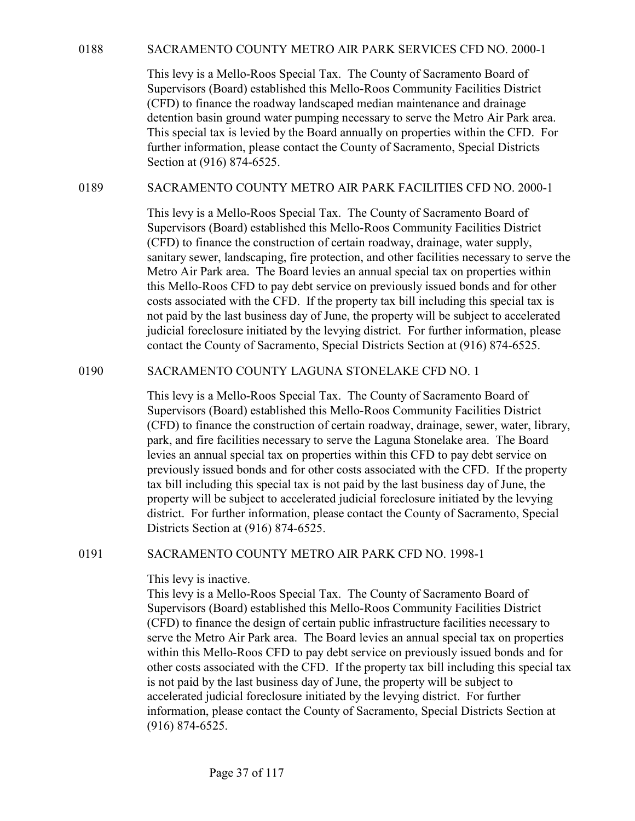0188 SACRAMENTO COUNTY METRO AIR PARK SERVICES CFD NO. 2000-1<br>This levy is a Mello-Roos Special Tax. The County of Sacramento Board of<br>Supervisors (Board) established this Mello-Roos Community Facilities District<br>(CFD) to This levy is a Mello-Roos Special Tax. The County of Sacramento Board of Supervisors (Board) established this Mello-Roos Community Facilities District (CFD) to finance the roadway landscaped median maintenance and drainage detention basin ground water pumping necessary to serve the Metro Air Park area. This special tax is levied by the Board annually on properties within the CFD. For further information, please contact the County of Sacramento, Special Districts Section at (916) 874-6525. SACRAMENTO COUNTY METRO AIR PARK SERVICES CFD NO. 2000-1<br>
This levy is a Mello-Roos Special Tax. The County of Sacramento Board of<br>
Supervisors (Board) established this Mello-Roos Community Facilities District<br>
(CFD) to fi

This levy is a Mello-Roos Special Tax. The County of Sacramento Board of Supervisors (Board) established this Mello-Roos Community Facilities District (CFD) to finance the construction of certain roadway, drainage, water supply, sanitary sewer, landscaping, fire protection, and other facilities necessary to serve the Metro Air Park area. The Board levies an annual special tax on properties within this Mello-Roos CFD to pay debt service on previously issued bonds and for other costs associated with the CFD. If the property tax bill including this special tax is not paid by the last business day of June, the property will be subject to accelerated judicial foreclosure initiated by the levying district. For further information, please contact the County of Sacramento, Special Districts Section at (916) 874-6525. (CFD) to mance in e foodway inansceaped median mantenance and crainage<br>decirtion basin ground water pumping necessary to serve the Metro Air Park area.<br>This special tax is levied by the Board annually on properties within

This levy is a Mello-Roos Special Tax. The County of Sacramento Board of Supervisors (Board) established this Mello-Roos Community Facilities District (CFD) to finance the construction of certain roadway, drainage, sewer, water, library, park, and fire facilities necessary to serve the Laguna Stonelake area. The Board levies an annual special tax on properties within this CFD to pay debt service on previously issued bonds and for other costs associated with the CFD. If the property tax bill including this special tax is not paid by the last business day of June, the property will be subject to accelerated judicial foreclosure initiated by the levying district. For further information, please contact the County of Sacramento, Special Districts Section at (916) 874-6525. this Mello-Roos CFD to pay debt service on previously issued obonds and or other<br>costs associated with the CFD. If the property tax bill including this special tax is<br>not paid by the last business day of June, the property

This levy is inactive.

This levy is a Mello-Roos Special Tax. The County of Sacramento Board of Supervisors (Board) established this Mello-Roos Community Facilities District (CFD) to finance the design of certain public infrastructure facilities necessary to serve the Metro Air Park area. The Board levies an annual special tax on properties within this Mello-Roos CFD to pay debt service on previously issued bonds and for other costs associated with the CFD. If the property tax bill including this special tax is not paid by the last business day of June, the property will be subject to accelerated judicial foreclosure initiated by the levying district. For further information, please contact the County of Sacramento, Special Districts Section at (916) 874-6525.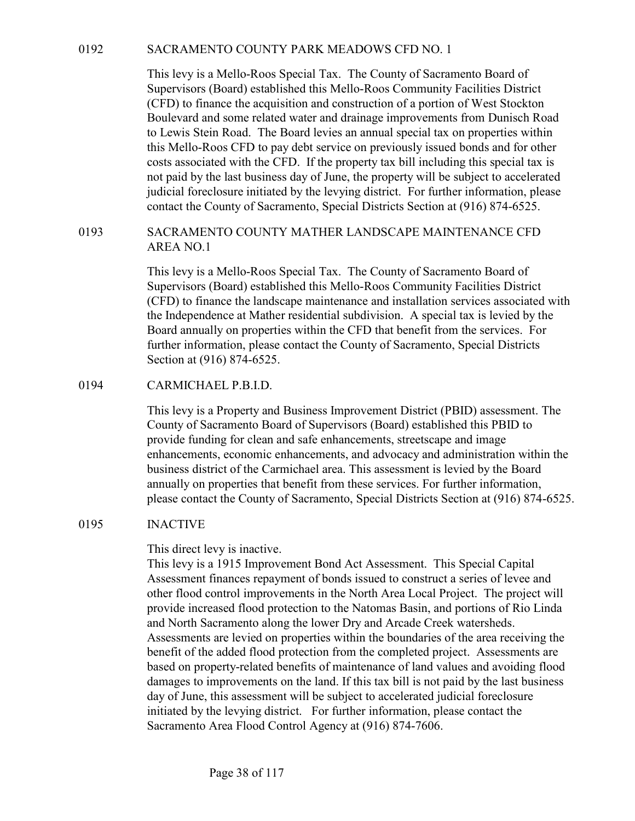SACRAMENTO COUNTY PARK MEADOWS CFD NO. 1<br>This levy is a Mello-Roos Special Tax. The County of Sacramento Board of<br>Supervisors (Board) established this Mello-Roos Community Facilities District<br>(CFD) to finance the acquisiti This levy is a Mello-Roos Special Tax. The County of Sacramento Board of Supervisors (Board) established this Mello-Roos Community Facilities District (CFD) to finance the acquisition and construction of a portion of West Stockton Boulevard and some related water and drainage improvements from Dunisch Road to Lewis Stein Road. The Board levies an annual special tax on properties within this Mello-Roos CFD to pay debt service on previously issued bonds and for other costs associated with the CFD. If the property tax bill including this special tax is not paid by the last business day of June, the property will be subject to accelerated judicial foreclosure initiated by the levying district. For further information, please contact the County of Sacramento, Special Districts Section at (916) 874-6525. SACRAMENTO COUNTY PARK MEADOWS CFD NO. 1<br>This levy is a Mello-Roos Special Tax. The County of Sacramento Board of<br>Supervisor (Board) established this Mello-Roos Community Facilities District<br>(CFD) to finance the acquisitio

# AREA NO.1

This levy is a Mello-Roos Special Tax. The County of Sacramento Board of Supervisors (Board) established this Mello-Roos Community Facilities District (CFD) to finance the landscape maintenance and installation services associated with the Independence at Mather residential subdivision. A special tax is levied by the Board annually on properties within the CFD that benefit from the services. For further information, please contact the County of Sacramento, Special Districts Section at (916) 874-6525. Boulevard and some related water and dramage improvements from<br>to Lewis Stein Road. The Board levies an annual special tax on prop<br>this Mello-Roos CFD to pay debt service on previously issued bonds<br>costs associated with th

This levy is a Property and Business Improvement District (PBID) assessment. The County of Sacramento Board of Supervisors (Board) established this PBID to provide funding for clean and safe enhancements, streetscape and image enhancements, economic enhancements, and advocacy and administration within the business district of the Carmichael area. This assessment is levied by the Board annually on properties that benefit from these services. For further information, please contact the County of Sacramento, Special Districts Section at (916) 874-6525. This levy is a Mello-Roos Special Tax. The County of Sacramento I<br>Supervisors (Board) established this Mello-Roos Community Facilit<br>(CFD) to finance the landscape maintenance and installation service<br>the Independence at Ma

This direct levy is inactive.

This levy is a 1915 Improvement Bond Act Assessment. This Special Capital Assessment finances repayment of bonds issued to construct a series of levee and other flood control improvements in the North Area Local Project. The project will provide increased flood protection to the Natomas Basin, and portions of Rio Linda and North Sacramento along the lower Dry and Arcade Creek watersheds. Assessments are levied on properties within the boundaries of the area receiving the benefit of the added flood protection from the completed project. Assessments are based on property-related benefits of maintenance of land values and avoiding flood damages to improvements on the land. If this tax bill is not paid by the last business day of June, this assessment will be subject to accelerated judicial foreclosure initiated by the levying district. For further information, please contact the Sacramento Area Flood Control Agency at (916) 874-7606.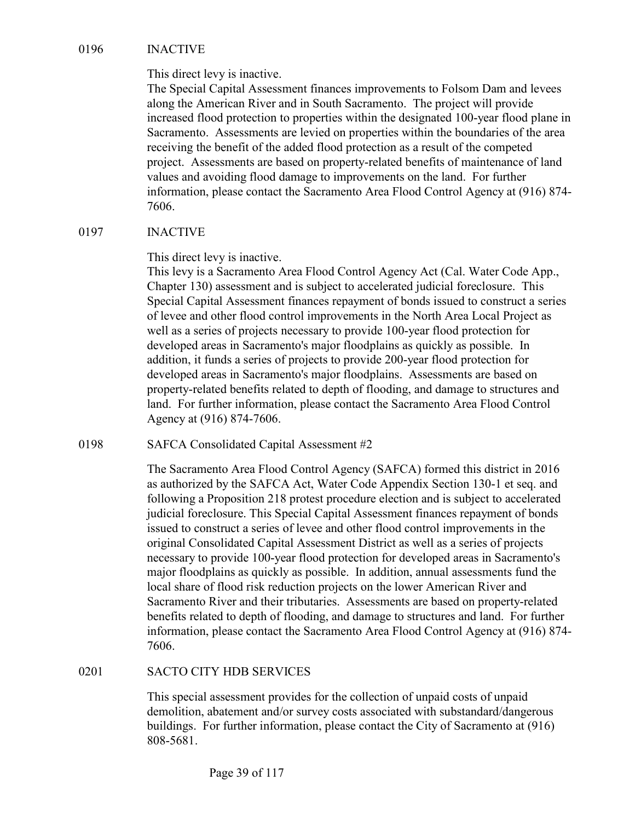0196<br>
INACTIVE<br>
This direct levy is inactive.<br>
The Special Capital Assessment finances improvements to Folsom I<br>
along the American River and in South Sacramento. The project will<br>
increased flood protection to properties The Special Capital Assessment finances improvements to Folsom Dam and levees along the American River and in South Sacramento. The project will provide increased flood protection to properties within the designated 100-year flood plane in Sacramento. Assessments are levied on properties within the boundaries of the area receiving the benefit of the added flood protection as a result of the competed project. Assessments are based on property-related benefits of maintenance of land values and avoiding flood damage to improvements on the land. For further information, please contact the Sacramento Area Flood Control Agency at (916) 874- 7606. 0196 INACTIVE<br>
This direct levy is inactive.<br>
The Special Capital Assessment finances improvements to Folsom I<br>
along the American River and in South Sacramento. The project wil<br>
increased flood protection to properties wi

This direct levy is inactive.

This levy is a Sacramento Area Flood Control Agency Act (Cal. Water Code App., Chapter 130) assessment and is subject to accelerated judicial foreclosure. This Special Capital Assessment finances repayment of bonds issued to construct a series of levee and other flood control improvements in the North Area Local Project as well as a series of projects necessary to provide 100-year flood protection for developed areas in Sacramento's major floodplains as quickly as possible. In addition, it funds a series of projects to provide 200-year flood protection for developed areas in Sacramento's major floodplains. Assessments are based on property-related benefits related to depth of flooding, and damage to structures and land. For further information, please contact the Sacramento Area Flood Control Agency at (916) 874-7606. values and avoiding flood alamage to improvements on the land. For turner<br>
information, please contact the Sacramento Area Flood Control Agency at (91<br>
7606.<br>
NACTIVE<br>
This direct levy is inactive.<br>
This direct levy is a S

The Sacramento Area Flood Control Agency (SAFCA) formed this district in 2016 as authorized by the SAFCA Act, Water Code Appendix Section 130-1 et seq. and following a Proposition 218 protest procedure election and is subject to accelerated judicial foreclosure. This Special Capital Assessment finances repayment of bonds issued to construct a series of levee and other flood control improvements in the original Consolidated Capital Assessment District as well as a series of projects necessary to provide 100-year flood protection for developed areas in Sacramento's major floodplains as quickly as possible. In addition, annual assessments fund the local share of flood risk reduction projects on the lower American River and Sacramento River and their tributaries. Assessments are based on property-related benefits related to depth of flooding, and damage to structures and land. For further information, please contact the Sacramento Area Flood Control Agency at (916) 874- 7606. and. For turther information, piease contact the Sacramento Area Fidel Agency at (916) 874-7606.<br>
SAFCA Consolidated Capital Assessment #2<br>
The Sacramento Area Flood Control Agency (SAFCA) formed this di<br>
as authorized by

This special assessment provides for the collection of unpaid costs of unpaid demolition, abatement and/or survey costs associated with substandard/dangerous buildings. For further information, please contact the City of Sacramento at (916) 808-5681.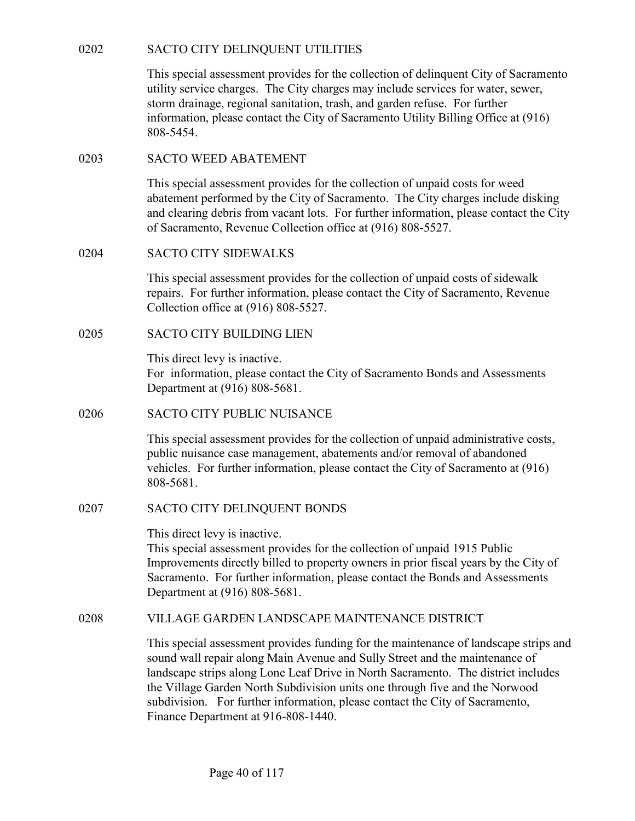0202 SACTO CITY DELINQUENT UTILITIES<br>This special assessment provides for the collection of delinquent Cit<br>utility service charges. The City charges may include services for we<br>storm drainage, regional sanitation, trash, a This special assessment provides for the collection of delinquent City of Sacramento utility service charges. The City charges may include services for water, sewer, storm drainage, regional sanitation, trash, and garden refuse. For further information, please contact the City of Sacramento Utility Billing Office at (916) 808-5454. SACTO CITY DELINQUENT UTILITIES<br>
This special assessment provides for the collection of delinquent City of<br>
utility service charges. The City charges may include services for water,<br>
storm drainage, regional sanitation, tr SACTO CITY DELINQUENT UTILITIES<br>
This special assessment provides for the collection of delinquent Cit<br>
utility service charges. The City charges may include services for www.<br>
storm drainage, regional sanitation, trash, a This special assessment provides for the collection of delinquent Cit<br>tutility service charges. The City charges may include services for w<br>storm drainage, regional sanitation, trash, and garden refuse. For fur<br>information

This special assessment provides for the collection of unpaid costs for weed abatement performed by the City of Sacramento. The City charges include disking and clearing debris from vacant lots. For further information, please contact the City of Sacramento, Revenue Collection office at (916) 808-5527. 0203 SACTO WEED ABATEMENT<br>
This special assessment provides for the collection of unpaid costs fa<br>
abatement performed by the City of Sacramento. The City charges i<br>
and clearing debris from vacant lots. For further inform

This special assessment provides for the collection of unpaid costs of sidewalk repairs. For further information, please contact the City of Sacramento, Revenue Collection office at (916) 808-5527.

This direct levy is inactive. For information, please contact the City of Sacramento Bonds and Assessments Department at (916) 808-5681.

This special assessment provides for the collection of unpaid administrative costs, public nuisance case management, abatements and/or removal of abandoned vehicles. For further information, please contact the City of Sacramento at (916) 808-5681. 0204<br>
SACTO CITY SIDEWALKS<br>
This special assessment provides for the collection of unpaid costs o<br>
repairs. For further information, please contact the City of Sacramer<br>
Collection office at (916) 808-5527.<br>
SACTO CITY BUI

This direct levy is inactive.

This special assessment provides for the collection of unpaid 1915 Public Improvements directly billed to property owners in prior fiscal years by the City of Sacramento. For further information, please contact the Bonds and Assessments Department at (916) 808-5681. This direct levy is inactive.<br>
For information, please contact the City of Sacramento Bonds and Assessments<br>
Department at (916) 808-5681.<br>
SACTO CITY PUBLIC NUISANCE<br>
This special assessment provides for the collection of

This special assessment provides funding for the maintenance of landscape strips and sound wall repair along Main Avenue and Sully Street and the maintenance of landscape strips along Lone Leaf Drive in North Sacramento. The district includes the Village Garden North Subdivision units one through five and the Norwood subdivision. For further information, please contact the City of Sacramento, Finance Department at 916-808-1440.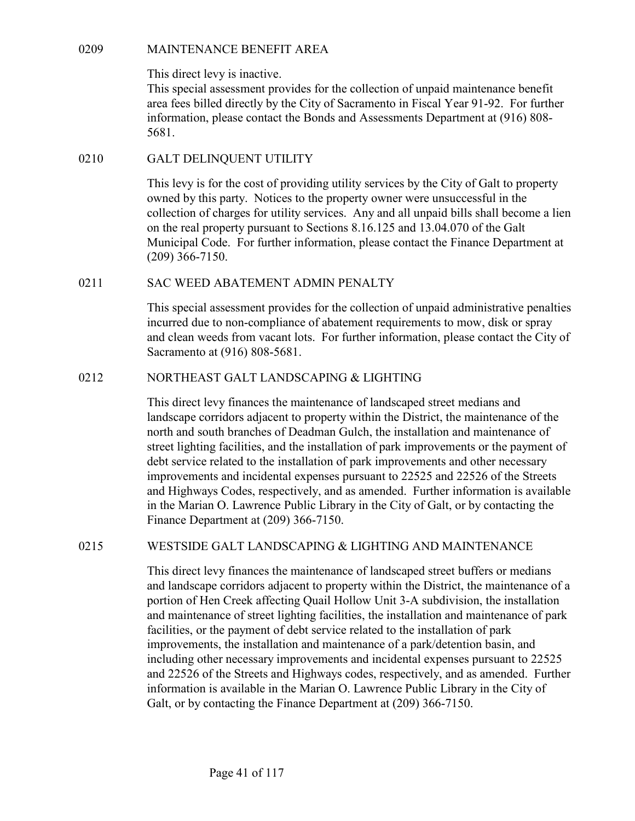0209<br>
MAINTENANCE BENEFIT AREA<br>
This direct levy is inactive.<br>
This special assessment provides for the collection of unpaid mainte<br>
area fees billed directly by the City of Sacramento in Fiscal Year 91-<br>
information, plea This special assessment provides for the collection of unpaid maintenance benefit area fees billed directly by the City of Sacramento in Fiscal Year 91-92. For further information, please contact the Bonds and Assessments Department at (916) 808- 5681. MAINTENANCE BENEFIT AREA<br>
This direct levy is inactive.<br>
This special assessment provides for the collection of unpaid mainte<br>
area fees billed directly by the City of Sacramento in Fiscal Year 91-<br>
information, please con

This levy is for the cost of providing utility services by the City of Galt to property owned by this party. Notices to the property owner were unsuccessful in the collection of charges for utility services. Any and all unpaid bills shall become a lien on the real property pursuant to Sections 8.16.125 and 13.04.070 of the Galt Municipal Code. For further information, please contact the Finance Department at (209) 366-7150. 0209<br>
MAINTENANCE BENEFIT AREA<br>
This direct levy is inactive.<br>
This special assessment provides for the collection of unpaid maintenance benefit<br>
area fees billed directly by the City of Sacramento in Fiscal Year 91-92. Fo information, please contact the Bonds and Assessments Department at (916) 808-<br>
5681.<br>
0210 GALT DELINQUENT UTILITY<br>
This levy is for the cost of providing utility services by the City of Galt to property<br>
owere by this pa

This special assessment provides for the collection of unpaid administrative penalties incurred due to non-compliance of abatement requirements to mow, disk or spray and clean weeds from vacant lots. For further information, please contact the City of Sacramento at (916) 808-5681.

This direct levy finances the maintenance of landscaped street medians and landscape corridors adjacent to property within the District, the maintenance of the north and south branches of Deadman Gulch, the installation and maintenance of street lighting facilities, and the installation of park improvements or the payment of debt service related to the installation of park improvements and other necessary improvements and incidental expenses pursuant to 22525 and 22526 of the Streets and Highways Codes, respectively, and as amended. Further information is available in the Marian O. Lawrence Public Library in the City of Galt, or by contacting the Finance Department at (209) 366-7150. 0211<br>
SAC WEED ABATEMENT ADMIN PENALTY<br>
This special assessment provides for the collection of unpaid administrative peralties<br>
incurred due to non-compliance of abatement requirements to mow, disk or spray<br>
and clean weed

This direct levy finances the maintenance of landscaped street buffers or medians and landscape corridors adjacent to property within the District, the maintenance of a portion of Hen Creek affecting Quail Hollow Unit 3-A subdivision, the installation and maintenance of street lighting facilities, the installation and maintenance of park facilities, or the payment of debt service related to the installation of park improvements, the installation and maintenance of a park/detention basin, and including other necessary improvements and incidental expenses pursuant to 22525 and 22526 of the Streets and Highways codes, respectively, and as amended. Further information is available in the Marian O. Lawrence Public Library in the City of Galt, or by contacting the Finance Department at (209) 366-7150.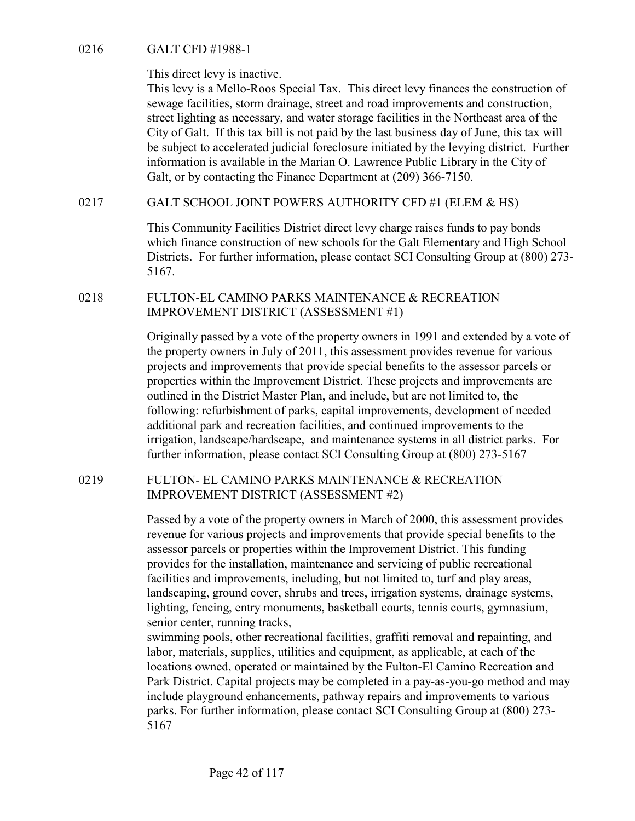0216 GALT CFD #1988-1<br>This direct levy is inactive.<br>This levy is a Mello-Roos Special Tax. This direct levy finances the<br>sewage facilities, storm drainage, street and road improvements and<br>street lighting as necessary and This levy is a Mello-Roos Special Tax. This direct levy finances the construction of sewage facilities, storm drainage, street and road improvements and construction, street lighting as necessary, and water storage facilities in the Northeast area of the City of Galt. If this tax bill is not paid by the last business day of June, this tax will be subject to accelerated judicial foreclosure initiated by the levying district. Further information is available in the Marian O. Lawrence Public Library in the City of Galt, or by contacting the Finance Department at (209) 366-7150. 0216<br>
0216 GALT CFD #1988-1<br>
This direct levy is nactive.<br>
This levy is a Mello-Roos Special Tax. This direct levy finances the construction of<br>
sewage facilities, storm drainage, street and road improvements and construc 0216 GALT CFD #1988-1<br>
This direct levy is inactive.<br>
This direct levy finances the construction of<br>
sewage facilities, storm drainage, street and road improvements and construction,<br>
street lighting as necessary, and wat

This Community Facilities District direct levy charge raises funds to pay bonds which finance construction of new schools for the Galt Elementary and High School Districts. For further information, please contact SCI Consulting Group at (800) 273- 5167.

IMPROVEMENT DISTRICT (ASSESSMENT #1)

Originally passed by a vote of the property owners in 1991 and extended by a vote of the property owners in July of 2011, this assessment provides revenue for various projects and improvements that provide special benefits to the assessor parcels or properties within the Improvement District. These projects and improvements are outlined in the District Master Plan, and include, but are not limited to, the following: refurbishment of parks, capital improvements, development of needed additional park and recreation facilities, and continued improvements to the irrigation, landscape/hardscape, and maintenance systems in all district parks. For further information, please contact SCI Consulting Group at (800) 273-5167 This Community Facilities District direct levy charge raises funds to pay bonds<br>which finance construction of new schools for the Galt Elementary and High School<br>Districts. For further information, please contact SCI Consu

IMPROVEMENT DISTRICT (ASSESSMENT #2)

Passed by a vote of the property owners in March of 2000, this assessment provides revenue for various projects and improvements that provide special benefits to the assessor parcels or properties within the Improvement District. This funding provides for the installation, maintenance and servicing of public recreational facilities and improvements, including, but not limited to, turf and play areas, landscaping, ground cover, shrubs and trees, irrigation systems, drainage systems, lighting, fencing, entry monuments, basketball courts, tennis courts, gymnasium, senior center, running tracks,

swimming pools, other recreational facilities, graffiti removal and repainting, and labor, materials, supplies, utilities and equipment, as applicable, at each of the locations owned, operated or maintained by the Fulton-El Camino Recreation and Park District. Capital projects may be completed in a pay-as-you-go method and may include playground enhancements, pathway repairs and improvements to various parks. For further information, please contact SCI Consulting Group at (800) 273- 5167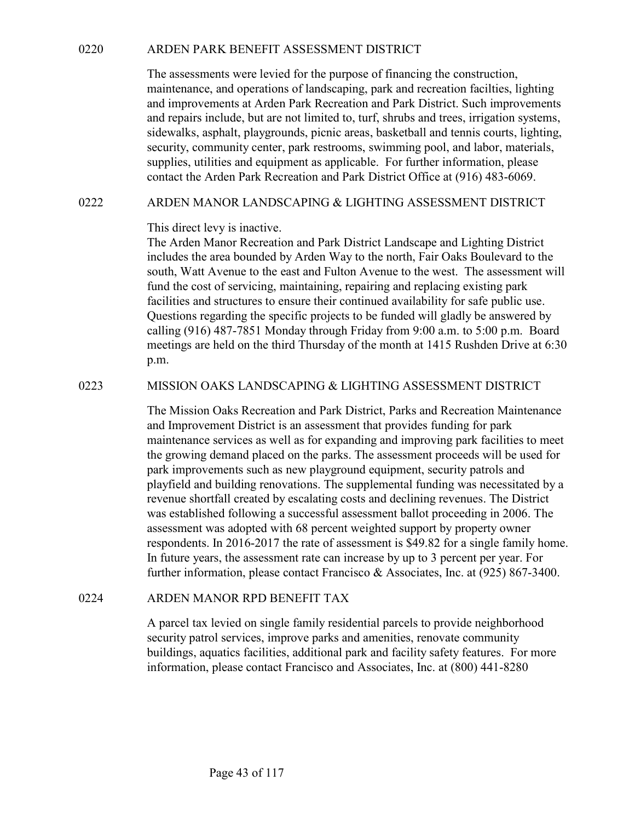O220 ARDEN PARK BENEFIT ASSESSMENT DISTRICT<br>The assessments were levied for the purpose of financing the construction,<br>maintenance, and operations of landscaping, park and recreation facilities, lighting<br>and improvements a The assessments were levied for the purpose of financing the construction, maintenance, and operations of landscaping, park and recreation facilties, lighting and improvements at Arden Park Recreation and Park District. Such improvements and repairs include, but are not limited to, turf, shrubs and trees, irrigation systems, sidewalks, asphalt, playgrounds, picnic areas, basketball and tennis courts, lighting, security, community center, park restrooms, swimming pool, and labor, materials, supplies, utilities and equipment as applicable. For further information, please contact the Arden Park Recreation and Park District Office at (916) 483-6069. ARDEN PARK BENEFIT ASSESSMENT DISTRICT<br>
The assessments were levied for the purpose of financing the construction,<br>
maintenance, and operations of landscaping, park and recreation facilities, lighting<br>
and improvements at

This direct levy is inactive.

The Arden Manor Recreation and Park District Landscape and Lighting District includes the area bounded by Arden Way to the north, Fair Oaks Boulevard to the south, Watt Avenue to the east and Fulton Avenue to the west. The assessment will fund the cost of servicing, maintaining, repairing and replacing existing park facilities and structures to ensure their continued availability for safe public use. Questions regarding the specific projects to be funded will gladly be answered by calling (916) 487-7851 Monday through Friday from 9:00 a.m. to 5:00 p.m. Board meetings are held on the third Thursday of the month at 1415 Rushden Drive at 6:30 p.m. and repairs melolute, out are not immed to, turn, samues and trees, ririgation systems<br>idevalus, a sphalt, playgrounds, pienic areas, hasketball and tennis courts, lighting,<br>security, community center, park restrooms, swim

The Mission Oaks Recreation and Park District, Parks and Recreation Maintenance and Improvement District is an assessment that provides funding for park maintenance services as well as for expanding and improving park facilities to meet the growing demand placed on the parks. The assessment proceeds will be used for park improvements such as new playground equipment, security patrols and playfield and building renovations. The supplemental funding was necessitated by a revenue shortfall created by escalating costs and declining revenues. The District was established following a successful assessment ballot proceeding in 2006. The assessment was adopted with 68 percent weighted support by property owner respondents. In 2016-2017 the rate of assessment is \$49.82 for a single family home. In future years, the assessment rate can increase by up to 3 percent per year. For further information, please contact Francisco & Associates, Inc. at (925) 867-3400. eauing (916) 487-7851 Monday through Priday from 9:00 a.m. to 5:00 p.m.<br>
meetings are held on the find Thursday of the month at 1415 Rushden Drive at 6:30<br>
p.m.<br>
MISSION OAKS LANDSCAPING & LIGHTING ASSESSMENT DISTRICT<br>
The

A parcel tax levied on single family residential parcels to provide neighborhood security patrol services, improve parks and amenities, renovate community buildings, aquatics facilities, additional park and facility safety features. For more information, please contact Francisco and Associates, Inc. at (800) 441-8280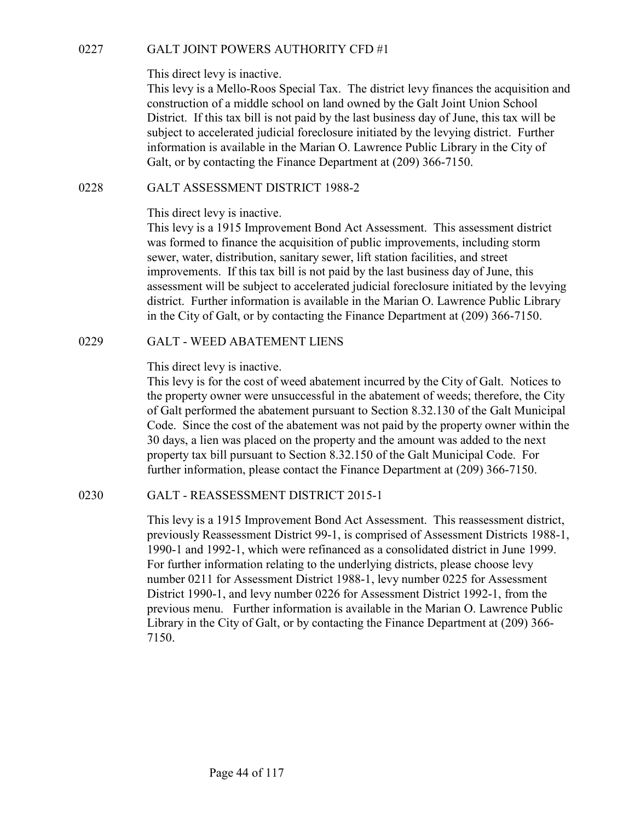GALT JOINT POWERS AUTHORITY CFD #1<br>This direct levy is inactive.<br>This levy is a Mello-Roos Special Tax. The district levy finances the acquisition<br>construction of a middle school on land owned by the Galt Joint Union Schoo This levy is a Mello-Roos Special Tax. The district levy finances the acquisition and construction of a middle school on land owned by the Galt Joint Union School District. If this tax bill is not paid by the last business day of June, this tax will be subject to accelerated judicial foreclosure initiated by the levying district. Further information is available in the Marian O. Lawrence Public Library in the City of Galt, or by contacting the Finance Department at (209) 366-7150. GALT JOINT POWERS AUTHORITY CFD #1<br>
This direct levy is inactive.<br>
This levy is a Mello-Roos Special Tax. The district levy finances the acqui-<br>
construction of a middle school on land owned by the Galt Joint Union Sch<br>
Di

# This direct levy is inactive.

This levy is a 1915 Improvement Bond Act Assessment. This assessment district was formed to finance the acquisition of public improvements, including storm sewer, water, distribution, sanitary sewer, lift station facilities, and street improvements. If this tax bill is not paid by the last business day of June, this assessment will be subject to accelerated judicial foreclosure initiated by the levying district. Further information is available in the Marian O. Lawrence Public Library in the City of Galt, or by contacting the Finance Department at (209) 366-7150. This arecet levy is nately.<br>This levy is a Mello-Roos Special Tax. The district levy finances the construction of a middle school on land owned by the Galt Joint Uni District. If this tax bill is not paid by the last busin

## This direct levy is inactive.

This levy is for the cost of weed abatement incurred by the City of Galt. Notices to the property owner were unsuccessful in the abatement of weeds; therefore, the City of Galt performed the abatement pursuant to Section 8.32.130 of the Galt Municipal Code. Since the cost of the abatement was not paid by the property owner within the 30 days, a lien was placed on the property and the amount was added to the next property tax bill pursuant to Section 8.32.150 of the Galt Municipal Code. For further information, please contact the Finance Department at (209) 366-7150. 1981 Sa 1915 Improvement Bond Act Assessment. This assessment district<br>to GALT - Recent and the medicinal condition of public improvements, including storm<br>was formed to finance the acquisition of public improvements, incl

This levy is a 1915 Improvement Bond Act Assessment. This reassessment district, previously Reassessment District 99-1, is comprised of Assessment Districts 1988-1, 1990-1 and 1992-1, which were refinanced as a consolidated district in June 1999. For further information relating to the underlying districts, please choose levy number 0211 for Assessment District 1988-1, levy number 0225 for Assessment District 1990-1, and levy number 0226 for Assessment District 1992-1, from the previous menu. Further information is available in the Marian O. Lawrence Public Library in the City of Galt, or by contacting the Finance Department at (209) 366- 7150.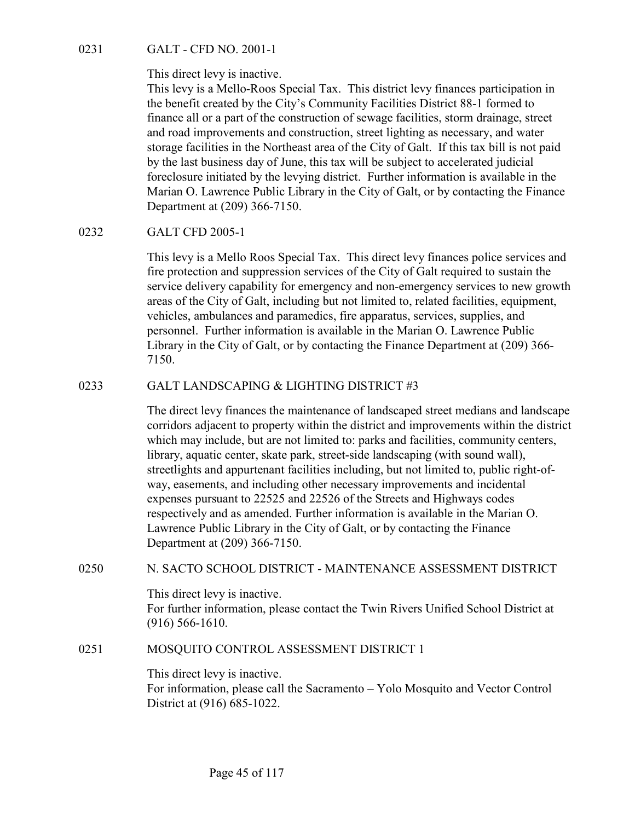0231 GALT - CFD NO. 2001-1<br>This direct levy is inactive.<br>This levy is a Mello-Roos Special Tax. This district levy finances po<br>the benefit created by the City's Community Facilities District 88-1<br>finance all or a part of t This levy is a Mello-Roos Special Tax. This district levy finances participation in the benefit created by the City's Community Facilities District 88-1 formed to finance all or a part of the construction of sewage facilities, storm drainage, street and road improvements and construction, street lighting as necessary, and water storage facilities in the Northeast area of the City of Galt. If this tax bill is not paid by the last business day of June, this tax will be subject to accelerated judicial foreclosure initiated by the levying district. Further information is available in the Marian O. Lawrence Public Library in the City of Galt, or by contacting the Finance Department at (209) 366-7150. 0231 GALT - CFD NO. 2001-1<br>
This direct levy is inactive.<br>
This levy is a Mello-Roos Special Tax. This district levy finances p.<br>
the benefit created by the City's Community Facilities District 88-1<br>
finance all or a part

This levy is a Mello Roos Special Tax. This direct levy finances police services and fire protection and suppression services of the City of Galt required to sustain the service delivery capability for emergency and non-emergency services to new growth areas of the City of Galt, including but not limited to, related facilities, equipment, vehicles, ambulances and paramedics, fire apparatus, services, supplies, and personnel. Further information is available in the Marian O. Lawrence Public Library in the City of Galt, or by contacting the Finance Department at (209) 366- 7150. mance all or a part of ne construction of sexuge facelities, some drained, street include to the data business day of June, this tax will be subject to accelerate strong facilities in the Northeast area of the City of Gal

The direct levy finances the maintenance of landscaped street medians and landscape corridors adjacent to property within the district and improvements within the district which may include, but are not limited to: parks and facilities, community centers, library, aquatic center, skate park, street-side landscaping (with sound wall), streetlights and appurtenant facilities including, but not limited to, public right-ofway, easements, and including other necessary improvements and incidental expenses pursuant to 22525 and 22526 of the Streets and Highways codes respectively and as amended. Further information is available in the Marian O. Lawrence Public Library in the City of Galt, or by contacting the Finance Department at (209) 366-7150. areas or the Uy of Gait, including but not limited to, related facturities, equipened,<br>vehicles, ambulances and paramedies, fire apparatus, services, supplies, and<br>personnel. Further information is available in the Marian 0233 GALT LANDSCAPING & LIGHTING DISTRICT  $\#3$ <br>The direct levy finances the maintenance of landscaped street medians and landscape<br>corridors adjacent to property within the district and improvements within the district<br>w

This direct levy is inactive. For further information, please contact the Twin Rivers Unified School District at (916) 566-1610.

This direct levy is inactive. For information, please call the Sacramento – Yolo Mosquito and Vector Control District at (916) 685-1022.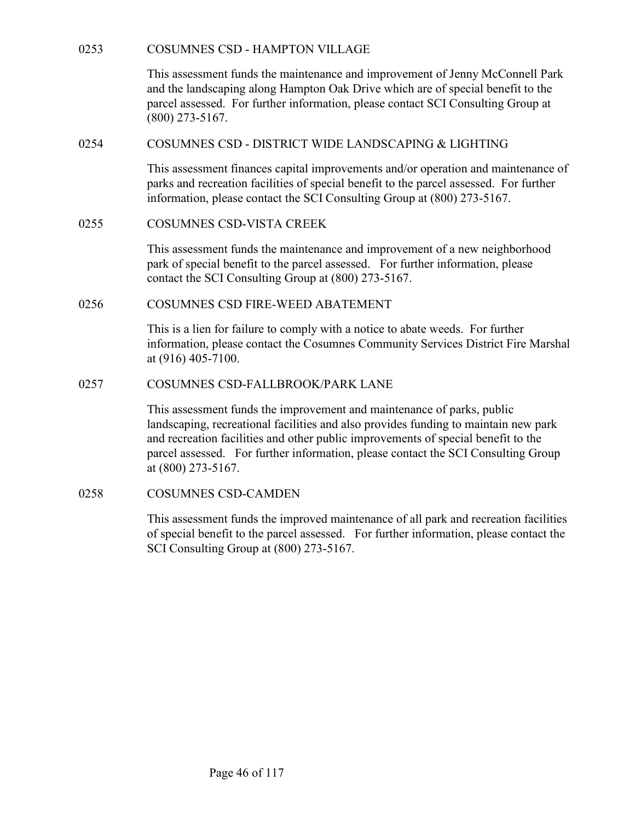COSUMNES CSD - HAMPTON VILLAGE<br>This assessment funds the maintenance and improvement of Jenny McConnell Park<br>and the landscaping along Hampton Oak Drive which are of special benefit to the<br>parcel assessed. For further info This assessment funds the maintenance and improvement of Jenny McConnell Park and the landscaping along Hampton Oak Drive which are of special benefit to the parcel assessed. For further information, please contact SCI Consulting Group at (800) 273-5167. COSUMNES CSD - HAMPTON VILLAGE<br>
This assessment funds the maintenance and improvement of Jemry McConnell Park<br>
and the landscaping along Hampton Oak Drive which are of special benefit to the<br>
parcel assessed. For further i COSUMNES CSD - HAMPTON VILLAGE<br>
This assessment funds the maintenance and improvement of Jenny McConnell Park<br>
and the landscaping along Hampton Oak Drive which are of special benefit to the<br>
pareel assessed. For further 0253 COSUMNES CSD - HAMPTON VILLAGE<br>
This assessment funds the maintenance and improvement of Jenny McConnell Park<br>
and the landscaping along Hampton Oak Drive which are of special benefit to the<br>
pared assessed. For furt

This assessment finances capital improvements and/or operation and maintenance of parks and recreation facilities of special benefit to the parcel assessed. For further information, please contact the SCI Consulting Group at (800) 273-5167.

This assessment funds the maintenance and improvement of a new neighborhood park of special benefit to the parcel assessed. For further information, please contact the SCI Consulting Group at (800) 273-5167.

This is a lien for failure to comply with a notice to abate weeds. For further information, please contact the Cosumnes Community Services District Fire Marshal at (916) 405-7100.

(800) 273-5167.<br>
COSUMNES CSD - DISTRICT WIDE LANDSCAPING & LIGHTING<br>
This assessment finances capital improvements and/or operation and maintenance of<br>
parks and recreation facilities of special benefit to the parcel asse This assessment funds the improvement and maintenance of parks, public landscaping, recreational facilities and also provides funding to maintain new park and recreation facilities and other public improvements of special benefit to the parcel assessed. For further information, please contact the SCI Consulting Group at (800) 273-5167. COSUMINES CSD-VISTA CREEK<br>
This assessment funds the maintenance and improvement of a new neighborhor<br>
park of special benefit to the parcel assessed. For further information, please<br>
contact the SCI Consulting Group at (8

This assessment funds the improved maintenance of all park and recreation facilities of special benefit to the parcel assessed. For further information, please contact the SCI Consulting Group at (800) 273-5167.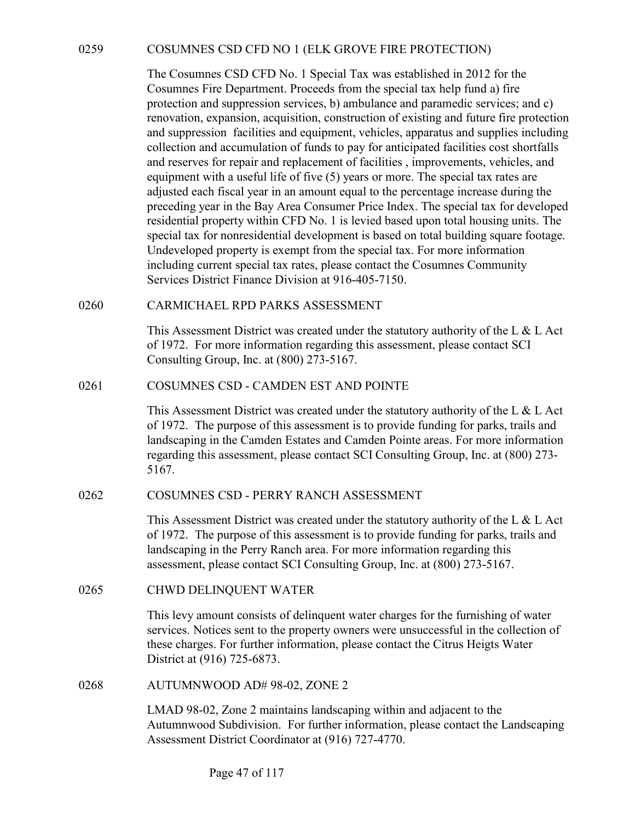0259 COSUMNES CSD CFD NO 1 (ELK GROVE FIRE PROTECTION)<br>The Cosumnes CSD CFD No. 1 Special Tax was established in 2012 for the<br>Cosumnes Fire Department. Proceeds from the special tax help fund a) fire<br>protection and suppres The Cosumnes CSD CFD No. 1 Special Tax was established in 2012 for the Cosumnes Fire Department. Proceeds from the special tax help fund a) fire protection and suppression services, b) ambulance and paramedic services; and c) renovation, expansion, acquisition, construction of existing and future fire protection and suppression facilities and equipment, vehicles, apparatus and supplies including collection and accumulation of funds to pay for anticipated facilities cost shortfalls and reserves for repair and replacement of facilities , improvements, vehicles, and equipment with a useful life of five (5) years or more. The special tax rates are adjusted each fiscal year in an amount equal to the percentage increase during the preceding year in the Bay Area Consumer Price Index. The special tax for developed residential property within CFD No. 1 is levied based upon total housing units. The special tax for nonresidential development is based on total building square footage. Undeveloped property is exempt from the special tax. For more information including current special tax rates, please contact the Cosumnes Community Services District Finance Division at 916-405-7150. 0259 COSUMNES CSD CFD NO 1 (ELK GROVE FIRE PROTECTION)<br>
The Cosumnes CSD CFD No. 1 Special Tax was established in 2012 for the<br>
Cosumnes Fire Department. Proceeds from the special tax help fund a) fire<br>
protection and sup renovation, expansion, acquisitation, construction or existing and uture the proceton<br>and suppression facilities and equipment, vehicles, apparatus and supplies including<br>collection and accumulation of funds to pay for ant

This Assessment District was created under the statutory authority of the L & L Act of 1972. For more information regarding this assessment, please contact SCI Consulting Group, Inc. at (800) 273-5167.

This Assessment District was created under the statutory authority of the L & L Act of 1972. The purpose of this assessment is to provide funding for parks, trails and landscaping in the Camden Estates and Camden Pointe areas. For more information regarding this assessment, please contact SCI Consulting Group, Inc. at (800) 273- 5167. special tax for nonresidential development is based on total building square footage.<br>
Undeveloped property is exempt from the special tax. For more information<br>
including current special tax rates, please contact the Cosu This Assessment District was created under the statutory authority of the L &<br>of 1972. For more information regarding this assessment, please contact SCI<br>Consulting Group, Inc. at (800) 273-5167.<br>
0261 COSUMNES CSD - CAMDE of 1972. The purpose of this assessment is to provide funding for parks,<br>landscaping in the Camden Estates and Camden Pointe areas. For more in<br>regarding this assessment, please contact SCI Consulting Group, Inc. at ( $516$ 

This Assessment District was created under the statutory authority of the L & L Act of 1972. The purpose of this assessment is to provide funding for parks, trails and landscaping in the Perry Ranch area. For more information regarding this assessment, please contact SCI Consulting Group, Inc. at (800) 273-5167.

This levy amount consists of delinquent water charges for the furnishing of water services. Notices sent to the property owners were unsuccessful in the collection of these charges. For further information, please contact the Citrus Heigts Water District at (916) 725-6873.

LMAD 98-02, Zone 2 maintains landscaping within and adjacent to the Autumnwood Subdivision. For further information, please contact the Landscaping Assessment District Coordinator at (916) 727-4770.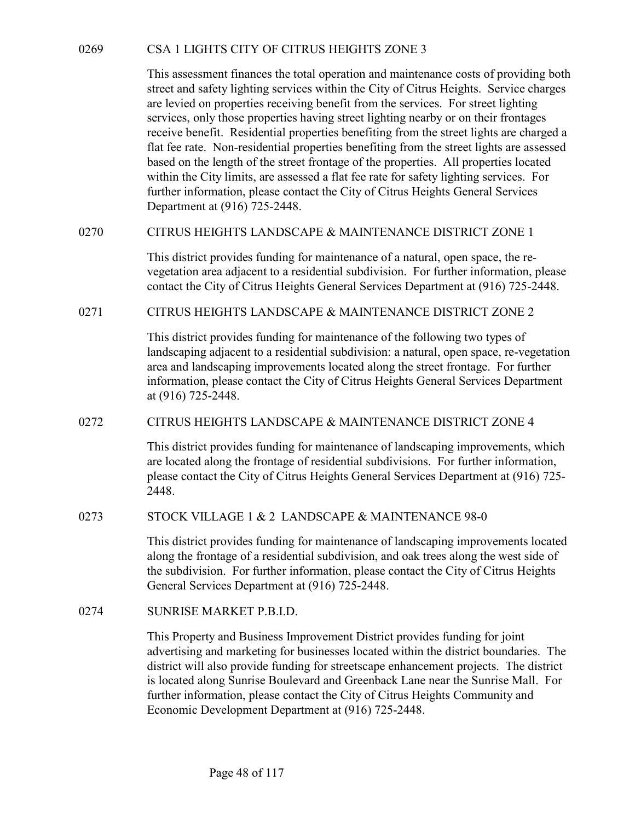O269 CSA 1 LIGHTS CITY OF CITRUS HEIGHTS ZONE 3<br>This assessment finances the total operation and maintenance costs of providing both<br>street and safety lighting services within the City of Citrus Heights. Service charges<br>ar This assessment finances the total operation and maintenance costs of providing both street and safety lighting services within the City of Citrus Heights. Service charges are levied on properties receiving benefit from the services. For street lighting services, only those properties having street lighting nearby or on their frontages receive benefit. Residential properties benefiting from the street lights are charged a flat fee rate. Non-residential properties benefiting from the street lights are assessed based on the length of the street frontage of the properties. All properties located within the City limits, are assessed a flat fee rate for safety lighting services. For further information, please contact the City of Citrus Heights General Services Department at (916) 725-2448. CSA 1 LIGHTS CITY OF CITRUS HEIGHTS ZONE 3<br>
This assessment finances the total operation and maintenance costs of providing both<br>
street and safety lighting services within the City of Clitus Heights. Service charges<br>
are 0269 CSA 1 LIGHTS CITY OF CITRUS HEIGHTS ZONE 3<br>
This assessment finances the total operation and maintenance costs of providing both<br>
street and safety lighting sevices within the City of Citrus Heights. Service charges<br>

This district provides funding for maintenance of a natural, open space, the revegetation area adjacent to a residential subdivision. For further information, please contact the City of Citrus Heights General Services Department at (916) 725-2448.

This district provides funding for maintenance of the following two types of landscaping adjacent to a residential subdivision: a natural, open space, re-vegetation area and landscaping improvements located along the street frontage. For further information, please contact the City of Citrus Heights General Services Department at (916) 725-2448. based on the length of the street frontage of the properties. All properties located<br>within the City limits, are assessed a flat fec rate for safety lighting services. For<br>further information, please contact the City of Ci This district provides funding for maintenance of a natural, open space, the re-<br>
vegetation area adjacent to a residential subdivision. For further information, please<br>
contact the City of Citrus Heights General Services landscaping adjacent to a residential subdivision: a natural, open space and landscaping improvements located along the street frontage information, please contact the City of Citrus Heights General Service at (916) 725-24

This district provides funding for maintenance of landscaping improvements, which are located along the frontage of residential subdivisions. For further information, please contact the City of Citrus Heights General Services Department at (916) 725- 2448.

This district provides funding for maintenance of landscaping improvements located along the frontage of a residential subdivision, and oak trees along the west side of the subdivision. For further information, please contact the City of Citrus Heights General Services Department at (916) 725-2448.

This Property and Business Improvement District provides funding for joint advertising and marketing for businesses located within the district boundaries. The district will also provide funding for streetscape enhancement projects. The district is located along Sunrise Boulevard and Greenback Lane near the Sunrise Mall. For further information, please contact the City of Citrus Heights Community and Economic Development Department at (916) 725-2448.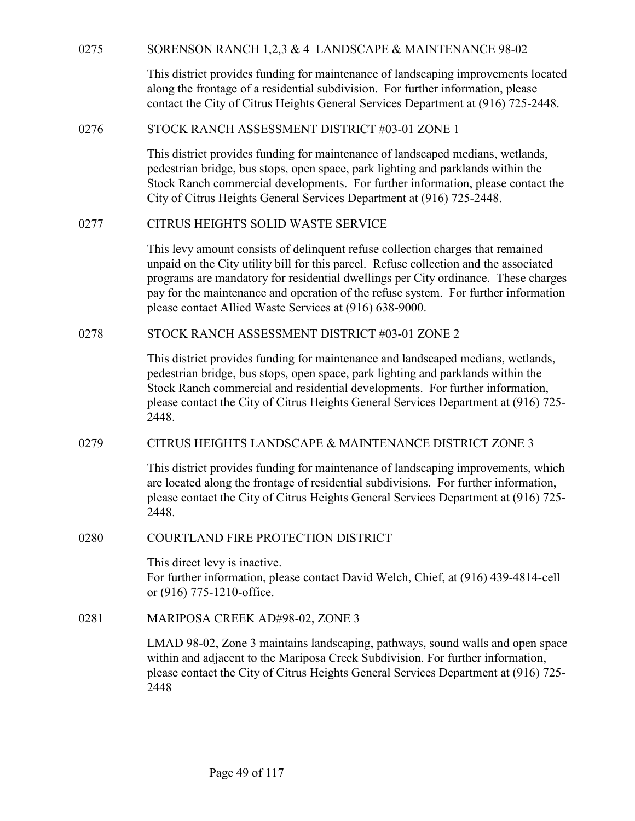| 0275 | SORENSON RANCH 1,2,3 & 4 LANDSCAPE & MAINTENANCE 98-02                                                                                                                                                                                                                                                                                                                                                           |
|------|------------------------------------------------------------------------------------------------------------------------------------------------------------------------------------------------------------------------------------------------------------------------------------------------------------------------------------------------------------------------------------------------------------------|
|      | This district provides funding for maintenance of landscaping improvements located<br>along the frontage of a residential subdivision. For further information, please<br>contact the City of Citrus Heights General Services Department at (916) 725-2448.                                                                                                                                                      |
| 0276 | STOCK RANCH ASSESSMENT DISTRICT #03-01 ZONE 1                                                                                                                                                                                                                                                                                                                                                                    |
|      | This district provides funding for maintenance of landscaped medians, wetlands,<br>pedestrian bridge, bus stops, open space, park lighting and parklands within the<br>Stock Ranch commercial developments. For further information, please contact the<br>City of Citrus Heights General Services Department at (916) 725-2448.                                                                                 |
| 0277 | CITRUS HEIGHTS SOLID WASTE SERVICE                                                                                                                                                                                                                                                                                                                                                                               |
|      | This levy amount consists of delinquent refuse collection charges that remained<br>unpaid on the City utility bill for this parcel. Refuse collection and the associated<br>programs are mandatory for residential dwellings per City ordinance. These charges<br>pay for the maintenance and operation of the refuse system. For further information<br>please contact Allied Waste Services at (916) 638-9000. |
| 0278 | STOCK RANCH ASSESSMENT DISTRICT #03-01 ZONE 2                                                                                                                                                                                                                                                                                                                                                                    |
|      | This district provides funding for maintenance and landscaped medians, wetlands,<br>pedestrian bridge, bus stops, open space, park lighting and parklands within the<br>Stock Ranch commercial and residential developments. For further information,<br>please contact the City of Citrus Heights General Services Department at (916) 725-<br>2448.                                                            |
| 0279 | CITRUS HEIGHTS LANDSCAPE & MAINTENANCE DISTRICT ZONE 3                                                                                                                                                                                                                                                                                                                                                           |
|      | This district provides funding for maintenance of landscaping improvements, which<br>are located along the frontage of residential subdivisions. For further information,<br>please contact the City of Citrus Heights General Services Department at (916) 725-<br>2448.                                                                                                                                        |
| 0280 | COURTLAND FIRE PROTECTION DISTRICT                                                                                                                                                                                                                                                                                                                                                                               |
|      | This direct levy is inactive.<br>For further information, please contact David Welch, Chief, at (916) 439-4814-cell<br>or (916) 775-1210-office.                                                                                                                                                                                                                                                                 |
| 0281 | MARIPOSA CREEK AD#98-02, ZONE 3                                                                                                                                                                                                                                                                                                                                                                                  |
|      | LMAD 98-02, Zone 3 maintains landscaping, pathways, sound walls and open space<br>within and adjacent to the Mariposa Creek Subdivision. For further information,<br>please contact the City of Citrus Heights General Services Department at (916) 725-<br>2448                                                                                                                                                 |
|      |                                                                                                                                                                                                                                                                                                                                                                                                                  |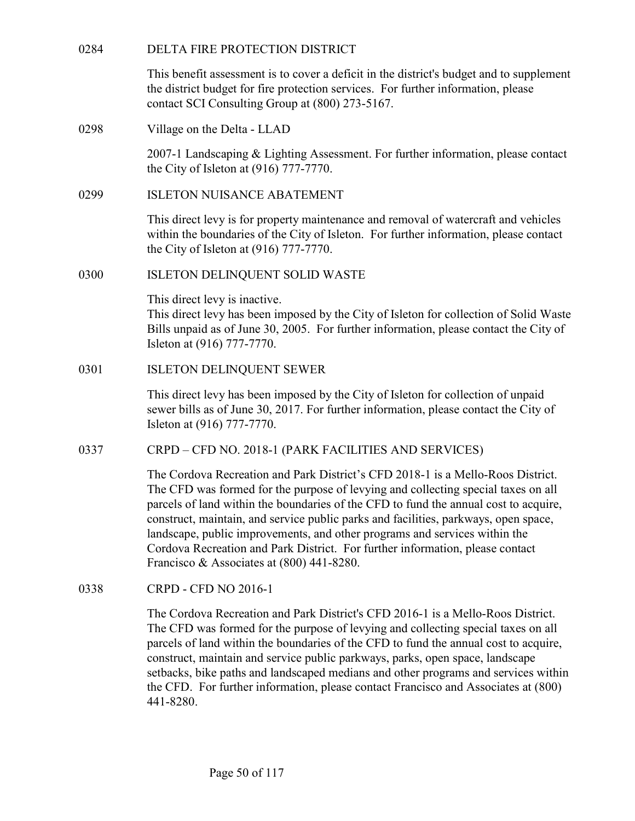| 0284 | DELTA FIRE PROTECTION DISTRICT                                                                                                                                                                                                                                                                                                                                                                                                                                                                                                                                  |
|------|-----------------------------------------------------------------------------------------------------------------------------------------------------------------------------------------------------------------------------------------------------------------------------------------------------------------------------------------------------------------------------------------------------------------------------------------------------------------------------------------------------------------------------------------------------------------|
|      | This benefit assessment is to cover a deficit in the district's budget and to supplement<br>the district budget for fire protection services. For further information, please<br>contact SCI Consulting Group at (800) 273-5167.                                                                                                                                                                                                                                                                                                                                |
| 0298 | Village on the Delta - LLAD                                                                                                                                                                                                                                                                                                                                                                                                                                                                                                                                     |
|      | 2007-1 Landscaping & Lighting Assessment. For further information, please contact<br>the City of Isleton at $(916)$ 777-7770.                                                                                                                                                                                                                                                                                                                                                                                                                                   |
| 0299 | <b>ISLETON NUISANCE ABATEMENT</b>                                                                                                                                                                                                                                                                                                                                                                                                                                                                                                                               |
|      | This direct levy is for property maintenance and removal of watercraft and vehicles<br>within the boundaries of the City of Isleton. For further information, please contact<br>the City of Isleton at $(916)$ 777-7770.                                                                                                                                                                                                                                                                                                                                        |
| 0300 | <b>ISLETON DELINQUENT SOLID WASTE</b>                                                                                                                                                                                                                                                                                                                                                                                                                                                                                                                           |
|      | This direct levy is inactive.<br>This direct levy has been imposed by the City of Isleton for collection of Solid Waste<br>Bills unpaid as of June 30, 2005. For further information, please contact the City of<br>Isleton at (916) 777-7770.                                                                                                                                                                                                                                                                                                                  |
| 0301 | <b>ISLETON DELINQUENT SEWER</b>                                                                                                                                                                                                                                                                                                                                                                                                                                                                                                                                 |
|      | This direct levy has been imposed by the City of Isleton for collection of unpaid<br>sewer bills as of June 30, 2017. For further information, please contact the City of<br>Isleton at (916) 777-7770.                                                                                                                                                                                                                                                                                                                                                         |
| 0337 | CRPD – CFD NO. 2018-1 (PARK FACILITIES AND SERVICES)                                                                                                                                                                                                                                                                                                                                                                                                                                                                                                            |
|      | The Cordova Recreation and Park District's CFD 2018-1 is a Mello-Roos District.<br>The CFD was formed for the purpose of levying and collecting special taxes on all<br>parcels of land within the boundaries of the CFD to fund the annual cost to acquire,<br>construct, maintain, and service public parks and facilities, parkways, open space,<br>landscape, public improvements, and other programs and services within the<br>Cordova Recreation and Park District. For further information, please contact<br>Francisco & Associates at (800) 441-8280. |
| 0338 | <b>CRPD - CFD NO 2016-1</b>                                                                                                                                                                                                                                                                                                                                                                                                                                                                                                                                     |
|      | The Cordova Recreation and Park District's CFD 2016-1 is a Mello-Roos District.<br>The CFD was formed for the purpose of levying and collecting special taxes on all<br>parcels of land within the boundaries of the CFD to fund the annual cost to acquire,<br>construct, maintain and service public parkways, parks, open space, landscape<br>setbacks, bike paths and landscaped medians and other programs and services within<br>the CFD. For further information, please contact Francisco and Associates at (800)<br>441-8280.                          |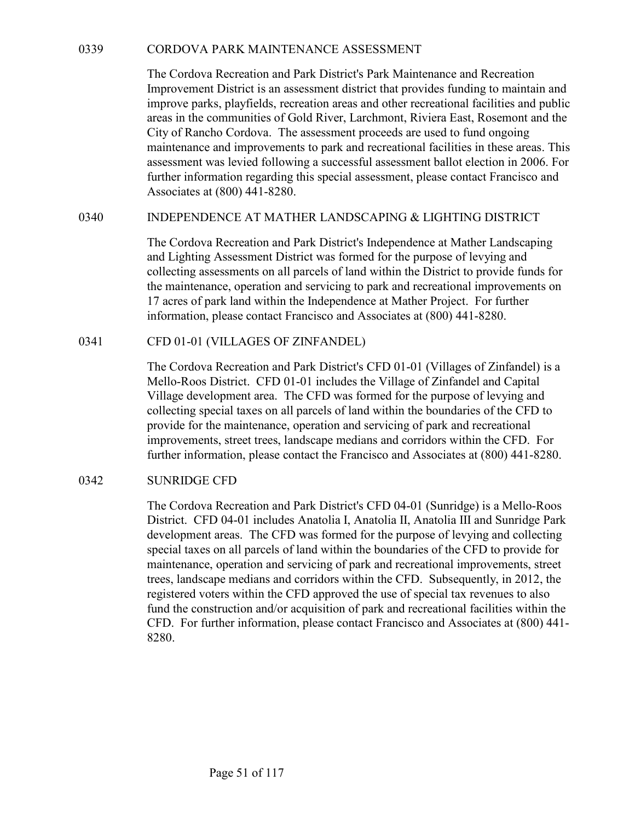CORDOVA PARK MAINTENANCE ASSESSMENT<br>The Cordova Recreation and Park District's Park Maintenance and Recreation<br>Improvement District is an assessment district that provides funding to maintain and<br>improve parks, playfields, The Cordova Recreation and Park District's Park Maintenance and Recreation Improvement District is an assessment district that provides funding to maintain and improve parks, playfields, recreation areas and other recreational facilities and public areas in the communities of Gold River, Larchmont, Riviera East, Rosemont and the City of Rancho Cordova. The assessment proceeds are used to fund ongoing maintenance and improvements to park and recreational facilities in these areas. This assessment was levied following a successful assessment ballot election in 2006. For further information regarding this special assessment, please contact Francisco and Associates at (800) 441-8280. CORDOVA PARK MAINTENANCE ASSESSMENT<br>The Cordova Recreation and Park District's Park Maintenance and Recreation<br>Improvement District is an assessment district that provides funding to maintain and<br>improve parks, playfields, Inc Cordova Recreation and Park District's Park Maintenace and New Inprovement District is an assessment district that provides funding<br>improve parks, playfields, recreation areas and other recreational fac<br>areas in the co

The Cordova Recreation and Park District's Independence at Mather Landscaping and Lighting Assessment District was formed for the purpose of levying and collecting assessments on all parcels of land within the District to provide funds for the maintenance, operation and servicing to park and recreational improvements on 17 acres of park land within the Independence at Mather Project. For further information, please contact Francisco and Associates at (800) 441-8280.

The Cordova Recreation and Park District's CFD 01-01 (Villages of Zinfandel) is a Mello-Roos District. CFD 01-01 includes the Village of Zinfandel and Capital Village development area. The CFD was formed for the purpose of levying and collecting special taxes on all parcels of land within the boundaries of the CFD to provide for the maintenance, operation and servicing of park and recreational improvements, street trees, landscape medians and corridors within the CFD. For further information, please contact the Francisco and Associates at (800) 441-8280. 0340 INDEPENDENCE AT MATHER LANDSCAPING & LIGHTING I<br>The Cordova Recreation and Park District's Independence at Mather<br>and Lighting Assessment District was formed for the purpose of levy<br>collecting assessments on all parce

The Cordova Recreation and Park District's CFD 04-01 (Sunridge) is a Mello-Roos District. CFD 04-01 includes Anatolia I, Anatolia II, Anatolia III and Sunridge Park development areas. The CFD was formed for the purpose of levying and collecting special taxes on all parcels of land within the boundaries of the CFD to provide for maintenance, operation and servicing of park and recreational improvements, street trees, landscape medians and corridors within the CFD. Subsequently, in 2012, the registered voters within the CFD approved the use of special tax revenues to also fund the construction and/or acquisition of park and recreational facilities within the CFD. For further information, please contact Francisco and Associates at (800) 441- 8280.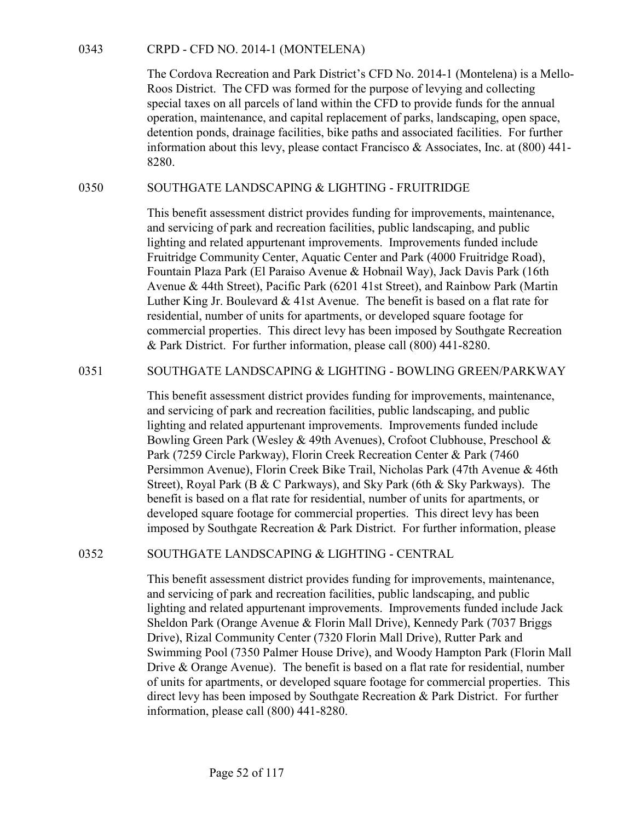CRPD - CFD NO. 2014-1 (MONTELENA)<br>The Cordova Recreation and Park District's CFD No. 2014-1 (Mont<br>Roos District. The CFD was formed for the purpose of levying and<br>special taxes on all parcels of land within the CFD to prov The Cordova Recreation and Park District's CFD No. 2014-1 (Montelena) is a Mello-Roos District. The CFD was formed for the purpose of levying and collecting special taxes on all parcels of land within the CFD to provide funds for the annual operation, maintenance, and capital replacement of parks, landscaping, open space, detention ponds, drainage facilities, bike paths and associated facilities. For further information about this levy, please contact Francisco & Associates, Inc. at (800) 441- 8280. CRPD - CFD NO. 2014-1 (MONTELENA)<br>
The Cordova Recreation and Park District's CFD No. 2014-1 (Montelena) is a Mello-<br>
Roos District. The CFD was formed for the purpose of levying and collecting<br>
special taxes on all parce

This benefit assessment district provides funding for improvements, maintenance, and servicing of park and recreation facilities, public landscaping, and public lighting and related appurtenant improvements. Improvements funded include Fruitridge Community Center, Aquatic Center and Park (4000 Fruitridge Road), Fountain Plaza Park (El Paraiso Avenue & Hobnail Way), Jack Davis Park (16th Avenue & 44th Street), Pacific Park (6201 41st Street), and Rainbow Park (Martin Luther King Jr. Boulevard & 41st Avenue. The benefit is based on a flat rate for residential, number of units for apartments, or developed square footage for commercial properties. This direct levy has been imposed by Southgate Recreation & Park District. For further information, please call (800) 441-8280. special taxes on all parcels of rand within the CFD to provide fluids of the annual<br>operation, maintcnance, and capital replacement of parks, landscaping, open space,<br>detention ponds, drainage facilities, bike paths and as

This benefit assessment district provides funding for improvements, maintenance, and servicing of park and recreation facilities, public landscaping, and public lighting and related appurtenant improvements. Improvements funded include Bowling Green Park (Wesley & 49th Avenues), Crofoot Clubhouse, Preschool & Park (7259 Circle Parkway), Florin Creek Recreation Center & Park (7460 Persimmon Avenue), Florin Creek Bike Trail, Nicholas Park (47th Avenue & 46th Street), Royal Park (B & C Parkways), and Sky Park (6th & Sky Parkways). The benefit is based on a flat rate for residential, number of units for apartments, or developed square footage for commercial properties. This direct levy has been imposed by Southgate Recreation & Park District. For further information, please Aventue & 44th Merelly, Pacine Park (6201 41sts Street), and Kanolov Park (1/24th<br>Luther King Jr. Boulevard & 41st Avenue. The benefit is based on a flat rate for<br>residential, number of units for apartments, or developed s

This benefit assessment district provides funding for improvements, maintenance, and servicing of park and recreation facilities, public landscaping, and public lighting and related appurtenant improvements. Improvements funded include Jack Sheldon Park (Orange Avenue & Florin Mall Drive), Kennedy Park (7037 Briggs Drive), Rizal Community Center (7320 Florin Mall Drive), Rutter Park and Swimming Pool (7350 Palmer House Drive), and Woody Hampton Park (Florin Mall Drive & Orange Avenue). The benefit is based on a flat rate for residential, number of units for apartments, or developed square footage for commercial properties. This direct levy has been imposed by Southgate Recreation & Park District. For further information, please call (800) 441-8280.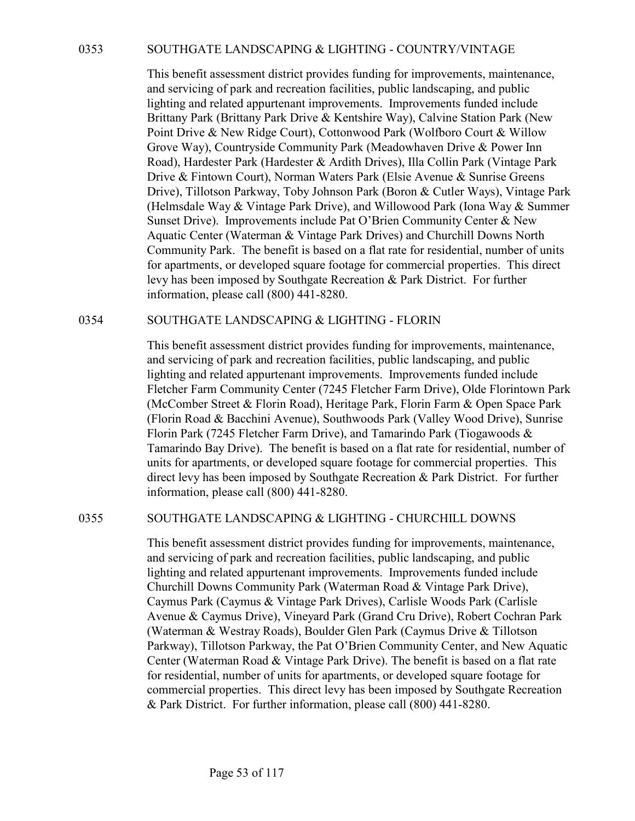0353<br>
SOUTHGATE LANDSCAPING & LIGHTING - COUNTRY/VINTAGE<br>
This benefit assessment district provides funding for improvements, maintenance,<br>
and servicing of park and recreation facilities, public landscaping, and public<br>
l This benefit assessment district provides funding for improvements, maintenance, and servicing of park and recreation facilities, public landscaping, and public lighting and related appurtenant improvements. Improvements funded include Brittany Park (Brittany Park Drive & Kentshire Way), Calvine Station Park (New Point Drive & New Ridge Court), Cottonwood Park (Wolfboro Court & Willow Grove Way), Countryside Community Park (Meadowhaven Drive & Power Inn Road), Hardester Park (Hardester & Ardith Drives), Illa Collin Park (Vintage Park Drive & Fintown Court), Norman Waters Park (Elsie Avenue & Sunrise Greens Drive), Tillotson Parkway, Toby Johnson Park (Boron & Cutler Ways), Vintage Park (Helmsdale Way & Vintage Park Drive), and Willowood Park (Iona Way & Summer Sunset Drive). Improvements include Pat O'Brien Community Center & New Aquatic Center (Waterman & Vintage Park Drives) and Churchill Downs North Community Park. The benefit is based on a flat rate for residential, number of units for apartments, or developed square footage for commercial properties. This direct levy has been imposed by Southgate Recreation & Park District. For further information, please call (800) 441-8280. Source Conserver Entroited Transfortation Conserver Conserver in Fig. benefit assessment district provides funding for improvements, maintenance, and servicing of park and recreation facilities, public landscaping, and pu

This benefit assessment district provides funding for improvements, maintenance, and servicing of park and recreation facilities, public landscaping, and public lighting and related appurtenant improvements. Improvements funded include Fletcher Farm Community Center (7245 Fletcher Farm Drive), Olde Florintown Park (McComber Street & Florin Road), Heritage Park, Florin Farm & Open Space Park (Florin Road & Bacchini Avenue), Southwoods Park (Valley Wood Drive), Sunrise Florin Park (7245 Fletcher Farm Drive), and Tamarindo Park (Tiogawoods & Tamarindo Bay Drive). The benefit is based on a flat rate for residential, number of units for apartments, or developed square footage for commercial properties. This direct levy has been imposed by Southgate Recreation & Park District. For further information, please call (800) 441-8280. Community prant. The oncient is based on a latt rate for residential, number or units<br>for apartments, or developed square footage for commercial properties. This direct<br>levy has been imposed by Southgate Recreation & Park

This benefit assessment district provides funding for improvements, maintenance, and servicing of park and recreation facilities, public landscaping, and public lighting and related appurtenant improvements. Improvements funded include Churchill Downs Community Park (Waterman Road & Vintage Park Drive), Caymus Park (Caymus & Vintage Park Drives), Carlisle Woods Park (Carlisle Avenue & Caymus Drive), Vineyard Park (Grand Cru Drive), Robert Cochran Park (Waterman & Westray Roads), Boulder Glen Park (Caymus Drive & Tillotson Parkway), Tillotson Parkway, the Pat O'Brien Community Center, and New Aquatic Center (Waterman Road & Vintage Park Drive). The benefit is based on a flat rate for residential, number of units for apartments, or developed square footage for commercial properties. This direct levy has been imposed by Southgate Recreation & Park District. For further information, please call (800) 441-8280.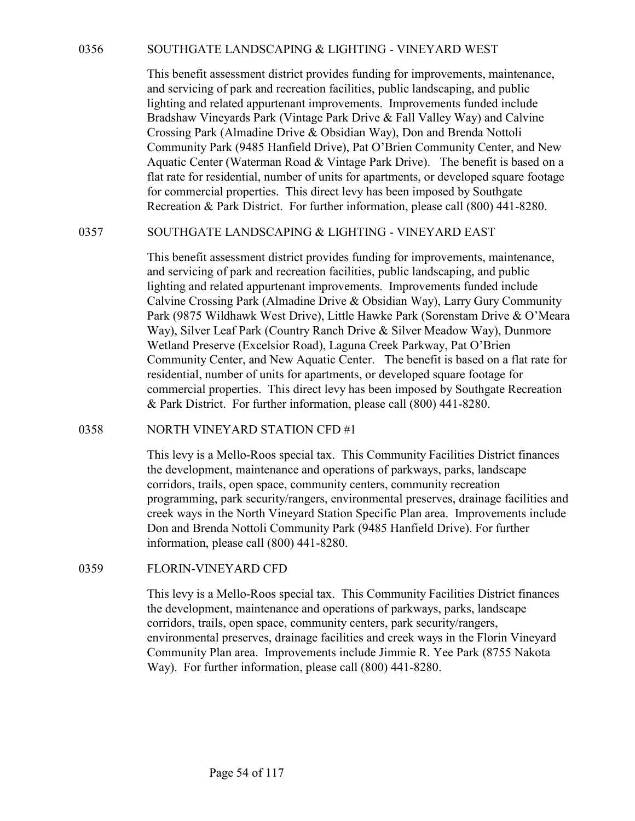0356 SOUTHGATE LANDSCAPING & LIGHTING - VINEYARD WEST<br>This benefit assessment district provides funding for improvements, maintenance,<br>and servicing of park and recreation facilities, public landscaping, and public<br>lighti This benefit assessment district provides funding for improvements, maintenance, and servicing of park and recreation facilities, public landscaping, and public lighting and related appurtenant improvements. Improvements funded include Bradshaw Vineyards Park (Vintage Park Drive & Fall Valley Way) and Calvine Crossing Park (Almadine Drive & Obsidian Way), Don and Brenda Nottoli Community Park (9485 Hanfield Drive), Pat O'Brien Community Center, and New Aquatic Center (Waterman Road & Vintage Park Drive). The benefit is based on a flat rate for residential, number of units for apartments, or developed square footage for commercial properties. This direct levy has been imposed by Southgate Recreation & Park District. For further information, please call (800) 441-8280. 0356<br>
SOUTHGATE LANDSCAPING & LIGHTING - VINEYARD WEST<br>
This benefit assessment district provides funding for improvements, maintenance,<br>
and serveling of park and recention facilities, public landscaping, and public<br>
lig

This benefit assessment district provides funding for improvements, maintenance, and servicing of park and recreation facilities, public landscaping, and public lighting and related appurtenant improvements. Improvements funded include Calvine Crossing Park (Almadine Drive & Obsidian Way), Larry Gury Community Park (9875 Wildhawk West Drive), Little Hawke Park (Sorenstam Drive & O'Meara Way), Silver Leaf Park (Country Ranch Drive & Silver Meadow Way), Dunmore Wetland Preserve (Excelsior Road), Laguna Creek Parkway, Pat O'Brien Community Center, and New Aquatic Center. The benefit is based on a flat rate for residential, number of units for apartments, or developed square footage for commercial properties. This direct levy has been imposed by Southgate Recreation & Park District. For further information, please call (800) 441-8280. Aquate Center (waterman Koao & v nuage Park Drive). Ine benefit is the calculated that rate for residential, number of units for apartments, or developed square for commercial properties. This direct levy has been imposed Cavine Crossing Park (Amadine Drive & Oosistian way), Larry Gromy Compact Park (9875 Wildhawk West Drive), Little Hawke Park (Screnstam Drive & Way), Silver Leaf Park (Country Ranch Drive & Silver Meadow Way), Dur Weltland

This levy is a Mello-Roos special tax. This Community Facilities District finances the development, maintenance and operations of parkways, parks, landscape corridors, trails, open space, community centers, community recreation programming, park security/rangers, environmental preserves, drainage facilities and creek ways in the North Vineyard Station Specific Plan area. Improvements include Don and Brenda Nottoli Community Park (9485 Hanfield Drive). For further information, please call (800) 441-8280.

This levy is a Mello-Roos special tax. This Community Facilities District finances the development, maintenance and operations of parkways, parks, landscape corridors, trails, open space, community centers, park security/rangers, environmental preserves, drainage facilities and creek ways in the Florin Vineyard Community Plan area. Improvements include Jimmie R. Yee Park (8755 Nakota Way). For further information, please call (800) 441-8280.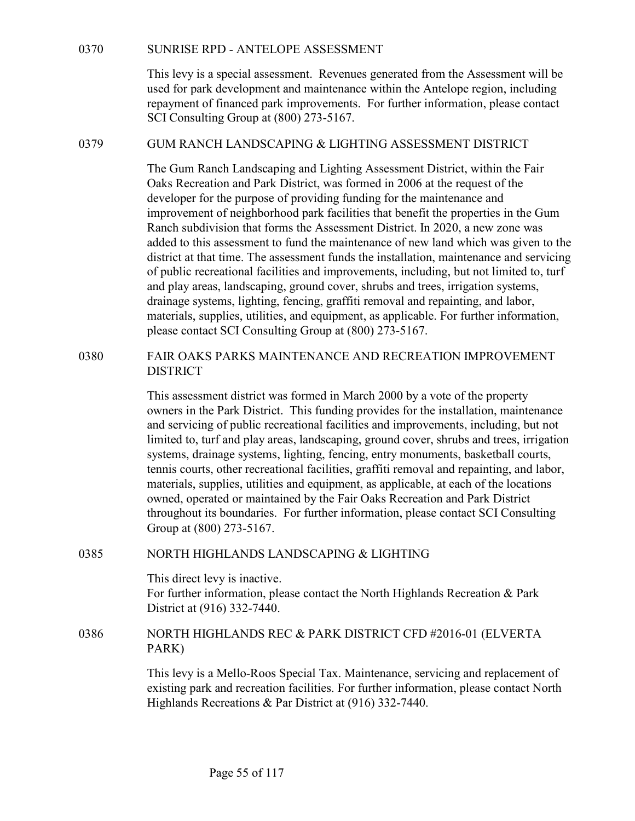SUNRISE RPD - ANTELOPE ASSESSMENT<br>This levy is a special assessment. Revenues generated from the Assessment will be<br>used for park development and maintenance within the Antelope region, including<br>repayment of financed park This levy is a special assessment. Revenues generated from the Assessment will be used for park development and maintenance within the Antelope region, including repayment of financed park improvements. For further information, please contact SCI Consulting Group at (800) 273-5167. SUNRISE RPD - ANTELOPE ASSESSMENT<br>
This levy is a special assessment. Revenues generated from the Assessment will be<br>
used for park development and maintenance within the Antelope region, including<br>
repayment of financed p

The Gum Ranch Landscaping and Lighting Assessment District, within the Fair Oaks Recreation and Park District, was formed in 2006 at the request of the developer for the purpose of providing funding for the maintenance and improvement of neighborhood park facilities that benefit the properties in the Gum Ranch subdivision that forms the Assessment District. In 2020, a new zone was added to this assessment to fund the maintenance of new land which was given to the district at that time. The assessment funds the installation, maintenance and servicing of public recreational facilities and improvements, including, but not limited to, turf and play areas, landscaping, ground cover, shrubs and trees, irrigation systems, drainage systems, lighting, fencing, graffiti removal and repainting, and labor, materials, supplies, utilities, and equipment, as applicable. For further information, please contact SCI Consulting Group at (800) 273-5167. used for park development and mantenance within the Antienpe region, including<br>repayment of financed park improvements. For further information, please contact<br>SCI Consulting Group at (800) 273-5167.<br>GIM RANCH LANDSCAPING

# DISTRICT

This assessment district was formed in March 2000 by a vote of the property owners in the Park District. This funding provides for the installation, maintenance and servicing of public recreational facilities and improvements, including, but not limited to, turf and play areas, landscaping, ground cover, shrubs and trees, irrigation systems, drainage systems, lighting, fencing, entry monuments, basketball courts, tennis courts, other recreational facilities, graffiti removal and repainting, and labor, materials, supplies, utilities and equipment, as applicable, at each of the locations owned, operated or maintained by the Fair Oaks Recreation and Park District throughout its boundaries. For further information, please contact SCI Consulting Group at (800) 273-5167. and play areas, landscaping, ground cover, shrubs and trees, rriggation systems, including, encing, encing, encing and labor, materials, supplies, utilities, and equipment, as applicable. For further information, please co DISTRICT<br>
This assessment district was formed in March 2000 by a vote of the property<br>
ewores in the Park District. This funding provides for the installation, maintenance<br>
and servicing of public recreational facilities

This direct levy is inactive. For further information, please contact the North Highlands Recreation & Park District at (916) 332-7440.

# PARK)

This levy is a Mello-Roos Special Tax. Maintenance, servicing and replacement of existing park and recreation facilities. For further information, please contact North Highlands Recreations & Par District at (916) 332-7440.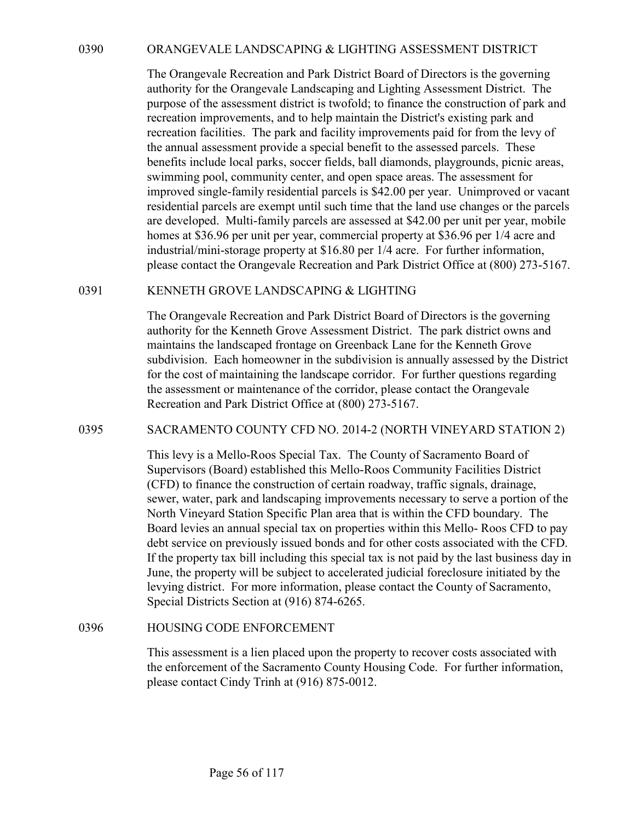0390 ORANGEVALE LANDSCAPING & LIGHTING ASSESSMENT DISTRICT<br>The Orangevale Recreation and Park District Board of Directors is the governing<br>authority for the Orangevale Landscaping and Lighting Assessment District. The<br>purp The Orangevale Recreation and Park District Board of Directors is the governing authority for the Orangevale Landscaping and Lighting Assessment District. The purpose of the assessment district is twofold; to finance the construction of park and recreation improvements, and to help maintain the District's existing park and recreation facilities. The park and facility improvements paid for from the levy of the annual assessment provide a special benefit to the assessed parcels. These benefits include local parks, soccer fields, ball diamonds, playgrounds, picnic areas, swimming pool, community center, and open space areas. The assessment for improved single-family residential parcels is \$42.00 per year. Unimproved or vacant residential parcels are exempt until such time that the land use changes or the parcels are developed. Multi-family parcels are assessed at \$42.00 per unit per year, mobile homes at \$36.96 per unit per year, commercial property at \$36.96 per 1/4 acre and industrial/mini-storage property at \$16.80 per 1/4 acre. For further information, please contact the Orangevale Recreation and Park District Office at (800) 273-5167. 0390 ORANGEVALE LANDSCAPING & LIGHTING ASSESSMENT DISTRICT<br>The Orangevale Recreation and Park District Board of Directors is the governing<br>authority for the Orangevale Landscaping and Lighting Assessment District. The<br>purp benefits include local parts, soccer frelats, bail diamonos, playgrounos, penne swimming pool, community center, and open space areas. The assessment for<br>improved single-family residential parcels is \$42.00 per year. Unimp

The Orangevale Recreation and Park District Board of Directors is the governing authority for the Kenneth Grove Assessment District. The park district owns and maintains the landscaped frontage on Greenback Lane for the Kenneth Grove subdivision. Each homeowner in the subdivision is annually assessed by the District for the cost of maintaining the landscape corridor. For further questions regarding the assessment or maintenance of the corridor, please contact the Orangevale Recreation and Park District Office at (800) 273-5167.

This levy is a Mello-Roos Special Tax. The County of Sacramento Board of Supervisors (Board) established this Mello-Roos Community Facilities District (CFD) to finance the construction of certain roadway, traffic signals, drainage, sewer, water, park and landscaping improvements necessary to serve a portion of the North Vineyard Station Specific Plan area that is within the CFD boundary. The Board levies an annual special tax on properties within this Mello- Roos CFD to pay debt service on previously issued bonds and for other costs associated with the CFD. If the property tax bill including this special tax is not paid by the last business day in June, the property will be subject to accelerated judicial foreclosure initiated by the levying district. For more information, please contact the County of Sacramento, Special Districts Section at (916) 874-6265. subaryision. Each noneowner in the subaryision is annually assessed by the cost of maintaining the landscape corridor. For further questions regar the assessment or maintenance of the corridor, please contact the Orangeval

This assessment is a lien placed upon the property to recover costs associated with the enforcement of the Sacramento County Housing Code. For further information, please contact Cindy Trinh at (916) 875-0012.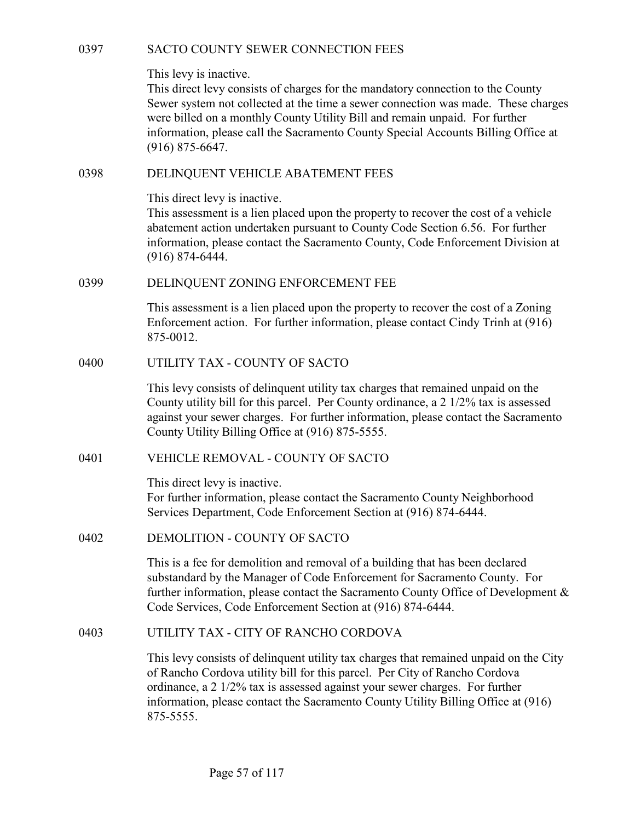This levy is inactive.

SACTO COUNTY SEWER CONNECTION FEES<br>This levy is inactive.<br>This direct levy consists of charges for the mandatory connection to the County<br>Sewer system not collected at the time a sewer connection was made. These charges<br>we This direct levy consists of charges for the mandatory connection to the County Sewer system not collected at the time a sewer connection was made. These charges were billed on a monthly County Utility Bill and remain unpaid. For further information, please call the Sacramento County Special Accounts Billing Office at (916) 875-6647. SACTO COUNTY SEWER CONNECTION FEES<br>
This levy is inactive.<br>
This direct levy consists of charges for the mandatory connection to<br>
Sewer system not collected at the time a sewer connection was made<br>
were billed on a monthly 0397 SACTO COUNTY SEWER CONNECTION FEES<br>
This levy is inactive.<br>
This direct levy consists of charges for the mandatory connection to<br>
Sewer system not collected at the time a sewer connection was made<br>
were billed on a mo Sewer system not collected at the time a sewer connection was made. These charges<br>were billed on a monthly County Utility Bill and remain unpaid. For further<br>information, please call the Sacramento County Special Accounts

This direct levy is inactive.

This assessment is a lien placed upon the property to recover the cost of a vehicle abatement action undertaken pursuant to County Code Section 6.56. For further information, please contact the Sacramento County, Code Enforcement Division at (916) 874-6444. This direct levy is inactive.<br>
This assessment is a lien placed upon the property to recover the cos<br>
abatement action undertaken pursuant to County Code Section 6.56.<br>
information, please contact the Sacramento County, Co

This assessment is a lien placed upon the property to recover the cost of a Zoning Enforcement action. For further information, please contact Cindy Trinh at (916) 875-0012.

This levy consists of delinquent utility tax charges that remained unpaid on the County utility bill for this parcel. Per County ordinance, a  $2 \frac{1}{2}\%$  tax is assessed against your sewer charges. For further information, please contact the Sacramento County Utility Billing Office at (916) 875-5555. 0399 DELINQUENT ZONING ENFORCEMENT FEE<br>
This assessment is a lien placed upon the property to recover the cos<br>
Enforcement action. For further information, please contact Cindy 1<br>
875-0012.<br>
UTILITY TAX - COUNTY OF SACTO<br>

This direct levy is inactive.

For further information, please contact the Sacramento County Neighborhood Services Department, Code Enforcement Section at (916) 874-6444.

This is a fee for demolition and removal of a building that has been declared substandard by the Manager of Code Enforcement for Sacramento County. For further information, please contact the Sacramento County Office of Development & Code Services, Code Enforcement Section at (916) 874-6444. The levy consists of eldinquent utility tax charges that remained unpaid on the<br>
This levy consists of eldinquent utility tax charges that remaining unpaid on the<br>
County Utility bill for this parel. Per County ordinance,

This levy consists of delinquent utility tax charges that remained unpaid on the City of Rancho Cordova utility bill for this parcel. Per City of Rancho Cordova ordinance, a 2 1/2% tax is assessed against your sewer charges. For further information, please contact the Sacramento County Utility Billing Office at (916) 875-5555.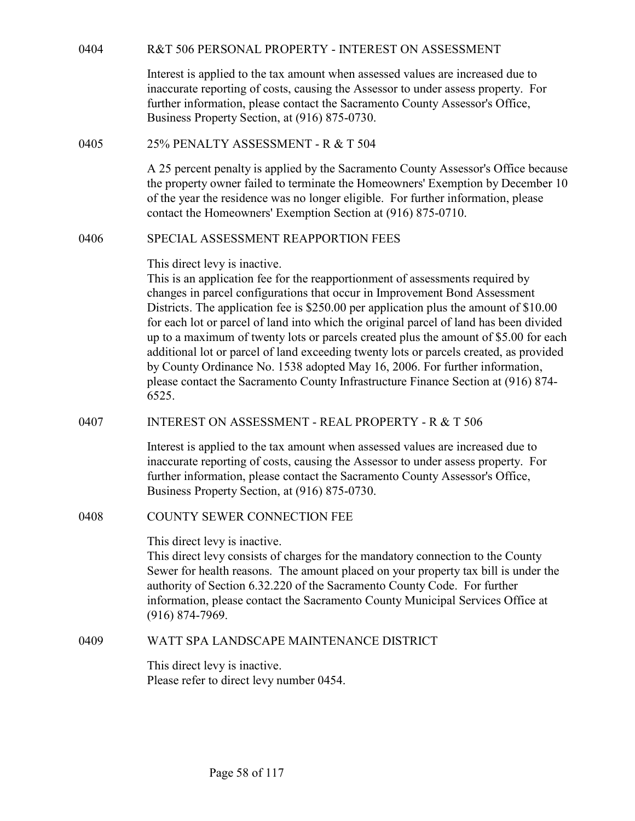| 0404 | R&T 506 PERSONAL PROPERTY - INTEREST ON ASSESSMENT                                                                                                                                                                                                                                                                                                                                                                                                                                                                                                                                                                                                                                                                                             |
|------|------------------------------------------------------------------------------------------------------------------------------------------------------------------------------------------------------------------------------------------------------------------------------------------------------------------------------------------------------------------------------------------------------------------------------------------------------------------------------------------------------------------------------------------------------------------------------------------------------------------------------------------------------------------------------------------------------------------------------------------------|
|      | Interest is applied to the tax amount when assessed values are increased due to<br>inaccurate reporting of costs, causing the Assessor to under assess property. For<br>further information, please contact the Sacramento County Assessor's Office,<br>Business Property Section, at (916) 875-0730.                                                                                                                                                                                                                                                                                                                                                                                                                                          |
| 0405 | 25% PENALTY ASSESSMENT - R & T 504                                                                                                                                                                                                                                                                                                                                                                                                                                                                                                                                                                                                                                                                                                             |
|      | A 25 percent penalty is applied by the Sacramento County Assessor's Office because<br>the property owner failed to terminate the Homeowners' Exemption by December 10<br>of the year the residence was no longer eligible. For further information, please<br>contact the Homeowners' Exemption Section at (916) 875-0710.                                                                                                                                                                                                                                                                                                                                                                                                                     |
| 0406 | SPECIAL ASSESSMENT REAPPORTION FEES                                                                                                                                                                                                                                                                                                                                                                                                                                                                                                                                                                                                                                                                                                            |
|      | This direct levy is inactive.<br>This is an application fee for the reapportionment of assessments required by<br>changes in parcel configurations that occur in Improvement Bond Assessment<br>Districts. The application fee is \$250.00 per application plus the amount of \$10.00<br>for each lot or parcel of land into which the original parcel of land has been divided<br>up to a maximum of twenty lots or parcels created plus the amount of \$5.00 for each<br>additional lot or parcel of land exceeding twenty lots or parcels created, as provided<br>by County Ordinance No. 1538 adopted May 16, 2006. For further information,<br>please contact the Sacramento County Infrastructure Finance Section at (916) 874-<br>6525. |
| 0407 | <b>INTEREST ON ASSESSMENT - REAL PROPERTY - R &amp; T 506</b>                                                                                                                                                                                                                                                                                                                                                                                                                                                                                                                                                                                                                                                                                  |
|      | Interest is applied to the tax amount when assessed values are increased due to<br>inaccurate reporting of costs, causing the Assessor to under assess property. For<br>further information, please contact the Sacramento County Assessor's Office,<br>Business Property Section, at (916) 875-0730.                                                                                                                                                                                                                                                                                                                                                                                                                                          |
| 0408 | COUNTY SEWER CONNECTION FEE                                                                                                                                                                                                                                                                                                                                                                                                                                                                                                                                                                                                                                                                                                                    |
|      | This direct levy is inactive.<br>This direct levy consists of charges for the mandatory connection to the County<br>Sewer for health reasons. The amount placed on your property tax bill is under the<br>authority of Section 6.32.220 of the Sacramento County Code. For further<br>information, please contact the Sacramento County Municipal Services Office at<br>$(916) 874 - 7969.$                                                                                                                                                                                                                                                                                                                                                    |
| 0409 | WATT SPA LANDSCAPE MAINTENANCE DISTRICT                                                                                                                                                                                                                                                                                                                                                                                                                                                                                                                                                                                                                                                                                                        |
|      | This direct levy is inactive.<br>Please refer to direct levy number 0454.                                                                                                                                                                                                                                                                                                                                                                                                                                                                                                                                                                                                                                                                      |
|      |                                                                                                                                                                                                                                                                                                                                                                                                                                                                                                                                                                                                                                                                                                                                                |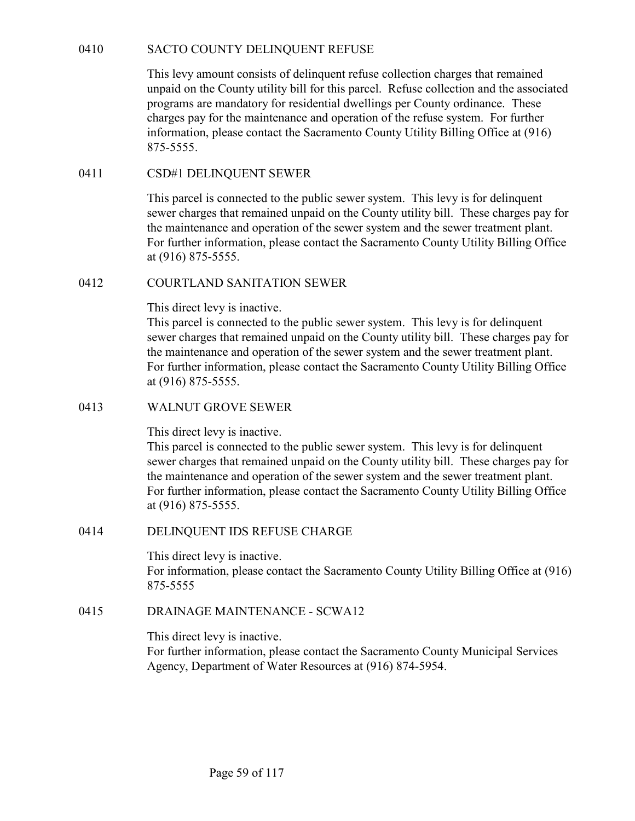0410 SACTO COUNTY DELINQUENT REFUSE<br>This levy amount consists of delinquent refuse collection charges that remained<br>unpaid on the County utility bill for this parcel. Refuse collection and the associated<br>programs are manda This levy amount consists of delinquent refuse collection charges that remained unpaid on the County utility bill for this parcel. Refuse collection and the associated programs are mandatory for residential dwellings per County ordinance. These charges pay for the maintenance and operation of the refuse system. For further information, please contact the Sacramento County Utility Billing Office at (916) 875-5555. SACTO COUNTY DELINQUENT REFUSE<br>
This levy amount consists of delinquent refuse collection charges that remain<br>
unpaid on the County utility bill for this parcel. Refuse collection and the association<br>
programs are mandator SACTO COUNTY DELINQUENT REFUSE<br>
This levy amount consists of delinquent refuse collection charges the<br>
unpaid on the County utility bill for this parcel. Refuse collection ar<br>
programs are mandatory for residential dwellin

This parcel is connected to the public sewer system. This levy is for delinquent sewer charges that remained unpaid on the County utility bill. These charges pay for the maintenance and operation of the sewer system and the sewer treatment plant. For further information, please contact the Sacramento County Utility Billing Office at (916) 875-5555.

This direct levy is inactive.

This parcel is connected to the public sewer system. This levy is for delinquent sewer charges that remained unpaid on the County utility bill. These charges pay for the maintenance and operation of the sewer system and the sewer treatment plant. For further information, please contact the Sacramento County Utility Billing Office at (916) 875-5555. 875-5555.<br>
0411 CSD#1 DELINQUENT SEWER<br>
10411 CSD#1 DELINQUENT SEWER<br>
10411 CSD#1 DELINQUENT SEWER<br>
10412 This parcel is connected to the public sewer system. This levy is for<br>
sewer charges that transincal unpaid on the C COURTLAND SANITATION SEWER<br>
This direct levy is inactive.<br>
This linect levy is inactive.<br>
This parcel is connected to the public sewer system. This levy is for delinquent<br>
sewer charges that remained unpaid on the County u

This direct levy is inactive.

This parcel is connected to the public sewer system. This levy is for delinquent sewer charges that remained unpaid on the County utility bill. These charges pay for the maintenance and operation of the sewer system and the sewer treatment plant. For further information, please contact the Sacramento County Utility Billing Office at (916) 875-5555. the maintenance and operation of the sewer system and the sewer tre<br>
For further information, please contact the Sacramento County Utilit<br>
at (916) 875-5555.<br>
WALNUT GROVE SEWER<br>
This direct levy is inactive.<br>
This parcel

This direct levy is inactive. For information, please contact the Sacramento County Utility Billing Office at (916) 875-5555

This direct levy is inactive.

For further information, please contact the Sacramento County Municipal Services Agency, Department of Water Resources at (916) 874-5954.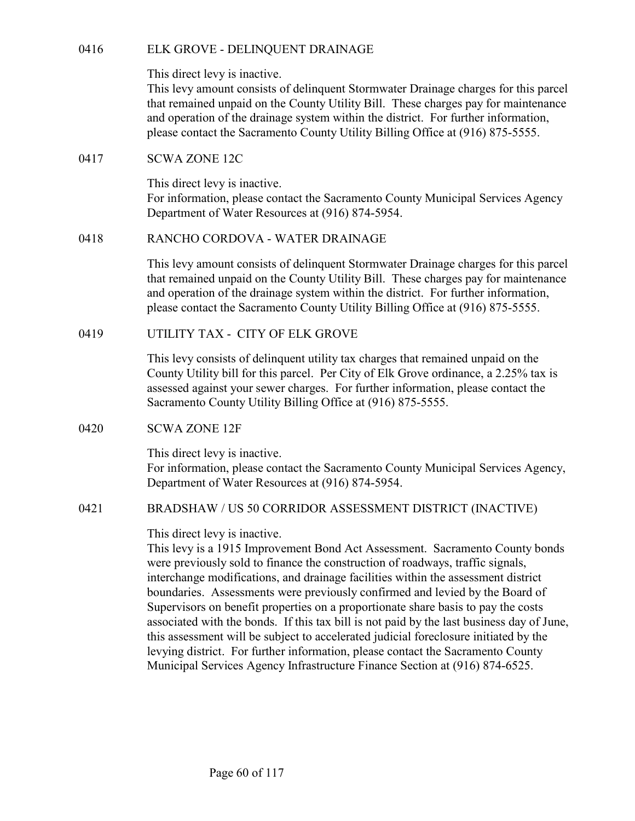0416 ELK GROVE - DELINQUENT DRAINAGE<br>
This direct levy is inactive.<br>
This levy amount consists of delinquent Stormwater Drainage charge<br>
that remained unpaid on the County Utility Bill. These charges pay<br>
and operation of This levy amount consists of delinquent Stormwater Drainage charges for this parcel that remained unpaid on the County Utility Bill. These charges pay for maintenance and operation of the drainage system within the district. For further information, please contact the Sacramento County Utility Billing Office at (916) 875-5555. ELK GROVE - DELINQUENT DRAINAGE<br>
This direct levy is inactive.<br>
This levy amount consists of delinquent Stormwater Drainage charge<br>
that remained unpaid on the County Utility Bill. These charges pay<br>
and operation of the d ELK GROVE - DELINQUENT DRAINAGE<br>
This direct levy is inactive.<br>
This levy amount consists of delinquent Stormwater Drainage charge<br>
that remained unpaid on the County Utility Bill. These charges pay<br>
and operation of the d

This direct levy is inactive. For information, please contact the Sacramento County Municipal Services Agency Department of Water Resources at (916) 874-5954.

This levy amount consists of delinquent Stormwater Drainage charges for this parcel that remained unpaid on the County Utility Bill. These charges pay for maintenance and operation of the drainage system within the district. For further information, please contact the Sacramento County Utility Billing Office at (916) 875-5555. This direct levy is inactive.<br>
This levy amount consists of delinquent Stormwater Drainage charges for this part<br>
in levy amount consists of delinquent Stormwater Drainage charges pay for maintcnand<br>
and operation of the d EXECTIVE CONDOVYA - WATER DRYHIVAGE.<br>
This levy amount consists of delinquent Stormwater Drainage charges for this parcel<br>
that remained unpaid on the County Utility Bill. These charges pay for maintenance<br>
and operation o

This levy consists of delinquent utility tax charges that remained unpaid on the County Utility bill for this parcel. Per City of Elk Grove ordinance, a 2.25% tax is assessed against your sewer charges. For further information, please contact the Sacramento County Utility Billing Office at (916) 875-5555. SCONE 12C<br>
This direct levy is inactive.<br>
For information, please contact the Sacramento County Municipal S<br>
Department of Water Resources at (916) 874-5954.<br>
(418 RANCHO CORDOVA - WATER DRAINAGE<br>
This levy amount consists

This direct levy is inactive. For information, please contact the Sacramento County Municipal Services Agency, Department of Water Resources at (916) 874-5954.

### This direct levy is inactive.

This levy is a 1915 Improvement Bond Act Assessment. Sacramento County bonds were previously sold to finance the construction of roadways, traffic signals, interchange modifications, and drainage facilities within the assessment district boundaries. Assessments were previously confirmed and levied by the Board of Supervisors on benefit properties on a proportionate share basis to pay the costs associated with the bonds. If this tax bill is not paid by the last business day of June, this assessment will be subject to accelerated judicial foreclosure initiated by the levying district. For further information, please contact the Sacramento County Municipal Services Agency Infrastructure Finance Section at (916) 874-6525.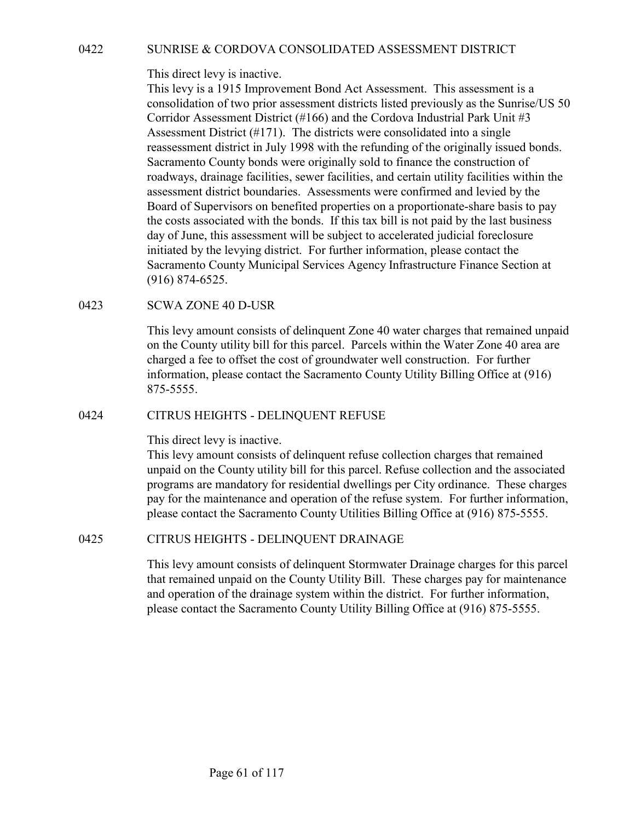0422 SUNRISE & CORDOVA CONSOLIDATED ASSESSMENT DISTRICT<br>
This direct levy is inactive.<br>
This levy is a 1915 Improvement Bond Act Assessment. This assessment is a<br>
consolidation of two prior assessment districts listed pre This levy is a 1915 Improvement Bond Act Assessment. This assessment is a consolidation of two prior assessment districts listed previously as the Sunrise/US 50 Corridor Assessment District (#166) and the Cordova Industrial Park Unit #3 Assessment District (#171). The districts were consolidated into a single reassessment district in July 1998 with the refunding of the originally issued bonds. Sacramento County bonds were originally sold to finance the construction of roadways, drainage facilities, sewer facilities, and certain utility facilities within the assessment district boundaries. Assessments were confirmed and levied by the Board of Supervisors on benefited properties on a proportionate-share basis to pay the costs associated with the bonds. If this tax bill is not paid by the last business day of June, this assessment will be subject to accelerated judicial foreclosure initiated by the levying district. For further information, please contact the Sacramento County Municipal Services Agency Infrastructure Finance Section at (916) 874-6525. SUNRISE & CORDOVA CONSOLIDATED ASSESSMENT DIST<br>This direct levy is inactive.<br>This direct levy is inactive.<br>This levy is a 1915 Improvement Bond Act Assessment. This assess<br>consolidation of two prior assessment districts li reassessment district in July 1998 with the retunding of the originally sisted boostsment of nadways, drainage facilities, sever facilities, and certain utility facilities within the assessment district boundaries. Assessm

This levy amount consists of delinquent Zone 40 water charges that remained unpaid on the County utility bill for this parcel. Parcels within the Water Zone 40 area are charged a fee to offset the cost of groundwater well construction. For further information, please contact the Sacramento County Utility Billing Office at (916) 875-5555. (916) 874-6525.<br>SCWA ZONE 40 D-USR<br>SCWA ZONE 40 D-USR<br>This levy amount consists of delinquent Zone 40 water charges that remained unpaid<br>on the County utility bill for this pareel. Parcels with the Water Zone 40 area are<br>c

This direct levy is inactive.

This levy amount consists of delinquent refuse collection charges that remained unpaid on the County utility bill for this parcel. Refuse collection and the associated programs are mandatory for residential dwellings per City ordinance. These charges pay for the maintenance and operation of the refuse system. For further information, please contact the Sacramento County Utilities Billing Office at (916) 875-5555.

This levy amount consists of delinquent Stormwater Drainage charges for this parcel that remained unpaid on the County Utility Bill. These charges pay for maintenance and operation of the drainage system within the district. For further information, please contact the Sacramento County Utility Billing Office at (916) 875-5555.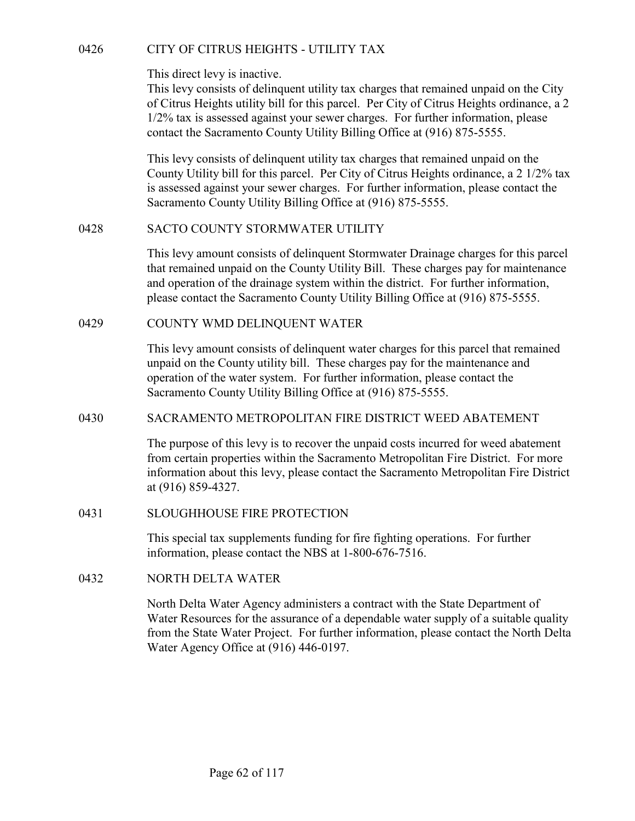OF CITY OF CITRUS HEIGHTS - UTILITY TAX<br>
This direct levy is inactive.<br>
This levy consists of delinquent utility tax charges that remained unpaid on the City<br>
of Citrus Heights utility bill for this parcel. Per City of Cit This levy consists of delinquent utility tax charges that remained unpaid on the City of Citrus Heights utility bill for this parcel. Per City of Citrus Heights ordinance, a 2 1/2% tax is assessed against your sewer charges. For further information, please contact the Sacramento County Utility Billing Office at (916) 875-5555.

This levy consists of delinquent utility tax charges that remained unpaid on the County Utility bill for this parcel. Per City of Citrus Heights ordinance, a 2 1/2% tax is assessed against your sewer charges. For further information, please contact the Sacramento County Utility Billing Office at (916) 875-5555. COUNTY OF CITRUS HEIGHTS - UTILITY TAX<br>
This direct levy is inactive.<br>
This levy consists of delinquent utility tax charges that remained un<br>
of Citrus Heights utility bill for this parcel. Per City of Citrus Heigh<br>
1/2% t This direct levy is inactive.<br>
This levy consists of delinquent utility tax charges that remained un<br>
of Citrus Heights utility bill for this parcel. Per City of Citrus Heigh<br>
1/2% tax is assessed against your sewer charge This levy consists of delinquent utility tax charges that remained unpaid on the County Uliliy bill for this pared. Pro City of Citrus Heights ordinance, a 2 1/2% tax is assessed against your sewer charges. For further inf

This levy amount consists of delinquent Stormwater Drainage charges for this parcel that remained unpaid on the County Utility Bill. These charges pay for maintenance and operation of the drainage system within the district. For further information, please contact the Sacramento County Utility Billing Office at (916) 875-5555.

This levy amount consists of delinquent water charges for this parcel that remained unpaid on the County utility bill. These charges pay for the maintenance and operation of the water system. For further information, please contact the Sacramento County Utility Billing Office at (916) 875-5555. This levy amount consists of delinquent Stormwater Drainage charg<br>that remained unpaid on the County Utility Bill. These charges pay<br>and operation of the drainage system within the district. For further<br>please contact the COUNTY WMD DELINQUENT WATER<br>
This levy amount consists of delinquent water charges for this parece<br>
unpaid on the County utility bill. These charges pay for the mainten<br>
operation of the water system. For further informati

The purpose of this levy is to recover the unpaid costs incurred for weed abatement from certain properties within the Sacramento Metropolitan Fire District. For more information about this levy, please contact the Sacramento Metropolitan Fire District at (916) 859-4327.

This special tax supplements funding for fire fighting operations. For further information, please contact the NBS at 1-800-676-7516.

North Delta Water Agency administers a contract with the State Department of Water Resources for the assurance of a dependable water supply of a suitable quality from the State Water Project. For further information, please contact the North Delta Water Agency Office at (916) 446-0197.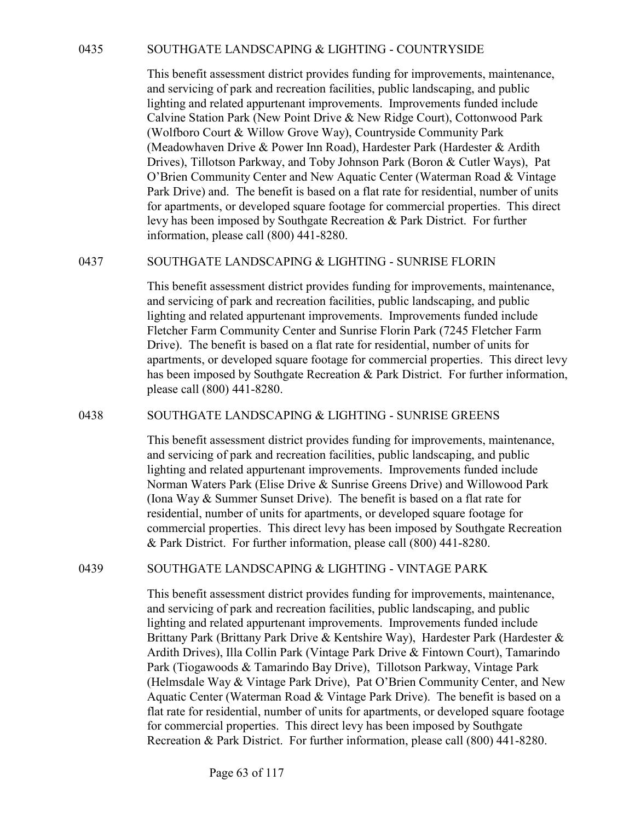SOUTHGATE LANDSCAPING & LIGHTING - COUNTRYSIDE<br>This benefit assessment district provides funding for improvements, maintenance,<br>and servicing of park and recreation facilities, public landscaping, and public<br>lighting and r This benefit assessment district provides funding for improvements, maintenance, and servicing of park and recreation facilities, public landscaping, and public lighting and related appurtenant improvements. Improvements funded include Calvine Station Park (New Point Drive & New Ridge Court), Cottonwood Park (Wolfboro Court & Willow Grove Way), Countryside Community Park (Meadowhaven Drive & Power Inn Road), Hardester Park (Hardester & Ardith Drives), Tillotson Parkway, and Toby Johnson Park (Boron & Cutler Ways), Pat O'Brien Community Center and New Aquatic Center (Waterman Road & Vintage Park Drive) and. The benefit is based on a flat rate for residential, number of units for apartments, or developed square footage for commercial properties. This direct levy has been imposed by Southgate Recreation & Park District. For further information, please call (800) 441-8280. 8035<br>
SOUTHGATE LANDSCAPING & LIGHTING - COUNTRYSIDE<br>
This benefit assessment district provides funding for improvements, maintenance,<br>
and servicing of park and recention facilities, public landscaping, and public<br>
light

This benefit assessment district provides funding for improvements, maintenance, and servicing of park and recreation facilities, public landscaping, and public lighting and related appurtenant improvements. Improvements funded include Fletcher Farm Community Center and Sunrise Florin Park (7245 Fletcher Farm Drive). The benefit is based on a flat rate for residential, number of units for apartments, or developed square footage for commercial properties. This direct levy has been imposed by Southgate Recreation & Park District. For further information, please call (800) 441-8280. (Meadownare) DIYVe & Power Inn Kosar), racrester and Theorister and New Applementation (Drives), Pat<br>
O'Brien Community Center and New Aquatic Center (Waterman Road & Vintage<br>
Park Dirive) and. The benefit is based on an f

This benefit assessment district provides funding for improvements, maintenance, and servicing of park and recreation facilities, public landscaping, and public lighting and related appurtenant improvements. Improvements funded include Norman Waters Park (Elise Drive & Sunrise Greens Drive) and Willowood Park (Iona Way & Summer Sunset Drive). The benefit is based on a flat rate for residential, number of units for apartments, or developed square footage for commercial properties. This direct levy has been imposed by Southgate Recreation & Park District. For further information, please call (800) 441-8280. and servicing or park and receration facilities, public landscaping, and public<br>lighting and related appurtenant improvements. Improvements funded include<br>Fletcher Farm Community Center and Sunrise Florin Park (7245 Fletch

This benefit assessment district provides funding for improvements, maintenance, and servicing of park and recreation facilities, public landscaping, and public lighting and related appurtenant improvements. Improvements funded include Brittany Park (Brittany Park Drive & Kentshire Way), Hardester Park (Hardester & Ardith Drives), Illa Collin Park (Vintage Park Drive & Fintown Court), Tamarindo Park (Tiogawoods & Tamarindo Bay Drive), Tillotson Parkway, Vintage Park (Helmsdale Way & Vintage Park Drive), Pat O'Brien Community Center, and New Aquatic Center (Waterman Road & Vintage Park Drive). The benefit is based on a flat rate for residential, number of units for apartments, or developed square footage for commercial properties. This direct levy has been imposed by Southgate Recreation & Park District. For further information, please call (800) 441-8280.

Page 63 of 117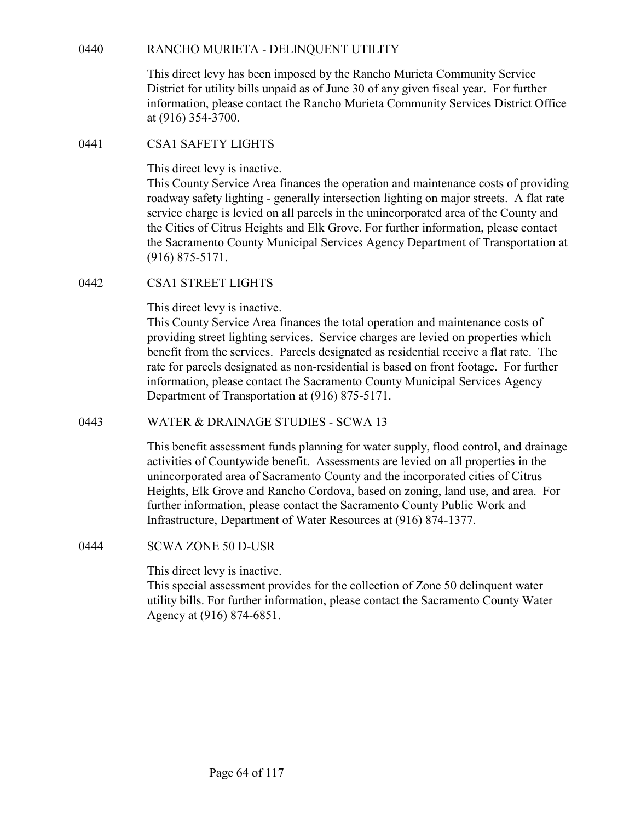RANCHO MURIETA - DELINQUENT UTILITY<br>This direct levy has been imposed by the Rancho Murieta Community Service<br>District for utility bills unpaid as of June 30 of any given fiscal year. For further<br>information, please contac This direct levy has been imposed by the Rancho Murieta Community Service District for utility bills unpaid as of June 30 of any given fiscal year. For further information, please contact the Rancho Murieta Community Services District Office at (916) 354-3700. RANCHO MURIETA - DELINQUENT UTILITY<br>
This direct levy has been imposed by the Rancho Murieta Communi<br>
District for utility bills unpaid as of June 30 of any given fiscal year.<br>
information, please contact the Rancho Muriet

This direct levy is inactive.

This County Service Area finances the operation and maintenance costs of providing roadway safety lighting - generally intersection lighting on major streets. A flat rate service charge is levied on all parcels in the unincorporated area of the County and the Cities of Citrus Heights and Elk Grove. For further information, please contact the Sacramento County Municipal Services Agency Department of Transportation at (916) 875-5171. 0440 RANCHO MURIETA - DELINQUENT UTILITY<br>
This direct levy has been imposed by the Rancho Murieta Communi<br>
District for utility bills unpaid as of June 30 of any given fiscal year.<br>
information, please contact the Rancho M

This direct levy is inactive.

This County Service Area finances the total operation and maintenance costs of providing street lighting services. Service charges are levied on properties which benefit from the services. Parcels designated as residential receive a flat rate. The rate for parcels designated as non-residential is based on front footage. For further information, please contact the Sacramento County Municipal Services Agency Department of Transportation at (916) 875-5171. This direct levy is inactive.<br>
This County Service Area finances the operation and maintenance corolation Service charge is levield on all parcels in the unincorporated area of the Citius of Citus Heights and Elk Grove. Fo CSA1 STREET LIGHTS<br>
This direct levy is inactive.<br>
This County Service Area finances the total operation and maintenant<br>
providing street lighting services. Service charges are levicd on prop<br>
providing street lighting ser

This benefit assessment funds planning for water supply, flood control, and drainage activities of Countywide benefit. Assessments are levied on all properties in the unincorporated area of Sacramento County and the incorporated cities of Citrus Heights, Elk Grove and Rancho Cordova, based on zoning, land use, and area. For further information, please contact the Sacramento County Public Work and Infrastructure, Department of Water Resources at (916) 874-1377.

This direct levy is inactive.

This special assessment provides for the collection of Zone 50 delinquent water utility bills. For further information, please contact the Sacramento County Water Agency at (916) 874-6851.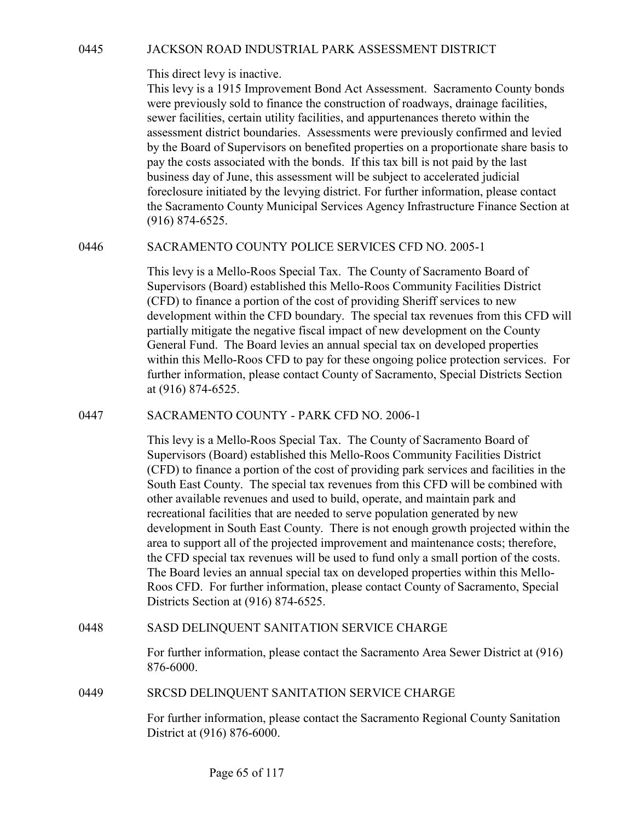DE DACKSON ROAD INDUSTRIAL PARK ASSESSMENT DISTRICT<br>
This direct levy is inactive.<br>
This levy is a 1915 Improvement Bond Act Assessment. Sacramento County bonds<br>
were previously sold to finance the construction of roadways This levy is a 1915 Improvement Bond Act Assessment. Sacramento County bonds were previously sold to finance the construction of roadways, drainage facilities, sewer facilities, certain utility facilities, and appurtenances thereto within the assessment district boundaries. Assessments were previously confirmed and levied by the Board of Supervisors on benefited properties on a proportionate share basis to pay the costs associated with the bonds. If this tax bill is not paid by the last business day of June, this assessment will be subject to accelerated judicial foreclosure initiated by the levying district. For further information, please contact the Sacramento County Municipal Services Agency Infrastructure Finance Section at (916) 874-6525. 3 JACKSON ROAD INDUSTRIAL PARK ASSESSMENT DISTRICT<br>
This direct levy is inactive.<br>
This levy is a 1915 Improvement Bond Act Assessment. Sacremento County bonds<br>
were previously sold to finance the construction of roadways,

This levy is a Mello-Roos Special Tax. The County of Sacramento Board of Supervisors (Board) established this Mello-Roos Community Facilities District (CFD) to finance a portion of the cost of providing Sheriff services to new development within the CFD boundary. The special tax revenues from this CFD will partially mitigate the negative fiscal impact of new development on the County General Fund. The Board levies an annual special tax on developed properties within this Mello-Roos CFD to pay for these ongoing police protection services. For further information, please contact County of Sacramento, Special Districts Section at (916) 874-6525. by the Board of Supervisors on benefited properties on a proportionate stare basis to<br>pay the costs associated with the bonds. If this tax bill is not paid by the last<br>business day of June, this assessment will be subject

This levy is a Mello-Roos Special Tax. The County of Sacramento Board of Supervisors (Board) established this Mello-Roos Community Facilities District (CFD) to finance a portion of the cost of providing park services and facilities in the South East County. The special tax revenues from this CFD will be combined with other available revenues and used to build, operate, and maintain park and recreational facilities that are needed to serve population generated by new development in South East County. There is not enough growth projected within the area to support all of the projected improvement and maintenance costs; therefore, the CFD special tax revenues will be used to fund only a small portion of the costs. The Board levies an annual special tax on developed properties within this Mello-Roos CFD. For further information, please contact County of Sacramento, Special Districts Section at (916) 874-6525. Wrim this Mello-koos CrD to pay for these ongoing poice protection services. For<br>further information, please contact County of Sacramento, Special Districts Section<br>at (916) 874-6525.<br>SACRAMENTO COUNTY - PARK CFD NO. 2006-This levy is a Mello-Roos Special Tax. The County of Saeramento Board of<br>Supervisors (Board) established this Mello-Roos Community Facilities District<br>(CFD) to finance a potrion of the cost of providing park services and f

For further information, please contact the Sacramento Area Sewer District at (916) 876-6000.

For further information, please contact the Sacramento Regional County Sanitation District at (916) 876-6000.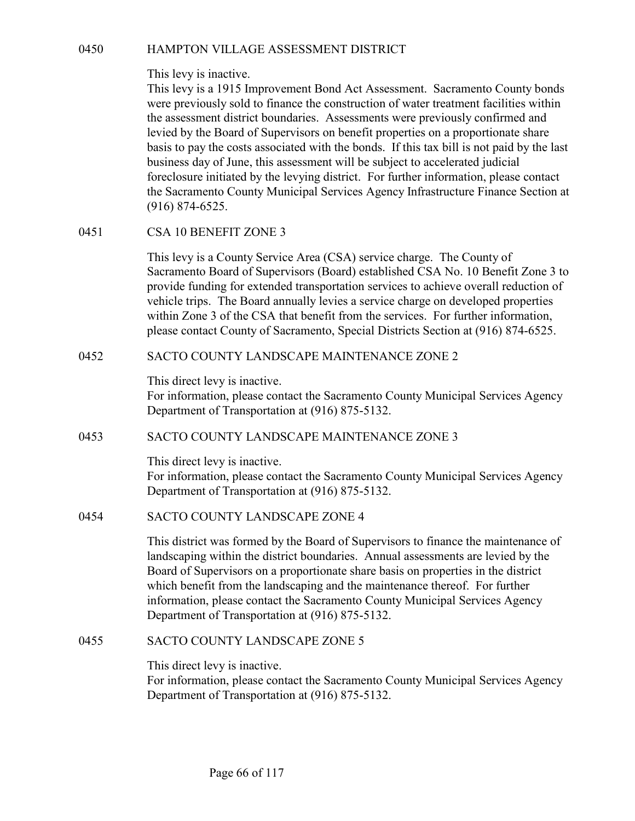## This levy is inactive.

0450 HAMPTON VILLAGE ASSESSMENT DISTRICT<br>This levy is inactive.<br>This levy is a 1915 Improvement Bond Act Assessment. Sacramento County bonds<br>were previously sold to finance the construction of water treatment facilities wi This levy is a 1915 Improvement Bond Act Assessment. Sacramento County bonds were previously sold to finance the construction of water treatment facilities within the assessment district boundaries. Assessments were previously confirmed and levied by the Board of Supervisors on benefit properties on a proportionate share basis to pay the costs associated with the bonds. If this tax bill is not paid by the last business day of June, this assessment will be subject to accelerated judicial foreclosure initiated by the levying district. For further information, please contact the Sacramento County Municipal Services Agency Infrastructure Finance Section at (916) 874-6525. HAMPTON VILLAGE ASSESSMENT DISTRICT<br>
This levy is inactive.<br>
This levy is a 1915 Improvement Bond Act Assessment. Sacrament<br>
were previously sold to finance the construction of water treatment<br>
the assessment district boun Insi levy is a 1915 Improvement Bond Act Assessment. Sacremento County bonds<br>were previously sold to finance the construction of water treatment facilities within<br>the assessment district boundaries. Assessments were previo

This levy is a County Service Area (CSA) service charge. The County of Sacramento Board of Supervisors (Board) established CSA No. 10 Benefit Zone 3 to provide funding for extended transportation services to achieve overall reduction of vehicle trips. The Board annually levies a service charge on developed properties within Zone 3 of the CSA that benefit from the services. For further information, please contact County of Sacramento, Special Districts Section at (916) 874-6525. foreclosure initiated by the levying district. For further information, please contact<br>the Sacrameho County Municipal Services Agency Infrastructure Finance Section at<br>(916) 874-6525.<br>CSA 10 BENEFIT ZONE: 3<br>This levy is a This levy is a County Service Area (CSA) service charge. The Cour<br>Sacramento Board of Supervisors (Board) established CSA No. 10 E<br>provide funding for extended transportation services to achieve over<br>vehicle trips. The Boa

This direct levy is inactive. For information, please contact the Sacramento County Municipal Services Agency Department of Transportation at (916) 875-5132.

This direct levy is inactive.

For information, please contact the Sacramento County Municipal Services Agency Department of Transportation at (916) 875-5132.

This district was formed by the Board of Supervisors to finance the maintenance of landscaping within the district boundaries. Annual assessments are levied by the Board of Supervisors on a proportionate share basis on properties in the district which benefit from the landscaping and the maintenance thereof. For further information, please contact the Sacramento County Municipal Services Agency Department of Transportation at (916) 875-5132. This direct levy is inactive.<br>
For information, please contact the Sacramento County Municipal S<br>
Department of Transportation at (916) 875-5132.<br>
SACTO COUNTY LANDSCAPE MAINTENANCE ZONE 3<br>
This direct levy is inactive.<br>
F

This direct levy is inactive.

For information, please contact the Sacramento County Municipal Services Agency Department of Transportation at (916) 875-5132.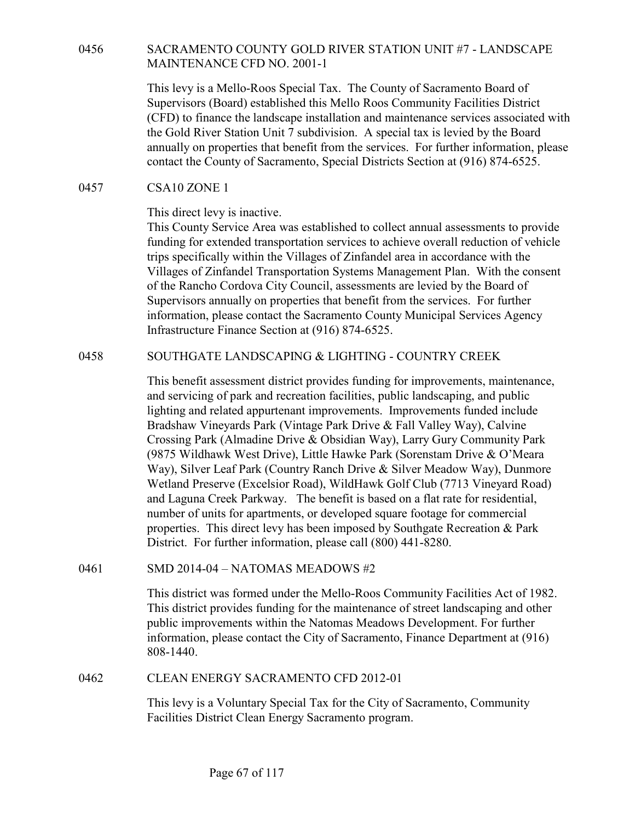# MAINTENANCE CFD NO. 2001-1

0456 SACRAMENTO COUNTY GOLD RIVER STATION UNIT #7 - LANDSCAPE<br>MAINTENANCE CFD NO. 2001-1<br>This levy is a Mello-Roos Special Tax. The County of Sacramento Board of<br>Supervisors (Board) established this Mello Roos Community Fa This levy is a Mello-Roos Special Tax. The County of Sacramento Board of Supervisors (Board) established this Mello Roos Community Facilities District (CFD) to finance the landscape installation and maintenance services associated with the Gold River Station Unit 7 subdivision. A special tax is levied by the Board annually on properties that benefit from the services. For further information, please contact the County of Sacramento, Special Districts Section at (916) 874-6525. SACRAMENTO COUNTY GOLD RIVER STATION UNIT #7 - L<br>
MAINTENANCE CFD NO. 2001-1<br>
This levy is a Mello-Roos Special Tax. The County of Sacramento I<br>
Supervisors (Board) established this Mello Roos Community Facilit<br>
(CFD) to f

This direct levy is inactive.

This County Service Area was established to collect annual assessments to provide funding for extended transportation services to achieve overall reduction of vehicle trips specifically within the Villages of Zinfandel area in accordance with the Villages of Zinfandel Transportation Systems Management Plan. With the consent of the Rancho Cordova City Council, assessments are levied by the Board of Supervisors annually on properties that benefit from the services. For further information, please contact the Sacramento County Municipal Services Agency Infrastructure Finance Section at (916) 874-6525. This levy is a Mello-Goos Special Tax. The County of Sacramento Board of<br>
Supervisors (Board) established this Mello Roos Community Facilities District<br>
(CFD) to finance the landscape installation and maintenance services

This benefit assessment district provides funding for improvements, maintenance, and servicing of park and recreation facilities, public landscaping, and public lighting and related appurtenant improvements. Improvements funded include Bradshaw Vineyards Park (Vintage Park Drive & Fall Valley Way), Calvine Crossing Park (Almadine Drive & Obsidian Way), Larry Gury Community Park (9875 Wildhawk West Drive), Little Hawke Park (Sorenstam Drive & O'Meara Way), Silver Leaf Park (Country Ranch Drive & Silver Meadow Way), Dunmore Wetland Preserve (Excelsior Road), WildHawk Golf Club (7713 Vineyard Road) and Laguna Creek Parkway. The benefit is based on a flat rate for residential, number of units for apartments, or developed square footage for commercial properties. This direct levy has been imposed by Southgate Recreation & Park District. For further information, please call (800) 441-8280. Supervisors annihaly on properties link tenent in trom the services. For turner<br>
information, please contact the Sacramento County Municipal Services Agency<br>
information, please contact the Sacramento County Municipal Serv Ingting and related appuremant improvements. Improvements tunded inculate ORSN'S Way), Calvine Crossing Park (Vintage Park Drive & Disidian Way), Larry Gury Community Park (9875 Wildhawk West Drive), Little Hawke Park (Sor

This district was formed under the Mello-Roos Community Facilities Act of 1982. This district provides funding for the maintenance of street landscaping and other public improvements within the Natomas Meadows Development. For further information, please contact the City of Sacramento, Finance Department at (916) 808-1440.

This levy is a Voluntary Special Tax for the City of Sacramento, Community Facilities District Clean Energy Sacramento program.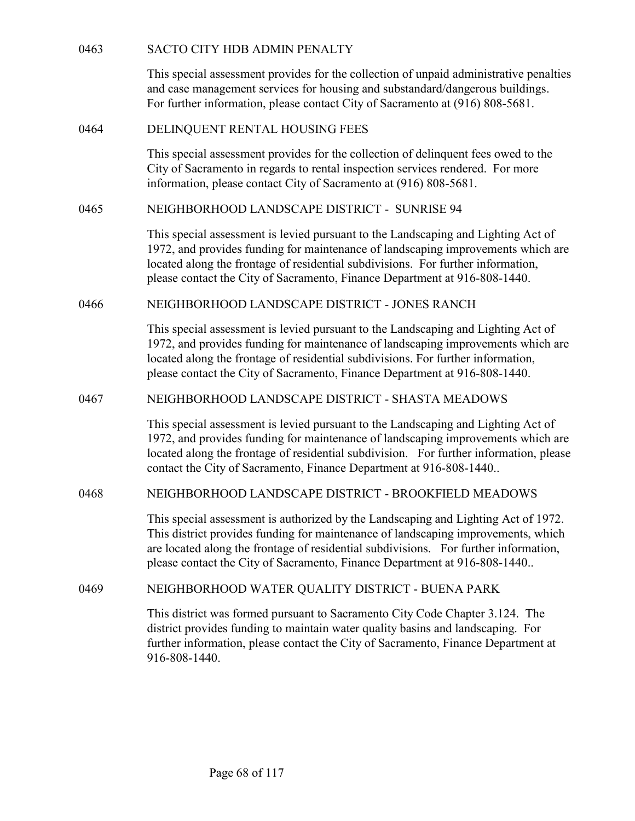| 0463 | <b>SACTO CITY HDB ADMIN PENALTY</b>                                                                                                                                                                                                                                                                                                          |
|------|----------------------------------------------------------------------------------------------------------------------------------------------------------------------------------------------------------------------------------------------------------------------------------------------------------------------------------------------|
|      | This special assessment provides for the collection of unpaid administrative penalties<br>and case management services for housing and substandard/dangerous buildings.<br>For further information, please contact City of Sacramento at (916) 808-5681.                                                                                     |
| 0464 | DELINQUENT RENTAL HOUSING FEES                                                                                                                                                                                                                                                                                                               |
|      | This special assessment provides for the collection of delinquent fees owed to the<br>City of Sacramento in regards to rental inspection services rendered. For more<br>information, please contact City of Sacramento at (916) 808-5681.                                                                                                    |
| 0465 | NEIGHBORHOOD LANDSCAPE DISTRICT - SUNRISE 94                                                                                                                                                                                                                                                                                                 |
|      | This special assessment is levied pursuant to the Landscaping and Lighting Act of<br>1972, and provides funding for maintenance of landscaping improvements which are<br>located along the frontage of residential subdivisions. For further information,<br>please contact the City of Sacramento, Finance Department at 916-808-1440.      |
| 0466 | NEIGHBORHOOD LANDSCAPE DISTRICT - JONES RANCH                                                                                                                                                                                                                                                                                                |
|      | This special assessment is levied pursuant to the Landscaping and Lighting Act of<br>1972, and provides funding for maintenance of landscaping improvements which are<br>located along the frontage of residential subdivisions. For further information,<br>please contact the City of Sacramento, Finance Department at 916-808-1440.      |
| 0467 | NEIGHBORHOOD LANDSCAPE DISTRICT - SHASTA MEADOWS                                                                                                                                                                                                                                                                                             |
|      | This special assessment is levied pursuant to the Landscaping and Lighting Act of<br>1972, and provides funding for maintenance of landscaping improvements which are<br>located along the frontage of residential subdivision. For further information, please<br>contact the City of Sacramento, Finance Department at 916-808-1440        |
| 0468 | NEIGHBORHOOD LANDSCAPE DISTRICT - BROOKFIELD MEADOWS                                                                                                                                                                                                                                                                                         |
|      | This special assessment is authorized by the Landscaping and Lighting Act of 1972.<br>This district provides funding for maintenance of landscaping improvements, which<br>are located along the frontage of residential subdivisions. For further information,<br>please contact the City of Sacramento, Finance Department at 916-808-1440 |
| 0469 | NEIGHBORHOOD WATER QUALITY DISTRICT - BUENA PARK                                                                                                                                                                                                                                                                                             |
|      | This district was formed pursuant to Sacramento City Code Chapter 3.124. The<br>district provides funding to maintain water quality basins and landscaping. For<br>further information, please contact the City of Sacramento, Finance Department at<br>916-808-1440.                                                                        |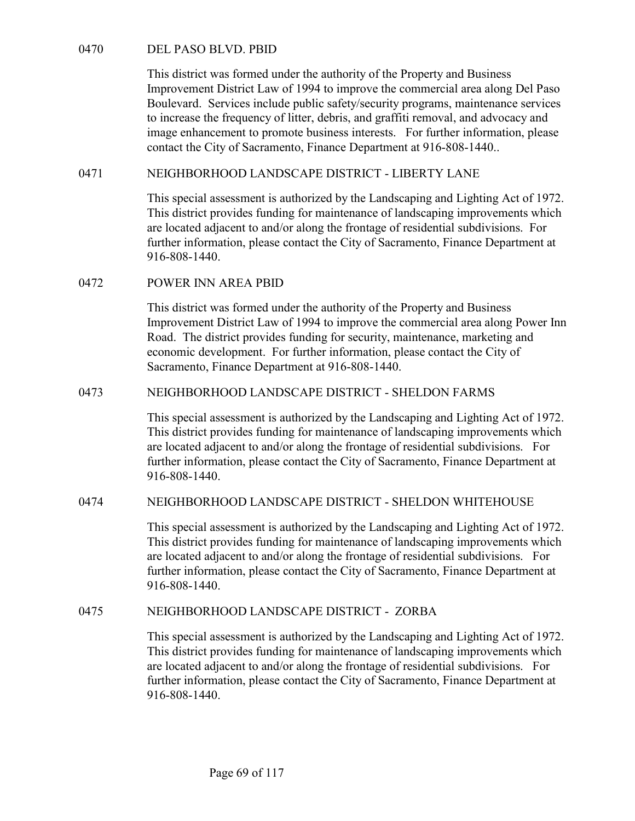DEL PASO BLVD. PBID<br>
This district was formed under the authority of the Property and Business<br>
Improvement District Law of 1994 to improve the commercial area along<br>
Boulevard. Services include public safety/security prog This district was formed under the authority of the Property and Business Improvement District Law of 1994 to improve the commercial area along Del Paso Boulevard. Services include public safety/security programs, maintenance services to increase the frequency of litter, debris, and graffiti removal, and advocacy and image enhancement to promote business interests. For further information, please contact the City of Sacramento, Finance Department at 916-808-1440.. 0470 DEL PASO BLVD. PBID<br>
This district was formed under the authority of the Property and Business<br>
Improvement District Law of 1994 to improve the commercial area along Del Paso<br>
Boulcvard. Services include public safety DEL PASO BLVD. PBID<br>
This district was formed under the authority of the Property and Business<br>
Improvement District Law of 1994 to improve the commercial area along I<br>
Boulevard. Services include public safety/security pr

This special assessment is authorized by the Landscaping and Lighting Act of 1972. This district provides funding for maintenance of landscaping improvements which are located adjacent to and/or along the frontage of residential subdivisions. For further information, please contact the City of Sacramento, Finance Department at 916-808-1440.

This district was formed under the authority of the Property and Business Improvement District Law of 1994 to improve the commercial area along Power Inn Road. The district provides funding for security, maintenance, marketing and economic development. For further information, please contact the City of Sacramento, Finance Department at 916-808-1440. image enhancement to promote business interests. For further information, please<br>
contact the City of Sacramento, Finance Department at 916-808-1440.<br>
NEIGHBORHOOD LANDSCAPE DISTRICT - LIBERTY LANE<br>
This special assessment further information, please contact the City of Sacramento, Finance Department at 916-808-1440.<br>
DOWER INN AREA PBID<br>
This district was formed under the authority of the Property and Business<br>
Improvement District Law of 1

This special assessment is authorized by the Landscaping and Lighting Act of 1972. This district provides funding for maintenance of landscaping improvements which are located adjacent to and/or along the frontage of residential subdivisions. For further information, please contact the City of Sacramento, Finance Department at 916-808-1440. conomic development. For further information, please contact the City of<br>
Sacramento, Finance Department at 916-808-1440.<br>
NEIGHBORHOOD LANDSCAPE DISTRICT - SHELDON FARMS<br>
This special assessment is authorized by the Lands

This special assessment is authorized by the Landscaping and Lighting Act of 1972. This district provides funding for maintenance of landscaping improvements which are located adjacent to and/or along the frontage of residential subdivisions. For further information, please contact the City of Sacramento, Finance Department at 916-808-1440.

This special assessment is authorized by the Landscaping and Lighting Act of 1972. This district provides funding for maintenance of landscaping improvements which are located adjacent to and/or along the frontage of residential subdivisions. For further information, please contact the City of Sacramento, Finance Department at 916-808-1440.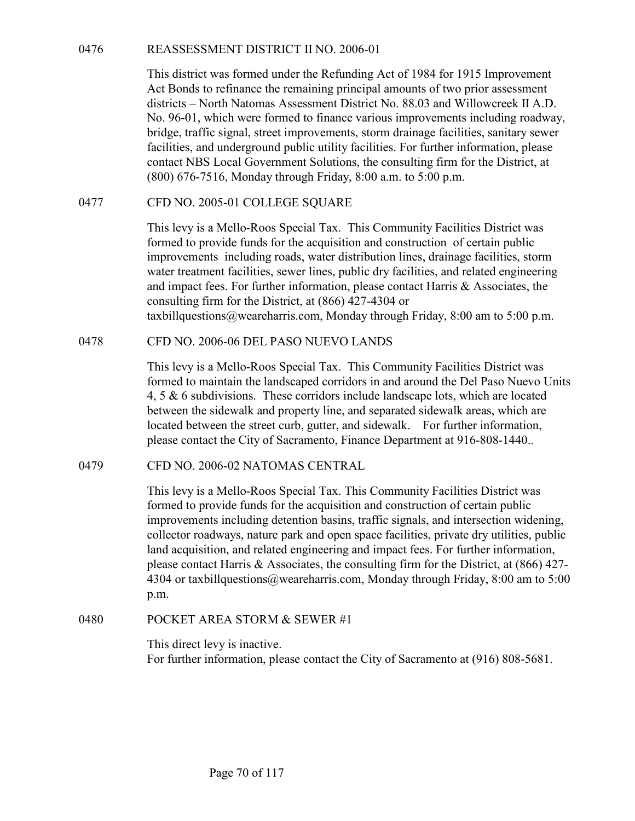0476<br>
REASSESSMENT DISTRICT II NO. 2006-01<br>
This district was formed under the Refunding Act of 1984 for 1915 Improvement<br>
Act Bonds to refinance the remaining principal amounts of two prior assessment<br>
districts – North N This district was formed under the Refunding Act of 1984 for 1915 Improvement Act Bonds to refinance the remaining principal amounts of two prior assessment districts – North Natomas Assessment District No. 88.03 and Willowcreek II A.D. No. 96-01, which were formed to finance various improvements including roadway, bridge, traffic signal, street improvements, storm drainage facilities, sanitary sewer facilities, and underground public utility facilities. For further information, please contact NBS Local Government Solutions, the consulting firm for the District, at (800) 676-7516, Monday through Friday, 8:00 a.m. to 5:00 p.m. REASSESSMENT DISTRICT II NO. 2006-01<br>
This district was formed under the Refunding Act of 1984 for 1915 Improvement<br>
Act Bonds to refinance the remaining principal amounts of two prior assessment<br>
districts – North Natomas This district was formed under the Rethundral Act of 1984 for 1917 improvement<br>Act Bonds to refinance the remaining principal amounts of two prior assessment<br>districts – North Natomas Assessment District No. 88.03 and Will

This levy is a Mello-Roos Special Tax. This Community Facilities District was formed to provide funds for the acquisition and construction of certain public improvements including roads, water distribution lines, drainage facilities, storm water treatment facilities, sewer lines, public dry facilities, and related engineering and impact fees. For further information, please contact Harris & Associates, the consulting firm for the District, at (866) 427-4304 or taxbillquestions@weareharris.com, Monday through Friday, 8:00 am to 5:00 p.m. CFD NO. 2005-01 COLLEGE SQUARE<br>
This levy is a Mello-Roos Special Tax. This Community Facilities District was<br>
formed to provide funds for the acquisition and construction of certain public<br>
improvements including roads,

This levy is a Mello-Roos Special Tax. This Community Facilities District was formed to maintain the landscaped corridors in and around the Del Paso Nuevo Units 4, 5 & 6 subdivisions. These corridors include landscape lots, which are located between the sidewalk and property line, and separated sidewalk areas, which are located between the street curb, gutter, and sidewalk. For further information, please contact the City of Sacramento, Finance Department at 916-808-1440..

This levy is a Mello-Roos Special Tax. This Community Facilities District was formed to provide funds for the acquisition and construction of certain public improvements including detention basins, traffic signals, and intersection widening, collector roadways, nature park and open space facilities, private dry utilities, public land acquisition, and related engineering and impact fees. For further information, please contact Harris & Associates, the consulting firm for the District, at (866) 427- 4304 or taxbillquestions@weareharris.com, Monday through Friday, 8:00 am to 5:00 p.m. This levy is a Mello-Roos Special Tax. This Community Facilities<br>formed to maintain the landscaped corridors in and around the Del P<br>4, 5 & 6 subdivisions. These corridors include landscape lots, which<br>between the sidewal

This direct levy is inactive. For further information, please contact the City of Sacramento at (916) 808-5681.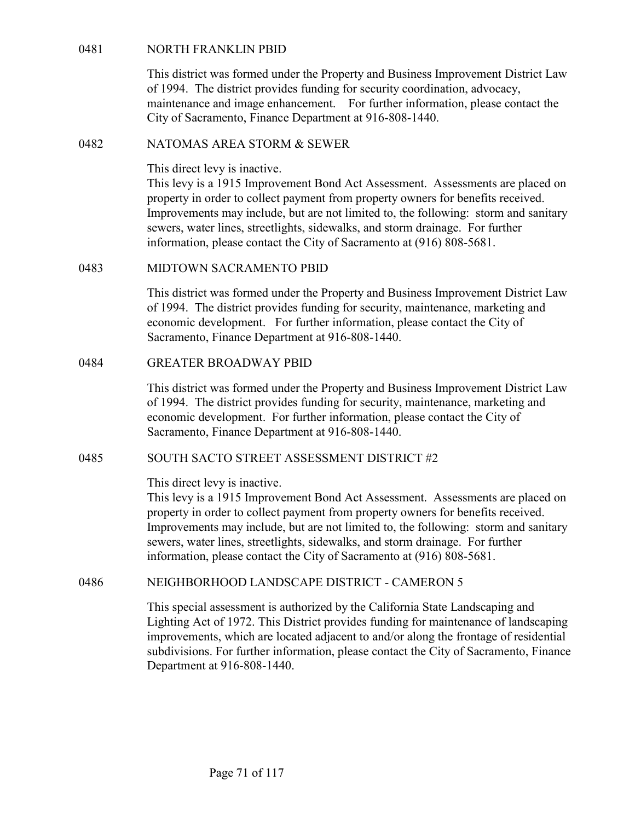NORTH FRANKLIN PBID<br>This district was formed under the Property and Business Improvement Dis<br>of 1994. The district provides funding for security coordination, advocacy,<br>maintenance and image enhancement. For further inform This district was formed under the Property and Business Improvement District Law of 1994. The district provides funding for security coordination, advocacy, maintenance and image enhancement. For further information, please contact the City of Sacramento, Finance Department at 916-808-1440. NORTH FRANKLIN PBID<br>
This district was formed under the Property and Business Improvem<br>
of 1994. The district provides funding for security coordination, adv<br>
maintenance and image enhancement. For further information, ple

This direct levy is inactive.

This levy is a 1915 Improvement Bond Act Assessment. Assessments are placed on property in order to collect payment from property owners for benefits received. Improvements may include, but are not limited to, the following: storm and sanitary sewers, water lines, streetlights, sidewalks, and storm drainage. For further information, please contact the City of Sacramento at (916) 808-5681. NORTH FRANKLIN PBID<br>
This district was formed under the Property and Business Improvement District Law<br>
of 1994. The district provides funding for security coordination, advocacy,<br>
maintenance and image chancement. For fur maintenance and image enhancement. For further information, please contact that City of Sacramento, Finance Department at 916-808-1440.<br>
MATOMAS AREA STORM & SEWER<br>
This direct levy is inactive.<br>
This direct levy is inacti property in order to collect payment from property owners for benefits received.<br>
Improvements may include, but are not limited to, the following: storm and sanitary<br>
sewers, water lines, streetlights, sidewalks, and storm

This district was formed under the Property and Business Improvement District Law of 1994. The district provides funding for security, maintenance, marketing and economic development. For further information, please contact the City of Sacramento, Finance Department at 916-808-1440.

This district was formed under the Property and Business Improvement District Law of 1994. The district provides funding for security, maintenance, marketing and economic development. For further information, please contact the City of Sacramento, Finance Department at 916-808-1440.

### This direct levy is inactive.

This levy is a 1915 Improvement Bond Act Assessment. Assessments are placed on property in order to collect payment from property owners for benefits received. Improvements may include, but are not limited to, the following: storm and sanitary sewers, water lines, streetlights, sidewalks, and storm drainage. For further information, please contact the City of Sacramento at (916) 808-5681. economic development. For further information, please contact the City of<br>
Sacramento, Finance Department at 916-808-1440.<br>
OREATER BROADWAY PBID<br>
This district was formed under the Property and Business Improvement Distri

This special assessment is authorized by the California State Landscaping and Lighting Act of 1972. This District provides funding for maintenance of landscaping improvements, which are located adjacent to and/or along the frontage of residential subdivisions. For further information, please contact the City of Sacramento, Finance Department at 916-808-1440.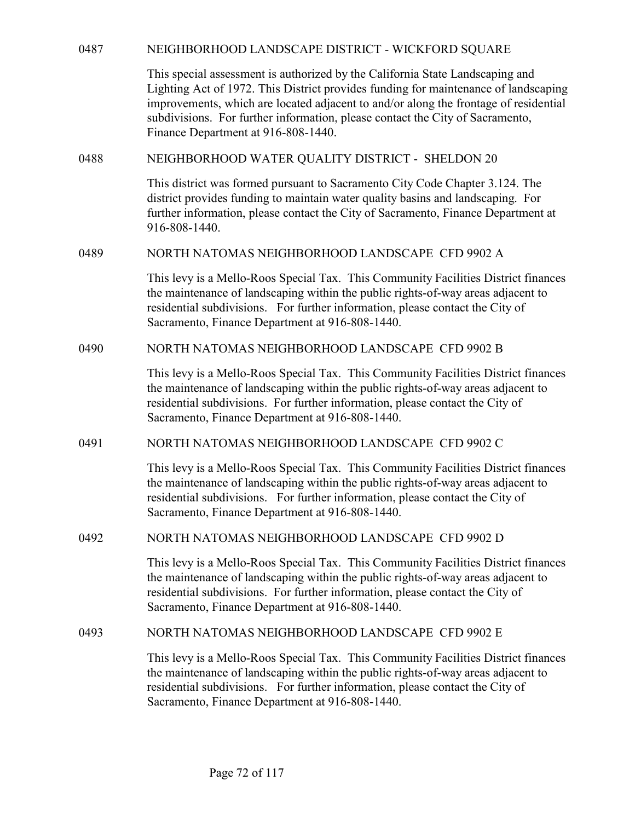| 0487 | NEIGHBORHOOD LANDSCAPE DISTRICT - WICKFORD SQUARE                                                                                                                                                                                                                                                                                                                                    |
|------|--------------------------------------------------------------------------------------------------------------------------------------------------------------------------------------------------------------------------------------------------------------------------------------------------------------------------------------------------------------------------------------|
|      | This special assessment is authorized by the California State Landscaping and<br>Lighting Act of 1972. This District provides funding for maintenance of landscaping<br>improvements, which are located adjacent to and/or along the frontage of residential<br>subdivisions. For further information, please contact the City of Sacramento,<br>Finance Department at 916-808-1440. |
| 0488 | NEIGHBORHOOD WATER QUALITY DISTRICT - SHELDON 20                                                                                                                                                                                                                                                                                                                                     |
|      | This district was formed pursuant to Sacramento City Code Chapter 3.124. The<br>district provides funding to maintain water quality basins and landscaping. For<br>further information, please contact the City of Sacramento, Finance Department at<br>916-808-1440.                                                                                                                |
| 0489 | NORTH NATOMAS NEIGHBORHOOD LANDSCAPE CFD 9902 A                                                                                                                                                                                                                                                                                                                                      |
|      | This levy is a Mello-Roos Special Tax. This Community Facilities District finances<br>the maintenance of landscaping within the public rights-of-way areas adjacent to<br>residential subdivisions. For further information, please contact the City of<br>Sacramento, Finance Department at 916-808-1440.                                                                           |
| 0490 | NORTH NATOMAS NEIGHBORHOOD LANDSCAPE CFD 9902 B                                                                                                                                                                                                                                                                                                                                      |
|      | This levy is a Mello-Roos Special Tax. This Community Facilities District finances<br>the maintenance of landscaping within the public rights-of-way areas adjacent to<br>residential subdivisions. For further information, please contact the City of<br>Sacramento, Finance Department at 916-808-1440.                                                                           |
| 0491 | NORTH NATOMAS NEIGHBORHOOD LANDSCAPE CFD 9902 C                                                                                                                                                                                                                                                                                                                                      |
|      | This levy is a Mello-Roos Special Tax. This Community Facilities District finances<br>the maintenance of landscaping within the public rights-of-way areas adjacent to<br>residential subdivisions. For further information, please contact the City of<br>Sacramento, Finance Department at 916-808-1440.                                                                           |
| 0492 | NORTH NATOMAS NEIGHBORHOOD LANDSCAPE CFD 9902 D                                                                                                                                                                                                                                                                                                                                      |
|      | This levy is a Mello-Roos Special Tax. This Community Facilities District finances<br>the maintenance of landscaping within the public rights-of-way areas adjacent to<br>residential subdivisions. For further information, please contact the City of<br>Sacramento, Finance Department at 916-808-1440.                                                                           |
| 0493 | NORTH NATOMAS NEIGHBORHOOD LANDSCAPE CFD 9902 E                                                                                                                                                                                                                                                                                                                                      |
|      | This levy is a Mello-Roos Special Tax. This Community Facilities District finances<br>the maintenance of landscaping within the public rights-of-way areas adjacent to<br>residential subdivisions. For further information, please contact the City of<br>Sacramento, Finance Department at 916-808-1440.                                                                           |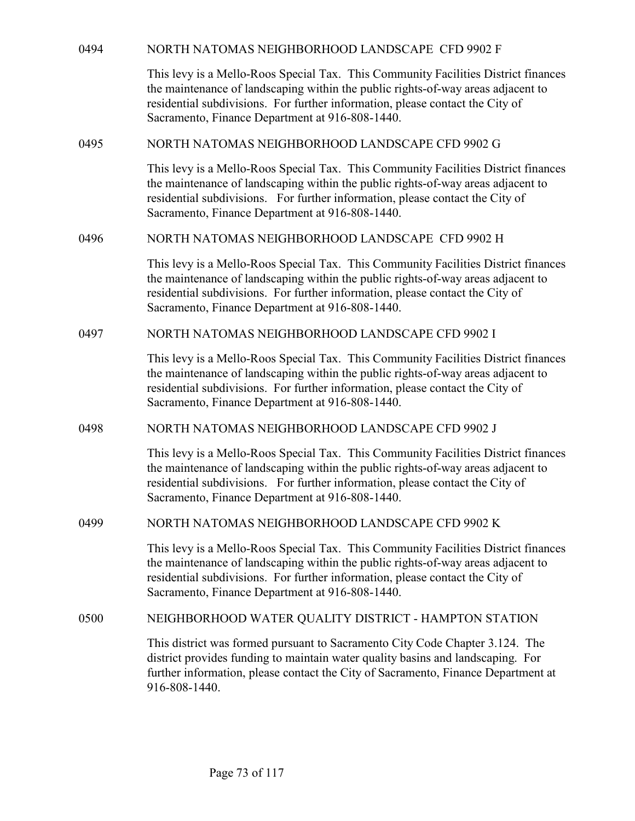| 0494<br>NORTH NATOMAS NEIGHBORHOOD LANDSCAPE CFD 9902 F                                                                                                                                                                                                                                                    |
|------------------------------------------------------------------------------------------------------------------------------------------------------------------------------------------------------------------------------------------------------------------------------------------------------------|
| This levy is a Mello-Roos Special Tax. This Community Facilities District finances<br>the maintenance of landscaping within the public rights-of-way areas adjacent to<br>residential subdivisions. For further information, please contact the City of<br>Sacramento, Finance Department at 916-808-1440. |
| 0495<br>NORTH NATOMAS NEIGHBORHOOD LANDSCAPE CFD 9902 G                                                                                                                                                                                                                                                    |
| This levy is a Mello-Roos Special Tax. This Community Facilities District finances<br>the maintenance of landscaping within the public rights-of-way areas adjacent to<br>residential subdivisions. For further information, please contact the City of<br>Sacramento, Finance Department at 916-808-1440. |
| 0496<br>NORTH NATOMAS NEIGHBORHOOD LANDSCAPE CFD 9902 H                                                                                                                                                                                                                                                    |
| This levy is a Mello-Roos Special Tax. This Community Facilities District finances<br>the maintenance of landscaping within the public rights-of-way areas adjacent to<br>residential subdivisions. For further information, please contact the City of<br>Sacramento, Finance Department at 916-808-1440. |
| 0497<br>NORTH NATOMAS NEIGHBORHOOD LANDSCAPE CFD 9902 I                                                                                                                                                                                                                                                    |
| This levy is a Mello-Roos Special Tax. This Community Facilities District finances<br>the maintenance of landscaping within the public rights-of-way areas adjacent to<br>residential subdivisions. For further information, please contact the City of<br>Sacramento, Finance Department at 916-808-1440. |
| 0498<br>NORTH NATOMAS NEIGHBORHOOD LANDSCAPE CFD 9902 J                                                                                                                                                                                                                                                    |
| This levy is a Mello-Roos Special Tax. This Community Facilities District finances<br>the maintenance of landscaping within the public rights-of-way areas adjacent to<br>residential subdivisions. For further information, please contact the City of<br>Sacramento, Finance Department at 916-808-1440. |
| NORTH NATOMAS NEIGHBORHOOD LANDSCAPE CFD 9902 K<br>0499                                                                                                                                                                                                                                                    |
| This levy is a Mello-Roos Special Tax. This Community Facilities District finances<br>the maintenance of landscaping within the public rights-of-way areas adjacent to<br>residential subdivisions. For further information, please contact the City of<br>Sacramento, Finance Department at 916-808-1440. |
| NEIGHBORHOOD WATER QUALITY DISTRICT - HAMPTON STATION<br>0500                                                                                                                                                                                                                                              |
| This district was formed pursuant to Sacramento City Code Chapter 3.124. The<br>district provides funding to maintain water quality basins and landscaping. For<br>further information, please contact the City of Sacramento, Finance Department at<br>916-808-1440.                                      |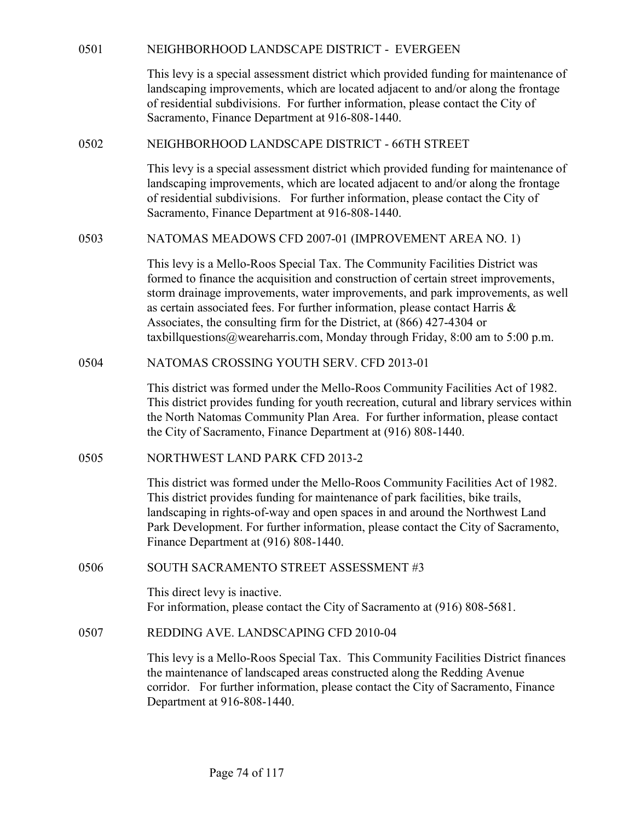| 0501 | NEIGHBORHOOD LANDSCAPE DISTRICT - EVERGEEN<br>This levy is a special assessment district which provided funding for maintenance of<br>landscaping improvements, which are located adjacent to and/or along the frontage<br>of residential subdivisions. For further information, please contact the City of<br>Sacramento, Finance Department at 916-808-1440.                                                                                                                                       |
|------|------------------------------------------------------------------------------------------------------------------------------------------------------------------------------------------------------------------------------------------------------------------------------------------------------------------------------------------------------------------------------------------------------------------------------------------------------------------------------------------------------|
| 0502 | NEIGHBORHOOD LANDSCAPE DISTRICT - 66TH STREET                                                                                                                                                                                                                                                                                                                                                                                                                                                        |
|      | This levy is a special assessment district which provided funding for maintenance of<br>landscaping improvements, which are located adjacent to and/or along the frontage<br>of residential subdivisions. For further information, please contact the City of<br>Sacramento, Finance Department at 916-808-1440.                                                                                                                                                                                     |
| 0503 | NATOMAS MEADOWS CFD 2007-01 (IMPROVEMENT AREA NO. 1)                                                                                                                                                                                                                                                                                                                                                                                                                                                 |
|      | This levy is a Mello-Roos Special Tax. The Community Facilities District was<br>formed to finance the acquisition and construction of certain street improvements,<br>storm drainage improvements, water improvements, and park improvements, as well<br>as certain associated fees. For further information, please contact Harris &<br>Associates, the consulting firm for the District, at (866) 427-4304 or<br>taxbillquestions@weareharris.com, Monday through Friday, $8:00$ am to $5:00$ p.m. |
| 0504 | NATOMAS CROSSING YOUTH SERV. CFD 2013-01                                                                                                                                                                                                                                                                                                                                                                                                                                                             |
|      | This district was formed under the Mello-Roos Community Facilities Act of 1982.<br>This district provides funding for youth recreation, cutural and library services within<br>the North Natomas Community Plan Area. For further information, please contact<br>the City of Sacramento, Finance Department at (916) 808-1440.                                                                                                                                                                       |
| 0505 | NORTHWEST LAND PARK CFD 2013-2                                                                                                                                                                                                                                                                                                                                                                                                                                                                       |
|      | This district was formed under the Mello-Roos Community Facilities Act of 1982.<br>This district provides funding for maintenance of park facilities, bike trails,<br>landscaping in rights-of-way and open spaces in and around the Northwest Land<br>Park Development. For further information, please contact the City of Sacramento,<br>Finance Department at (916) 808-1440.                                                                                                                    |
| 0506 | SOUTH SACRAMENTO STREET ASSESSMENT #3                                                                                                                                                                                                                                                                                                                                                                                                                                                                |
|      | This direct levy is inactive.<br>For information, please contact the City of Sacramento at (916) 808-5681.                                                                                                                                                                                                                                                                                                                                                                                           |
| 0507 | REDDING AVE. LANDSCAPING CFD 2010-04                                                                                                                                                                                                                                                                                                                                                                                                                                                                 |
|      | This levy is a Mello-Roos Special Tax. This Community Facilities District finances<br>the maintenance of landscaped areas constructed along the Redding Avenue<br>corridor. For further information, please contact the City of Sacramento, Finance<br>Department at 916-808-1440.                                                                                                                                                                                                                   |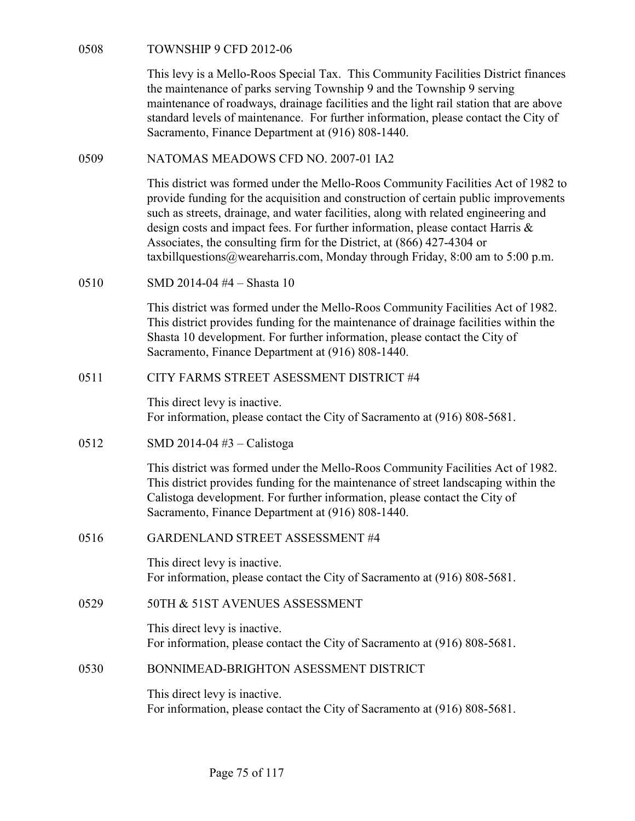TOWNSHIP 9 CFD 2012-06<br>This levy is a Mello-Roos Special Tax. This Community Facilities I<br>the maintenance of parks serving Township 9 and the Township 9 se<br>maintenance of roadways, drainage facilities and the light rail st This levy is a Mello-Roos Special Tax. This Community Facilities District finances the maintenance of parks serving Township 9 and the Township 9 serving maintenance of roadways, drainage facilities and the light rail station that are above standard levels of maintenance. For further information, please contact the City of Sacramento, Finance Department at (916) 808-1440. TOWNSHIP 9 CFD 2012-06<br>
This levy is a Mello-Roos Special Tax. This Community Facilities District finance<br>
the maintenance of parks serving Township 9 and the Township 9 serving<br>
maintenance of roadways, drainage facilitie

This district was formed under the Mello-Roos Community Facilities Act of 1982 to provide funding for the acquisition and construction of certain public improvements such as streets, drainage, and water facilities, along with related engineering and design costs and impact fees. For further information, please contact Harris & Associates, the consulting firm for the District, at (866) 427-4304 or taxbillquestions@weareharris.com, Monday through Friday, 8:00 am to 5:00 p.m. 0508 TOWNSHIP 9 CFD 2012-06<br>
This levy is a Mello-Roos Special Tax. This Community Facilities I<br>
the maintenance of parks serving Township 9 and the Township 9 semaintenance of parks serving Township 9 and the Township 9 standard levels of maintenance. For further information, please contact the City of Sacramento, Finance Department at (916) 808-1440.<br>
MATOMAS MEADOWS CFD NO. 2007-01 IA2<br>
This district was formed under the Mello-Roos Com This district was formed under the Mello-Roos Community Facilitie<br>provide funding for the acquisition and construction of certain public<br>such as streets, drainage, and water facilities, along with related engi<br>design cost

This district was formed under the Mello-Roos Community Facilities Act of 1982. This district provides funding for the maintenance of drainage facilities within the Shasta 10 development. For further information, please contact the City of Sacramento, Finance Department at (916) 808-1440.

This direct levy is inactive. For information, please contact the City of Sacramento at (916) 808-5681.

This district was formed under the Mello-Roos Community Facilities Act of 1982. This district provides funding for the maintenance of street landscaping within the Calistoga development. For further information, please contact the City of Sacramento, Finance Department at (916) 808-1440. 0510 SMD 2014-04 #4 – Shasta 10<br>
This district was formed under the Mello-Roos Community Facilities Act of 191<br>
This district provides funding for the maintenance of drainage facilities within the<br>
Shasta 10 development. Shasta 10 development. For further information, please contact the City of<br>
Sacramento, Finance Department at (916) 808-1440.<br>
CITY FARMS STREET ASESSMENT DISTRICT #4<br>
This direct levy is inactive.<br>
For information, please 198 direct levy is mactive.<br>
For information, please contact the City of Sacramento at (916) 808-5681.<br>
SMD 2014-04 #3 – Calistoga<br>
This district was formed under the Mello-Roos Community Facilities Act of 1982.<br>
This dist

This direct levy is inactive. For information, please contact the City of Sacramento at (916) 808-5681.

This direct levy is inactive. For information, please contact the City of Sacramento at (916) 808-5681.

This direct levy is inactive. For information, please contact the City of Sacramento at (916) 808-5681.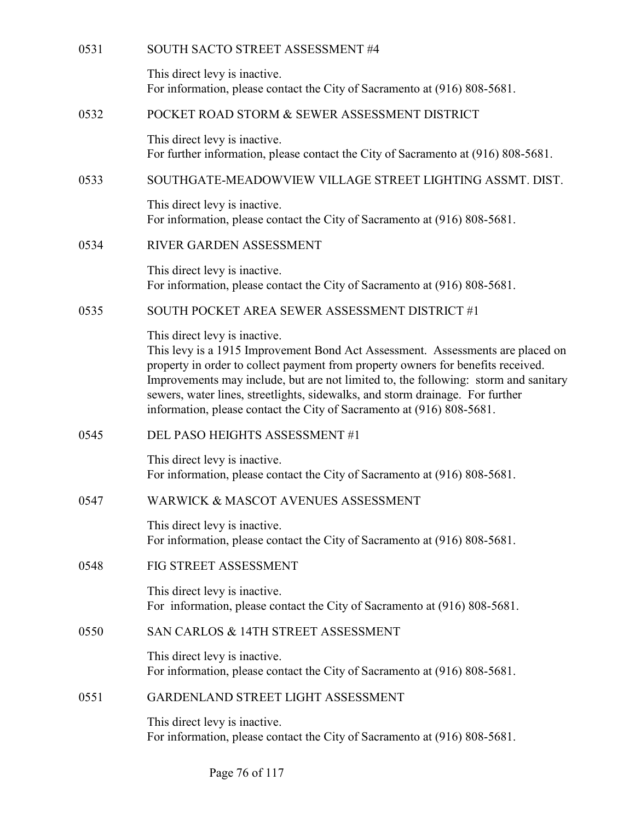| 0531 | SOUTH SACTO STREET ASSESSMENT #4                                                                                                                                                                                                                                                                                                                                                                                                                     |
|------|------------------------------------------------------------------------------------------------------------------------------------------------------------------------------------------------------------------------------------------------------------------------------------------------------------------------------------------------------------------------------------------------------------------------------------------------------|
|      | This direct levy is inactive.<br>For information, please contact the City of Sacramento at (916) 808-5681.                                                                                                                                                                                                                                                                                                                                           |
| 0532 | POCKET ROAD STORM & SEWER ASSESSMENT DISTRICT                                                                                                                                                                                                                                                                                                                                                                                                        |
|      | This direct levy is inactive.<br>For further information, please contact the City of Sacramento at (916) 808-5681.                                                                                                                                                                                                                                                                                                                                   |
| 0533 | SOUTHGATE-MEADOWVIEW VILLAGE STREET LIGHTING ASSMT. DIST.                                                                                                                                                                                                                                                                                                                                                                                            |
|      | This direct levy is inactive.<br>For information, please contact the City of Sacramento at (916) 808-5681.                                                                                                                                                                                                                                                                                                                                           |
| 0534 | RIVER GARDEN ASSESSMENT                                                                                                                                                                                                                                                                                                                                                                                                                              |
|      | This direct levy is inactive.<br>For information, please contact the City of Sacramento at (916) 808-5681.                                                                                                                                                                                                                                                                                                                                           |
| 0535 | SOUTH POCKET AREA SEWER ASSESSMENT DISTRICT #1                                                                                                                                                                                                                                                                                                                                                                                                       |
|      | This direct levy is inactive.<br>This levy is a 1915 Improvement Bond Act Assessment. Assessments are placed on<br>property in order to collect payment from property owners for benefits received.<br>Improvements may include, but are not limited to, the following: storm and sanitary<br>sewers, water lines, streetlights, sidewalks, and storm drainage. For further<br>information, please contact the City of Sacramento at (916) 808-5681. |
| 0545 | DEL PASO HEIGHTS ASSESSMENT #1                                                                                                                                                                                                                                                                                                                                                                                                                       |
|      | This direct levy is inactive.<br>For information, please contact the City of Sacramento at (916) 808-5681.                                                                                                                                                                                                                                                                                                                                           |
| 0547 | WARWICK & MASCOT AVENUES ASSESSMENT                                                                                                                                                                                                                                                                                                                                                                                                                  |
|      | This direct levy is inactive.<br>For information, please contact the City of Sacramento at (916) 808-5681.                                                                                                                                                                                                                                                                                                                                           |
| 0548 | FIG STREET ASSESSMENT                                                                                                                                                                                                                                                                                                                                                                                                                                |
|      | This direct levy is inactive.<br>For information, please contact the City of Sacramento at (916) 808-5681.                                                                                                                                                                                                                                                                                                                                           |
| 0550 | SAN CARLOS & 14TH STREET ASSESSMENT                                                                                                                                                                                                                                                                                                                                                                                                                  |
|      | This direct levy is inactive.<br>For information, please contact the City of Sacramento at (916) 808-5681.                                                                                                                                                                                                                                                                                                                                           |
| 0551 | GARDENLAND STREET LIGHT ASSESSMENT                                                                                                                                                                                                                                                                                                                                                                                                                   |
|      | This direct levy is inactive.<br>For information, please contact the City of Sacramento at (916) 808-5681.                                                                                                                                                                                                                                                                                                                                           |
|      |                                                                                                                                                                                                                                                                                                                                                                                                                                                      |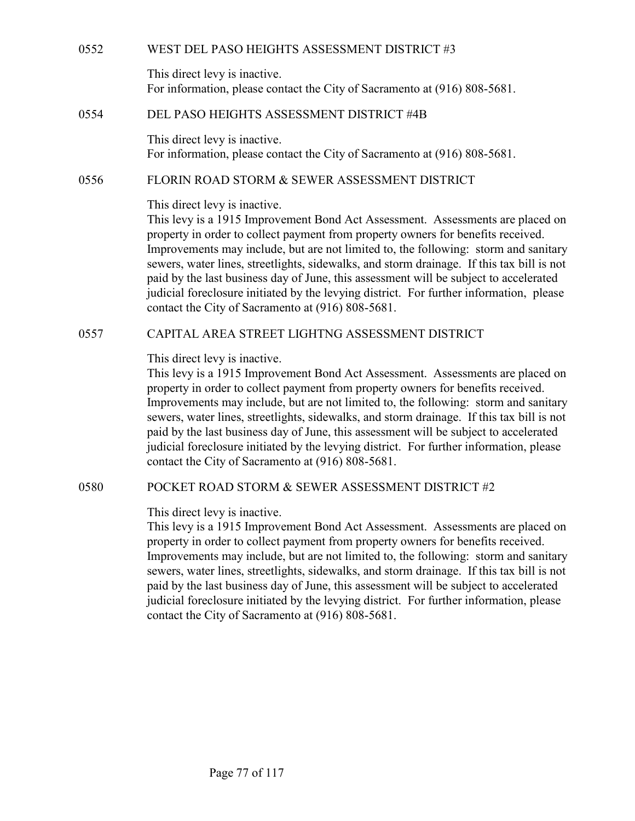WEST DEL PASO HEIGHTS ASSESSMENT DISTRICT #3<br>This direct levy is inactive.<br>For information, please contact the City of Sacramento at (916) 808-5681.<br>DEL PASO HEIGHTS ASSESSMENT DISTRICT #4B This direct levy is inactive. For information, please contact the City of Sacramento at (916) 808-5681.

WEST DEL PASO HEIGHTS ASSESSMENT DISTRICT #3<br>
This direct levy is inactive.<br>
For information, please contact the City of Sacramento at (916) 808-5681.<br>
DEL PASO HEIGHTS ASSESSMENT DISTRICT #4B<br>
This direct levy is inactive This direct levy is inactive. For information, please contact the City of Sacramento at (916) 808-5681.

This direct levy is inactive.

WEST DEL PASO HEIGHTS ASSESSMENT DISTRICT #3<br>
This direct levy is inactive.<br>
For information, please contact the City of Sacramento at (916) 808-5681.<br>
DEL PASO HEIGHTS ASSESSMENT DISTRICT #4B<br>
This direct levy is inactive This levy is a 1915 Improvement Bond Act Assessment. Assessments are placed on property in order to collect payment from property owners for benefits received. Improvements may include, but are not limited to, the following: storm and sanitary sewers, water lines, streetlights, sidewalks, and storm drainage. If this tax bill is not paid by the last business day of June, this assessment will be subject to accelerated judicial foreclosure initiated by the levying district. For further information, please contact the City of Sacramento at (916) 808-5681. This direct levy is inactive.<br>
For information, please contact the City of Sacramento at (916) 808-5681.<br>
DEL PASO HEIGHTS ASSESSMENT DISTRICT #4B<br>
This direct levy is inactive.<br>
For information, please contact the City of

This direct levy is inactive.

This levy is a 1915 Improvement Bond Act Assessment. Assessments are placed on property in order to collect payment from property owners for benefits received. Improvements may include, but are not limited to, the following: storm and sanitary sewers, water lines, streetlights, sidewalks, and storm drainage. If this tax bill is not paid by the last business day of June, this assessment will be subject to accelerated judicial foreclosure initiated by the levying district. For further information, please contact the City of Sacramento at (916) 808-5681. In the levy is a 1915 improvement Bond Art Assessment. Assessments are placed on<br>property in order to collect payment from property owners for benefits received.<br>Improvements may include, but are not limited to, the follow

This direct levy is inactive.

This levy is a 1915 Improvement Bond Act Assessment. Assessments are placed on property in order to collect payment from property owners for benefits received. Improvements may include, but are not limited to, the following: storm and sanitary sewers, water lines, streetlights, sidewalks, and storm drainage. If this tax bill is not paid by the last business day of June, this assessment will be subject to accelerated judicial foreclosure initiated by the levying district. For further information, please contact the City of Sacramento at (916) 808-5681.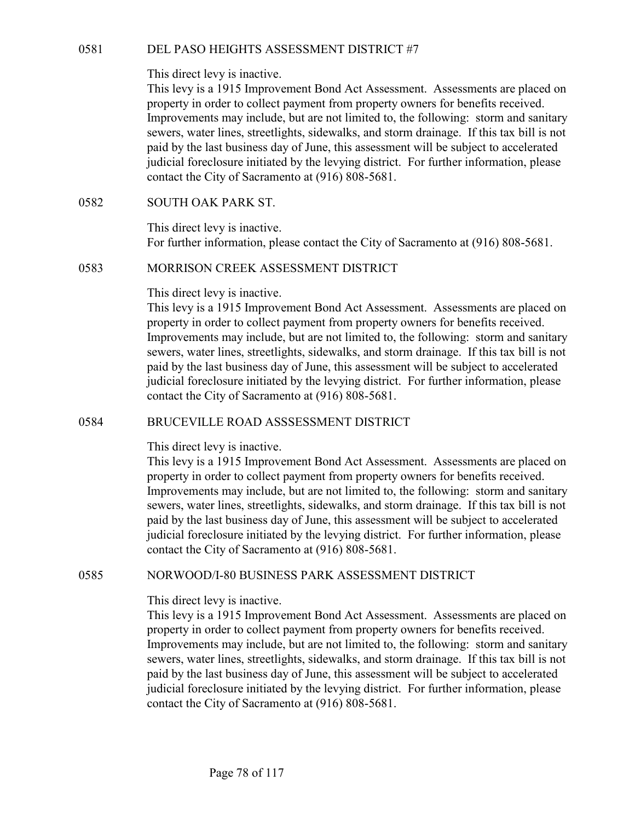O581 DEL PASO HEIGHTS ASSESSMENT DISTRICT #7<br>This direct levy is inactive.<br>This levy is a 1915 Improvement Bond Act Assessment. Assessments are placed on<br>property in order to collect payment from property owners for benefi This levy is a 1915 Improvement Bond Act Assessment. Assessments are placed on property in order to collect payment from property owners for benefits received. Improvements may include, but are not limited to, the following: storm and sanitary sewers, water lines, streetlights, sidewalks, and storm drainage. If this tax bill is not paid by the last business day of June, this assessment will be subject to accelerated judicial foreclosure initiated by the levying district. For further information, please contact the City of Sacramento at (916) 808-5681. 0581 DEL PASO HEIGHTS ASSESSMENT DISTRICT #7<br>
This direct levy is inactive.<br>
This levy is a 1915 Improvement Bond Act Assessment. Assessmen<br>
property in order to collect payment from property owners for benefic<br>
Improvemen OS81 DEL PASO HEIGHTS ASSESSMENT DISTRICT #7<br>
This direct levy is inactive.<br>
This levy is a 1915 Improvement Bond Act Assessment. Assessments are placed on<br>
property in order to collect payment from property owners for ben

This direct levy is inactive. For further information, please contact the City of Sacramento at (916) 808-5681.

## This direct levy is inactive.

This levy is a 1915 Improvement Bond Act Assessment. Assessments are placed on property in order to collect payment from property owners for benefits received. Improvements may include, but are not limited to, the following: storm and sanitary sewers, water lines, streetlights, sidewalks, and storm drainage. If this tax bill is not paid by the last business day of June, this assessment will be subject to accelerated judicial foreclosure initiated by the levying district. For further information, please contact the City of Sacramento at (916) 808-5681. indicial foreclosure initiated by the levying district. For further information, please<br>
contact the City of Sacramento at (916) 808-5681.<br>
SOUTH OAK PARK ST.<br>
This direct levy is inactive.<br>
For further information, please

# This direct levy is inactive.

This levy is a 1915 Improvement Bond Act Assessment. Assessments are placed on property in order to collect payment from property owners for benefits received. Improvements may include, but are not limited to, the following: storm and sanitary sewers, water lines, streetlights, sidewalks, and storm drainage. If this tax bill is not paid by the last business day of June, this assessment will be subject to accelerated judicial foreclosure initiated by the levying district. For further information, please contact the City of Sacramento at (916) 808-5681. In stevy is a 1915 improvement Bond Art Assessment. Assessments are placed on<br>the stevy is any include, but are not limited to, the following: storm and sanitary<br>severs, water lines, streetly its, sidewalks, and storm drai

### This direct levy is inactive.

This levy is a 1915 Improvement Bond Act Assessment. Assessments are placed on property in order to collect payment from property owners for benefits received. Improvements may include, but are not limited to, the following: storm and sanitary sewers, water lines, streetlights, sidewalks, and storm drainage. If this tax bill is not paid by the last business day of June, this assessment will be subject to accelerated judicial foreclosure initiated by the levying district. For further information, please contact the City of Sacramento at (916) 808-5681.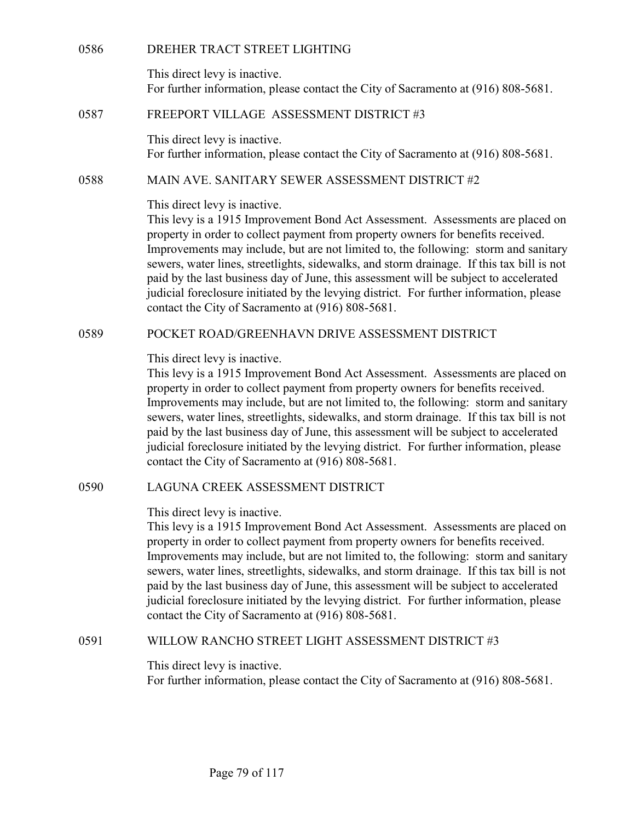0586 DREHER TRACT STREET LIGHTING<br>This direct levy is inactive.<br>For further information, please contact the City of Sacramento at (91<br>0587 FREEPORT VILLAGE ASSESSMENT DISTRICT #3 This direct levy is inactive. For further information, please contact the City of Sacramento at (916) 808-5681.

0586 DREHER TRACT STREET LIGHTING<br>
This direct levy is inactive.<br>
For further information, please contact the City of Sacramento at (916) 808-5681.<br>
FREEPORT VILLAGE ASSESSMENT DISTRICT #3<br>
This direct levy is inactive.<br>
F This direct levy is inactive. For further information, please contact the City of Sacramento at (916) 808-5681.

This direct levy is inactive.

0586<br>
IDREHER TRACT STREET LIGHTING<br>
This direct levy is inactive.<br>
For further information, please contact the City of Sacramento at (916) 808-5681.<br>
ISBN FREEPORT VILLAGE ASSESSMENT DISTRICT #3<br>
This direct levy is inact This levy is a 1915 Improvement Bond Act Assessment. Assessments are placed on property in order to collect payment from property owners for benefits received. Improvements may include, but are not limited to, the following: storm and sanitary sewers, water lines, streetlights, sidewalks, and storm drainage. If this tax bill is not paid by the last business day of June, this assessment will be subject to accelerated judicial foreclosure initiated by the levying district. For further information, please contact the City of Sacramento at (916) 808-5681. This direct levy is inactive.<br>
For further information, please contact the City of Sacramento at (916) 808-5681.<br>
FREEPORT VILLAGE ASSESSMENT DISTRICT #3<br>
This direct levy is inactive.<br>
For further information, please cont

This direct levy is inactive.

This levy is a 1915 Improvement Bond Act Assessment. Assessments are placed on property in order to collect payment from property owners for benefits received. Improvements may include, but are not limited to, the following: storm and sanitary sewers, water lines, streetlights, sidewalks, and storm drainage. If this tax bill is not paid by the last business day of June, this assessment will be subject to accelerated judicial foreclosure initiated by the levying district. For further information, please contact the City of Sacramento at (916) 808-5681. 168 IS at 1915 Improvement Hond Act Assessment. Assessments are placed on<br>that lect they is a 1915 Improvement from property owners for benefits received.<br>Improvements may include, but are not limited to, the following: st

This direct levy is inactive.

This levy is a 1915 Improvement Bond Act Assessment. Assessments are placed on property in order to collect payment from property owners for benefits received. Improvements may include, but are not limited to, the following: storm and sanitary sewers, water lines, streetlights, sidewalks, and storm drainage. If this tax bill is not paid by the last business day of June, this assessment will be subject to accelerated judicial foreclosure initiated by the levying district. For further information, please contact the City of Sacramento at (916) 808-5681. 1915 Improvement Bond Act Assessment. Assessment and the substituted by the substituted by the following: storm and sanitary<br>
severs, water lines, streetlights, sidewalks, and storm drainage. If this tax bill is not<br>
paid

This direct levy is inactive. For further information, please contact the City of Sacramento at (916) 808-5681.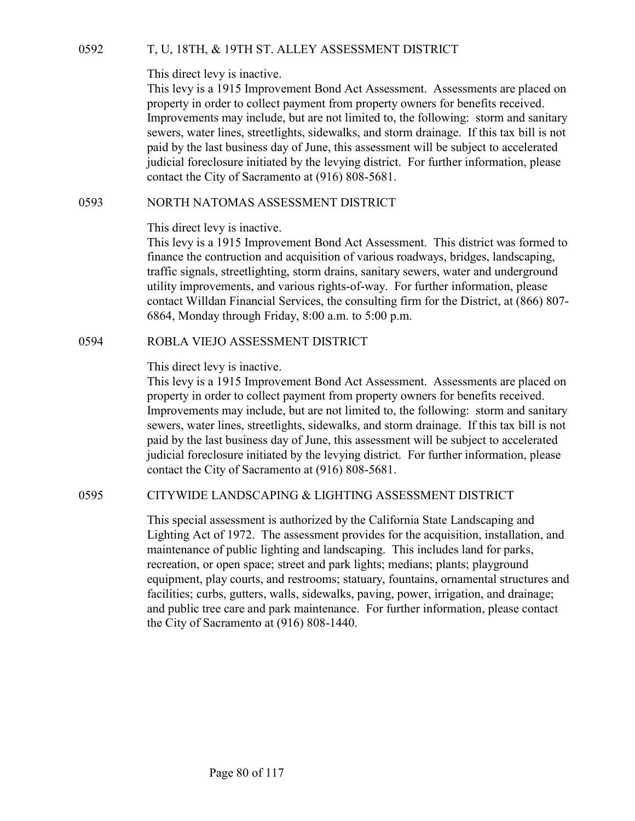0592 T, U, 18TH, & 19TH ST. ALLEY ASSESSMENT DISTRICT<br>This direct levy is inactive.<br>This levy is a 1915 Improvement Bond Act Assessment. Assessments are placed on<br>property in order to collect payment from property owners f This levy is a 1915 Improvement Bond Act Assessment. Assessments are placed on property in order to collect payment from property owners for benefits received. Improvements may include, but are not limited to, the following: storm and sanitary sewers, water lines, streetlights, sidewalks, and storm drainage. If this tax bill is not paid by the last business day of June, this assessment will be subject to accelerated judicial foreclosure initiated by the levying district. For further information, please contact the City of Sacramento at (916) 808-5681. T, U, 18TH, & 19TH ST. ALLEY ASSESSMENT DISTRICT<br>
This direct levy is inactive.<br>
This levy is a 1915 Improvement Bond Act Assessment. Assessments are placed on<br>
property in order to collect payment from property owners for This direct levy is macrive.<br>This levy is a 1915 Improvement Bond Act Assessment. Assessments are placed on<br>property in order to collect payment from property owners for benefits received.<br>Improvements may include, but are

## This direct levy is inactive.

This levy is a 1915 Improvement Bond Act Assessment. This district was formed to finance the contruction and acquisition of various roadways, bridges, landscaping, traffic signals, streetlighting, storm drains, sanitary sewers, water and underground utility improvements, and various rights-of-way. For further information, please contact Willdan Financial Services, the consulting firm for the District, at (866) 807- 6864, Monday through Friday, 8:00 a.m. to 5:00 p.m.

## This direct levy is inactive.

This levy is a 1915 Improvement Bond Act Assessment. Assessments are placed on property in order to collect payment from property owners for benefits received. Improvements may include, but are not limited to, the following: storm and sanitary sewers, water lines, streetlights, sidewalks, and storm drainage. If this tax bill is not paid by the last business day of June, this assessment will be subject to accelerated judicial foreclosure initiated by the levying district. For further information, please contact the City of Sacramento at (916) 808-5681. Ins direct levy is a I915 Improvement Bond Act Assessment. This district was formed to<br>
finance the contruction and acquisition of various roadways, bridges, landscaping,<br>
traffic signals, streetlighting, storm drains, san

This special assessment is authorized by the California State Landscaping and Lighting Act of 1972. The assessment provides for the acquisition, installation, and maintenance of public lighting and landscaping. This includes land for parks, recreation, or open space; street and park lights; medians; plants; playground equipment, play courts, and restrooms; statuary, fountains, ornamental structures and facilities; curbs, gutters, walls, sidewalks, paving, power, irrigation, and drainage; and public tree care and park maintenance. For further information, please contact the City of Sacramento at (916) 808-1440.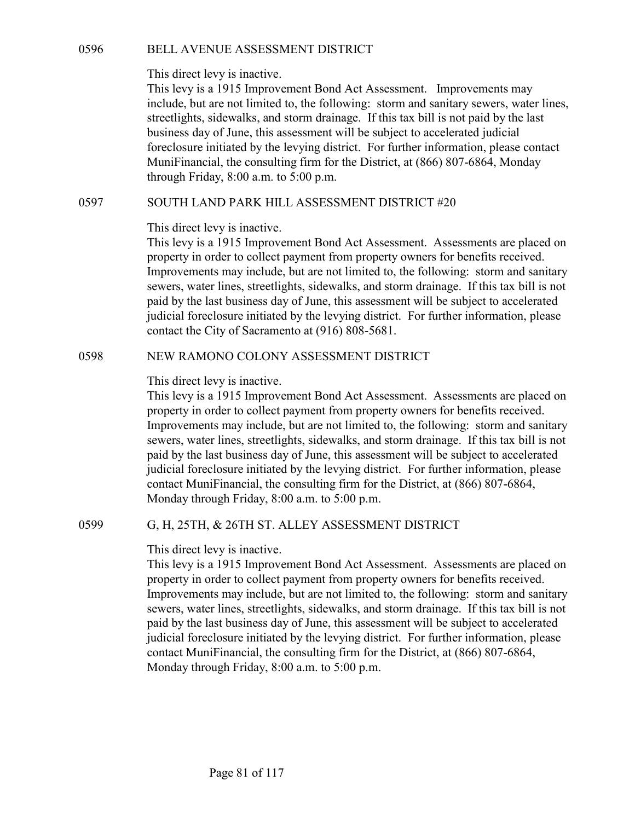0596 BELL AVENUE ASSESSMENT DISTRICT<br>This direct levy is inactive.<br>This levy is a 1915 Improvement Bond Act Assessment. Improvements may<br>include, but are not limited to, the following: storm and sanitary sewers, water line This levy is a 1915 Improvement Bond Act Assessment. Improvements may include, but are not limited to, the following: storm and sanitary sewers, water lines, streetlights, sidewalks, and storm drainage. If this tax bill is not paid by the last business day of June, this assessment will be subject to accelerated judicial foreclosure initiated by the levying district. For further information, please contact MuniFinancial, the consulting firm for the District, at (866) 807-6864, Monday through Friday, 8:00 a.m. to 5:00 p.m. BELL AVENUE ASSESSMENT DISTRICT<br>
This direct levy is inactive.<br>
This levy is a 1915 Improvement Bond Act Assessment. Improvements may<br>
include, but are not limited to, the following: storm and sanitary severs, water lines,

## This direct levy is inactive.

This levy is a 1915 Improvement Bond Act Assessment. Assessments are placed on property in order to collect payment from property owners for benefits received. Improvements may include, but are not limited to, the following: storm and sanitary sewers, water lines, streetlights, sidewalks, and storm drainage. If this tax bill is not paid by the last business day of June, this assessment will be subject to accelerated judicial foreclosure initiated by the levying district. For further information, please contact the City of Sacramento at (916) 808-5681. Insi levy is a 1915 Improvement Bond Arc Assessment. Improvements may<br>
include, but are not limited to, the following: storm and samitary severs, water lines,<br>
streetlights, sidewalks, and storm drainage. If this tax bill

# This direct levy is inactive.

This levy is a 1915 Improvement Bond Act Assessment. Assessments are placed on property in order to collect payment from property owners for benefits received. Improvements may include, but are not limited to, the following: storm and sanitary sewers, water lines, streetlights, sidewalks, and storm drainage. If this tax bill is not paid by the last business day of June, this assessment will be subject to accelerated judicial foreclosure initiated by the levying district. For further information, please contact MuniFinancial, the consulting firm for the District, at (866) 807-6864, Monday through Friday, 8:00 a.m. to 5:00 p.m. property in order to colloce payment rrom property owners in or encellents received.<br>
Improvements may include, but are not limited to, the following: storm and sanitary<br>
severs, water lines, streetlights, sidewalks, and s

# This direct levy is inactive.

This levy is a 1915 Improvement Bond Act Assessment. Assessments are placed on property in order to collect payment from property owners for benefits received. Improvements may include, but are not limited to, the following: storm and sanitary sewers, water lines, streetlights, sidewalks, and storm drainage. If this tax bill is not paid by the last business day of June, this assessment will be subject to accelerated judicial foreclosure initiated by the levying district. For further information, please contact MuniFinancial, the consulting firm for the District, at (866) 807-6864, Monday through Friday, 8:00 a.m. to 5:00 p.m.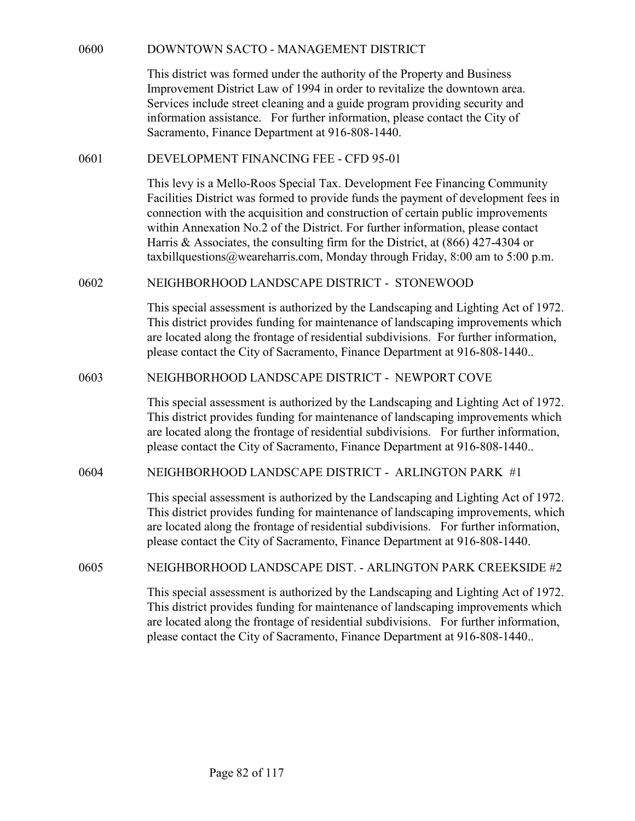| 0600<br>DOWNTOWN SACTO - MANAGEMENT DISTRICT<br>This district was formed under the authority of the Property and Business<br>Improvement District Law of 1994 in order to revitalize the downtown area.<br>Services include street cleaning and a guide program providing security and<br>information assistance. For further information, please contact the City of<br>Sacramento, Finance Department at 916-808-1440.<br>0601<br>DEVELOPMENT FINANCING FEE - CFD 95-01<br>This levy is a Mello-Roos Special Tax. Development Fee Financing Community<br>Facilities District was formed to provide funds the payment of development fees in<br>connection with the acquisition and construction of certain public improvements<br>within Annexation No.2 of the District. For further information, please contact<br>Harris & Associates, the consulting firm for the District, at $(866)$ 427-4304 or<br>taxbillquestions@weareharris.com, Monday through Friday, 8:00 am to 5:00 p.m.<br>NEIGHBORHOOD LANDSCAPE DISTRICT - STONEWOOD<br>0602 |  |
|--------------------------------------------------------------------------------------------------------------------------------------------------------------------------------------------------------------------------------------------------------------------------------------------------------------------------------------------------------------------------------------------------------------------------------------------------------------------------------------------------------------------------------------------------------------------------------------------------------------------------------------------------------------------------------------------------------------------------------------------------------------------------------------------------------------------------------------------------------------------------------------------------------------------------------------------------------------------------------------------------------------------------------------------------|--|
|                                                                                                                                                                                                                                                                                                                                                                                                                                                                                                                                                                                                                                                                                                                                                                                                                                                                                                                                                                                                                                                  |  |
|                                                                                                                                                                                                                                                                                                                                                                                                                                                                                                                                                                                                                                                                                                                                                                                                                                                                                                                                                                                                                                                  |  |
|                                                                                                                                                                                                                                                                                                                                                                                                                                                                                                                                                                                                                                                                                                                                                                                                                                                                                                                                                                                                                                                  |  |
|                                                                                                                                                                                                                                                                                                                                                                                                                                                                                                                                                                                                                                                                                                                                                                                                                                                                                                                                                                                                                                                  |  |
|                                                                                                                                                                                                                                                                                                                                                                                                                                                                                                                                                                                                                                                                                                                                                                                                                                                                                                                                                                                                                                                  |  |
|                                                                                                                                                                                                                                                                                                                                                                                                                                                                                                                                                                                                                                                                                                                                                                                                                                                                                                                                                                                                                                                  |  |
| This special assessment is authorized by the Landscaping and Lighting Act of 1972.<br>This district provides funding for maintenance of landscaping improvements which<br>are located along the frontage of residential subdivisions. For further information,<br>please contact the City of Sacramento, Finance Department at 916-808-1440                                                                                                                                                                                                                                                                                                                                                                                                                                                                                                                                                                                                                                                                                                      |  |
| 0603<br>NEIGHBORHOOD LANDSCAPE DISTRICT - NEWPORT COVE                                                                                                                                                                                                                                                                                                                                                                                                                                                                                                                                                                                                                                                                                                                                                                                                                                                                                                                                                                                           |  |
| This special assessment is authorized by the Landscaping and Lighting Act of 1972.<br>This district provides funding for maintenance of landscaping improvements which<br>are located along the frontage of residential subdivisions. For further information,<br>please contact the City of Sacramento, Finance Department at 916-808-1440                                                                                                                                                                                                                                                                                                                                                                                                                                                                                                                                                                                                                                                                                                      |  |
| NEIGHBORHOOD LANDSCAPE DISTRICT - ARLINGTON PARK #1<br>0604                                                                                                                                                                                                                                                                                                                                                                                                                                                                                                                                                                                                                                                                                                                                                                                                                                                                                                                                                                                      |  |
| This special assessment is authorized by the Landscaping and Lighting Act of 1972.<br>This district provides funding for maintenance of landscaping improvements, which<br>are located along the frontage of residential subdivisions. For further information,<br>please contact the City of Sacramento, Finance Department at 916-808-1440.                                                                                                                                                                                                                                                                                                                                                                                                                                                                                                                                                                                                                                                                                                    |  |
| NEIGHBORHOOD LANDSCAPE DIST. - ARLINGTON PARK CREEKSIDE #2<br>0605                                                                                                                                                                                                                                                                                                                                                                                                                                                                                                                                                                                                                                                                                                                                                                                                                                                                                                                                                                               |  |
| This special assessment is authorized by the Landscaping and Lighting Act of 1972.<br>This district provides funding for maintenance of landscaping improvements which<br>are located along the frontage of residential subdivisions. For further information,<br>please contact the City of Sacramento, Finance Department at 916-808-1440                                                                                                                                                                                                                                                                                                                                                                                                                                                                                                                                                                                                                                                                                                      |  |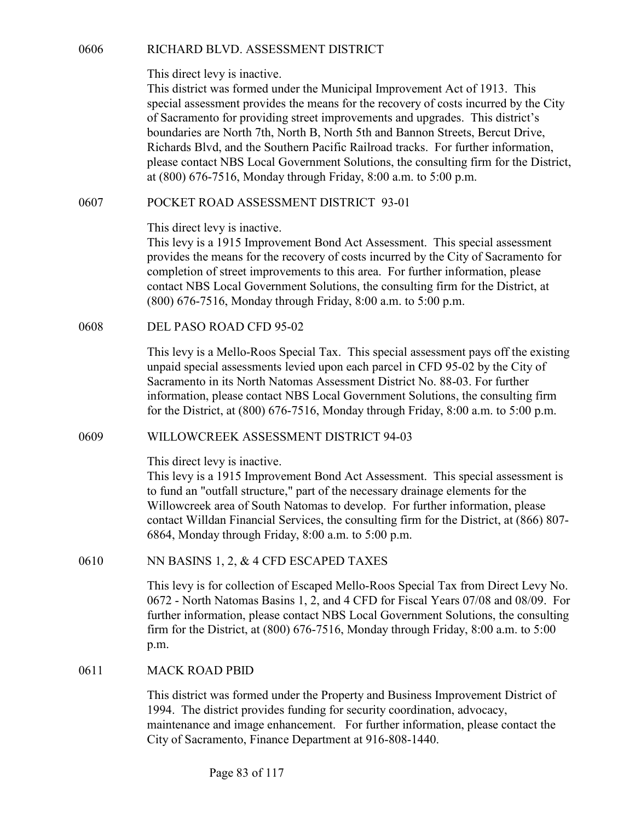RICHARD BLVD. ASSESSMENT DISTRICT<br>This direct levy is inactive.<br>This district was formed under the Municipal Improvement Act of 1913. This<br>special assessment provides the means for the recovery of costs incurred by the Cit This district was formed under the Municipal Improvement Act of 1913. This special assessment provides the means for the recovery of costs incurred by the City of Sacramento for providing street improvements and upgrades. This district's boundaries are North 7th, North B, North 5th and Bannon Streets, Bercut Drive, Richards Blvd, and the Southern Pacific Railroad tracks. For further information, please contact NBS Local Government Solutions, the consulting firm for the District, at (800) 676-7516, Monday through Friday, 8:00 a.m. to 5:00 p.m. RICHARD BLVD. ASSESSMENT DISTRICT<br>
This direct levy is inactive.<br>
This district was formed under the Municipal Improvement Act of 1913. This<br>
special assessment provides the means for the recovery of costs incurred by the This direct levy is inactive.<br>
This district was formed under the Municipal Improvement Act of 1:<br>
special assessment provides the means for the recovery of costs incure<br>
of Sacramento for providing street improvements and

This direct levy is inactive.

This levy is a 1915 Improvement Bond Act Assessment. This special assessment provides the means for the recovery of costs incurred by the City of Sacramento for completion of street improvements to this area. For further information, please contact NBS Local Government Solutions, the consulting firm for the District, at (800) 676-7516, Monday through Friday, 8:00 a.m. to 5:00 p.m. at (800) 676-7516, Monday through Friday, 8:00 a.m. to 5:00 p.m.<br>
POCKET ROAD ASSESSMENT DISTRICT 93-01<br>
This direct levy is inactive.<br>
This levy is a 1915 Improvement Bond Act Assessment. This special assessment<br>
provides

This levy is a Mello-Roos Special Tax. This special assessment pays off the existing unpaid special assessments levied upon each parcel in CFD 95-02 by the City of Sacramento in its North Natomas Assessment District No. 88-03. For further information, please contact NBS Local Government Solutions, the consulting firm for the District, at (800) 676-7516, Monday through Friday, 8:00 a.m. to 5:00 p.m.

This direct levy is inactive.

This levy is a 1915 Improvement Bond Act Assessment. This special assessment is to fund an "outfall structure," part of the necessary drainage elements for the Willowcreek area of South Natomas to develop. For further information, please contact Willdan Financial Services, the consulting firm for the District, at (866) 807- 6864, Monday through Friday, 8:00 a.m. to 5:00 p.m. (800) 676-7516, Monday through Friday, 8:00 a.m. to 5:00 p.m.<br>
DEL PASO ROAD CFD 95-02<br>
This levy is a Mello-Roos Special Tax. This special assessment pays off the existing<br>
unpaid special assessments levied upon each par for the District, at (800) 676-7516, Monday through Friday, 8:00 a.m<br>
WILLOWCREEK ASSESSMENT DISTRICT 94-03<br>
This direct levy is inactive.<br>
This direct levy is inactive.<br>
This levy is a 1915 Improvement Bond Act Assessment

This levy is for collection of Escaped Mello-Roos Special Tax from Direct Levy No. 0672 - North Natomas Basins 1, 2, and 4 CFD for Fiscal Years 07/08 and 08/09. For further information, please contact NBS Local Government Solutions, the consulting firm for the District, at (800) 676-7516, Monday through Friday, 8:00 a.m. to 5:00 p.m.

This district was formed under the Property and Business Improvement District of 1994. The district provides funding for security coordination, advocacy, maintenance and image enhancement. For further information, please contact the City of Sacramento, Finance Department at 916-808-1440.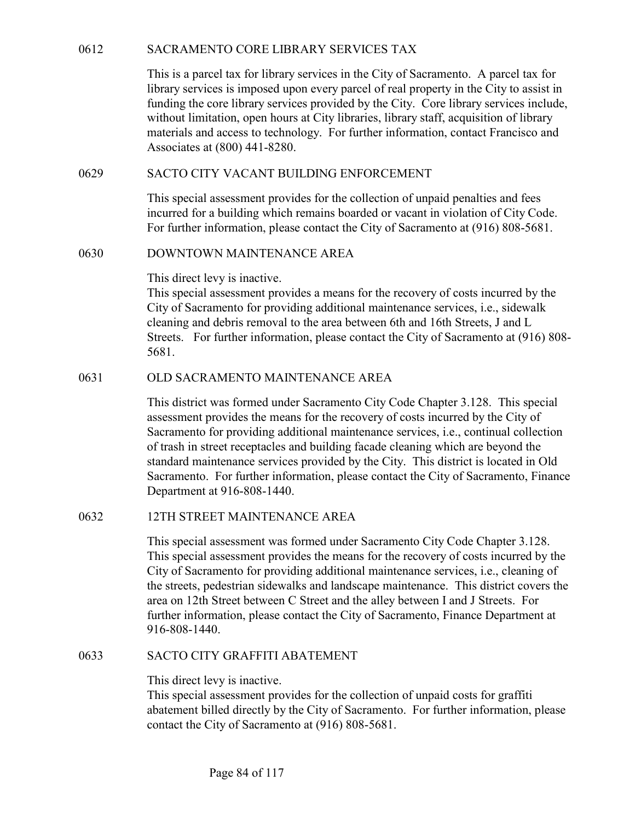SACRAMENTO CORE LIBRARY SERVICES TAX<br>
This is a parcel tax for library services in the City of Sacramento. A parcel tax for<br>
library services is imposed upon every parcel of real property in the City to assist in<br>
funding This is a parcel tax for library services in the City of Sacramento. A parcel tax for library services is imposed upon every parcel of real property in the City to assist in funding the core library services provided by the City. Core library services include, without limitation, open hours at City libraries, library staff, acquisition of library materials and access to technology. For further information, contact Francisco and Associates at (800) 441-8280. SACRAMENTO CORE LIBRARY SERVICES TAX<br>
This is a parcel tax for library services in the City of Sacramento. A parcel tax for<br>
library services is imposed upon every parcel of real property in the City to assist in<br>
funding SACRAMENTO CORE LIBRARY SERVICES TAX<br>
This is a parcel tax for library services in the City of Sacramento. A<br>
library services is imposed upon every parcel of real property in the<br>
funding the core library services provide

This special assessment provides for the collection of unpaid penalties and fees incurred for a building which remains boarded or vacant in violation of City Code. For further information, please contact the City of Sacramento at (916) 808-5681.

This direct levy is inactive.

This special assessment provides a means for the recovery of costs incurred by the City of Sacramento for providing additional maintenance services, i.e., sidewalk cleaning and debris removal to the area between 6th and 16th Streets, J and L Streets. For further information, please contact the City of Sacramento at (916) 808- 5681. without limitation, open hours at City libraries, library staff, acquisited materials and access to technology. For further information, contact<br>Associates at (800) 441-8280.<br>SACTO CITY VACANT BUILDING ENFORCEMENT<br>This spe

This district was formed under Sacramento City Code Chapter 3.128. This special assessment provides the means for the recovery of costs incurred by the City of Sacramento for providing additional maintenance services, i.e., continual collection of trash in street receptacles and building facade cleaning which are beyond the standard maintenance services provided by the City. This district is located in Old Sacramento. For further information, please contact the City of Sacramento, Finance Department at 916-808-1440. 0630 DOWNTOWN MAINTENANCE AREA<br>
This direct levy is inactive.<br>
This special assessment provides a means for the recovery of costs in<br>
City of Sacrametot for providing additional maintenance services, i.<br>
cleaning and debri This district was formed under Sacramento City Code Chapter 3.128<br>assessment provides the means for the recovery of costs incurred by<br>Sacramento for providing additional maintenance services, i.e., cont<br>of trash in street

This special assessment was formed under Sacramento City Code Chapter 3.128. This special assessment provides the means for the recovery of costs incurred by the City of Sacramento for providing additional maintenance services, i.e., cleaning of the streets, pedestrian sidewalks and landscape maintenance. This district covers the area on 12th Street between C Street and the alley between I and J Streets. For further information, please contact the City of Sacramento, Finance Department at 916-808-1440.

This direct levy is inactive.

This special assessment provides for the collection of unpaid costs for graffiti abatement billed directly by the City of Sacramento. For further information, please contact the City of Sacramento at (916) 808-5681.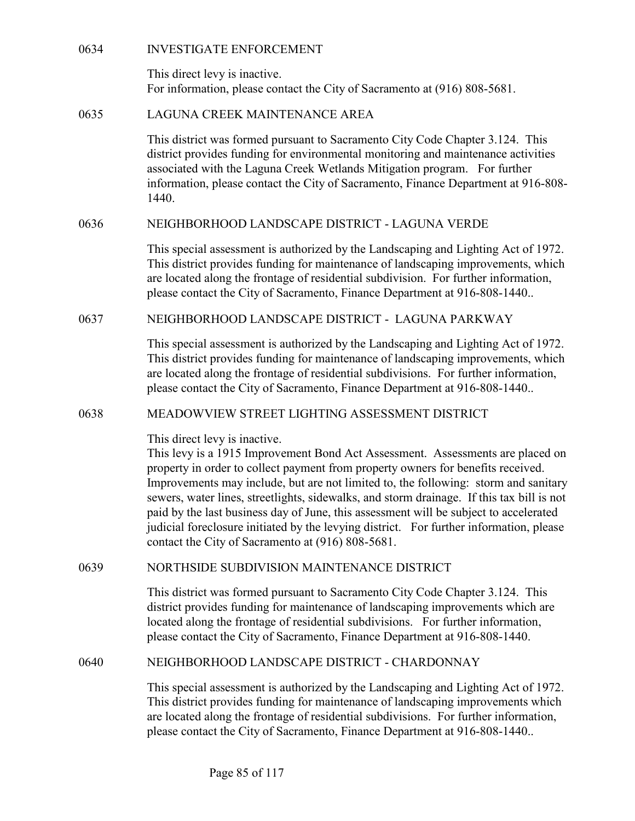| 0634 | <b>INVESTIGATE ENFORCEMENT</b> |
|------|--------------------------------|
|      |                                |

0634 INVESTIGATE ENFORCEMENT<br>This direct levy is inactive.<br>For information, please contact the City of Sacramento at (916) 808-<br>0635 LAGUNA CREEK MAINTENANCE AREA This direct levy is inactive. For information, please contact the City of Sacramento at (916) 808-5681.

0634<br>
INVESTIGATE ENFORCEMENT<br>
This direct levy is inactive.<br>
For information, please contact the City of Sacramento at (916) 808-<br>
0635<br>
LAGUNA CREEK MAINTENANCE AREA<br>
This district was formed pursuant to Sacramento City This district was formed pursuant to Sacramento City Code Chapter 3.124. This district provides funding for environmental monitoring and maintenance activities associated with the Laguna Creek Wetlands Mitigation program. For further information, please contact the City of Sacramento, Finance Department at 916-808- 1440. 0634<br>
INVESTIGATE ENFORCEMENT<br>
This direct levy is inactive.<br>
For information, please contact the City of Sacramento at (916) 808-5681.<br>
LAGUNA CREEK MAINTENANCE AREA<br>
This district was formed pursuant to Sacramento City C INTERT CONCESSITERT THE CONCESSITE.<br>
This district levy is inactive.<br>
For information, please contact the City of Sacramento at (916) 808-5681.<br>
In Solstic Was formed pursuant to Sacramento City Code Chapter 3.124. This<br>
d district provides funding for environmental monitoring and maintenance activities<br>
associated with the Laguna Creek Wetlands Mitigation program. For further<br>
information, please contact the City of Sacramento, Finance Depa

This special assessment is authorized by the Landscaping and Lighting Act of 1972. This district provides funding for maintenance of landscaping improvements, which are located along the frontage of residential subdivision. For further information, please contact the City of Sacramento, Finance Department at 916-808-1440..

This special assessment is authorized by the Landscaping and Lighting Act of 1972. This district provides funding for maintenance of landscaping improvements, which are located along the frontage of residential subdivisions. For further information, please contact the City of Sacramento, Finance Department at 916-808-1440..

This direct levy is inactive.

This levy is a 1915 Improvement Bond Act Assessment. Assessments are placed on property in order to collect payment from property owners for benefits received. Improvements may include, but are not limited to, the following: storm and sanitary sewers, water lines, streetlights, sidewalks, and storm drainage. If this tax bill is not paid by the last business day of June, this assessment will be subject to accelerated judicial foreclosure initiated by the levying district. For further information, please contact the City of Sacramento at (916) 808-5681. MEIGHBORHOOD LANDSCAPE DISTRICT - LAGUNA PARKWAY<br>
This special assessment is authorized by the Landscaping and Lighting Act of 1972.<br>
This district provides funding for maintenance of landscaping improvements, which<br>
are l 0638<br>
MEADOWVIEW STREET LIGHTING ASSESSMENT DISTRICT<br>
This direct levy is inactive.<br>
This levy is a 1915 Improvement Bond Act Assessment. Assessments are placed on<br>
property in order to collect payment from property owners

This district was formed pursuant to Sacramento City Code Chapter 3.124. This district provides funding for maintenance of landscaping improvements which are located along the frontage of residential subdivisions. For further information, please contact the City of Sacramento, Finance Department at 916-808-1440.

This special assessment is authorized by the Landscaping and Lighting Act of 1972. This district provides funding for maintenance of landscaping improvements which are located along the frontage of residential subdivisions. For further information, please contact the City of Sacramento, Finance Department at 916-808-1440..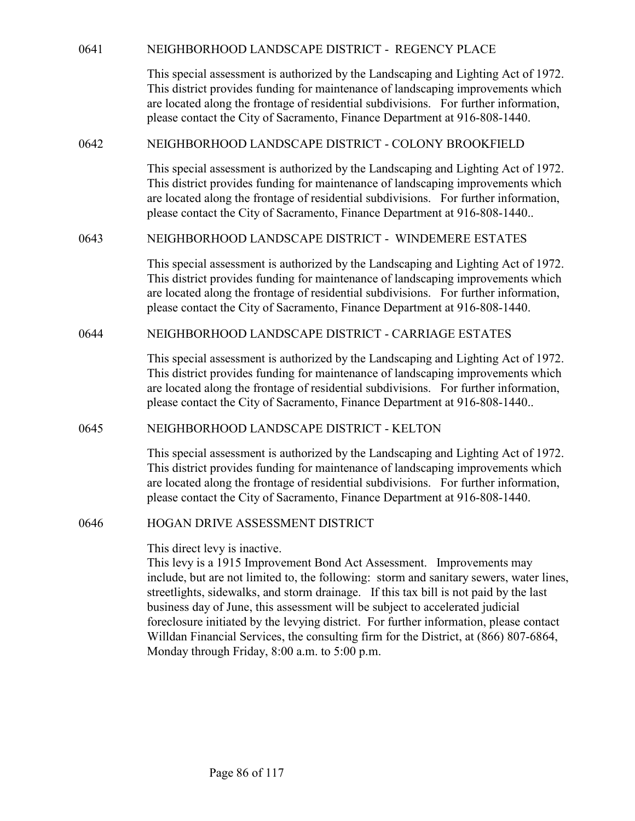| 0641 | NEIGHBORHOOD LANDSCAPE DISTRICT - REGENCY PLACE                                                                                                                                                                                                                                                                                                                                                                                                                                                                                                                                                                |
|------|----------------------------------------------------------------------------------------------------------------------------------------------------------------------------------------------------------------------------------------------------------------------------------------------------------------------------------------------------------------------------------------------------------------------------------------------------------------------------------------------------------------------------------------------------------------------------------------------------------------|
|      | This special assessment is authorized by the Landscaping and Lighting Act of 1972.<br>This district provides funding for maintenance of landscaping improvements which<br>are located along the frontage of residential subdivisions. For further information,<br>please contact the City of Sacramento, Finance Department at 916-808-1440.                                                                                                                                                                                                                                                                   |
| 0642 | NEIGHBORHOOD LANDSCAPE DISTRICT - COLONY BROOKFIELD                                                                                                                                                                                                                                                                                                                                                                                                                                                                                                                                                            |
|      | This special assessment is authorized by the Landscaping and Lighting Act of 1972.<br>This district provides funding for maintenance of landscaping improvements which<br>are located along the frontage of residential subdivisions. For further information,<br>please contact the City of Sacramento, Finance Department at 916-808-1440                                                                                                                                                                                                                                                                    |
| 0643 | NEIGHBORHOOD LANDSCAPE DISTRICT - WINDEMERE ESTATES                                                                                                                                                                                                                                                                                                                                                                                                                                                                                                                                                            |
|      | This special assessment is authorized by the Landscaping and Lighting Act of 1972.<br>This district provides funding for maintenance of landscaping improvements which<br>are located along the frontage of residential subdivisions. For further information,<br>please contact the City of Sacramento, Finance Department at 916-808-1440.                                                                                                                                                                                                                                                                   |
| 0644 | NEIGHBORHOOD LANDSCAPE DISTRICT - CARRIAGE ESTATES                                                                                                                                                                                                                                                                                                                                                                                                                                                                                                                                                             |
|      | This special assessment is authorized by the Landscaping and Lighting Act of 1972.<br>This district provides funding for maintenance of landscaping improvements which<br>are located along the frontage of residential subdivisions. For further information,<br>please contact the City of Sacramento, Finance Department at 916-808-1440                                                                                                                                                                                                                                                                    |
| 0645 | NEIGHBORHOOD LANDSCAPE DISTRICT - KELTON                                                                                                                                                                                                                                                                                                                                                                                                                                                                                                                                                                       |
|      | This special assessment is authorized by the Landscaping and Lighting Act of 1972.<br>This district provides funding for maintenance of landscaping improvements which<br>are located along the frontage of residential subdivisions. For further information,<br>please contact the City of Sacramento, Finance Department at 916-808-1440.                                                                                                                                                                                                                                                                   |
| 0646 | HOGAN DRIVE ASSESSMENT DISTRICT                                                                                                                                                                                                                                                                                                                                                                                                                                                                                                                                                                                |
|      | This direct levy is inactive.<br>This levy is a 1915 Improvement Bond Act Assessment. Improvements may<br>include, but are not limited to, the following: storm and sanitary sewers, water lines,<br>streetlights, sidewalks, and storm drainage. If this tax bill is not paid by the last<br>business day of June, this assessment will be subject to accelerated judicial<br>foreclosure initiated by the levying district. For further information, please contact<br>Willdan Financial Services, the consulting firm for the District, at (866) 807-6864,<br>Monday through Friday, 8:00 a.m. to 5:00 p.m. |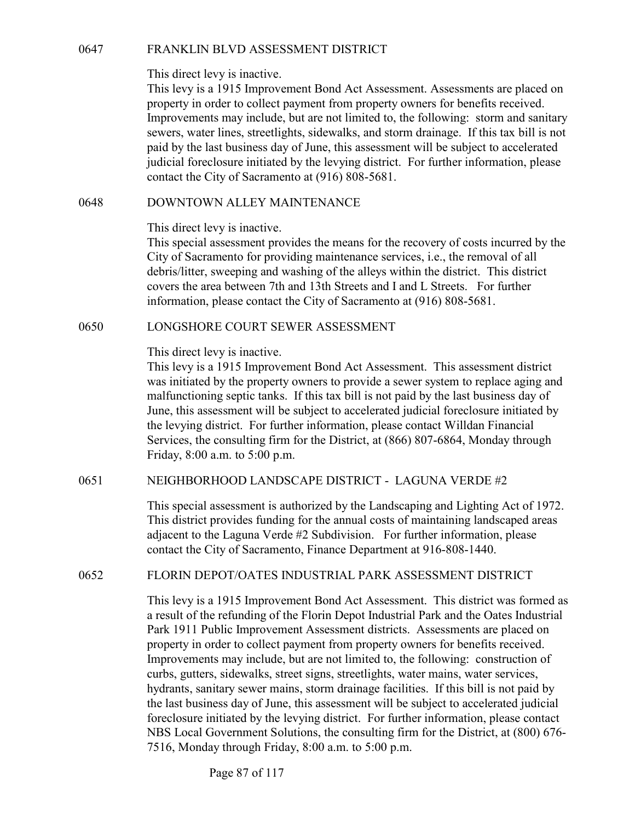This direct levy is inactive.<br>
This direct levy is inactive.<br>
This levy is a 1915 Improvement Bond Act Assessment. Assessments are placed on<br>
property in order to collect payment from property owners for benefits received. This levy is a 1915 Improvement Bond Act Assessment. Assessments are placed on property in order to collect payment from property owners for benefits received. Improvements may include, but are not limited to, the following: storm and sanitary sewers, water lines, streetlights, sidewalks, and storm drainage. If this tax bill is not paid by the last business day of June, this assessment will be subject to accelerated judicial foreclosure initiated by the levying district. For further information, please contact the City of Sacramento at (916) 808-5681. FRANKLIN BLVD ASSESSMENT DISTRICT<br>
This direct levy is inactive.<br>
This levy is a 1915 Improvement Bond Act Assessment. Assessment<br>
property in order to collect payment from property owners for benefic<br>
Improvements may inc This direct levy is inactive.<br>
This levy is a 1915 Improvement Bond Act Assessment. Assessments are placed on<br>
property in ordet to collect payment from property owners for benefits received.<br>
Improvements may include, but

This direct levy is inactive.

This special assessment provides the means for the recovery of costs incurred by the City of Sacramento for providing maintenance services, i.e., the removal of all debris/litter, sweeping and washing of the alleys within the district. This district covers the area between 7th and 13th Streets and I and L Streets. For further information, please contact the City of Sacramento at (916) 808-5681.

This direct levy is inactive.

This levy is a 1915 Improvement Bond Act Assessment. This assessment district was initiated by the property owners to provide a sewer system to replace aging and malfunctioning septic tanks. If this tax bill is not paid by the last business day of June, this assessment will be subject to accelerated judicial foreclosure initiated by the levying district. For further information, please contact Willdan Financial Services, the consulting firm for the District, at (866) 807-6864, Monday through Friday, 8:00 a.m. to 5:00 p.m. This direct levy is inactive.<br>
This special assessment provides the means for the recovery of costs incurred by the<br>
City of Sacremento for providing maintenance services, i.e., the removal of all<br>
clebris/litter, sweepin 0650 **LONGSHORE COURT SEWER ASSESSMENT**<br>
This direct levy is inactive.<br>
This direct levy is a 1915 Improvement Bond Act Assessment. This assessment district<br>
was initiated by the property owners to provide a sewer system t

This special assessment is authorized by the Landscaping and Lighting Act of 1972. This district provides funding for the annual costs of maintaining landscaped areas adjacent to the Laguna Verde #2 Subdivision. For further information, please contact the City of Sacramento, Finance Department at 916-808-1440.

This levy is a 1915 Improvement Bond Act Assessment. This district was formed as a result of the refunding of the Florin Depot Industrial Park and the Oates Industrial Park 1911 Public Improvement Assessment districts. Assessments are placed on property in order to collect payment from property owners for benefits received. Improvements may include, but are not limited to, the following: construction of curbs, gutters, sidewalks, street signs, streetlights, water mains, water services, hydrants, sanitary sewer mains, storm drainage facilities. If this bill is not paid by the last business day of June, this assessment will be subject to accelerated judicial foreclosure initiated by the levying district. For further information, please contact NBS Local Government Solutions, the consulting firm for the District, at (800) 676- 7516, Monday through Friday, 8:00 a.m. to 5:00 p.m.

Page 87 of 117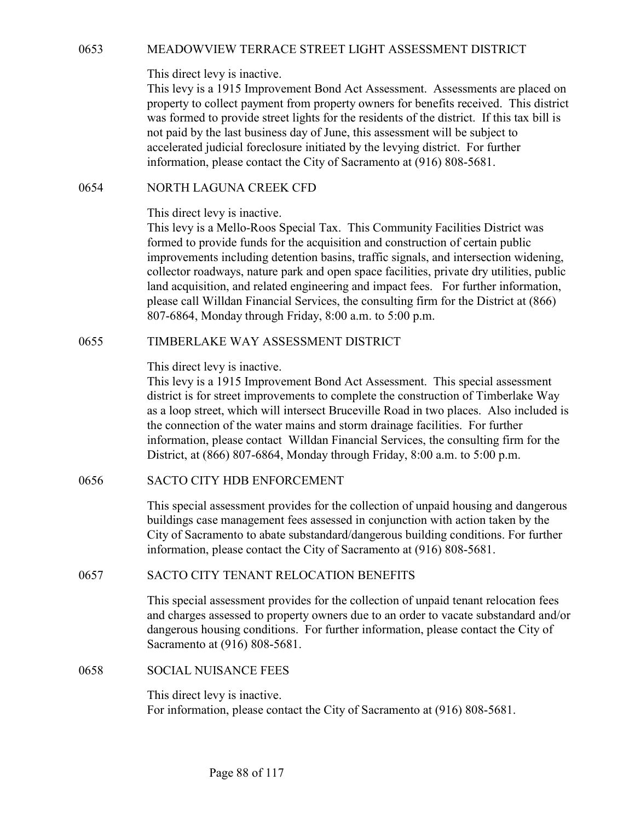MEADOWVIEW TERRACE STREET LIGHT ASSESSMENT DISTRICT<br>This direct levy is inactive.<br>This levy is a 1915 Improvement Bond Act Assessment. Assessments are placed on<br>property to collect payment from property owners for benefits This levy is a 1915 Improvement Bond Act Assessment. Assessments are placed on property to collect payment from property owners for benefits received. This district was formed to provide street lights for the residents of the district. If this tax bill is not paid by the last business day of June, this assessment will be subject to accelerated judicial foreclosure initiated by the levying district. For further information, please contact the City of Sacramento at (916) 808-5681. MEADOWVIEW TERRACE STREET LIGHT ASSESSMENT DISTRICT<br>
This direct levy is inactive.<br>
This levy is a 1915 Improvement Bond Act Assessment. Assessments are placed<br>
property to collect payment from property owners for benefits

# This direct levy is inactive.

This levy is a Mello-Roos Special Tax. This Community Facilities District was formed to provide funds for the acquisition and construction of certain public improvements including detention basins, traffic signals, and intersection widening, collector roadways, nature park and open space facilities, private dry utilities, public land acquisition, and related engineering and impact fees. For further information, please call Willdan Financial Services, the consulting firm for the District at (866) 807-6864, Monday through Friday, 8:00 a.m. to 5:00 p.m. Ins are they is in sactive.<br>This levy is a 1915 Improvement Bond Act Assessment. Assessments are placed on<br>property to collect payment from property owners for benefits received. This district<br>was formed to provide street Inis direct levy is inactive.<br>This levy is a Mello-Roos Special Tax. This Community Facilities District was<br>formed to provide funds for the acquisition and construction of certain public<br>improvements including detention ba

## This direct levy is inactive.

This levy is a 1915 Improvement Bond Act Assessment. This special assessment district is for street improvements to complete the construction of Timberlake Way as a loop street, which will intersect Bruceville Road in two places. Also included is the connection of the water mains and storm drainage facilities. For further information, please contact Willdan Financial Services, the consulting firm for the District, at (866) 807-6864, Monday through Friday, 8:00 a.m. to 5:00 p.m. 807-6864, Monday through Friday, 8:00 a.m. to 5:00 p.m.<br>
0655 TIMBERLAKE WAY ASSESSMENT DISTRICT<br>
This direct levy is inactive.<br>
This direct levy is inactive.<br>
This levy is a 1915 Improvement Bond Act Assessment. This spec as a loop street, which will intersect Bruceville Road in two places.<br>the connection of the water mains and storm drainage facilities. For<br>information, please contact Willdan Financial Services, the consulti<br>District, at (

This special assessment provides for the collection of unpaid housing and dangerous buildings case management fees assessed in conjunction with action taken by the City of Sacramento to abate substandard/dangerous building conditions. For further information, please contact the City of Sacramento at (916) 808-5681.

This special assessment provides for the collection of unpaid tenant relocation fees and charges assessed to property owners due to an order to vacate substandard and/or dangerous housing conditions. For further information, please contact the City of Sacramento at (916) 808-5681.

This direct levy is inactive. For information, please contact the City of Sacramento at (916) 808-5681.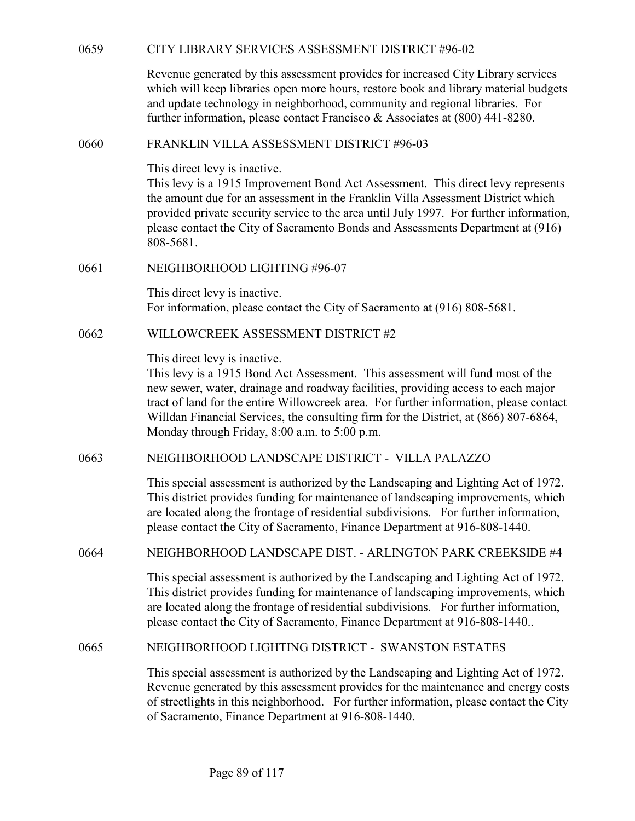| 0659 | CITY LIBRARY SERVICES ASSESSMENT DISTRICT #96-02                                                                                                                                                                                                                                                                                                                                                                                        |
|------|-----------------------------------------------------------------------------------------------------------------------------------------------------------------------------------------------------------------------------------------------------------------------------------------------------------------------------------------------------------------------------------------------------------------------------------------|
|      | Revenue generated by this assessment provides for increased City Library services<br>which will keep libraries open more hours, restore book and library material budgets<br>and update technology in neighborhood, community and regional libraries. For<br>further information, please contact Francisco & Associates at (800) 441-8280.                                                                                              |
| 0660 | FRANKLIN VILLA ASSESSMENT DISTRICT #96-03                                                                                                                                                                                                                                                                                                                                                                                               |
|      | This direct levy is inactive.<br>This levy is a 1915 Improvement Bond Act Assessment. This direct levy represents<br>the amount due for an assessment in the Franklin Villa Assessment District which<br>provided private security service to the area until July 1997. For further information,<br>please contact the City of Sacramento Bonds and Assessments Department at (916)<br>808-5681.                                        |
| 0661 | NEIGHBORHOOD LIGHTING #96-07                                                                                                                                                                                                                                                                                                                                                                                                            |
|      | This direct levy is inactive.<br>For information, please contact the City of Sacramento at (916) 808-5681.                                                                                                                                                                                                                                                                                                                              |
| 0662 | WILLOWCREEK ASSESSMENT DISTRICT #2                                                                                                                                                                                                                                                                                                                                                                                                      |
|      | This direct levy is inactive.<br>This levy is a 1915 Bond Act Assessment. This assessment will fund most of the<br>new sewer, water, drainage and roadway facilities, providing access to each major<br>tract of land for the entire Willowcreek area. For further information, please contact<br>Willdan Financial Services, the consulting firm for the District, at (866) 807-6864,<br>Monday through Friday, 8:00 a.m. to 5:00 p.m. |
| 0663 | NEIGHBORHOOD LANDSCAPE DISTRICT - VILLA PALAZZO                                                                                                                                                                                                                                                                                                                                                                                         |
|      | This special assessment is authorized by the Landscaping and Lighting Act of 1972.<br>This district provides funding for maintenance of landscaping improvements, which<br>are located along the frontage of residential subdivisions. For further information,<br>please contact the City of Sacramento, Finance Department at 916-808-1440.                                                                                           |
| 0664 | NEIGHBORHOOD LANDSCAPE DIST. - ARLINGTON PARK CREEKSIDE #4                                                                                                                                                                                                                                                                                                                                                                              |
|      | This special assessment is authorized by the Landscaping and Lighting Act of 1972.<br>This district provides funding for maintenance of landscaping improvements, which<br>are located along the frontage of residential subdivisions. For further information,<br>please contact the City of Sacramento, Finance Department at 916-808-1440                                                                                            |
| 0665 | NEIGHBORHOOD LIGHTING DISTRICT - SWANSTON ESTATES                                                                                                                                                                                                                                                                                                                                                                                       |
|      | This special assessment is authorized by the Landscaping and Lighting Act of 1972.<br>Revenue generated by this assessment provides for the maintenance and energy costs<br>of streetlights in this neighborhood. For further information, please contact the City<br>of Sacramento, Finance Department at 916-808-1440.                                                                                                                |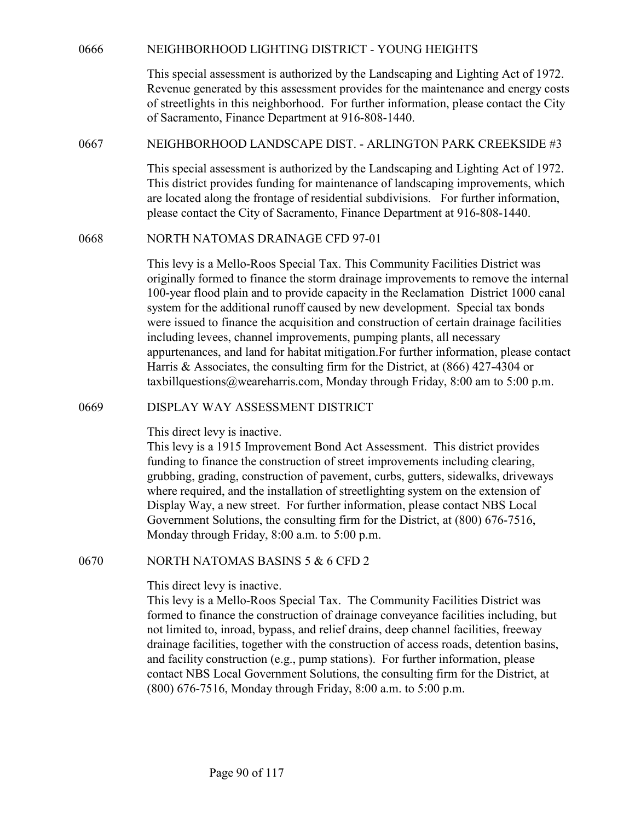NEIGHBORHOOD LIGHTING DISTRICT - YOUNG HEIGHTS<br>This special assessment is authorized by the Landscaping and Lighting Act of 1972.<br>Revenue generated by this assessment provides for the maintenance and energy costs<br>of street This special assessment is authorized by the Landscaping and Lighting Act of 1972. Revenue generated by this assessment provides for the maintenance and energy costs of streetlights in this neighborhood. For further information, please contact the City of Sacramento, Finance Department at 916-808-1440. NEIGHBORHOOD LIGHTING DISTRICT - YOUNG HEIGHTS<br>
This special assessment is authorized by the Landscaping and Lighting Act of 1972.<br>
Revenue generated by this assessment provides for the maintenance and energy costs<br>
of ste

This special assessment is authorized by the Landscaping and Lighting Act of 1972. This district provides funding for maintenance of landscaping improvements, which are located along the frontage of residential subdivisions. For further information, please contact the City of Sacramento, Finance Department at 916-808-1440. NEIGHBORHOOD LIGHTING DISTRICT - YOUNG HEIGHTS<br>
This special assessment is authorized by the Landscaping and Lighting Act of 15<br>
Revenue generated by this assessment provides for the maintenance and energy<br>
of streetlights

This levy is a Mello-Roos Special Tax. This Community Facilities District was originally formed to finance the storm drainage improvements to remove the internal 100-year flood plain and to provide capacity in the Reclamation District 1000 canal system for the additional runoff caused by new development. Special tax bonds were issued to finance the acquisition and construction of certain drainage facilities including levees, channel improvements, pumping plants, all necessary appurtenances, and land for habitat mitigation.For further information, please contact Harris & Associates, the consulting firm for the District, at (866) 427-4304 or taxbillquestions@weareharris.com, Monday through Friday, 8:00 am to 5:00 p.m. NEIGHBORHOOD LANDSCAPE DIST. - ARLINGTON PARK CREEKSIDE #3<br>
This special assessment is authorized by the Landscaping and Lighting Act of 1972.<br>
This district provides funding for maintcnance of landscaping improvements, wh

This direct levy is inactive.

This levy is a 1915 Improvement Bond Act Assessment. This district provides funding to finance the construction of street improvements including clearing, grubbing, grading, construction of pavement, curbs, gutters, sidewalks, driveways where required, and the installation of streetlighting system on the extension of Display Way, a new street. For further information, please contact NBS Local Government Solutions, the consulting firm for the District, at (800) 676-7516, Monday through Friday, 8:00 a.m. to 5:00 p.m. 100-year flood plain and to provide capacity in the Reclamation District 1000<br>system for the additional rundf causal by new development. Special tax bon<br>were issued to finance the acquisition and construction of certain d

### This direct levy is inactive.

This levy is a Mello-Roos Special Tax. The Community Facilities District was formed to finance the construction of drainage conveyance facilities including, but not limited to, inroad, bypass, and relief drains, deep channel facilities, freeway drainage facilities, together with the construction of access roads, detention basins, and facility construction (e.g., pump stations). For further information, please contact NBS Local Government Solutions, the consulting firm for the District, at (800) 676-7516, Monday through Friday, 8:00 a.m. to 5:00 p.m.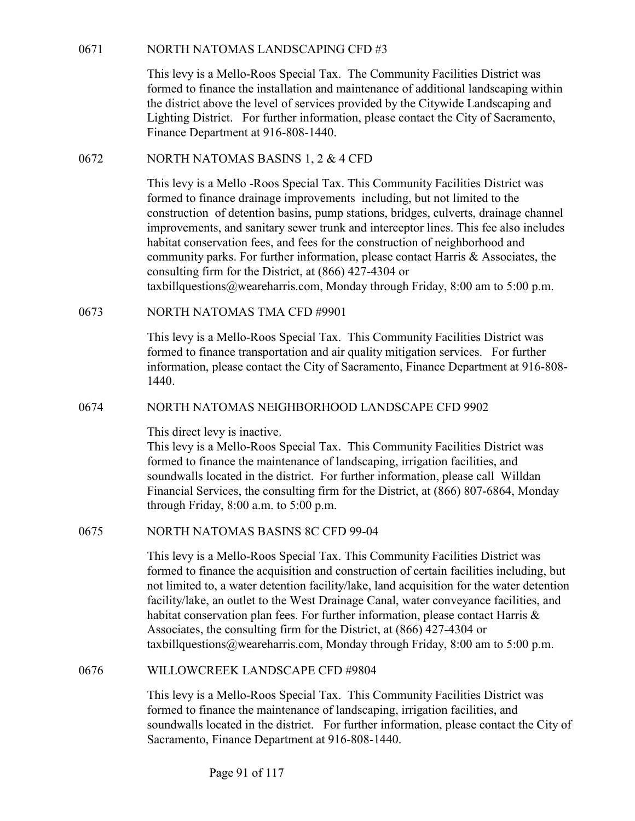NORTH NATOMAS LANDSCAPING CFD #3<br>This levy is a Mello-Roos Special Tax. The Community Facilities District was<br>formed to finance the installation and maintenance of additional landscaping with<br>the district above the level o This levy is a Mello-Roos Special Tax. The Community Facilities District was formed to finance the installation and maintenance of additional landscaping within the district above the level of services provided by the Citywide Landscaping and Lighting District. For further information, please contact the City of Sacramento, Finance Department at 916-808-1440. NORTH NATOMAS LANDSCAPING CFD #3<br>
This levy is a Mello-Roos Special Tax. The Community Facilities District was<br>
formed to finance the installation and maintenance of additional landscaping within<br>
the district above the le

This levy is a Mello -Roos Special Tax. This Community Facilities District was formed to finance drainage improvements including, but not limited to the construction of detention basins, pump stations, bridges, culverts, drainage channel improvements, and sanitary sewer trunk and interceptor lines. This fee also includes habitat conservation fees, and fees for the construction of neighborhood and community parks. For further information, please contact Harris & Associates, the consulting firm for the District, at (866) 427-4304 or taxbillquestions@weareharris.com, Monday through Friday, 8:00 am to 5:00 p.m. 0671 NORTH NATOMAS LANDSCAPING CFD #3<br>
This levy is a Mello-Roos Special Tax. The Community Facilities Distri<br>
formed to finance the installation and maintenance of additional landscap<br>
the district above the level of ser NORTH NATOMAS BASINS 1, 2 & 4 CFD<br>
This levy is a Mello -Roos Special Tax. This Community Facilities District was<br>
formed to finance drainage improvements including, but not limited to the<br>
construction of detention basin

This levy is a Mello-Roos Special Tax. This Community Facilities District was formed to finance transportation and air quality mitigation services. For further information, please contact the City of Sacramento, Finance Department at 916-808- 1440.

This direct levy is inactive.

This levy is a Mello-Roos Special Tax. This Community Facilities District was formed to finance the maintenance of landscaping, irrigation facilities, and soundwalls located in the district. For further information, please call Willdan Financial Services, the consulting firm for the District, at (866) 807-6864, Monday through Friday, 8:00 a.m. to 5:00 p.m. consulting firm for the District, at (866) 427-4304 or<br>taxbillquestions@weareharris.com, Monday through Friday, 8:00 am to 5:00 p.<br>NORTH NATOMAS TMA CFD #9901<br>This levy is a Mello-Roos Special Tax. This Community Facilitie

This levy is a Mello-Roos Special Tax. This Community Facilities District was formed to finance the acquisition and construction of certain facilities including, but not limited to, a water detention facility/lake, land acquisition for the water detention facility/lake, an outlet to the West Drainage Canal, water conveyance facilities, and habitat conservation plan fees. For further information, please contact Harris & Associates, the consulting firm for the District, at (866) 427-4304 or taxbillquestions@weareharris.com, Monday through Friday, 8:00 am to 5:00 p.m. NORTH NATOMAS NEIGHBORHOOD LANDSCAPE CFD 9902<br>This direct levy is inactive.<br>This love is a Mello-Roos Special Tax. This Community Facilities District was<br>formed to finance the maintenance of landscaping, irrigation facilit

This levy is a Mello-Roos Special Tax. This Community Facilities District was formed to finance the maintenance of landscaping, irrigation facilities, and soundwalls located in the district. For further information, please contact the City of Sacramento, Finance Department at 916-808-1440.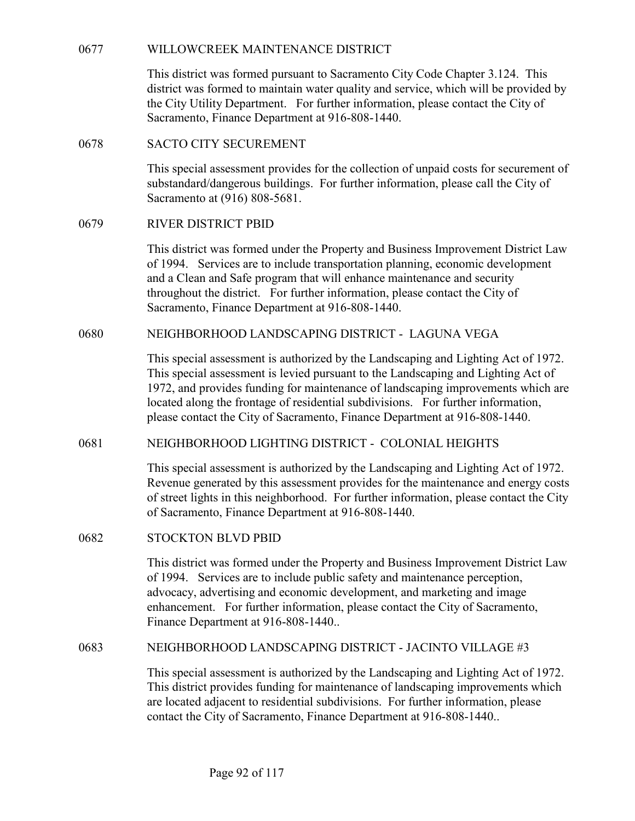WILLOWCREEK MAINTENANCE DISTRICT<br>This district was formed pursuant to Sacramento City Code Chapter 3.124. This<br>district was formed to maintain water quality and service, which will be provided by<br>the City Utility Departmen This district was formed pursuant to Sacramento City Code Chapter 3.124. This district was formed to maintain water quality and service, which will be provided by the City Utility Department. For further information, please contact the City of Sacramento, Finance Department at 916-808-1440. WILLOWCREEK MAINTENANCE DISTRICT<br>
This district was formed pursuant to Sacramento City Code Chapter 3.12<br>
district was formed to maintain water quality and service, which will be<br>
the City Utility Department. For further i WILLOWCREEK MAINTENANCE DISTRICT<br>
This district was formed pursuant to Sacramento City Code Chapter 3.12<br>
district was formed to maintain water quality and service, which will be p<br>
the City Utility Department. For further

This special assessment provides for the collection of unpaid costs for securement of substandard/dangerous buildings. For further information, please call the City of Sacramento at (916) 808-5681.

This district was formed under the Property and Business Improvement District Law of 1994. Services are to include transportation planning, economic development and a Clean and Safe program that will enhance maintenance and security throughout the district. For further information, please contact the City of Sacramento, Finance Department at 916-808-1440. This district was formed pursuant to Sacramento City Code Chapter 3.124. This district was formed to maintain water quality and service, which will be provided by the City Utility Department. For further information, pleas

This special assessment is authorized by the Landscaping and Lighting Act of 1972. This special assessment is levied pursuant to the Landscaping and Lighting Act of 1972, and provides funding for maintenance of landscaping improvements which are located along the frontage of residential subdivisions. For further information, please contact the City of Sacramento, Finance Department at 916-808-1440. substandard/dangerous buildings. For further information, please call the City of<br>Sacramento at (916) 808-5681.<br>
RIVER DISTRICT PBID<br>
This district was formed under the Property and Business Improvement District Law<br>
of 19 and a Clean and Safe program that will enhance maintenance and security<br>throughout the district. For further information, please contact the City of<br>Sacramento, Finance Department at 916-808-1440.<br>MEIGHBORHOOD LANDSCAPING

This special assessment is authorized by the Landscaping and Lighting Act of 1972. Revenue generated by this assessment provides for the maintenance and energy costs of street lights in this neighborhood. For further information, please contact the City of Sacramento, Finance Department at 916-808-1440.

This district was formed under the Property and Business Improvement District Law of 1994. Services are to include public safety and maintenance perception, advocacy, advertising and economic development, and marketing and image enhancement. For further information, please contact the City of Sacramento, Finance Department at 916-808-1440.. 1972, and provides funding for maintenance of landscaping improvements which are located along the frontage of residential subdivisions. For further information, these places contact the City of Sacramento, Finance Depart

This special assessment is authorized by the Landscaping and Lighting Act of 1972. This district provides funding for maintenance of landscaping improvements which are located adjacent to residential subdivisions. For further information, please contact the City of Sacramento, Finance Department at 916-808-1440..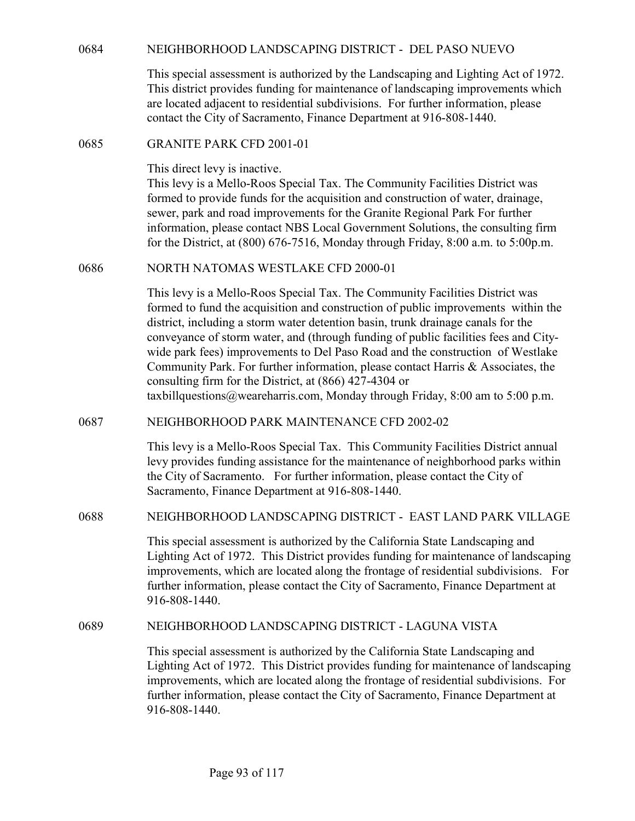| 0684 | NEIGHBORHOOD LANDSCAPING DISTRICT - DEL PASO NUEVO                                                                                                                                                                                                                                                                                                                                                                                                                                                                                                                                                                                                                |
|------|-------------------------------------------------------------------------------------------------------------------------------------------------------------------------------------------------------------------------------------------------------------------------------------------------------------------------------------------------------------------------------------------------------------------------------------------------------------------------------------------------------------------------------------------------------------------------------------------------------------------------------------------------------------------|
|      | This special assessment is authorized by the Landscaping and Lighting Act of 1972.<br>This district provides funding for maintenance of landscaping improvements which<br>are located adjacent to residential subdivisions. For further information, please<br>contact the City of Sacramento, Finance Department at 916-808-1440.                                                                                                                                                                                                                                                                                                                                |
| 0685 | <b>GRANITE PARK CFD 2001-01</b>                                                                                                                                                                                                                                                                                                                                                                                                                                                                                                                                                                                                                                   |
|      | This direct levy is inactive.<br>This levy is a Mello-Roos Special Tax. The Community Facilities District was<br>formed to provide funds for the acquisition and construction of water, drainage,<br>sewer, park and road improvements for the Granite Regional Park For further<br>information, please contact NBS Local Government Solutions, the consulting firm<br>for the District, at (800) 676-7516, Monday through Friday, 8:00 a.m. to 5:00p.m.                                                                                                                                                                                                          |
| 0686 | NORTH NATOMAS WESTLAKE CFD 2000-01                                                                                                                                                                                                                                                                                                                                                                                                                                                                                                                                                                                                                                |
|      | This levy is a Mello-Roos Special Tax. The Community Facilities District was<br>formed to fund the acquisition and construction of public improvements within the<br>district, including a storm water detention basin, trunk drainage canals for the<br>conveyance of storm water, and (through funding of public facilities fees and City-<br>wide park fees) improvements to Del Paso Road and the construction of Westlake<br>Community Park. For further information, please contact Harris & Associates, the<br>consulting firm for the District, at (866) 427-4304 or<br>taxbillquestions@weareharris.com, Monday through Friday, $8:00$ am to $5:00$ p.m. |
| 0687 | NEIGHBORHOOD PARK MAINTENANCE CFD 2002-02                                                                                                                                                                                                                                                                                                                                                                                                                                                                                                                                                                                                                         |
|      | This levy is a Mello-Roos Special Tax. This Community Facilities District annual<br>levy provides funding assistance for the maintenance of neighborhood parks within<br>the City of Sacramento. For further information, please contact the City of<br>Sacramento, Finance Department at 916-808-1440.                                                                                                                                                                                                                                                                                                                                                           |
| 0688 | NEIGHBORHOOD LANDSCAPING DISTRICT - EAST LAND PARK VILLAGE                                                                                                                                                                                                                                                                                                                                                                                                                                                                                                                                                                                                        |
|      | This special assessment is authorized by the California State Landscaping and<br>Lighting Act of 1972. This District provides funding for maintenance of landscaping<br>improvements, which are located along the frontage of residential subdivisions. For<br>further information, please contact the City of Sacramento, Finance Department at<br>916-808-1440.                                                                                                                                                                                                                                                                                                 |
| 0689 | NEIGHBORHOOD LANDSCAPING DISTRICT - LAGUNA VISTA                                                                                                                                                                                                                                                                                                                                                                                                                                                                                                                                                                                                                  |
|      | This special assessment is authorized by the California State Landscaping and<br>Lighting Act of 1972. This District provides funding for maintenance of landscaping<br>improvements, which are located along the frontage of residential subdivisions. For<br>further information, please contact the City of Sacramento, Finance Department at<br>916-808-1440.                                                                                                                                                                                                                                                                                                 |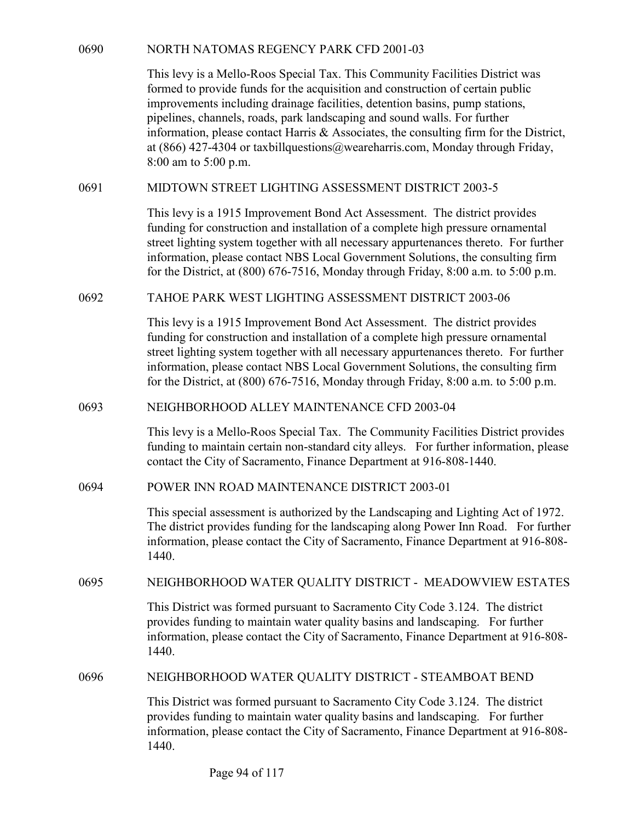NORTH NATOMAS REGENCY PARK CFD 2001-03<br>This levy is a Mello-Roos Special Tax. This Community Facilities District was<br>formed to provide funds for the acquisition and construction of certain public<br>improvements including dra This levy is a Mello-Roos Special Tax. This Community Facilities District was formed to provide funds for the acquisition and construction of certain public improvements including drainage facilities, detention basins, pump stations, pipelines, channels, roads, park landscaping and sound walls. For further information, please contact Harris & Associates, the consulting firm for the District, at (866) 427-4304 or taxbillquestions@weareharris.com, Monday through Friday, 8:00 am to 5:00 p.m. NORTH NATOMAS REGENCY PARK CFD 2001-03<br>
This levy is a Mello-Roos Special Tax. This Community Facilities District was<br>
formed to provide funds for the acquisition and construction of certain public<br>
improvements including 0690<br>
NORTH NATOMAS REGENCY PARK CFD 2001-03<br>
This levy is a Mello-Roos Special Tax. This Community Facilities District was<br>
formed to provide funds for the acquisition and construction of certain public<br>
improvements incl

This levy is a 1915 Improvement Bond Act Assessment. The district provides funding for construction and installation of a complete high pressure ornamental street lighting system together with all necessary appurtenances thereto. For further information, please contact NBS Local Government Solutions, the consulting firm for the District, at (800) 676-7516, Monday through Friday, 8:00 a.m. to 5:00 p.m. at (866) 427-4304 or taxbillquestions@weareharris.com, Monday through Friday,<br>
8:00 am to 5:00 p.m.<br>
MIDTOWN STREET LIGHTING ASSESSMENT DISTRICT 2003-5<br>
This levy is a 1915 Improvement Bond Act Assessment. The district pr

This levy is a 1915 Improvement Bond Act Assessment. The district provides funding for construction and installation of a complete high pressure ornamental street lighting system together with all necessary appurtenances thereto. For further information, please contact NBS Local Government Solutions, the consulting firm for the District, at (800) 676-7516, Monday through Friday, 8:00 a.m. to 5:00 p.m. funding for construction and installation of a complete high pressure ornamental<br>stret lighting system together with all necessary appurtaneances thereof the<br>information, please contact NBS Local Government Solutions, the This levy is a 1915 Improvement Bond Act Assessment. The district provides<br>throlong for construction and installation of a complete high pressure omamental<br>street lighting system together with all necessary appurtenances t

This levy is a Mello-Roos Special Tax. The Community Facilities District provides funding to maintain certain non-standard city alleys. For further information, please contact the City of Sacramento, Finance Department at 916-808-1440.

This special assessment is authorized by the Landscaping and Lighting Act of 1972. The district provides funding for the landscaping along Power Inn Road. For further information, please contact the City of Sacramento, Finance Department at 916-808- 1440.

This District was formed pursuant to Sacramento City Code 3.124. The district provides funding to maintain water quality basins and landscaping. For further information, please contact the City of Sacramento, Finance Department at 916-808- 1440. This leyis is a Mellio-Roos peace of D 2003-04<br>This leyis is a Mellio-Roos Special Tax. The Community Facilities District provides<br>funding to maintain certain non-standard city allcys. For further information, please<br>conta

This District was formed pursuant to Sacramento City Code 3.124. The district provides funding to maintain water quality basins and landscaping. For further information, please contact the City of Sacramento, Finance Department at 916-808- 1440.

Page 94 of 117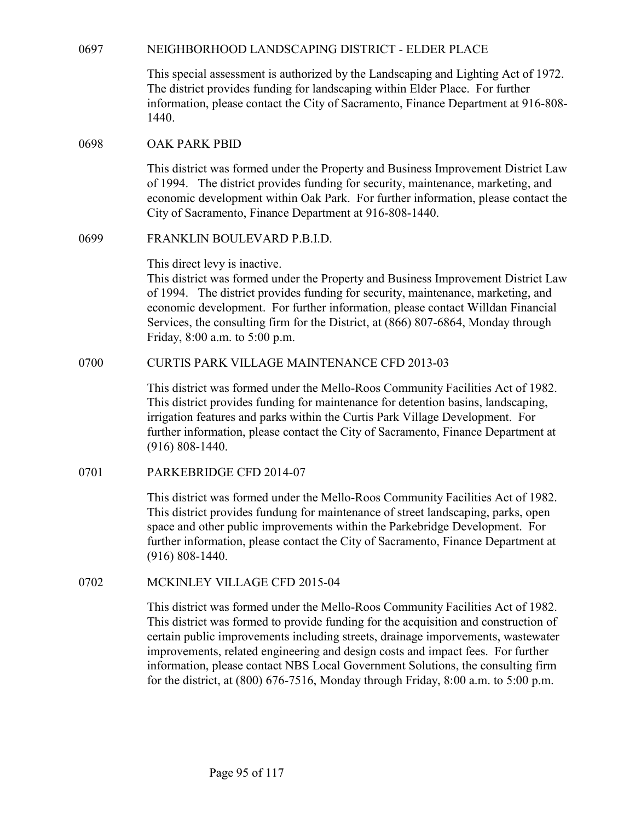| 0697 | NEIGHBORHOOD LANDSCAPING DISTRICT - ELDER PLACE                                                                                                                                                                                                                                                                                                                                                                                                                                                                          |
|------|--------------------------------------------------------------------------------------------------------------------------------------------------------------------------------------------------------------------------------------------------------------------------------------------------------------------------------------------------------------------------------------------------------------------------------------------------------------------------------------------------------------------------|
|      | This special assessment is authorized by the Landscaping and Lighting Act of 1972.<br>The district provides funding for landscaping within Elder Place. For further<br>information, please contact the City of Sacramento, Finance Department at 916-808-<br>1440.                                                                                                                                                                                                                                                       |
| 0698 | <b>OAK PARK PBID</b>                                                                                                                                                                                                                                                                                                                                                                                                                                                                                                     |
|      | This district was formed under the Property and Business Improvement District Law<br>of 1994. The district provides funding for security, maintenance, marketing, and<br>economic development within Oak Park. For further information, please contact the<br>City of Sacramento, Finance Department at 916-808-1440.                                                                                                                                                                                                    |
| 0699 | FRANKLIN BOULEVARD P.B.I.D.                                                                                                                                                                                                                                                                                                                                                                                                                                                                                              |
|      | This direct levy is inactive.<br>This district was formed under the Property and Business Improvement District Law<br>of 1994. The district provides funding for security, maintenance, marketing, and<br>economic development. For further information, please contact Willdan Financial<br>Services, the consulting firm for the District, at (866) 807-6864, Monday through<br>Friday, 8:00 a.m. to 5:00 p.m.                                                                                                         |
| 0700 | <b>CURTIS PARK VILLAGE MAINTENANCE CFD 2013-03</b>                                                                                                                                                                                                                                                                                                                                                                                                                                                                       |
|      | This district was formed under the Mello-Roos Community Facilities Act of 1982.<br>This district provides funding for maintenance for detention basins, landscaping,<br>irrigation features and parks within the Curtis Park Village Development. For<br>further information, please contact the City of Sacramento, Finance Department at<br>$(916) 808 - 1440.$                                                                                                                                                        |
| 0701 | PARKEBRIDGE CFD 2014-07                                                                                                                                                                                                                                                                                                                                                                                                                                                                                                  |
|      | This district was formed under the Mello-Roos Community Facilities Act of 1982.<br>This district provides fundung for maintenance of street landscaping, parks, open<br>space and other public improvements within the Parkebridge Development. For<br>further information, please contact the City of Sacramento, Finance Department at<br>$(916) 808 - 1440.$                                                                                                                                                          |
| 0702 | MCKINLEY VILLAGE CFD 2015-04                                                                                                                                                                                                                                                                                                                                                                                                                                                                                             |
|      | This district was formed under the Mello-Roos Community Facilities Act of 1982.<br>This district was formed to provide funding for the acquisition and construction of<br>certain public improvements including streets, drainage imporvements, wastewater<br>improvements, related engineering and design costs and impact fees. For further<br>information, please contact NBS Local Government Solutions, the consulting firm<br>for the district, at $(800)$ 676-7516, Monday through Friday, 8:00 a.m. to 5:00 p.m. |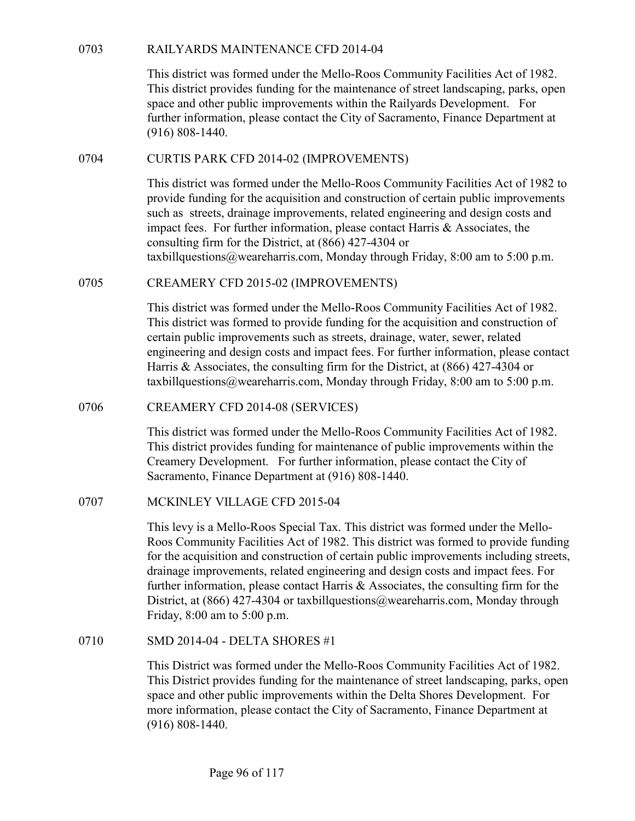| 0703 | RAILYARDS MAINTENANCE CFD 2014-04 |  |
|------|-----------------------------------|--|
|      |                                   |  |

RAILYARDS MAINTENANCE CFD 2014-04<br>This district was formed under the Mello-Roos Community Facilities Act of 198<br>This district provides funding for the maintenance of street landscaping, parks, o<br>space and other public impr This district was formed under the Mello-Roos Community Facilities Act of 1982. This district provides funding for the maintenance of street landscaping, parks, open space and other public improvements within the Railyards Development. For further information, please contact the City of Sacramento, Finance Department at (916) 808-1440. RAILYARDS MAINTENANCE CFD 2014-04<br>
This district was formed under the Mello-Roos Community Facilities Act<br>
This district provides funding for the maintenance of street landscaping, pa<br>
space and other public improvements w

This district was formed under the Mello-Roos Community Facilities Act of 1982 to provide funding for the acquisition and construction of certain public improvements such as streets, drainage improvements, related engineering and design costs and impact fees. For further information, please contact Harris & Associates, the consulting firm for the District, at (866) 427-4304 or taxbillquestions@weareharris.com, Monday through Friday, 8:00 am to 5:00 p.m. 0703 RAILYARDS MAINTENANCE CFD 2014-04<br>
This district was formed under the Mello-Roos Community Facilities At<br>
This district provides funding for the maintenance of street landscaping,<br>
space and other public improvements

This district was formed under the Mello-Roos Community Facilities Act of 1982. This district was formed to provide funding for the acquisition and construction of certain public improvements such as streets, drainage, water, sewer, related engineering and design costs and impact fees. For further information, please contact Harris & Associates, the consulting firm for the District, at (866) 427-4304 or taxbillquestions@weareharris.com, Monday through Friday, 8:00 am to 5:00 p.m. 0704 CURTIS PARK CFD 2014-02 (IMPROVEMENTS)<br>
This district was formed under the Mello-Roos Community Facilitie<br>
provide funding for the acquisition and construction of certain publis<br>
such as strects, drainage improvement consulting firm for the District, at (866) 427-4304 or<br>taxbillquestions@weareharris.com, Monday through Friday, 8:00 am to<br>0705 CREAMERY CFD 2015-02 (IMPROVEMENTS)<br>This district was formed under the Mello-Roos Community Fa

This district was formed under the Mello-Roos Community Facilities Act of 1982. This district provides funding for maintenance of public improvements within the Creamery Development. For further information, please contact the City of Sacramento, Finance Department at (916) 808-1440.

This levy is a Mello-Roos Special Tax. This district was formed under the Mello-Roos Community Facilities Act of 1982. This district was formed to provide funding for the acquisition and construction of certain public improvements including streets, drainage improvements, related engineering and design costs and impact fees. For further information, please contact Harris & Associates, the consulting firm for the District, at  $(866)$  427-4304 or taxbillquestions@weareharris.com, Monday through Friday, 8:00 am to 5:00 p.m. taxbillquestions@wearcharris.com, Monday through Friday, 8:00 am to<br>
0706 CREAMERY CFD 2014-08 (SERVICES)<br>
This district was formed under the Mello-Roos Community Facilities /<br>
This district trovides funding for maintenan

This District was formed under the Mello-Roos Community Facilities Act of 1982. This District provides funding for the maintenance of street landscaping, parks, open space and other public improvements within the Delta Shores Development. For more information, please contact the City of Sacramento, Finance Department at (916) 808-1440.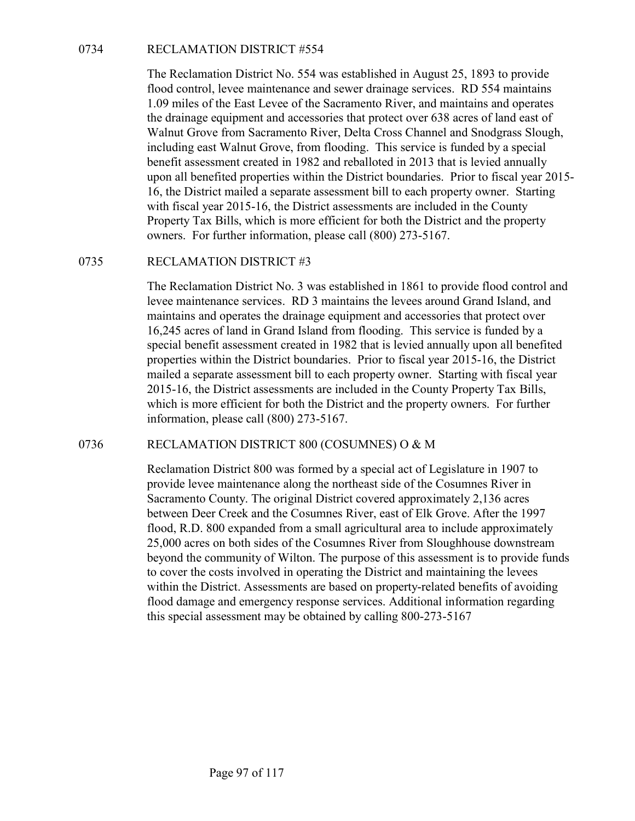RECLAMATION DISTRICT #554<br>The Reclamation District No. 554 was established in August 25, 189<br>flood control, levee maintenance and sewer drainage services. RD 5<br>1.09 miles of the East Levee of the Sacramento River, and main The Reclamation District No. 554 was established in August 25, 1893 to provide flood control, levee maintenance and sewer drainage services. RD 554 maintains 1.09 miles of the East Levee of the Sacramento River, and maintains and operates the drainage equipment and accessories that protect over 638 acres of land east of Walnut Grove from Sacramento River, Delta Cross Channel and Snodgrass Slough, including east Walnut Grove, from flooding. This service is funded by a special benefit assessment created in 1982 and reballoted in 2013 that is levied annually upon all benefited properties within the District boundaries. Prior to fiscal year 2015- 16, the District mailed a separate assessment bill to each property owner. Starting with fiscal year 2015-16, the District assessments are included in the County Property Tax Bills, which is more efficient for both the District and the property owners. For further information, please call (800) 273-5167. 0734 RECLAMATION DISTRICT #554<br>The Reclamation District No. 554 was established in August 25, 185<br>flood control, levee maintenance and sewer drainage services. RD 5<br>1.09 miles of the East Levee of the Sacramento River, an

The Reclamation District No. 3 was established in 1861 to provide flood control and levee maintenance services. RD 3 maintains the levees around Grand Island, and maintains and operates the drainage equipment and accessories that protect over 16,245 acres of land in Grand Island from flooding. This service is funded by a special benefit assessment created in 1982 that is levied annually upon all benefited properties within the District boundaries. Prior to fiscal year 2015-16, the District mailed a separate assessment bill to each property owner. Starting with fiscal year 2015-16, the District assessments are included in the County Property Tax Bills, which is more efficient for both the District and the property owners. For further information, please call (800) 273-5167. 1900 all benefited properties Within the District obundanes. Prior to isosal year 2015-16<br>
16, the District mailed a separate assessment bill to cach property owner. Starting<br>
with fiscal year 2015-16, the District assess

Reclamation District 800 was formed by a special act of Legislature in 1907 to provide levee maintenance along the northeast side of the Cosumnes River in Sacramento County. The original District covered approximately 2,136 acres between Deer Creek and the Cosumnes River, east of Elk Grove. After the 1997 flood, R.D. 800 expanded from a small agricultural area to include approximately 25,000 acres on both sides of the Cosumnes River from Sloughhouse downstream beyond the community of Wilton. The purpose of this assessment is to provide funds to cover the costs involved in operating the District and maintaining the levees within the District. Assessments are based on property-related benefits of avoiding flood damage and emergency response services. Additional information regarding this special assessment may be obtained by calling 800-273-5167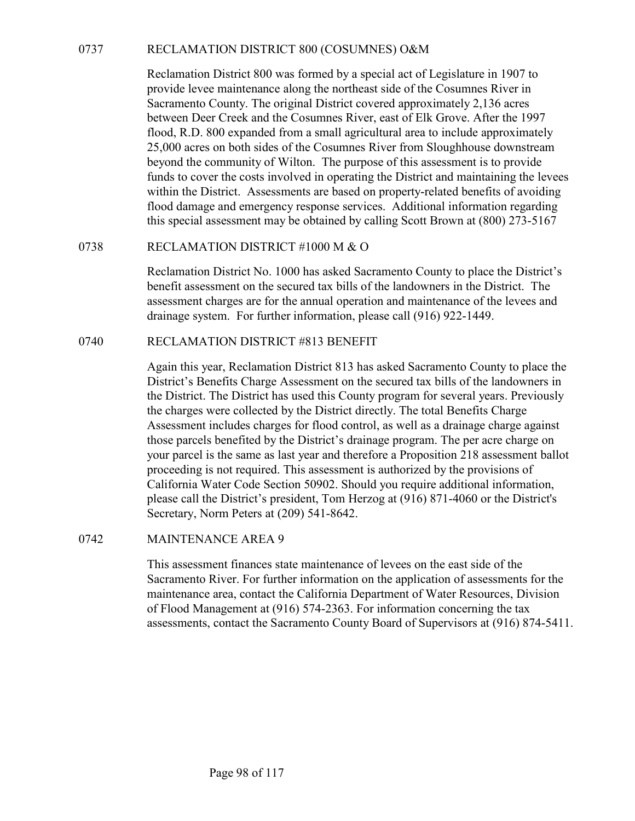RECLAMATION DISTRICT 800 (COSUMNES) O&M<br>
Reclamation District 800 was formed by a special act of Legislature in 1907 to<br>
provide levee maintenance along the northeast side of the Cosumnes River in<br>
Sacramento County. The o Reclamation District 800 was formed by a special act of Legislature in 1907 to provide levee maintenance along the northeast side of the Cosumnes River in Sacramento County. The original District covered approximately 2,136 acres between Deer Creek and the Cosumnes River, east of Elk Grove. After the 1997 flood, R.D. 800 expanded from a small agricultural area to include approximately 25,000 acres on both sides of the Cosumnes River from Sloughhouse downstream beyond the community of Wilton. The purpose of this assessment is to provide funds to cover the costs involved in operating the District and maintaining the levees within the District. Assessments are based on property-related benefits of avoiding flood damage and emergency response services. Additional information regarding this special assessment may be obtained by calling Scott Brown at (800) 273-5167 RECLAMATION DISTRICT 800 (COSUMNES) O&M<br>
Reclamation District 800 was formed by a special act of Legislature<br>
provide levee maintenance along the northeast side of the Cosumnes<br>
Sacramento County. The original District co Exeramation District 800 was formed by a special act of Legislature<br>provide levee maintenance along the northeast side of the Cosumnes<br>Sacramento County. The original District covered approximately 2,1<br>between Deer Creek a

Reclamation District No. 1000 has asked Sacramento County to place the District's benefit assessment on the secured tax bills of the landowners in the District. The assessment charges are for the annual operation and maintenance of the levees and drainage system. For further information, please call (916) 922-1449.

Again this year, Reclamation District 813 has asked Sacramento County to place the District's Benefits Charge Assessment on the secured tax bills of the landowners in the District. The District has used this County program for several years. Previously the charges were collected by the District directly. The total Benefits Charge Assessment includes charges for flood control, as well as a drainage charge against those parcels benefited by the District's drainage program. The per acre charge on your parcel is the same as last year and therefore a Proposition 218 assessment ballot proceeding is not required. This assessment is authorized by the provisions of California Water Code Section 50902. Should you require additional information, please call the District's president, Tom Herzog at (916) 871-4060 or the District's Secretary, Norm Peters at (209) 541-8642. Exerciation District No. 1000 has assecs Sacaramento County to place<br>benefit assessment on the secured tax bills of the landowners in the<br>assessment charges are for the annual operation and maintenance of<br>drainage system.

This assessment finances state maintenance of levees on the east side of the Sacramento River. For further information on the application of assessments for the maintenance area, contact the California Department of Water Resources, Division of Flood Management at (916) 574-2363. For information concerning the tax assessments, contact the Sacramento County Board of Supervisors at (916) 874-5411.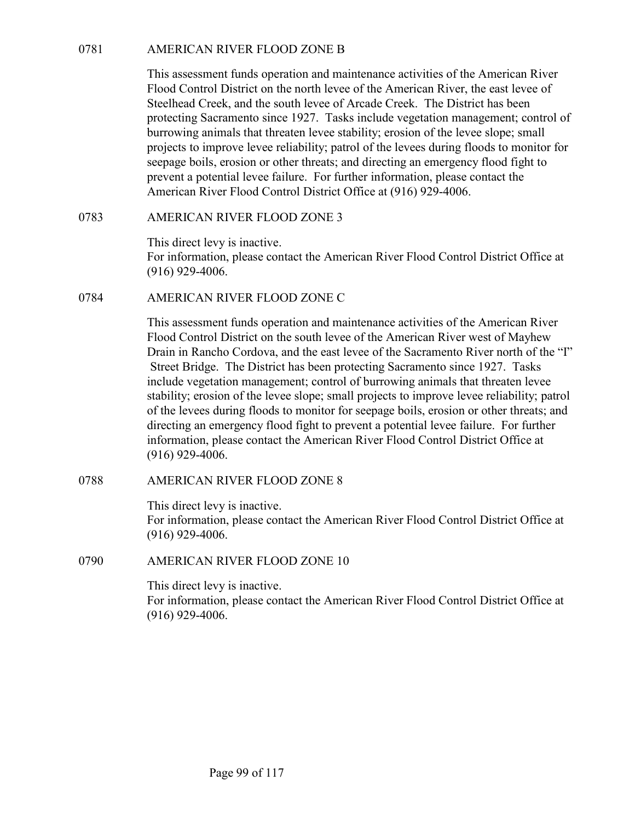0781<br>
AMERICAN RIVER FLOOD ZONE B<br>
This assessment funds operation and maintenance activities of the A<br>
Flood Control District on the north levee of the American River, the<br>
Steelhead Creek, and the south levee of Arcade C This assessment funds operation and maintenance activities of the American River Flood Control District on the north levee of the American River, the east levee of Steelhead Creek, and the south levee of Arcade Creek. The District has been protecting Sacramento since 1927. Tasks include vegetation management; control of burrowing animals that threaten levee stability; erosion of the levee slope; small projects to improve levee reliability; patrol of the levees during floods to monitor for seepage boils, erosion or other threats; and directing an emergency flood fight to prevent a potential levee failure. For further information, please contact the American River Flood Control District Office at (916) 929-4006. AMERICAN RIVER FLOOD ZONE B<br>This assessment funds operation and maintenance activities of the Amer<br>Flood Control District on the north levee of the American River, the east<br>Steelhead Creck, and the south levee of Areade Cr 0781 AMERICAN RIVER FLOOD ZONE B<br>
This assessment funds operation and maintenance activities of the A<br>
Flood Control District on the north levee of the American River, the<br>
Stechlead Creck, and the south levee of Areade C

This direct levy is inactive. For information, please contact the American River Flood Control District Office at (916) 929-4006.

This assessment funds operation and maintenance activities of the American River Flood Control District on the south levee of the American River west of Mayhew Drain in Rancho Cordova, and the east levee of the Sacramento River north of the "I" Street Bridge. The District has been protecting Sacramento since 1927. Tasks include vegetation management; control of burrowing animals that threaten levee stability; erosion of the levee slope; small projects to improve levee reliability; patrol of the levees during floods to monitor for seepage boils, erosion or other threats; and directing an emergency flood fight to prevent a potential levee failure. For further information, please contact the American River Flood Control District Office at (916) 929-4006. 0783<br>
MERICAN RIVER FLOOD ZONE 3<br>
This direct levy is inactive.<br>
For information, please contact the American River Flood Control Distri<br>
(916) 929-4006.<br>
AMERICAN RIVER FLOOD ZONE C<br>
This assessment funds operation and m 0784<br>
AMERICAN RIVER FLOOD ZONE C<br>
This assessment funds operation and maintenance activities of the A<br>
Flood Control District on the south levee of the American River wes<br>
Drain in Rancho Cordova, and the east levee of th

This direct levy is inactive. For information, please contact the American River Flood Control District Office at (916) 929-4006.

This direct levy is inactive. For information, please contact the American River Flood Control District Office at (916) 929-4006.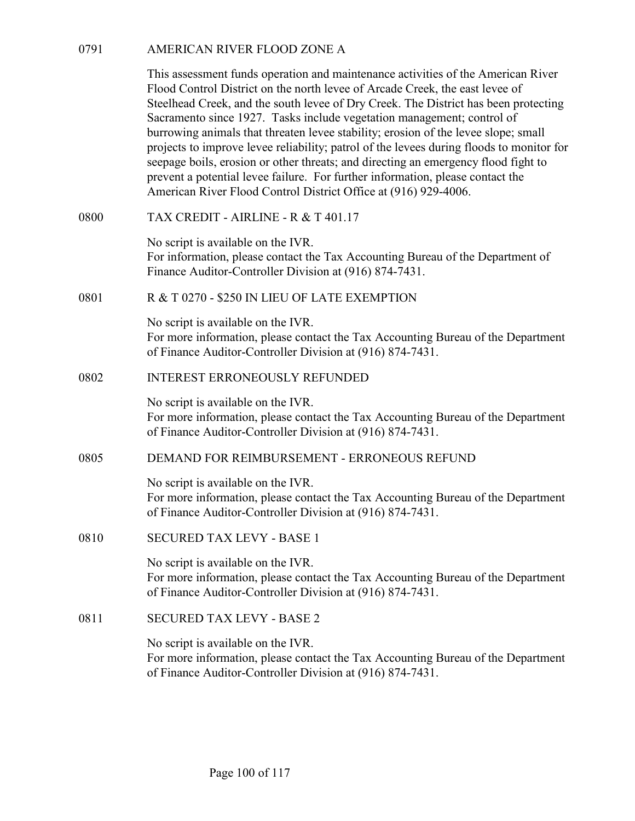0791<br>
AMERICAN RIVER FLOOD ZONE A<br>
This assessment funds operation and maintenance activities of the A<br>
Flood Control District on the north levee of Arcade Creek, the east left<br>
Steelhead Creek, and the south levee of Dry This assessment funds operation and maintenance activities of the American River Flood Control District on the north levee of Arcade Creek, the east levee of Steelhead Creek, and the south levee of Dry Creek. The District has been protecting Sacramento since 1927. Tasks include vegetation management; control of burrowing animals that threaten levee stability; erosion of the levee slope; small projects to improve levee reliability; patrol of the levees during floods to monitor for seepage boils, erosion or other threats; and directing an emergency flood fight to prevent a potential levee failure. For further information, please contact the American River Flood Control District Office at (916) 929-4006. AMERICAN RIVER FLOOD ZONE A<br>
This assessment funds operation and maintenance activities of the America<br>
Flood Control District on the north levee of Arcade Creek, the east levee of<br>
Steelhead Creek, and the south levee of 0791 AMERICAN RIVER FLOOD ZONE A<br>
This assessment funds operation and maintenance activities of the American River<br>
Flood Control District on the north levee of Arcade Creek, the east levee of<br>
Stechhead Creck, and the so Sacramento since 1927. Tasks include vegetation management; con<br>burrowing animals that threaten levee stability; erosion of the levee s<br>projects to improve levee reliability; partol of the levees during flood<br>seepage boils

No script is available on the IVR. For information, please contact the Tax Accounting Bureau of the Department of Finance Auditor-Controller Division at (916) 874-7431.

No script is available on the IVR. For more information, please contact the Tax Accounting Bureau of the Department of Finance Auditor-Controller Division at (916) 874-7431.

No script is available on the IVR. For more information, please contact the Tax Accounting Bureau of the Department of Finance Auditor-Controller Division at (916) 874-7431. American River Flood Control District Office at (916) 929-4006.<br>
TAX CREDIT - AIRLINE - R & T 401.17<br>
No seript is available on the IVR.<br>
For information, please contact the Tax Accounting Bureau of the Department of<br>
Fin Finance Auditor-Controller Division at (916) 874-7431.<br>
R & T 0270 - \$250 IN LIEU OF LATE EXEMPTION<br>
No script is available on the IVR.<br>
For more information, please contact the Tax Accounting Bureau of<br>
of Finance Auditor of Finance Auditor-Controller Division at (916) 874-7431.<br>
NO script is available on the IVR.<br>
For more information, please contact the Tax Accounting Bureau of<br>
of Finance Auditor-Controller Division at (916) 874-7431.<br>
D

No script is available on the IVR.

For more information, please contact the Tax Accounting Bureau of the Department of Finance Auditor-Controller Division at (916) 874-7431.

No script is available on the IVR. For more information, please contact the Tax Accounting Bureau of the Department of Finance Auditor-Controller Division at (916) 874-7431.

No script is available on the IVR. For more information, please contact the Tax Accounting Bureau of the Department of Finance Auditor-Controller Division at (916) 874-7431.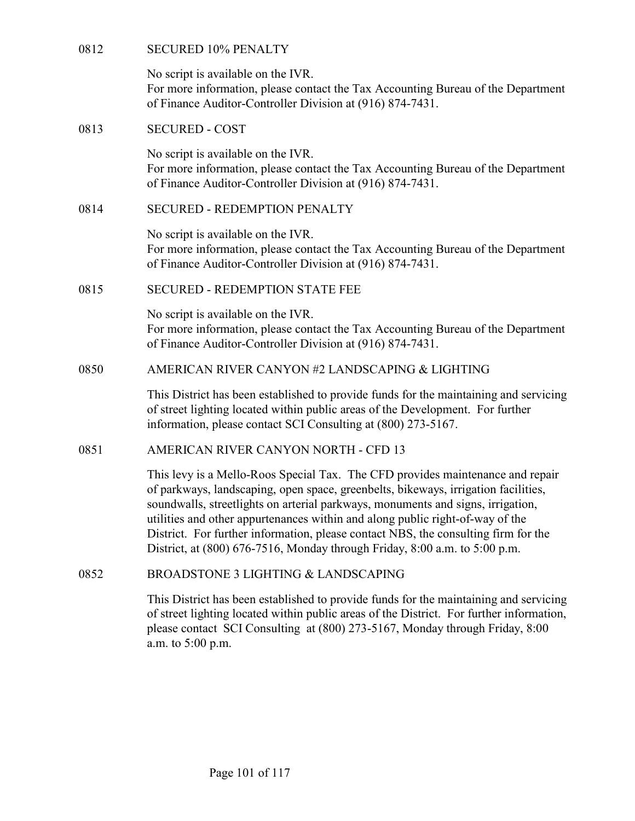| 0812 | <b>SECURED 10% PENALTY</b>                                                                                                                                                                                                                                                                                                                                                                                                                                                                                   |
|------|--------------------------------------------------------------------------------------------------------------------------------------------------------------------------------------------------------------------------------------------------------------------------------------------------------------------------------------------------------------------------------------------------------------------------------------------------------------------------------------------------------------|
|      | No script is available on the IVR.<br>For more information, please contact the Tax Accounting Bureau of the Department<br>of Finance Auditor-Controller Division at (916) 874-7431.                                                                                                                                                                                                                                                                                                                          |
| 0813 | <b>SECURED - COST</b>                                                                                                                                                                                                                                                                                                                                                                                                                                                                                        |
|      | No script is available on the IVR.<br>For more information, please contact the Tax Accounting Bureau of the Department<br>of Finance Auditor-Controller Division at (916) 874-7431.                                                                                                                                                                                                                                                                                                                          |
| 0814 | <b>SECURED - REDEMPTION PENALTY</b>                                                                                                                                                                                                                                                                                                                                                                                                                                                                          |
|      | No script is available on the IVR.<br>For more information, please contact the Tax Accounting Bureau of the Department<br>of Finance Auditor-Controller Division at (916) 874-7431.                                                                                                                                                                                                                                                                                                                          |
| 0815 | <b>SECURED - REDEMPTION STATE FEE</b>                                                                                                                                                                                                                                                                                                                                                                                                                                                                        |
|      | No script is available on the IVR.<br>For more information, please contact the Tax Accounting Bureau of the Department<br>of Finance Auditor-Controller Division at (916) 874-7431.                                                                                                                                                                                                                                                                                                                          |
| 0850 | AMERICAN RIVER CANYON #2 LANDSCAPING & LIGHTING                                                                                                                                                                                                                                                                                                                                                                                                                                                              |
|      | This District has been established to provide funds for the maintaining and servicing<br>of street lighting located within public areas of the Development. For further<br>information, please contact SCI Consulting at (800) 273-5167.                                                                                                                                                                                                                                                                     |
| 0851 | AMERICAN RIVER CANYON NORTH - CFD 13                                                                                                                                                                                                                                                                                                                                                                                                                                                                         |
|      | This levy is a Mello-Roos Special Tax. The CFD provides maintenance and repair<br>of parkways, landscaping, open space, greenbelts, bikeways, irrigation facilities,<br>soundwalls, streetlights on arterial parkways, monuments and signs, irrigation,<br>utilities and other appurtenances within and along public right-of-way of the<br>District. For further information, please contact NBS, the consulting firm for the<br>District, at (800) 676-7516, Monday through Friday, 8:00 a.m. to 5:00 p.m. |
| 0852 | <b>BROADSTONE 3 LIGHTING &amp; LANDSCAPING</b>                                                                                                                                                                                                                                                                                                                                                                                                                                                               |
|      | This District has been established to provide funds for the maintaining and servicing<br>of street lighting located within public areas of the District. For further information,<br>please contact SCI Consulting at (800) 273-5167, Monday through Friday, 8:00<br>a m to $5.00 \text{ nm}$                                                                                                                                                                                                                |

please contact SCI Consulting at (800) 273-5167, Monday through Friday, 8:00 a.m. to 5:00 p.m.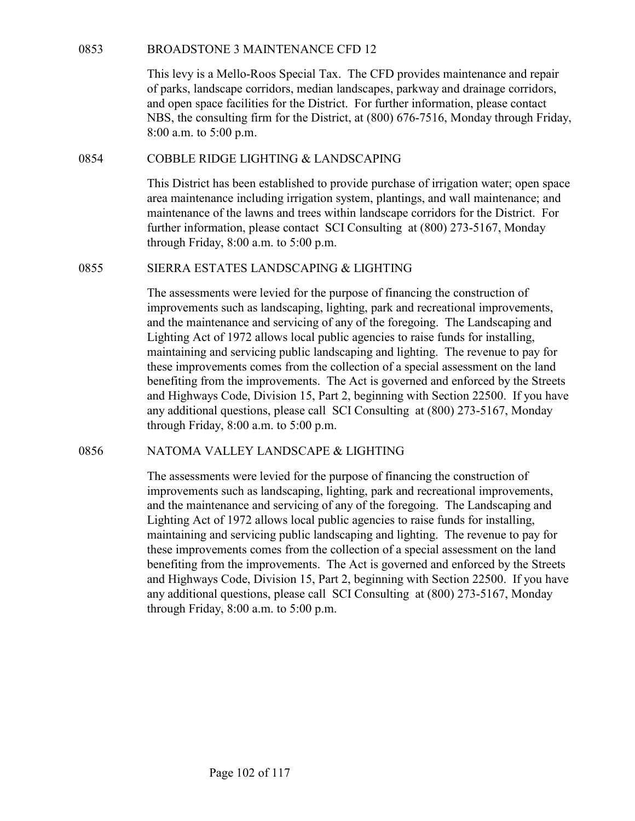BROADSTONE 3 MAINTENANCE CFD 12<br>This levy is a Mello-Roos Special Tax. The CFD provides maintena<br>of parks, landscape corridors, median landscapes, parkway and drain<br>and open space facilities for the District. For further i This levy is a Mello-Roos Special Tax. The CFD provides maintenance and repair of parks, landscape corridors, median landscapes, parkway and drainage corridors, and open space facilities for the District. For further information, please contact NBS, the consulting firm for the District, at (800) 676-7516, Monday through Friday, 8:00 a.m. to 5:00 p.m. BROADSTONE 3 MAINTENANCE CFD 12<br>
This levy is a Mello-Roos Special Tax. The CFD provides maintenance and repair<br>
of parks, landscape corridors, median landscapes, parkway and drainage corridors,<br>
and open space facilities **BROADSTONE 3 MAINTENANCE CFD 12**<br>
This levy is a Mello-Roos Special Tax. The CFD provides maintenance and repair<br>
of parks, landscape corridors, median landscapes, parkway and drainage corridors,<br>
and open space faciliti

This District has been established to provide purchase of irrigation water; open space area maintenance including irrigation system, plantings, and wall maintenance; and maintenance of the lawns and trees within landscape corridors for the District. For further information, please contact SCI Consulting at (800) 273-5167, Monday through Friday, 8:00 a.m. to 5:00 p.m.

The assessments were levied for the purpose of financing the construction of improvements such as landscaping, lighting, park and recreational improvements, and the maintenance and servicing of any of the foregoing. The Landscaping and Lighting Act of 1972 allows local public agencies to raise funds for installing, maintaining and servicing public landscaping and lighting. The revenue to pay for these improvements comes from the collection of a special assessment on the land benefiting from the improvements. The Act is governed and enforced by the Streets and Highways Code, Division 15, Part 2, beginning with Section 22500. If you have any additional questions, please call SCI Consulting at (800) 273-5167, Monday through Friday, 8:00 a.m. to 5:00 p.m. 1ns District nas been established to provide purchase or irrigation water; open space<br>area maintenance including irrigation system, plantings, and wall maintenance; and<br>maintenance of the lawns and trees within landscape c

The assessments were levied for the purpose of financing the construction of improvements such as landscaping, lighting, park and recreational improvements, and the maintenance and servicing of any of the foregoing. The Landscaping and Lighting Act of 1972 allows local public agencies to raise funds for installing, maintaining and servicing public landscaping and lighting. The revenue to pay for these improvements comes from the collection of a special assessment on the land benefiting from the improvements. The Act is governed and enforced by the Streets and Highways Code, Division 15, Part 2, beginning with Section 22500. If you have any additional questions, please call SCI Consulting at (800) 273-5167, Monday through Friday, 8:00 a.m. to 5:00 p.m.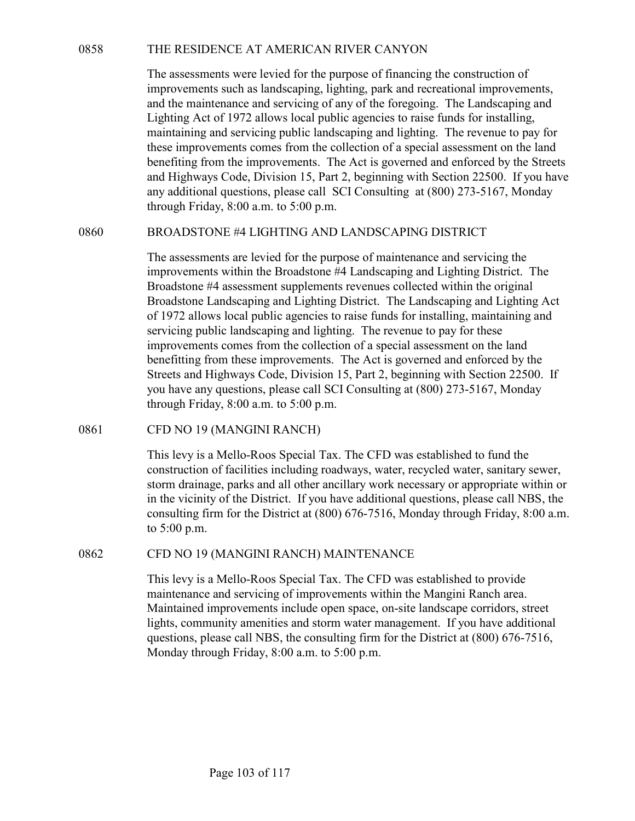THE RESIDENCE AT AMERICAN RIVER CANYON<br>The assessments were levied for the purpose of financing the construction of<br>improvements such as landscaping, lighting, park and recreational improvements,<br>and the maintenance and se The assessments were levied for the purpose of financing the construction of improvements such as landscaping, lighting, park and recreational improvements, and the maintenance and servicing of any of the foregoing. The Landscaping and Lighting Act of 1972 allows local public agencies to raise funds for installing, maintaining and servicing public landscaping and lighting. The revenue to pay for these improvements comes from the collection of a special assessment on the land benefiting from the improvements. The Act is governed and enforced by the Streets and Highways Code, Division 15, Part 2, beginning with Section 22500. If you have any additional questions, please call SCI Consulting at (800) 273-5167, Monday through Friday, 8:00 a.m. to 5:00 p.m. THE RESIDENCE AT AMERICAN RIVER CANYON<br>
The assessments were levied for the purpose of financing the construction of<br>
improvements such as landscaping, lighting, park and recreational improvements,<br>
and the maintenance and

The assessments are levied for the purpose of maintenance and servicing the improvements within the Broadstone #4 Landscaping and Lighting District. The Broadstone #4 assessment supplements revenues collected within the original Broadstone Landscaping and Lighting District. The Landscaping and Lighting Act of 1972 allows local public agencies to raise funds for installing, maintaining and servicing public landscaping and lighting. The revenue to pay for these improvements comes from the collection of a special assessment on the land benefitting from these improvements. The Act is governed and enforced by the Streets and Highways Code, Division 15, Part 2, beginning with Section 22500. If you have any questions, please call SCI Consulting at (800) 273-5167, Monday through Friday, 8:00 a.m. to 5:00 p.m. benenting rrom the improvements. In a Act is governed and enforced<br>and Highways Code, Division 15, Part 2, beginning with Section 22:<br>any additional questions, please call SCI Consulting at (800) 273-5<br>through Friday, 8:00 Broadstone  $\pm a$  assessment supperments revenues collected within the original<br>Broadstone Landscaping and Lighting District. The Landscaping and Lighting Act<br>of 1972 allows local public agencies to raise funds for install

This levy is a Mello-Roos Special Tax. The CFD was established to fund the construction of facilities including roadways, water, recycled water, sanitary sewer, storm drainage, parks and all other ancillary work necessary or appropriate within or in the vicinity of the District. If you have additional questions, please call NBS, the consulting firm for the District at (800) 676-7516, Monday through Friday, 8:00 a.m. to 5:00 p.m.

This levy is a Mello-Roos Special Tax. The CFD was established to provide maintenance and servicing of improvements within the Mangini Ranch area. Maintained improvements include open space, on-site landscape corridors, street lights, community amenities and storm water management. If you have additional questions, please call NBS, the consulting firm for the District at (800) 676-7516, Monday through Friday, 8:00 a.m. to 5:00 p.m.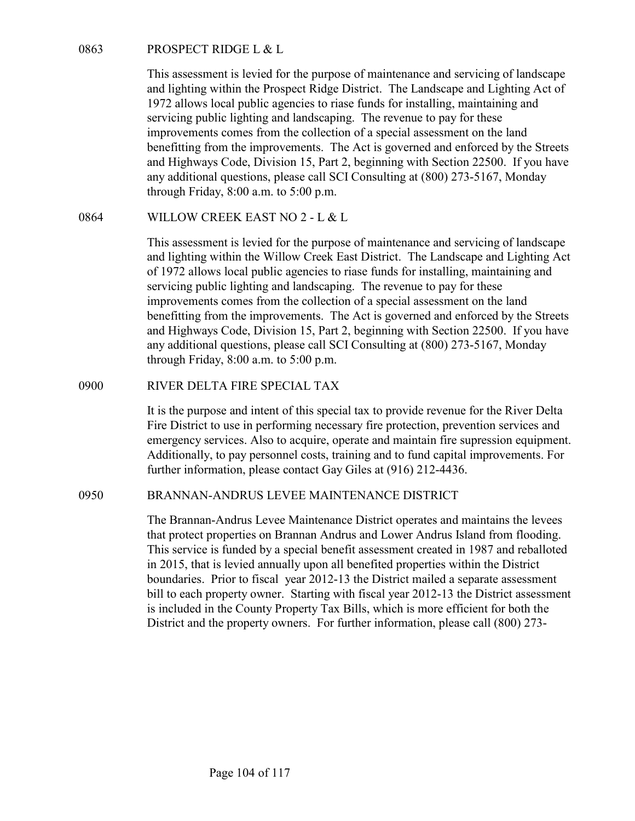PROSPECT RIDGE L & L<br>This assessment is levied for the purpose of maintenance and servici<br>and lighting within the Prospect Ridge District. The Landscape and<br>1972 allows local public agencies to riase funds for installing, This assessment is levied for the purpose of maintenance and servicing of landscape and lighting within the Prospect Ridge District. The Landscape and Lighting Act of 1972 allows local public agencies to riase funds for installing, maintaining and servicing public lighting and landscaping. The revenue to pay for these improvements comes from the collection of a special assessment on the land benefitting from the improvements. The Act is governed and enforced by the Streets and Highways Code, Division 15, Part 2, beginning with Section 22500. If you have any additional questions, please call SCI Consulting at (800) 273-5167, Monday through Friday, 8:00 a.m. to 5:00 p.m. 0863 PROSPECT RIDGE L & L<br>
This assessment is levied for the purpose of maintenance and servicing of landse<br>
and lighting within the Prospect Ridge District. The Landscape and Lighting Ac<br>
1972 allows local public agencie

This assessment is levied for the purpose of maintenance and servicing of landscape and lighting within the Willow Creek East District. The Landscape and Lighting Act of 1972 allows local public agencies to riase funds for installing, maintaining and servicing public lighting and landscaping. The revenue to pay for these improvements comes from the collection of a special assessment on the land benefitting from the improvements. The Act is governed and enforced by the Streets and Highways Code, Division 15, Part 2, beginning with Section 22500. If you have any additional questions, please call SCI Consulting at (800) 273-5167, Monday through Friday, 8:00 a.m. to 5:00 p.m. servicing public lignting and tankscaping. The reventie to pay of the experience of the River Diety inprovements comes from the collection of a special assessment on the land benefitting from the improvements. The Act is g This assessment is levied for the purpose of maintenance and servicing of landscape<br>and lighting within the Willow Creek East District. The Landscape and Lighting Act<br>of 1972 allows local public agencies to rase funds for

It is the purpose and intent of this special tax to provide revenue for the River Delta Fire District to use in performing necessary fire protection, prevention services and emergency services. Also to acquire, operate and maintain fire supression equipment. Additionally, to pay personnel costs, training and to fund capital improvements. For further information, please contact Gay Giles at (916) 212-4436.

The Brannan-Andrus Levee Maintenance District operates and maintains the levees that protect properties on Brannan Andrus and Lower Andrus Island from flooding. This service is funded by a special benefit assessment created in 1987 and reballoted in 2015, that is levied annually upon all benefited properties within the District boundaries. Prior to fiscal year 2012-13 the District mailed a separate assessment bill to each property owner. Starting with fiscal year 2012-13 the District assessment is included in the County Property Tax Bills, which is more efficient for both the District and the property owners. For further information, please call (800) 273-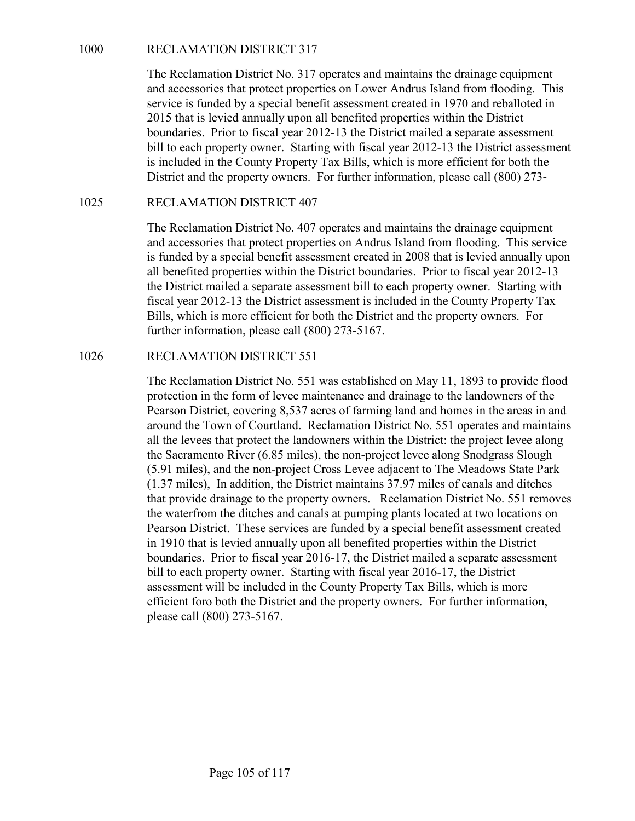RECLAMATION DISTRICT 317<br>The Reclamation District No. 317 operates and maintains the draina;<br>and accessories that protect properties on Lower Andrus Island from<br>service is funded by a special benefit assessment created in The Reclamation District No. 317 operates and maintains the drainage equipment and accessories that protect properties on Lower Andrus Island from flooding. This service is funded by a special benefit assessment created in 1970 and reballoted in 2015 that is levied annually upon all benefited properties within the District boundaries. Prior to fiscal year 2012-13 the District mailed a separate assessment bill to each property owner. Starting with fiscal year 2012-13 the District assessment is included in the County Property Tax Bills, which is more efficient for both the District and the property owners. For further information, please call (800) 273- RECLAMATION DISTRICT 317<br>
The Reclamation District No. 317 operates and maintains the draina<br>
and accessories that protect properties on Lower Andrus Island from<br>
are accessories that protect properties on Lower Andrus Isl

The Reclamation District No. 407 operates and maintains the drainage equipment and accessories that protect properties on Andrus Island from flooding. This service is funded by a special benefit assessment created in 2008 that is levied annually upon all benefited properties within the District boundaries. Prior to fiscal year 2012-13 the District mailed a separate assessment bill to each property owner. Starting with fiscal year 2012-13 the District assessment is included in the County Property Tax Bills, which is more efficient for both the District and the property owners. For further information, please call (800) 273-5167. ana accessoris that protect properties on Lower Anarus Island rom<br>service is funded by a special benefit assessment created in 1970 and<br>2015 that is levied annually upon all benefited properties within the<br>boundaries. Prio

The Reclamation District No. 551 was established on May 11, 1893 to provide flood protection in the form of levee maintenance and drainage to the landowners of the Pearson District, covering 8,537 acres of farming land and homes in the areas in and around the Town of Courtland. Reclamation District No. 551 operates and maintains all the levees that protect the landowners within the District: the project levee along the Sacramento River (6.85 miles), the non-project levee along Snodgrass Slough (5.91 miles), and the non-project Cross Levee adjacent to The Meadows State Park (1.37 miles), In addition, the District maintains 37.97 miles of canals and ditches that provide drainage to the property owners. Reclamation District No. 551 removes the waterfrom the ditches and canals at pumping plants located at two locations on Pearson District. These services are funded by a special benefit assessment created in 1910 that is levied annually upon all benefited properties within the District boundaries. Prior to fiscal year 2016-17, the District mailed a separate assessment bill to each property owner. Starting with fiscal year 2016-17, the District assessment will be included in the County Property Tax Bills, which is more efficient foro both the District and the property owners. For further information, please call (800) 273-5167.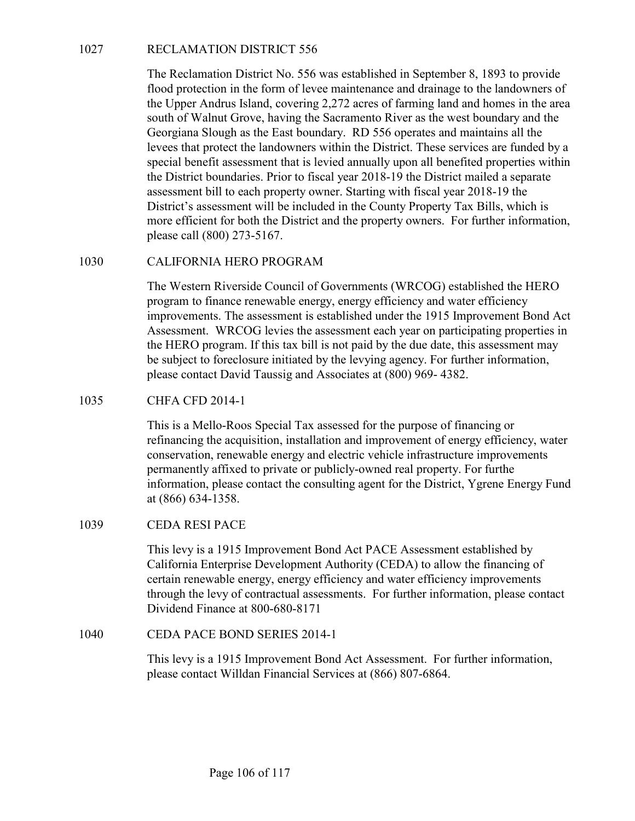RECLAMATION DISTRICT 556<br>The Reclamation District No. 556 was established in September 8, 1<br>flood protection in the form of levee maintenance and drainage to the<br>the Upper Andrus Island, covering 2,272 acres of farming lan The Reclamation District No. 556 was established in September 8, 1893 to provide flood protection in the form of levee maintenance and drainage to the landowners of the Upper Andrus Island, covering 2,272 acres of farming land and homes in the area south of Walnut Grove, having the Sacramento River as the west boundary and the Georgiana Slough as the East boundary. RD 556 operates and maintains all the levees that protect the landowners within the District. These services are funded by a special benefit assessment that is levied annually upon all benefited properties within the District boundaries. Prior to fiscal year 2018-19 the District mailed a separate assessment bill to each property owner. Starting with fiscal year 2018-19 the District's assessment will be included in the County Property Tax Bills, which is more efficient for both the District and the property owners. For further information, please call (800) 273-5167. RECLAMATION DISTRICT 556<br>The Reclamation District No. 556 was established in September 8, 1893 to provide<br>flood protection in the form of levee maintenance and drainage to the landowners of<br>the Upper Andrus Island, coverin Georgiana Slougn as the East boundary. RD 250 operates and maint<br>levees that protect the landowners within the District. These services<br>special benefit assessment that is levied annually upon all benefited<br>the District bou

The Western Riverside Council of Governments (WRCOG) established the HERO program to finance renewable energy, energy efficiency and water efficiency improvements. The assessment is established under the 1915 Improvement Bond Act Assessment. WRCOG levies the assessment each year on participating properties in the HERO program. If this tax bill is not paid by the due date, this assessment may be subject to foreclosure initiated by the levying agency. For further information, please contact David Taussig and Associates at (800) 969- 4382. CALIFORNIA HERO PROGRAM<br>
The Western Riverside Council of Governments (WRCOG) establis<br>
program to finance renewable energy, energy efficiency and water ef<br>
improvements. The assessment is established under the 1915 Improv

This is a Mello-Roos Special Tax assessed for the purpose of financing or refinancing the acquisition, installation and improvement of energy efficiency, water conservation, renewable energy and electric vehicle infrastructure improvements permanently affixed to private or publicly-owned real property. For furthe information, please contact the consulting agent for the District, Ygrene Energy Fund at (866) 634-1358. please contact David Taussig and Associates at (800) 969-4382.<br>
CHFA CFD 2014-1<br>
This is a Mello-Roos Special Tax assessed for the purpose of financing<br>
refinancing the acquisition, installation and improvement of energy e

This levy is a 1915 Improvement Bond Act PACE Assessment established by California Enterprise Development Authority (CEDA) to allow the financing of certain renewable energy, energy efficiency and water efficiency improvements through the levy of contractual assessments. For further information, please contact Dividend Finance at 800-680-8171

This levy is a 1915 Improvement Bond Act Assessment. For further information, please contact Willdan Financial Services at (866) 807-6864.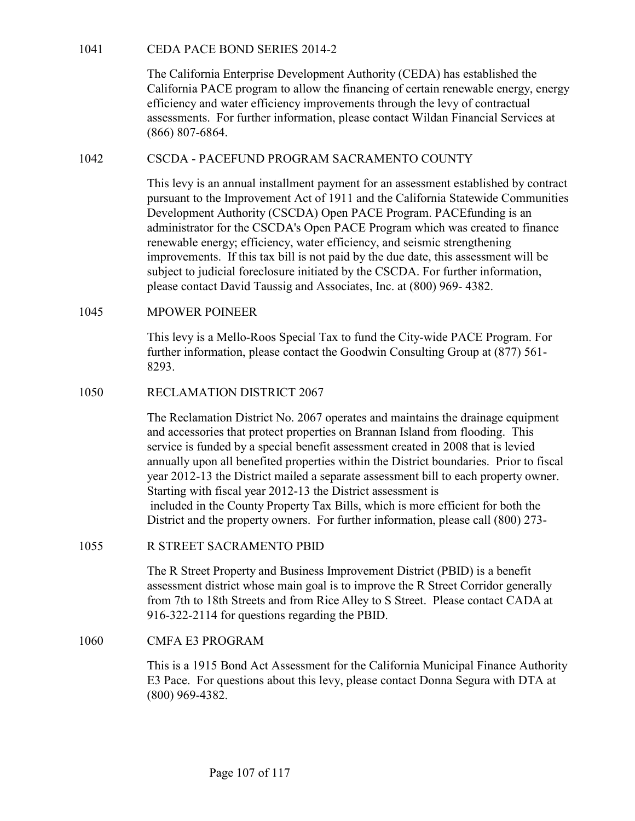1041 CEDA PACE BOND SERIES 2014-2<br>The California Enterprise Development Authority (CEDA) has establis<br>California PACE program to allow the financing of certain renewable e<br>efficiency and water efficiency improvements throu The California Enterprise Development Authority (CEDA) has established the California PACE program to allow the financing of certain renewable energy, energy efficiency and water efficiency improvements through the levy of contractual assessments. For further information, please contact Wildan Financial Services at (866) 807-6864. The California Enterprise Development Authority (CEDA) has established the<br>
California PACE program to allow the financing of certain renewable energy, energy<br>
efficiency and water efficiency improvements through the levy

This levy is an annual installment payment for an assessment established by contract pursuant to the Improvement Act of 1911 and the California Statewide Communities Development Authority (CSCDA) Open PACE Program. PACEfunding is an administrator for the CSCDA's Open PACE Program which was created to finance renewable energy; efficiency, water efficiency, and seismic strengthening improvements. If this tax bill is not paid by the due date, this assessment will be subject to judicial foreclosure initiated by the CSCDA. For further information, please contact David Taussig and Associates, Inc. at (800) 969- 4382. 1041 CEDA PACE BOND SERIES 2014-2<br>
The California Enterprise Development Authority (CEDA) has estable California PACE program to allow the financing of certain renewable<br>
efficiency and water efficiency improvements throug (866) 807-6864.<br>
CSCDA - PACEFUND PROGRAM SACRAMENTO COUNTY<br>
This levy is an annual installment payment for an assessment establis<br>
pursuant to the Improvement Act of 1911 and the California Statewi<br>
Development Authority

This levy is a Mello-Roos Special Tax to fund the City-wide PACE Program. For further information, please contact the Goodwin Consulting Group at (877) 561- 8293.

The Reclamation District No. 2067 operates and maintains the drainage equipment and accessories that protect properties on Brannan Island from flooding. This service is funded by a special benefit assessment created in 2008 that is levied annually upon all benefited properties within the District boundaries. Prior to fiscal year 2012-13 the District mailed a separate assessment bill to each property owner. Starting with fiscal year 2012-13 the District assessment is included in the County Property Tax Bills, which is more efficient for both the District and the property owners. For further information, please call (800) 273 please contact David Taussig and Associates, Inc. at (800) 969-4382.<br>
MPOWER POINEER<br>
This levy is a Mello-Roos Special Tax to fund the City-wide PACE Program. For<br>
This levy is a Mello-Roos Special Tax to fund the City-wi RECLAMATION DISTRICT 2067<br>The Reclamation District No. 2067 operates and maintains the drainage equipmen<br>and accessories that protect properties on Brannan Island from flooding. This<br>service is funded by a special benefit

The R Street Property and Business Improvement District (PBID) is a benefit assessment district whose main goal is to improve the R Street Corridor generally from 7th to 18th Streets and from Rice Alley to S Street. Please contact CADA at 916-322-2114 for questions regarding the PBID.

This is a 1915 Bond Act Assessment for the California Municipal Finance Authority E3 Pace. For questions about this levy, please contact Donna Segura with DTA at (800) 969-4382.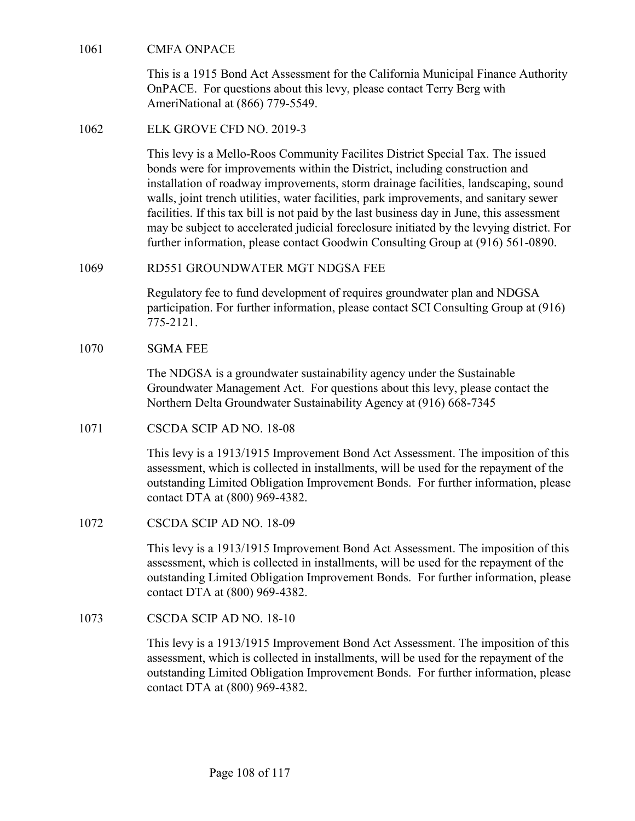CMFA ONPACE<br>
This is a 1915 Bond Act Assessment for the California Municipal Fi<br>
OnPACE. For questions about this levy, please contact Terry Berg v<br>
AmeriNational at (866) 779-5549. This is a 1915 Bond Act Assessment for the California Municipal Finance Authority OnPACE. For questions about this levy, please contact Terry Berg with AmeriNational at (866) 779-5549.

CMFA ONPACE<br>
This is a 1915 Bond Act Assessment for the California Municipal Fi<br>
OnPACE. For questions about this levy, please contact Terry Berg<br>
AmeriNational at (866) 779-5549.<br>
1062 ELK GROVE CFD NO. 2019-3<br>
This levy This levy is a Mello-Roos Community Facilites District Special Tax. The issued bonds were for improvements within the District, including construction and installation of roadway improvements, storm drainage facilities, landscaping, sound walls, joint trench utilities, water facilities, park improvements, and sanitary sewer facilities. If this tax bill is not paid by the last business day in June, this assessment may be subject to accelerated judicial foreclosure initiated by the levying district. For further information, please contact Goodwin Consulting Group at (916) 561-0890. CMFA ONPACE<br>
This is a 1915 Bond Act Assessment for the California Municipal Finance Authority<br>
OnPACE. For questions about this levy, please contact Terry Berg with<br>
AmeriNational at (866) 779-5549.<br>
ELK GROVE CFD NO. 201 OnPACE. For questions about this levy, please contact Terry Berg v<br>AmeriNational at (866) 779-5549.<br>
ELK GROVE CFD NO. 2019-3<br>
This levy is a Mello-Roos Community Facilites District Special Tax<br>
bonds were for improvements bonds were for improvements within the District, including construe<br>
installation of roadway improvements, storm drainage facilities, land<br>
walls, joint trench utilities, water facilities, park improvements, and<br>
facilitie

Regulatory fee to fund development of requires groundwater plan and NDGSA participation. For further information, please contact SCI Consulting Group at (916) 775-2121.

The NDGSA is a groundwater sustainability agency under the Sustainable Groundwater Management Act. For questions about this levy, please contact the Northern Delta Groundwater Sustainability Agency at (916) 668-7345

This levy is a 1913/1915 Improvement Bond Act Assessment. The imposition of this assessment, which is collected in installments, will be used for the repayment of the outstanding Limited Obligation Improvement Bonds. For further information, please contact DTA at (800) 969-4382. RD551 GROUNDWATER MGT NDGSA FEE<br>
Regulatory fee to fund development of requires groundwater plan an<br>
participation. For further information, please contact SCI Consulting<br>
775-2121.<br>
SGMA FEE<br>
The NDGSA is a groundwater su 1070<br>
1070<br>
1078 Connathear Management Act. For questions about this levy, please<br>
1071<br>
1071 CSCDA SCIP AD NO. 18-08<br>
1071 CSCDA SCIP AD NO. 18-08<br>
108 CSCDA SCIP AD NO. 18-08<br>
108 CSCDA SCIP AD NO. 18-08<br>
108 CSCDA SCIP

This levy is a 1913/1915 Improvement Bond Act Assessment. The imposition of this assessment, which is collected in installments, will be used for the repayment of the outstanding Limited Obligation Improvement Bonds. For further information, please contact DTA at (800) 969-4382.

This levy is a 1913/1915 Improvement Bond Act Assessment. The imposition of this assessment, which is collected in installments, will be used for the repayment of the outstanding Limited Obligation Improvement Bonds. For further information, please contact DTA at (800) 969-4382.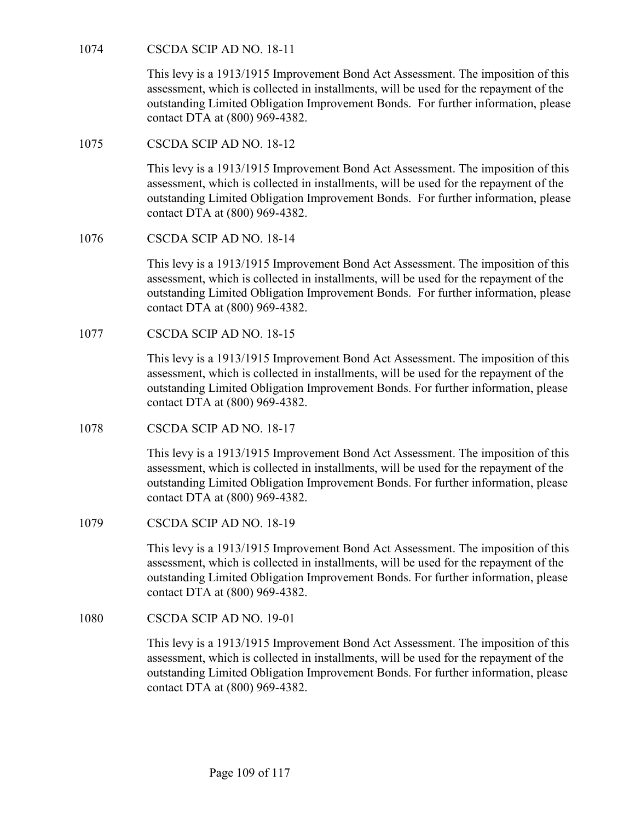CSCDA SCIP AD NO. 18-11<br>This levy is a 1913/1915 Improvement Bond Act Assessment. The in<br>assessment, which is collected in installments, will be used for the re-<br>outstanding Limited Obligation Improvement Bonds. For furthe This levy is a 1913/1915 Improvement Bond Act Assessment. The imposition of this assessment, which is collected in installments, will be used for the repayment of the outstanding Limited Obligation Improvement Bonds. For further information, please contact DTA at (800) 969-4382. CSCDA SCIP AD NO. 18-11<br>
This levy is a 1913/1915 Improvement Bond Act Assessment. The in<br>
assessment, which is collected in installments, will be used for the re<br>
outstanding Limited Obligation Improvement Bonds. For furt

This levy is a 1913/1915 Improvement Bond Act Assessment. The imposition of this assessment, which is collected in installments, will be used for the repayment of the outstanding Limited Obligation Improvement Bonds. For further information, please contact DTA at (800) 969-4382. CSCDA SCIP AD NO. 18-11<br>
This levy is a 1913/1915 Improvement Bond Act Assessment. The in<br>
assessment, which is collected in installments, will be used for the re<br>
outstanding Limited Obligation Improvement Bonds. For furt This levy is a 1913/1915 Improvement Bond Act Assessment. The in<br>
assessment, which is collected in installments, will be used for the re<br>
outstanding Limited Obligation Improvement Bonds. For further int<br>
contact DTA at ( This levy is a 1913/1915 Improvement Bond Act Assessment. The in<br>
assessment, which is collected in installments, will be used for the re<br>
outstanding Limited Obligation Improvement Bonds. For further int<br>
contact DTA at (

This levy is a 1913/1915 Improvement Bond Act Assessment. The imposition of this assessment, which is collected in installments, will be used for the repayment of the outstanding Limited Obligation Improvement Bonds. For further information, please contact DTA at (800) 969-4382.

This levy is a 1913/1915 Improvement Bond Act Assessment. The imposition of this assessment, which is collected in installments, will be used for the repayment of the outstanding Limited Obligation Improvement Bonds. For further information, please contact DTA at (800) 969-4382.

This levy is a 1913/1915 Improvement Bond Act Assessment. The imposition of this assessment, which is collected in installments, will be used for the repayment of the outstanding Limited Obligation Improvement Bonds. For further information, please contact DTA at (800) 969-4382. This levy is a 1913/1915 Improvement Bond Act Assessment. The in<br>
assessment, which is collected in installments, will be used for the re<br>
outstanding Limited Obligation Improvement Bonds. For further int<br>
contact DTA at ( This levy is a 1913/1915 Improvement Bond Act Assessment. The in<br>
assessment, which is collected in installments, will be used for the re<br>
outstanding Limited Obligation Improvement Bonds. For further infi<br>
contact DTA at

This levy is a 1913/1915 Improvement Bond Act Assessment. The imposition of this assessment, which is collected in installments, will be used for the repayment of the outstanding Limited Obligation Improvement Bonds. For further information, please contact DTA at (800) 969-4382.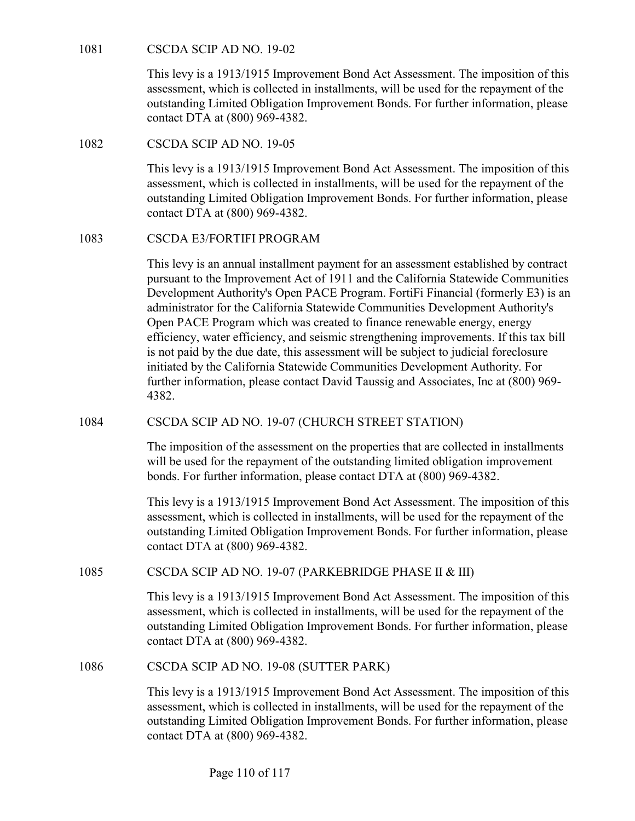CSCDA SCIP AD NO. 19-02<br>This levy is a 1913/1915 Improvement Bond Act Assessment. The in<br>assessment, which is collected in installments, will be used for the re-<br>outstanding Limited Obligation Improvement Bonds. For furthe This levy is a 1913/1915 Improvement Bond Act Assessment. The imposition of this assessment, which is collected in installments, will be used for the repayment of the outstanding Limited Obligation Improvement Bonds. For further information, please contact DTA at (800) 969-4382. CSCDA SCIP AD NO. 19-02<br>
This levy is a 1913/1915 Improvement Bond Act Assessment. The in<br>
assessment, which is collected in installments, will be used for the re<br>
outstanding Limited Obligation Improvement Bonds. For furt

This levy is a 1913/1915 Improvement Bond Act Assessment. The imposition of this assessment, which is collected in installments, will be used for the repayment of the outstanding Limited Obligation Improvement Bonds. For further information, please contact DTA at (800) 969-4382. CSCDA SCIP AD NO. 19-02<br>
This levy is a 1913/1915 Improvement Bond Act Assessment. The imposition of this<br>
assessment, which is collected in installments, will be used for the repayment of the<br>
constanding Limited Obligati

This levy is an annual installment payment for an assessment established by contract pursuant to the Improvement Act of 1911 and the California Statewide Communities Development Authority's Open PACE Program. FortiFi Financial (formerly E3) is an administrator for the California Statewide Communities Development Authority's Open PACE Program which was created to finance renewable energy, energy efficiency, water efficiency, and seismic strengthening improvements. If this tax bill is not paid by the due date, this assessment will be subject to judicial foreclosure initiated by the California Statewide Communities Development Authority. For further information, please contact David Taussig and Associates, Inc at (800) 969- 4382. This levy is a 1913/1915 Improvement Bond Act Assessment. The imposition of this assessment, which is collected in installments, will be used for the repayment of the outstanding Limited Obligation Improvement Bonds. For f administrator for the California Statewide Communities Development Authority's<br>
Open PACE Pregram which was created to finance renewable energy, energy<br>
efficiency, water efficiency, and seismic strengthening improvements.

The imposition of the assessment on the properties that are collected in installments will be used for the repayment of the outstanding limited obligation improvement bonds. For further information, please contact DTA at (800) 969-4382.

This levy is a 1913/1915 Improvement Bond Act Assessment. The imposition of this assessment, which is collected in installments, will be used for the repayment of the outstanding Limited Obligation Improvement Bonds. For further information, please contact DTA at (800) 969-4382.

This levy is a 1913/1915 Improvement Bond Act Assessment. The imposition of this assessment, which is collected in installments, will be used for the repayment of the outstanding Limited Obligation Improvement Bonds. For further information, please contact DTA at (800) 969-4382. 1084<br>
CSCDA SCIP AD NO. 19-07 (CHURCH STREET STATION)<br>
The imposition of the assessment on the properties that are collected in<br>
will be used for the repayment of the outstanding limited obligation im<br>
bonds. For further i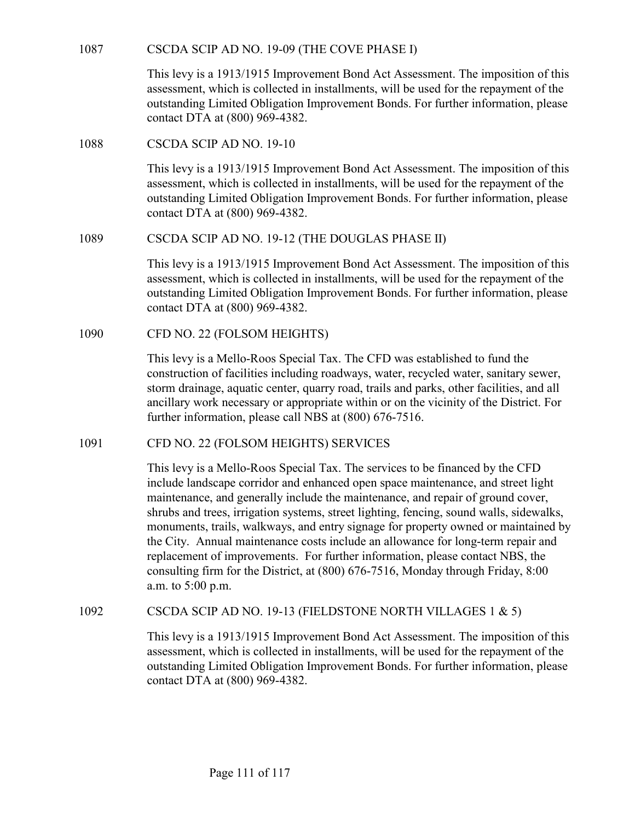CSCDA SCIP AD NO. 19-09 (THE COVE PHASE I)<br>This levy is a 1913/1915 Improvement Bond Act Assessment. The impositic<br>assessment, which is collected in installments, will be used for the repaymer<br>outstanding Limited Obligatio This levy is a 1913/1915 Improvement Bond Act Assessment. The imposition of this assessment, which is collected in installments, will be used for the repayment of the outstanding Limited Obligation Improvement Bonds. For further information, please contact DTA at (800) 969-4382. CSCDA SCIP AD NO. 19-09 (THE COVE PHASE I)<br>
This levy is a 1913/1915 Improvement Bond Act Assessment. The in<br>
assessment, which is collected in installments, will be used for the re<br>
outstanding Limited Obligation Improvem

This levy is a 1913/1915 Improvement Bond Act Assessment. The imposition of this assessment, which is collected in installments, will be used for the repayment of the outstanding Limited Obligation Improvement Bonds. For further information, please contact DTA at (800) 969-4382. 1087<br>
CSCDA SCIP AD NO. 19-09 (THE COVE PHASE I)<br>
This levy is a 1913/1915 Improvement Bond Act Assessment. The imposition of t<br>
assessment, which is collected in installments, will be used for the repayment of the<br>
outsta This levy is a 1913/1915 Improvement Bond Act Assessment. The in<br>
assessment, which is collected in installments, will be used for the re<br>
outstanding Limited Obligation Improvement Bonds. For further infi<br>
contact DTA at

This levy is a 1913/1915 Improvement Bond Act Assessment. The imposition of this assessment, which is collected in installments, will be used for the repayment of the outstanding Limited Obligation Improvement Bonds. For further information, please contact DTA at (800) 969-4382.

This levy is a Mello-Roos Special Tax. The CFD was established to fund the construction of facilities including roadways, water, recycled water, sanitary sewer, storm drainage, aquatic center, quarry road, trails and parks, other facilities, and all ancillary work necessary or appropriate within or on the vicinity of the District. For further information, please call NBS at (800) 676-7516. assessment, which is collected in installments, will be used for the repayment of the<br>outstanding Limited Obligation Improvement Bonds. For further information, please<br>contact DTA at (800) 969-4382.<br>ISCDA SCIP AD NO. 19-12

This levy is a Mello-Roos Special Tax. The services to be financed by the CFD include landscape corridor and enhanced open space maintenance, and street light maintenance, and generally include the maintenance, and repair of ground cover, shrubs and trees, irrigation systems, street lighting, fencing, sound walls, sidewalks, monuments, trails, walkways, and entry signage for property owned or maintained by the City. Annual maintenance costs include an allowance for long-term repair and replacement of improvements. For further information, please contact NBS, the consulting firm for the District, at (800) 676-7516, Monday through Friday, 8:00 a.m. to 5:00 p.m. This levy is a Mello-Roos Special Tax. The CFD was established to fund the<br>construction of facilities including roadways, water, recycled water, sanitary sewer,<br>storm drainage, aquatic center, quarry road, trails and park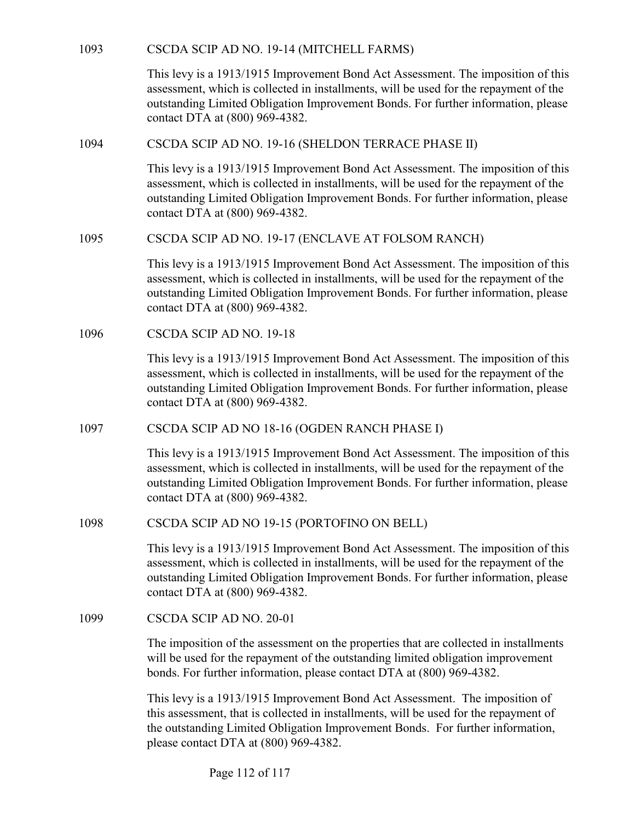| 1093 | CSCDA SCIP AD NO. 19-14 (MITCHELL FARMS)                                                                                                                                                                                                                                                         |
|------|--------------------------------------------------------------------------------------------------------------------------------------------------------------------------------------------------------------------------------------------------------------------------------------------------|
|      | This levy is a 1913/1915 Improvement Bond Act Assessment. The imposition of this<br>assessment, which is collected in installments, will be used for the repayment of the<br>outstanding Limited Obligation Improvement Bonds. For further information, please<br>contact DTA at (800) 969-4382. |
| 1094 | CSCDA SCIP AD NO. 19-16 (SHELDON TERRACE PHASE II)                                                                                                                                                                                                                                               |
|      | This levy is a 1913/1915 Improvement Bond Act Assessment. The imposition of this<br>assessment, which is collected in installments, will be used for the repayment of the<br>outstanding Limited Obligation Improvement Bonds. For further information, please<br>contact DTA at (800) 969-4382. |
| 1095 | CSCDA SCIP AD NO. 19-17 (ENCLAVE AT FOLSOM RANCH)                                                                                                                                                                                                                                                |
|      | This levy is a 1913/1915 Improvement Bond Act Assessment. The imposition of this<br>assessment, which is collected in installments, will be used for the repayment of the<br>outstanding Limited Obligation Improvement Bonds. For further information, please<br>contact DTA at (800) 969-4382. |
| 1096 | CSCDA SCIP AD NO. 19-18                                                                                                                                                                                                                                                                          |
|      | This levy is a 1913/1915 Improvement Bond Act Assessment. The imposition of this<br>assessment, which is collected in installments, will be used for the repayment of the<br>outstanding Limited Obligation Improvement Bonds. For further information, please<br>contact DTA at (800) 969-4382. |
| 1097 | CSCDA SCIP AD NO 18-16 (OGDEN RANCH PHASE I)                                                                                                                                                                                                                                                     |
|      | This levy is a 1913/1915 Improvement Bond Act Assessment. The imposition of this<br>assessment, which is collected in installments, will be used for the repayment of the<br>outstanding Limited Obligation Improvement Bonds. For further information, please<br>contact DTA at (800) 969-4382. |
| 1098 | CSCDA SCIP AD NO 19-15 (PORTOFINO ON BELL)                                                                                                                                                                                                                                                       |
|      | This levy is a 1913/1915 Improvement Bond Act Assessment. The imposition of this<br>assessment, which is collected in installments, will be used for the repayment of the<br>outstanding Limited Obligation Improvement Bonds. For further information, please<br>contact DTA at (800) 969-4382. |
| 1099 | CSCDA SCIP AD NO. 20-01                                                                                                                                                                                                                                                                          |
|      | The imposition of the assessment on the properties that are collected in installments<br>will be used for the repayment of the outstanding limited obligation improvement<br>bonds. For further information, please contact DTA at (800) 969-4382.                                               |
|      | This levy is a 1913/1915 Improvement Bond Act Assessment. The imposition of<br>this assessment, that is collected in installments, will be used for the repayment of<br>the outstanding Limited Obligation Improvement Bonds. For further information,<br>please contact DTA at (800) 969-4382.  |

Page 112 of 117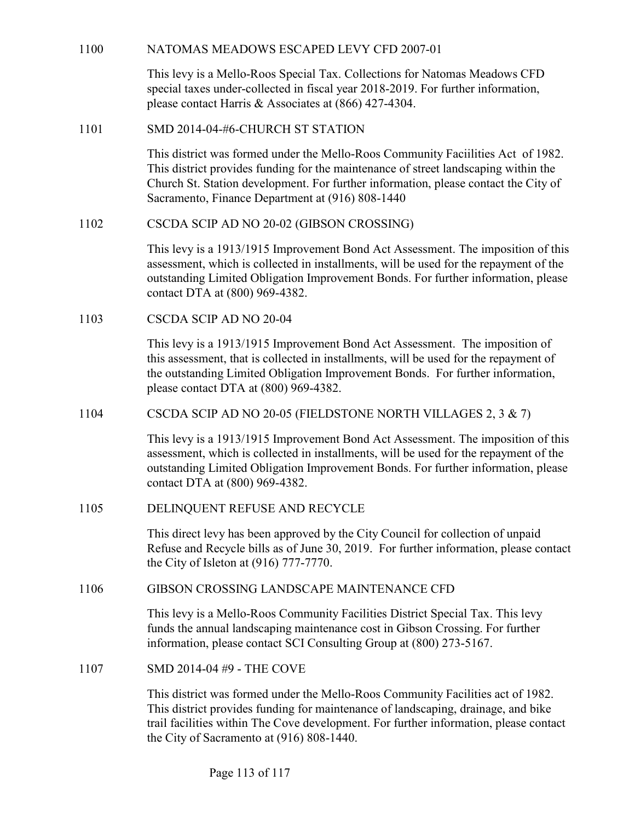1100 NATOMAS MEADOWS ESCAPED LEVY CFD 2007-01<br>This levy is a Mello-Roos Special Tax. Collections for Natomas Meadows CFD<br>special taxes under-collected in fiscal year 2018-2019. For further information,<br>please contact Harri This levy is a Mello-Roos Special Tax. Collections for Natomas Meadows CFD special taxes under-collected in fiscal year 2018-2019. For further information, please contact Harris & Associates at (866) 427-4304.

NATOMAS MEADOWS ESCAPED LEVY CFD 2007-01<br>
This levy is a Mello-Roos Special Tax. Collections for Natomas Meadows CFD<br>
special taxes under-collected in fiscal year 2018-2019. For further information,<br>
please contact Harris This district was formed under the Mello-Roos Community Faciilities Act of 1982. This district provides funding for the maintenance of street landscaping within the Church St. Station development. For further information, please contact the City of Sacramento, Finance Department at (916) 808-1440 NATOMAS MEADOWS ESCAPED LEVY CFD 2007-01<br>
This levy is a Mello-Roos Special Tax. Collections for Natomas Meadows<br>
special taxes under-collected in fiscal year 2018-2019. For further informati<br>
please contact Harris & Assoc

This levy is a 1913/1915 Improvement Bond Act Assessment. The imposition of this assessment, which is collected in installments, will be used for the repayment of the outstanding Limited Obligation Improvement Bonds. For further information, please contact DTA at (800) 969-4382. 1100<br>
This levy is a Mello-Roos Special Tax. Collections for Natomas Mesopecial taxes under-ollected in fiscal year 2018-2019. For further in<br>
please contact Harris & Associates at (866) 427-4304.<br>
1101 SMD 2014-04-#6-CHUR This district was formed under the Mello-Roos Community Facilitities Act of 1982.<br>
This district provides funding for the maintenance of stretc landscaping within the<br>
Church St. Station development For further informatio This levy is a 1913/1915 Improvement Bond Act Assessment. The imposition of this assessment, which is collected in installments, will be used for the repayment of the outstanding Limited Obligation Improvement Bonds. For f

This levy is a 1913/1915 Improvement Bond Act Assessment. The imposition of this assessment, that is collected in installments, will be used for the repayment of the outstanding Limited Obligation Improvement Bonds. For further information, please contact DTA at (800) 969-4382.

This levy is a 1913/1915 Improvement Bond Act Assessment. The imposition of this assessment, which is collected in installments, will be used for the repayment of the outstanding Limited Obligation Improvement Bonds. For further information, please contact DTA at (800) 969-4382. 1106<br>
1106 GSCDA SCH AD NO 20-04<br>
This levy is a 1913/1915 Improvement Bond Act Assessment. The imposition of<br>
this assessment, that is collected in installments, will be used for the repayment of<br>
the outstanding Limited 1104 CSCDA SCIP AD NO 20-05 (FIELDSTONE NORTH VILLAGES 2, 3<br>
This levy is a 1913/1915 Improvement Bond Act Assessment. The improsesses<br>
ment, which is collected in installments, will be used for the repay<br>
outstanding Limi

This direct levy has been approved by the City Council for collection of unpaid Refuse and Recycle bills as of June 30, 2019. For further information, please contact the City of Isleton at (916) 777-7770.

This levy is a Mello-Roos Community Facilities District Special Tax. This levy funds the annual landscaping maintenance cost in Gibson Crossing. For further information, please contact SCI Consulting Group at (800) 273-5167.

This district was formed under the Mello-Roos Community Facilities act of 1982. This district provides funding for maintenance of landscaping, drainage, and bike trail facilities within The Cove development. For further information, please contact the City of Sacramento at (916) 808-1440.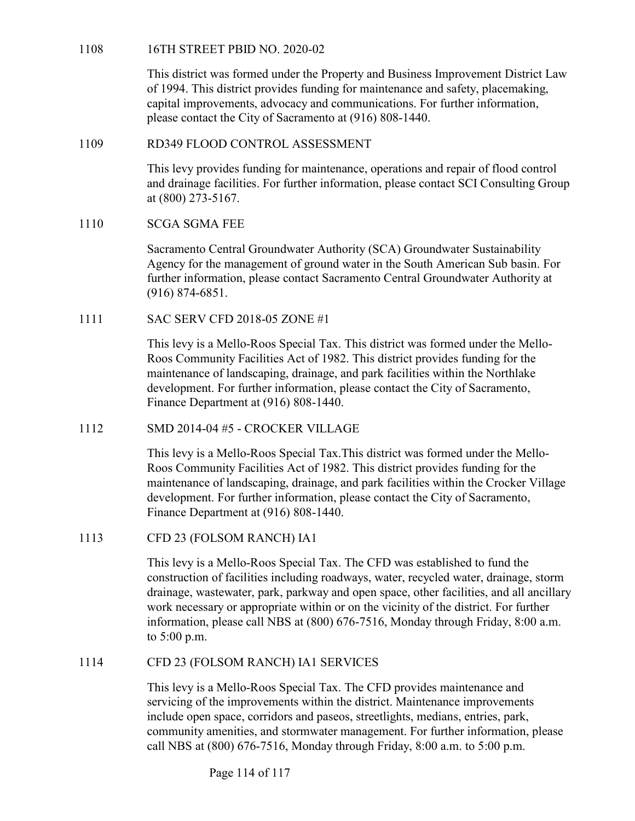16TH STREET PBID NO. 2020-02<br>This district was formed under the Property and Business Improvement<br>of 1994. This district provides funding for maintenance and safety, p<br>capital improvements, advocacy and communications. For This district was formed under the Property and Business Improvement District Law of 1994. This district provides funding for maintenance and safety, placemaking, capital improvements, advocacy and communications. For further information, please contact the City of Sacramento at (916) 808-1440. 108 16TH STREET PBID NO. 2020-02<br>
This district was formed under the Property and Business Improvement District Law<br>
of 1994. This district provides funding for maintenance and safety, placemaking,<br>
capital improvements, a 108 16TH STREET PBID NO. 2020-02<br>
This district was formed under the Property and Business Improvem<br>
1994. This district provides funding for maintenance and safety, p<br>
capital improvements, advocacy and communications. Fo 1106<br>
1111 STKEET FBID NO. 2020-02<br>
This district was formed under the Property and Business Improveme<br>
of 1994. This district provides funding for maintenance and safety, pla<br>
capital improvements, advocacy and communicat

This levy provides funding for maintenance, operations and repair of flood control and drainage facilities. For further information, please contact SCI Consulting Group at (800) 273-5167.

Sacramento Central Groundwater Authority (SCA) Groundwater Sustainability Agency for the management of ground water in the South American Sub basin. For further information, please contact Sacramento Central Groundwater Authority at (916) 874-6851.

This levy is a Mello-Roos Special Tax. This district was formed under the Mello-Roos Community Facilities Act of 1982. This district provides funding for the maintenance of landscaping, drainage, and park facilities within the Northlake development. For further information, please contact the City of Sacramento, Finance Department at (916) 808-1440. This levy provides funding for maintenance, operations and repair of flood control<br>and drainage facilities. For further information, please contact SCI Consulting Grot<br>at (800) 273-5167.<br>SCGA SGMA FEE<br>Sacramento Central Gr

This levy is a Mello-Roos Special Tax.This district was formed under the Mello-Roos Community Facilities Act of 1982. This district provides funding for the maintenance of landscaping, drainage, and park facilities within the Crocker Village development. For further information, please contact the City of Sacramento, Finance Department at (916) 808-1440. further information, please contact Sacramento Central Groundwate<br>
(916) 874-6851.<br>
1111 SAC SERV CFD 2018-05 ZONE #1<br>
This levy is a Mello-Roos Special Tax. This district was formed und<br>
Roos Community Facilities Act of 1

This levy is a Mello-Roos Special Tax. The CFD was established to fund the construction of facilities including roadways, water, recycled water, drainage, storm drainage, wastewater, park, parkway and open space, other facilities, and all ancillary work necessary or appropriate within or on the vicinity of the district. For further information, please call NBS at (800) 676-7516, Monday through Friday, 8:00 a.m. to 5:00 p.m. Finance Department at (916) 808-1440.<br>
1112 SMD 2014-04 #5 - CROCKER VILLAGE<br>
This levy is a Mello-Roos Special Tax.This district was formed under the Mello-Roos Community Facilities Act of 1982. This district provides fun

This levy is a Mello-Roos Special Tax. The CFD provides maintenance and servicing of the improvements within the district. Maintenance improvements include open space, corridors and paseos, streetlights, medians, entries, park, community amenities, and stormwater management. For further information, please call NBS at (800) 676-7516, Monday through Friday, 8:00 a.m. to 5:00 p.m.

Page 114 of 117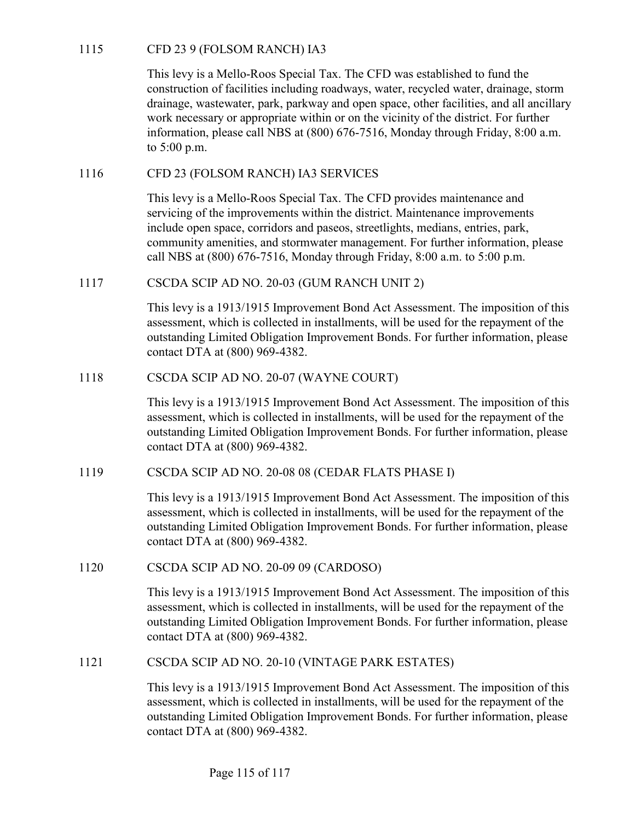1115 CFD 23 9 (FOLSOM RANCH) IA3<br>This levy is a Mello-Roos Special Tax. The CFD was established to 1<br>construction of facilities including roadways, water, recycled water, c<br>drainage, wastewater, park, parkway and open spac This levy is a Mello-Roos Special Tax. The CFD was established to fund the construction of facilities including roadways, water, recycled water, drainage, storm drainage, wastewater, park, parkway and open space, other facilities, and all ancillary work necessary or appropriate within or on the vicinity of the district. For further information, please call NBS at (800) 676-7516, Monday through Friday, 8:00 a.m. to 5:00 p.m. 1115 CFD 23 9 (FOLSOM RANCH) IA3<br>
This levy is a Mello-Roos Special Tax. The CFD was established to fund the<br>
construction of facilities including roadways, water, recycled water, drainage, storn<br>
drainage, wastewater, par 1115 CFD 23 9 (FOLSOM RANCH) IA3<br>
This levy is a Mello-Roos Special Tax. The CFD was established to fund the<br>
construction of facilities including roadways, water, recycled water, drainage,<br>
drainage, wastewater, park, par

This levy is a Mello-Roos Special Tax. The CFD provides maintenance and servicing of the improvements within the district. Maintenance improvements include open space, corridors and paseos, streetlights, medians, entries, park, community amenities, and stormwater management. For further information, please call NBS at (800) 676-7516, Monday through Friday, 8:00 a.m. to 5:00 p.m. work necessary or appropriate within or on the vicinity of the district. Folynomation, please call NBS at (800) 676-7516, Monday through Friday<br>to 5:00 p.m.<br>CFD 23 (FOLSOM RANCH) IA3 SERVICES<br>This levy is a Mello-Roos Spec servieing of the improvements within the district. Maintenance improvements<br>
include open space, corridors and passos, streetlights, medians, entries, park,<br>
community amenities, and stormwater management. For further info

This levy is a 1913/1915 Improvement Bond Act Assessment. The imposition of this assessment, which is collected in installments, will be used for the repayment of the outstanding Limited Obligation Improvement Bonds. For further information, please contact DTA at (800) 969-4382.

This levy is a 1913/1915 Improvement Bond Act Assessment. The imposition of this assessment, which is collected in installments, will be used for the repayment of the outstanding Limited Obligation Improvement Bonds. For further information, please contact DTA at (800) 969-4382. This levy is a 1913/1915 Improvement Bond Act Assessment. The in<br>assessment, which is collected in installments, will be used for the re<br>outstanding Limited Obligation Improvement Bonds. For further info<br>contact DTA at (80 This levy is a 1913/1915 Improvement Bond Act Assessment. The imposition of this secossment, which is collected in installments, will be used for the repayment of the outstanding Limited Obligation Improvement Bonds. For f

This levy is a 1913/1915 Improvement Bond Act Assessment. The imposition of this assessment, which is collected in installments, will be used for the repayment of the outstanding Limited Obligation Improvement Bonds. For further information, please contact DTA at (800) 969-4382.

This levy is a 1913/1915 Improvement Bond Act Assessment. The imposition of this assessment, which is collected in installments, will be used for the repayment of the outstanding Limited Obligation Improvement Bonds. For further information, please contact DTA at (800) 969-4382.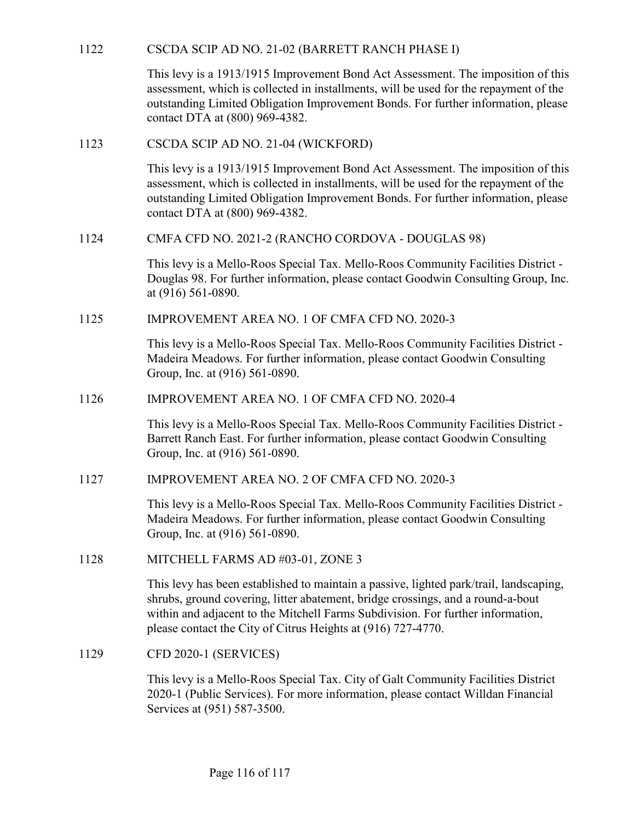CSCDA SCIP AD NO. 21-02 (BARRETT RANCH PHASE I)<br>This levy is a 1913/1915 Improvement Bond Act Assessment. The imposition of this<br>assessment, which is collected in installments, will be used for the repayment of the<br>outstan This levy is a 1913/1915 Improvement Bond Act Assessment. The imposition of this assessment, which is collected in installments, will be used for the repayment of the outstanding Limited Obligation Improvement Bonds. For further information, please contact DTA at (800) 969-4382. CSCDA SCIP AD NO. 21-02 (BARRETT RANCH PHASE I)<br>
This levy is a 1913/1915 Improvement Bond Act Assessment. The in<br>
assessment, which is collected in installments, will be used for the re<br>
outstanding Limited Obligation Imp CSCDA SCIP AD NO. 21-02 (BARRETT RANCH PHASE I)<br>
This levy is a 1913/1915 Improvement Bond Act Assessment. The imposition of this<br>
assessment, which is collected in installments, will be used for the repayment of the<br>
outs 1122 CSCDA SCIF AD NO. 21-02 (DANNETT NANOLITERADE)<br>
This levy is a 1913/1915 Improvement Bond Act Assessment. The imposition of this<br>
assessment, which is collected in installments, will be used for the repayment of the<br>

This levy is a 1913/1915 Improvement Bond Act Assessment. The imposition of this assessment, which is collected in installments, will be used for the repayment of the outstanding Limited Obligation Improvement Bonds. For further information, please contact DTA at (800) 969-4382. 1123 CSCDA SCIP AD NO. 21-04 (WICKFORD)<br>
This levy is a 1913/1915 Improvement Bond Act Assessment. The imposition of this<br>
assessment, which is collected in installments, will be used for the repayment of the<br>
outstanding

This levy is a Mello-Roos Special Tax. Mello-Roos Community Facilities District - Douglas 98. For further information, please contact Goodwin Consulting Group, Inc. at (916) 561-0890.

This levy is a Mello-Roos Special Tax. Mello-Roos Community Facilities District - Madeira Meadows. For further information, please contact Goodwin Consulting Group, Inc. at (916) 561-0890. contact DTA at (800) 969-4382.<br>
CMFA CFD NO. 2021-2 (RANCHO CORDOVA - DOUGLAS 98)<br>
This levy is a Mello-Roos Special Tax. Mello-Roos Community Facilities District-<br>
Douglas 98. For further information, please contact Goodw

This levy is a Mello-Roos Special Tax. Mello-Roos Community Facilities District - Barrett Ranch East. For further information, please contact Goodwin Consulting Group, Inc. at (916) 561-0890.

This levy is a Mello-Roos Special Tax. Mello-Roos Community Facilities District - Madeira Meadows. For further information, please contact Goodwin Consulting Group, Inc. at (916) 561-0890.

at (916) 561-0890.<br>
IMPROVEMENT AREA NO. 1 OF CMFA CFD NO. 2020-3<br>
This levy is a Mello-Roos Special Tax. Mello-Roos Community Facilities D<br>
Madeira Meadows. For further information, please contact Goodwin Consul<br>
Group, I This levy has been established to maintain a passive, lighted park/trail, landscaping, shrubs, ground covering, litter abatement, bridge crossings, and a round-a-bout within and adjacent to the Mitchell Farms Subdivision. For further information, please contact the City of Citrus Heights at (916) 727-4770. 1126 IMPROVEMENT AREA NO. 1 OF CMFA CFD NO. 2020-4<br>
This levy is a Mello-Roos Special Tax. Mello-Roos Community Fac<br>
Barrett Ranch East. For further information, please contact Goodwin<br>
Group, Inc. at (916) 561-0890.<br>
IMPR

This levy is a Mello-Roos Special Tax. City of Galt Community Facilities District 2020-1 (Public Services). For more information, please contact Willdan Financial Services at (951) 587-3500.